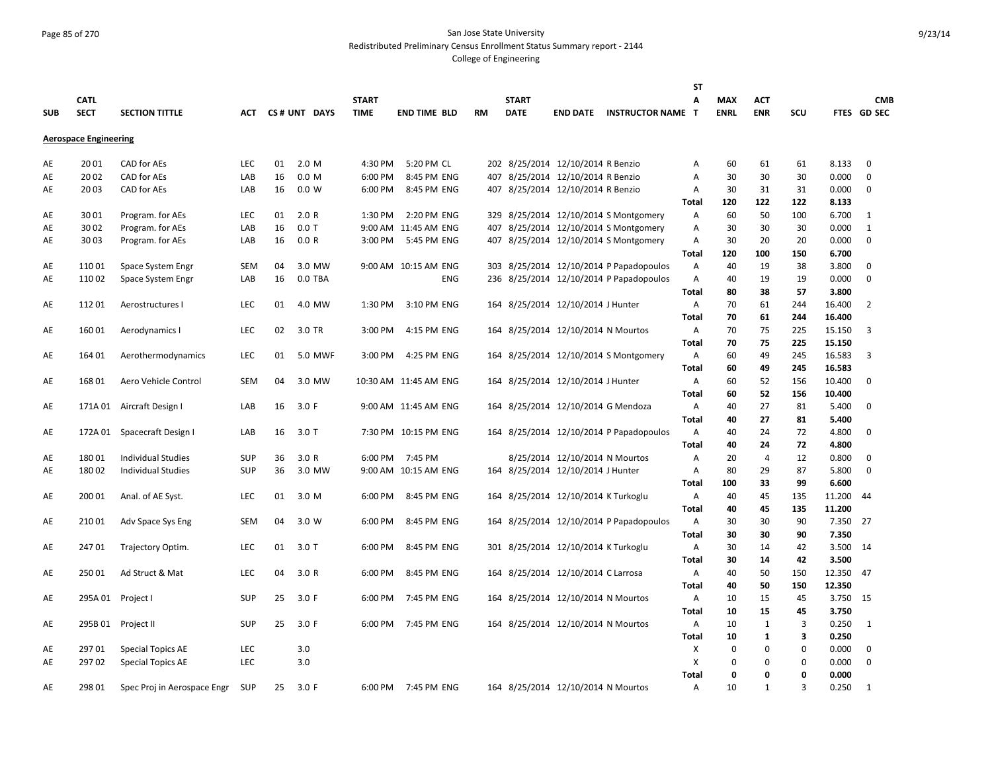# Page 85 of 270 San Jose State University Redistributed Preliminary Census Enrollment Status Summary report - 2144

|            |                              |                                                      |            |    |                  |              |                       |           |              |                                     |                                         | <b>ST</b>    |                   |               |               |                |                |
|------------|------------------------------|------------------------------------------------------|------------|----|------------------|--------------|-----------------------|-----------|--------------|-------------------------------------|-----------------------------------------|--------------|-------------------|---------------|---------------|----------------|----------------|
|            | <b>CATL</b>                  |                                                      |            |    |                  | <b>START</b> |                       |           | <b>START</b> |                                     |                                         | A            | <b>MAX</b>        | <b>ACT</b>    |               |                | <b>CMB</b>     |
| <b>SUB</b> | <b>SECT</b>                  | <b>SECTION TITTLE</b>                                | АСТ        |    | CS# UNT DAYS     | <b>TIME</b>  | <b>END TIME BLD</b>   | <b>RM</b> | <b>DATE</b>  | <b>END DATE</b>                     | <b>INSTRUCTOR NAME T</b>                |              | <b>ENRL</b>       | <b>ENR</b>    | SCU           |                | FTES GD SEC    |
|            | <b>Aerospace Engineering</b> |                                                      |            |    |                  |              |                       |           |              |                                     |                                         |              |                   |               |               |                |                |
|            |                              |                                                      |            |    |                  |              |                       |           |              |                                     |                                         |              |                   |               |               |                |                |
| AE         | 2001                         | CAD for AEs                                          | LEC        | 01 | 2.0 M            | 4:30 PM      | 5:20 PM CL            |           |              | 202 8/25/2014 12/10/2014 R Benzio   |                                         | Α            | 60                | 61            | 61            | 8.133          | $\mathbf 0$    |
| AE         | 2002                         | <b>CAD</b> for AEs                                   | LAB        | 16 | 0.0 <sub>M</sub> | 6:00 PM      | 8:45 PM ENG           |           |              | 407 8/25/2014 12/10/2014 R Benzio   |                                         | Α            | 30                | 30            | 30            | 0.000          | $\mathbf 0$    |
| AE         | 2003                         | CAD for AEs                                          | LAB        | 16 | 0.0 W            | 6:00 PM      | 8:45 PM ENG           |           |              | 407 8/25/2014 12/10/2014 R Benzio   |                                         | Α            | 30                | 31            | 31            | 0.000          | $\mathbf 0$    |
|            |                              |                                                      |            |    |                  |              |                       |           |              |                                     |                                         | <b>Total</b> | 120               | 122           | 122           | 8.133          |                |
| AE         | 3001                         | Program. for AEs                                     | <b>LEC</b> | 01 | 2.0 R            | 1:30 PM      | 2:20 PM ENG           |           |              |                                     | 329 8/25/2014 12/10/2014 S Montgomery   | Α            | 60                | 50            | 100           | 6.700          | 1              |
| AE         | 3002                         | Program. for AEs                                     | LAB        | 16 | $0.0$ T          |              | 9:00 AM 11:45 AM ENG  | 407       |              |                                     | 8/25/2014 12/10/2014 S Montgomery       | Α            | 30                | 30            | 30            | 0.000          | 1              |
| AE         | 3003                         | Program. for AEs                                     | LAB        | 16 | 0.0 R            | 3:00 PM      | 5:45 PM ENG           |           |              |                                     | 407 8/25/2014 12/10/2014 S Montgomery   | Α            | 30                | 20            | 20            | 0.000          | $\mathbf 0$    |
|            |                              |                                                      |            |    |                  |              |                       |           |              |                                     |                                         | Total        | 120               | 100           | 150           | 6.700          |                |
| AE         | 11001                        | Space System Engr                                    | <b>SEM</b> | 04 | 3.0 MW           |              | 9:00 AM 10:15 AM ENG  |           |              |                                     | 303 8/25/2014 12/10/2014 P Papadopoulos | Α            | 40                | 19            | 38            | 3.800          | $\mathbf 0$    |
| AE         | 11002                        | Space System Engr                                    | LAB        | 16 | 0.0 TBA          |              | <b>ENG</b>            |           |              |                                     | 236 8/25/2014 12/10/2014 P Papadopoulos | Α            | 40                | 19            | 19            | 0.000          | $\mathbf 0$    |
|            |                              |                                                      |            |    |                  |              |                       |           |              |                                     |                                         | Total        | 80                | 38            | 57            | 3.800          |                |
| AE         | 11201                        | Aerostructures I                                     | <b>LEC</b> | 01 | 4.0 MW           | 1:30 PM      | 3:10 PM ENG           |           |              | 164 8/25/2014 12/10/2014 J Hunter   |                                         | Α            | 70                | 61            | 244           | 16.400         | $\overline{2}$ |
|            |                              |                                                      |            |    |                  |              |                       |           |              |                                     |                                         | <b>Total</b> | 70                | 61            | 244           | 16.400         |                |
| AE         | 16001                        | Aerodynamics I                                       | LEC        | 02 | 3.0 TR           | 3:00 PM      | 4:15 PM ENG           |           |              | 164 8/25/2014 12/10/2014 N Mourtos  |                                         | Α            | 70                | 75            | 225           | 15.150         | 3              |
|            |                              |                                                      |            |    |                  |              |                       |           |              |                                     |                                         | Total        | 70                | 75            | 225           | 15.150         |                |
| AE         | 164 01                       | Aerothermodynamics                                   | <b>LEC</b> | 01 | 5.0 MWF          | 3:00 PM      | 4:25 PM ENG           |           |              |                                     | 164 8/25/2014 12/10/2014 S Montgomery   | Α            | 60                | 49            | 245           | 16.583         | 3              |
|            |                              |                                                      |            |    |                  |              |                       |           |              |                                     |                                         | Total        | 60                | 49            | 245           | 16.583         |                |
| AE         | 16801                        | Aero Vehicle Control                                 | <b>SEM</b> | 04 | 3.0 MW           |              | 10:30 AM 11:45 AM ENG |           |              | 164 8/25/2014 12/10/2014 J Hunter   |                                         | Α            | 60                | 52            | 156           | 10.400         | $\mathbf 0$    |
|            |                              |                                                      |            |    |                  |              |                       |           |              |                                     |                                         | Total        | 60                | 52            | 156           | 10.400         |                |
| AE         | 171A 01                      | Aircraft Design I                                    | LAB        | 16 | 3.0 F            |              | 9:00 AM 11:45 AM ENG  |           |              |                                     | 164 8/25/2014 12/10/2014 G Mendoza      | Α            | 40                | 27            | 81            | 5.400          | 0              |
|            |                              |                                                      |            |    |                  |              |                       |           |              |                                     |                                         | <b>Total</b> | 40                | 27            | 81            | 5.400          |                |
| AE         | 172A 01                      | Spacecraft Design I                                  | LAB        | 16 | $3.0$ T          |              | 7:30 PM 10:15 PM ENG  |           |              |                                     | 164 8/25/2014 12/10/2014 P Papadopoulos | Α            | 40                | 24            | 72            | 4.800          | $\mathbf 0$    |
|            |                              |                                                      |            |    |                  |              |                       |           |              |                                     |                                         | <b>Total</b> | 40                | 24            | 72            | 4.800          |                |
| AE         | 18001                        | <b>Individual Studies</b>                            | <b>SUP</b> | 36 | 3.0R             | 6:00 PM      | 7:45 PM               |           |              | 8/25/2014 12/10/2014 N Mourtos      |                                         | Α            | 20                | 4             | 12            | 0.800          | 0              |
| AE         | 18002                        | <b>Individual Studies</b>                            | <b>SUP</b> | 36 | 3.0 MW           |              | 9:00 AM 10:15 AM ENG  |           |              | 164 8/25/2014 12/10/2014 J Hunter   |                                         | Α            | 80                | 29            | 87            | 5.800          | $\mathbf 0$    |
|            |                              |                                                      |            |    |                  |              |                       |           |              |                                     |                                         | Total        | 100               | 33            | 99            | 6.600          |                |
| AE         | 200 01                       | Anal. of AE Syst.                                    | <b>LEC</b> | 01 | 3.0 M            | 6:00 PM      | 8:45 PM ENG           |           |              | 164 8/25/2014 12/10/2014 K Turkoglu |                                         | Α            | 40                | 45            | 135           | 11.200         | -44            |
|            |                              |                                                      |            |    |                  |              |                       |           |              |                                     |                                         | Total        | 40                | 45            | 135           | 11.200         |                |
| AE         | 21001                        | Adv Space Sys Eng                                    | <b>SEM</b> | 04 | 3.0 W            | 6:00 PM      | 8:45 PM ENG           |           |              |                                     | 164 8/25/2014 12/10/2014 P Papadopoulos | Α            | 30                | 30            | 90            | 7.350          | 27             |
|            |                              |                                                      |            |    |                  |              |                       |           |              |                                     |                                         | Total        | 30                | 30            | 90            | 7.350          |                |
| AE         | 24701                        | Trajectory Optim.                                    | <b>LEC</b> | 01 | $3.0$ T          | 6:00 PM      | 8:45 PM ENG           |           |              | 301 8/25/2014 12/10/2014 K Turkoglu |                                         | Α            | 30                | 14            | 42            | 3.500          | 14             |
|            |                              |                                                      |            |    |                  |              |                       |           |              |                                     |                                         | Total        | 30                | 14            | 42            | 3.500          |                |
| AE         | 25001                        | Ad Struct & Mat                                      | LEC        | 04 | 3.0 R            | 6:00 PM      | 8:45 PM ENG           |           |              | 164 8/25/2014 12/10/2014 C Larrosa  |                                         | Α            | 40                | 50            | 150           | 12.350         | 47             |
|            |                              |                                                      |            |    |                  |              |                       |           |              |                                     |                                         | Total        | 40                | 50            | 150           | 12.350         |                |
| AE         | 295A 01                      | Project I                                            | <b>SUP</b> | 25 | 3.0 F            | 6:00 PM      | 7:45 PM ENG           |           |              | 164 8/25/2014 12/10/2014 N Mourtos  |                                         | Α            | 10<br>10          | 15<br>15      | 45<br>45      | 3.750<br>3.750 | 15             |
|            |                              |                                                      |            | 25 | 3.0 F            | 6:00 PM      | 7:45 PM ENG           |           |              | 164 8/25/2014 12/10/2014 N Mourtos  |                                         | <b>Total</b> | 10                | $\mathbf{1}$  | 3             | 0.250          | $\mathbf{1}$   |
| AE         | 295B 01                      | Project II                                           | <b>SUP</b> |    |                  |              |                       |           |              |                                     |                                         | Α            |                   |               |               |                |                |
|            | 29701                        |                                                      | LEC        |    | 3.0              |              |                       |           |              |                                     |                                         | Total<br>X   | 10<br>$\mathbf 0$ | 1<br>$\Omega$ | 3<br>$\Omega$ | 0.250<br>0.000 | $\mathbf 0$    |
| AE<br>AE   | 29702                        | <b>Special Topics AE</b><br><b>Special Topics AE</b> | <b>LEC</b> |    | 3.0              |              |                       |           |              |                                     |                                         | X            | 0                 | $\Omega$      | 0             | 0.000          | $\mathbf 0$    |
|            |                              |                                                      |            |    |                  |              |                       |           |              |                                     |                                         | Total        | $\mathbf 0$       | $\Omega$      | O             | 0.000          |                |
| AE         | 298 01                       | Spec Proj in Aerospace Engr                          | <b>SUP</b> | 25 | 3.0 F            |              | 6:00 PM 7:45 PM ENG   |           |              | 164 8/25/2014 12/10/2014 N Mourtos  |                                         | A            | 10                | $\mathbf{1}$  | 3             | 0.250          | 1              |
|            |                              |                                                      |            |    |                  |              |                       |           |              |                                     |                                         |              |                   |               |               |                |                |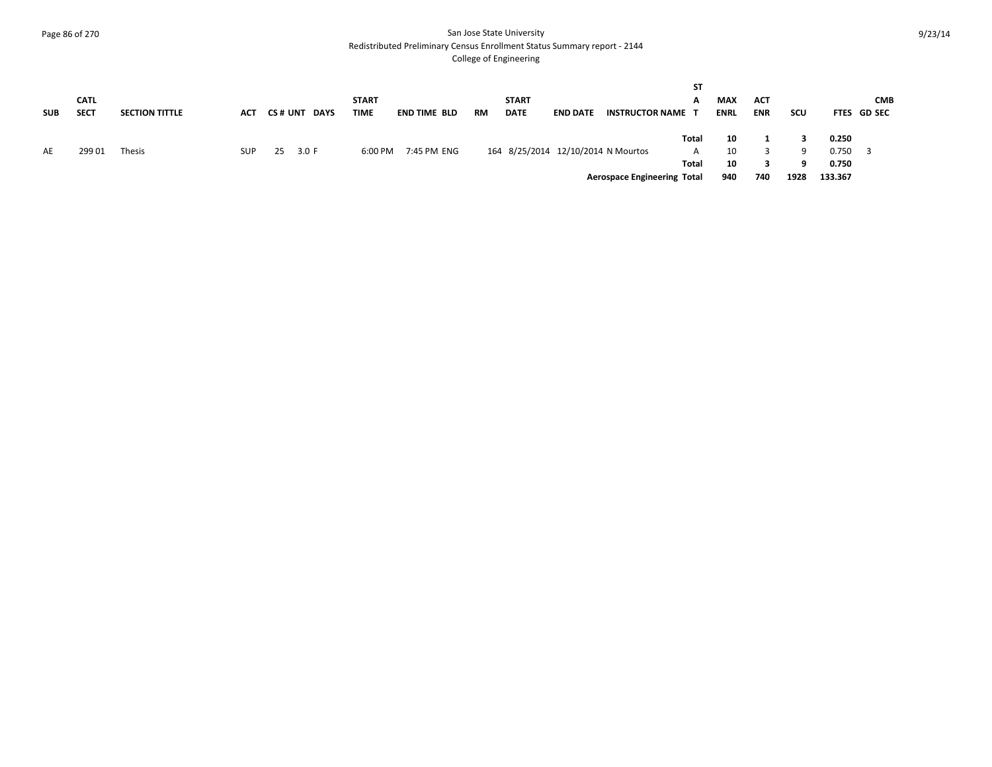#### Page 86 of 270 San Jose State University Redistributed Preliminary Census Enrollment Status Summary report - 2144

| <b>SUB</b> | <b>CATL</b><br><b>SECT</b> | <b>SECTION TITTLE</b> | ACT        | CS # UNT<br><b>DAYS</b> | <b>START</b><br>TIME | <b>END TIME BLD</b> | RM | <b>START</b><br><b>DATE</b> | <b>END DATE</b> | <b>INSTRUCTOR NAME T</b>           | ST<br>А             | <b>MAX</b><br><b>ENRL</b> | ACT<br><b>ENR</b> | scu     |                         | <b>CMB</b><br>FTES GD SEC |
|------------|----------------------------|-----------------------|------------|-------------------------|----------------------|---------------------|----|-----------------------------|-----------------|------------------------------------|---------------------|---------------------------|-------------------|---------|-------------------------|---------------------------|
| AE         | 29901                      | <b>Thesis</b>         | <b>SUP</b> | 3.0 F<br>25             | 6:00 PM              | 7:45 PM ENG         |    |                             |                 | 164 8/25/2014 12/10/2014 N Mourtos | Total<br>A<br>Total | 10<br>10<br>10            |                   | -9<br>9 | 0.250<br>0.750<br>0.750 |                           |
|            |                            |                       |            |                         |                      |                     |    |                             |                 | <b>Aerospace Engineering Total</b> |                     | 940                       | 740               | 1928    | 133.367                 |                           |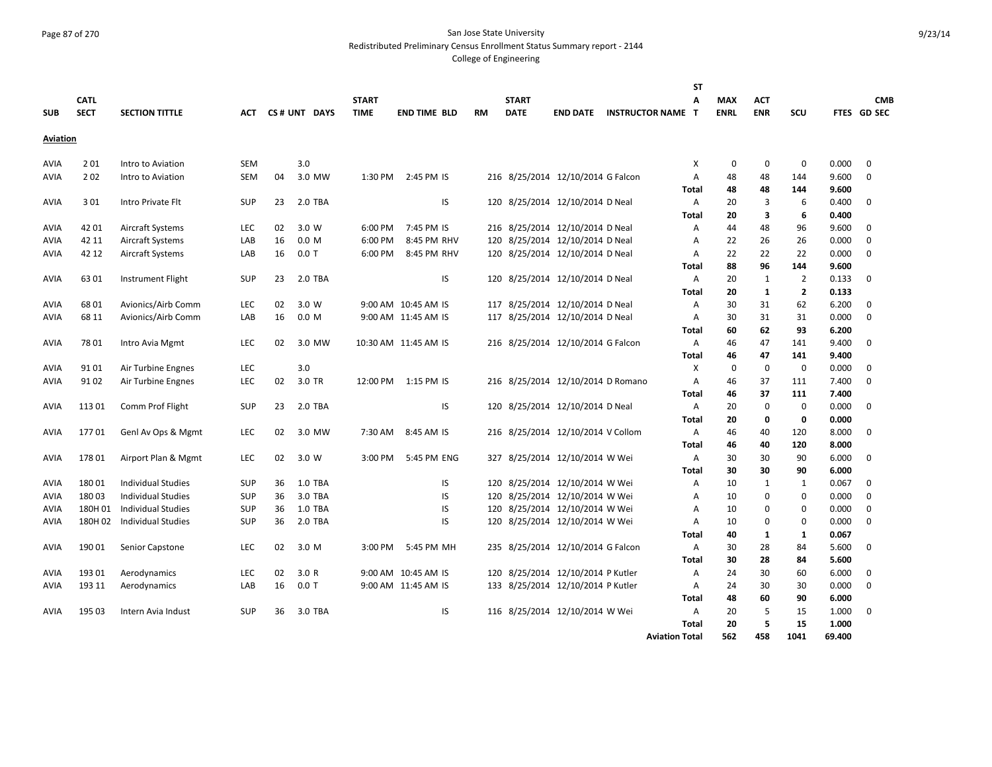#### Page 87 of 270 San Jose State University Redistributed Preliminary Census Enrollment Status Summary report - 2144

|                     |                |                           |            |          |                           |                    |                           |           |              |                                                                    |                          | <b>ST</b>    |             |              |                |                |               |
|---------------------|----------------|---------------------------|------------|----------|---------------------------|--------------------|---------------------------|-----------|--------------|--------------------------------------------------------------------|--------------------------|--------------|-------------|--------------|----------------|----------------|---------------|
|                     | <b>CATL</b>    |                           |            |          |                           | <b>START</b>       |                           |           | <b>START</b> |                                                                    |                          | A            | <b>MAX</b>  | <b>ACT</b>   |                |                | <b>CMB</b>    |
| <b>SUB</b>          | <b>SECT</b>    | <b>SECTION TITTLE</b>     | АСТ        |          | CS# UNT DAYS              | <b>TIME</b>        | <b>END TIME BLD</b>       | <b>RM</b> | <b>DATE</b>  | <b>END DATE</b>                                                    | <b>INSTRUCTOR NAME T</b> |              | <b>ENRL</b> | <b>ENR</b>   | SCU            |                | FTES GD SEC   |
| Aviation            |                |                           |            |          |                           |                    |                           |           |              |                                                                    |                          |              |             |              |                |                |               |
|                     | 201            |                           | <b>SEM</b> |          | 3.0                       |                    |                           |           |              |                                                                    |                          | X            | $\mathbf 0$ | $\mathbf 0$  | $\mathbf 0$    | 0.000          | $\Omega$      |
| AVIA<br><b>AVIA</b> | 202            | Intro to Aviation         | <b>SEM</b> | 04       | 3.0 MW                    | 1:30 PM            | 2:45 PM IS                |           |              | 216 8/25/2014 12/10/2014 G Falcon                                  |                          | A            | 48          |              | 144            | 9.600          | $\Omega$      |
|                     |                | Intro to Aviation         |            |          |                           |                    |                           |           |              |                                                                    |                          | <b>Total</b> | 48          | 48<br>48     | 144            | 9.600          |               |
|                     | 301            | Intro Private Flt         | <b>SUP</b> | 23       | 2.0 TBA                   |                    | IS                        |           |              | 120 8/25/2014 12/10/2014 D Neal                                    |                          | A            | 20          | 3            | 6              | 0.400          | $\mathbf 0$   |
| AVIA                |                |                           |            |          |                           |                    |                           |           |              |                                                                    |                          | <b>Total</b> | 20          | 3            | 6              | 0.400          |               |
|                     |                |                           |            |          |                           |                    |                           |           |              |                                                                    |                          |              |             |              |                |                |               |
| AVIA                | 4201           | Aircraft Systems          | <b>LEC</b> | 02<br>16 | 3.0 W<br>0.0 <sub>M</sub> | 6:00 PM<br>6:00 PM | 7:45 PM IS<br>8:45 PM RHV |           |              | 216 8/25/2014 12/10/2014 D Neal<br>120 8/25/2014 12/10/2014 D Neal |                          | A            | 44          | 48           | 96<br>26       | 9.600<br>0.000 | 0<br>$\Omega$ |
| AVIA                | 42 11<br>42 12 | Aircraft Systems          | LAB<br>LAB |          | $0.0$ T                   | 6:00 PM            | 8:45 PM RHV               |           |              | 120 8/25/2014 12/10/2014 D Neal                                    |                          | A<br>A       | 22<br>22    | 26<br>22     | 22             | 0.000          | $\mathbf 0$   |
| <b>AVIA</b>         |                | Aircraft Systems          |            | 16       |                           |                    |                           |           |              |                                                                    |                          |              |             |              |                |                |               |
|                     |                |                           |            |          |                           |                    |                           |           |              |                                                                    |                          | Total        | 88          | 96           | 144            | 9.600          |               |
| <b>AVIA</b>         | 6301           | Instrument Flight         | <b>SUP</b> | 23       | 2.0 TBA                   |                    | IS                        |           |              | 120 8/25/2014 12/10/2014 D Neal                                    |                          | A            | 20          | 1            | $\overline{2}$ | 0.133          | $\mathbf 0$   |
|                     |                |                           |            |          |                           |                    |                           |           |              |                                                                    |                          | <b>Total</b> | 20          | $\mathbf{1}$ | $\overline{2}$ | 0.133          |               |
| AVIA                | 6801           | Avionics/Airb Comm        | LEC        | 02       | 3.0 W                     |                    | 9:00 AM 10:45 AM IS       |           |              | 117 8/25/2014 12/10/2014 D Neal                                    |                          | A            | 30          | 31           | 62             | 6.200          | 0             |
| AVIA                | 68 11          | Avionics/Airb Comm        | LAB        | 16       | 0.0 <sub>M</sub>          |                    | 9:00 AM 11:45 AM IS       |           |              | 117 8/25/2014 12/10/2014 D Neal                                    |                          | A            | 30          | 31           | 31             | 0.000          | $\mathbf 0$   |
|                     |                |                           |            |          |                           |                    |                           |           |              |                                                                    |                          | <b>Total</b> | 60          | 62           | 93             | 6.200          |               |
| <b>AVIA</b>         | 7801           | Intro Avia Mgmt           | LEC        | 02       | 3.0 MW                    |                    | 10:30 AM 11:45 AM IS      |           |              | 216 8/25/2014 12/10/2014 G Falcon                                  |                          | A            | 46          | 47           | 141            | 9.400          | $\mathbf 0$   |
|                     |                |                           |            |          |                           |                    |                           |           |              |                                                                    |                          | <b>Total</b> | 46          | 47           | 141            | 9.400          |               |
| AVIA                | 9101           | Air Turbine Engnes        | LEC        |          | 3.0                       |                    |                           |           |              |                                                                    |                          | Χ            | 0           | 0            | $\mathbf 0$    | 0.000          | 0             |
| AVIA                | 9102           | Air Turbine Engnes        | LEC        | 02       | 3.0 TR                    | 12:00 PM           | 1:15 PM IS                |           |              | 216 8/25/2014 12/10/2014 D Romano                                  |                          | A            | 46          | 37           | 111            | 7.400          | $\mathbf 0$   |
|                     |                |                           |            |          |                           |                    |                           |           |              |                                                                    |                          | Total        | 46          | 37           | 111            | 7.400          |               |
| AVIA                | 11301          | Comm Prof Flight          | <b>SUP</b> | 23       | 2.0 TBA                   |                    | IS                        |           |              | 120 8/25/2014 12/10/2014 D Neal                                    |                          | A            | 20          | $\Omega$     | $\mathbf 0$    | 0.000          | $\Omega$      |
|                     |                |                           |            |          |                           |                    |                           |           |              |                                                                    |                          | <b>Total</b> | 20          | $\mathbf 0$  | 0              | 0.000          |               |
| AVIA                | 17701          | Genl Av Ops & Mgmt        | LEC        | 02       | 3.0 MW                    | 7:30 AM            | 8:45 AM IS                |           |              | 216 8/25/2014 12/10/2014 V Collom                                  |                          | A            | 46          | 40           | 120            | 8.000          | $\mathbf 0$   |
|                     |                |                           |            |          |                           |                    |                           |           |              |                                                                    |                          | Total        | 46          | 40           | 120            | 8.000          |               |
| AVIA                | 17801          | Airport Plan & Mgmt       | LEC        | 02       | 3.0 W                     | 3:00 PM            | 5:45 PM ENG               |           |              | 327 8/25/2014 12/10/2014 W Wei                                     |                          | Α            | 30          | 30           | 90             | 6.000          | 0             |
|                     |                |                           |            |          |                           |                    |                           |           |              |                                                                    |                          | Total        | 30          | 30           | 90             | 6.000          |               |
| AVIA                | 18001          | <b>Individual Studies</b> | <b>SUP</b> | 36       | <b>1.0 TBA</b>            |                    | IS                        |           |              | 120 8/25/2014 12/10/2014 W Wei                                     |                          | A            | 10          | 1            | 1              | 0.067          | $\Omega$      |
| AVIA                | 18003          | <b>Individual Studies</b> | <b>SUP</b> | 36       | 3.0 TBA                   |                    | IS                        |           |              | 120 8/25/2014 12/10/2014 W Wei                                     |                          | A            | 10          | $\mathbf 0$  | $\mathbf 0$    | 0.000          | $\Omega$      |
| AVIA                | 180H 01        | <b>Individual Studies</b> | <b>SUP</b> | 36       | 1.0 TBA                   |                    | IS                        |           |              | 120 8/25/2014 12/10/2014 W Wei                                     |                          | A            | 10          | 0            | 0              | 0.000          | $\mathbf 0$   |
| AVIA                | 180H 02        | <b>Individual Studies</b> | <b>SUP</b> | 36       | 2.0 TBA                   |                    | IS                        |           |              | 120 8/25/2014 12/10/2014 W Wei                                     |                          | A            | 10          | 0            | 0              | 0.000          | $\mathbf 0$   |
|                     |                |                           |            |          |                           |                    |                           |           |              |                                                                    |                          | Total        | 40          | 1            | 1              | 0.067          |               |
| AVIA                | 190 01         | Senior Capstone           | <b>LEC</b> | 02       | 3.0 M                     | 3:00 PM            | 5:45 PM MH                |           |              | 235 8/25/2014 12/10/2014 G Falcon                                  |                          | A            | 30          | 28           | 84             | 5.600          | 0             |
|                     |                |                           |            |          |                           |                    |                           |           |              |                                                                    |                          | Total        | 30          | 28           | 84             | 5.600          |               |
| <b>AVIA</b>         | 19301          | Aerodynamics              | <b>LEC</b> | 02       | 3.0 R                     |                    | 9:00 AM 10:45 AM IS       |           |              | 120 8/25/2014 12/10/2014 P Kutler                                  |                          | A            | 24          | 30           | 60             | 6.000          | $\mathbf 0$   |
| AVIA                | 193 11         | Aerodynamics              | LAB        | 16       | $0.0$ T                   |                    | 9:00 AM 11:45 AM IS       |           |              | 133 8/25/2014 12/10/2014 P Kutler                                  |                          | A            | 24          | 30           | 30             | 0.000          | $\Omega$      |
|                     |                |                           |            |          |                           |                    |                           |           |              |                                                                    |                          | <b>Total</b> | 48          | 60           | 90             | 6.000          |               |
| AVIA                | 195 03         | Intern Avia Indust        | <b>SUP</b> | 36       | 3.0 TBA                   |                    | IS                        |           |              | 116 8/25/2014 12/10/2014 W Wei                                     |                          | A            | 20          | 5            | 15             | 1.000          | $\mathbf 0$   |
|                     |                |                           |            |          |                           |                    |                           |           |              |                                                                    |                          | Total        | 20          | 5            | 15             | 1.000          |               |
|                     |                |                           |            |          |                           |                    |                           |           |              |                                                                    | <b>Aviation Total</b>    |              | 562         | 458          | 1041           | 69.400         |               |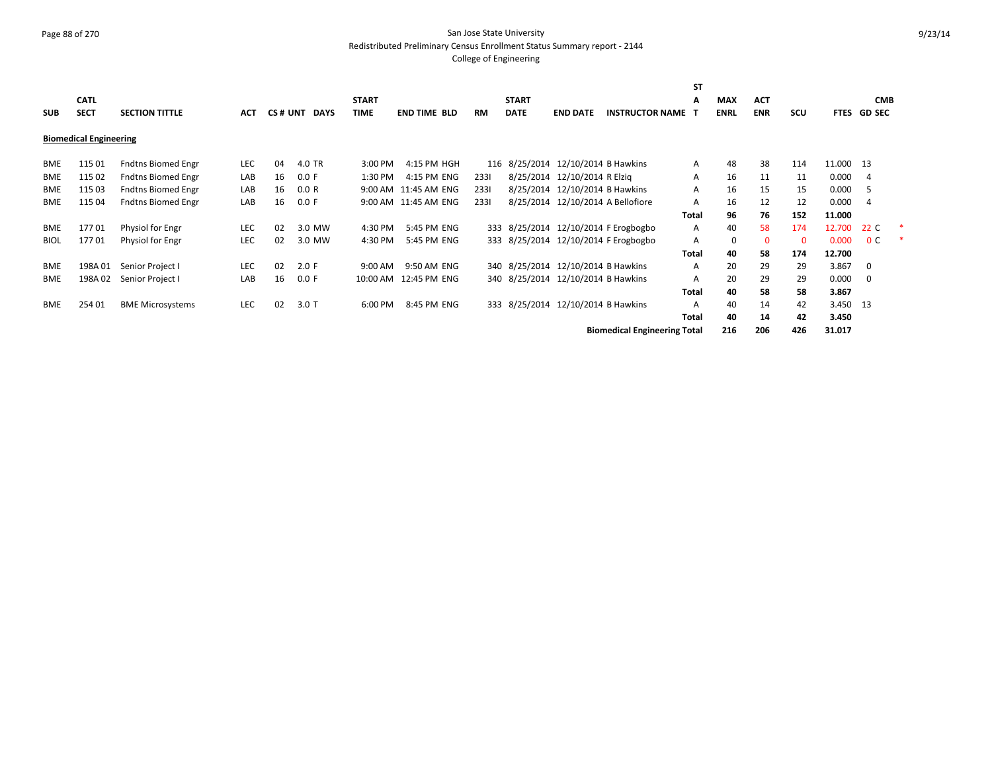## Page 88 of 270 San Jose State University Redistributed Preliminary Census Enrollment Status Summary report - 2144

|             |                               |                           |            |    |              |              |                        |           |              |                                    |                                      | <b>ST</b> |             |            |            |             |                |  |
|-------------|-------------------------------|---------------------------|------------|----|--------------|--------------|------------------------|-----------|--------------|------------------------------------|--------------------------------------|-----------|-------------|------------|------------|-------------|----------------|--|
|             | <b>CATL</b>                   |                           |            |    |              | <b>START</b> |                        |           | <b>START</b> |                                    |                                      | A         | <b>MAX</b>  | <b>ACT</b> |            |             | <b>CMB</b>     |  |
| <b>SUB</b>  | <b>SECT</b>                   | <b>SECTION TITTLE</b>     | ACT        |    | CS# UNT DAYS | <b>TIME</b>  | <b>END TIME BLD</b>    | <b>RM</b> | <b>DATE</b>  | <b>END DATE</b>                    | <b>INSTRUCTOR NAME</b>               |           | <b>ENRL</b> | <b>ENR</b> | <b>SCU</b> | <b>FTES</b> | <b>GD SEC</b>  |  |
|             | <b>Biomedical Engineering</b> |                           |            |    |              |              |                        |           |              |                                    |                                      |           |             |            |            |             |                |  |
| BME         | 115 01                        | Fndtns Biomed Engr        | LEC        | 04 | 4.0 TR       | 3:00 PM      | 4:15 PM HGH            |           |              | 116 8/25/2014 12/10/2014 B Hawkins |                                      | A         | 48          | 38         | 114        | 11.000 13   |                |  |
| <b>BME</b>  | 115 02                        | <b>Fndtns Biomed Engr</b> | LAB        | 16 | 0.0 F        | 1:30 PM      | 4:15 PM ENG            | 2331      |              | 8/25/2014 12/10/2014 R Elzig       |                                      | A         | 16          | 11         | 11         | 0.000       | -4             |  |
| <b>BME</b>  | 115 03                        | Fndtns Biomed Engr        | LAB        | 16 | 0.0 R        |              | 9:00 AM 11:45 AM ENG   | 2331      |              | 8/25/2014 12/10/2014 B Hawkins     |                                      | A         | 16          | 15         | 15         | 0.000       | -5             |  |
| <b>BME</b>  | 115 04                        | <b>Fndtns Biomed Engr</b> | LAB        | 16 | 0.0 F        |              | 9:00 AM 11:45 AM ENG   | 2331      |              | 8/25/2014 12/10/2014 A Bellofiore  |                                      | A         | 16          | 12         | 12         | 0.000       | $\overline{4}$ |  |
|             |                               |                           |            |    |              |              |                        |           |              |                                    |                                      | Total     | 96          | 76         | 152        | 11.000      |                |  |
| <b>BME</b>  | 17701                         | Physiol for Engr          | <b>LEC</b> | 02 | 3.0 MW       | 4:30 PM      | 5:45 PM ENG            |           |              |                                    | 333 8/25/2014 12/10/2014 F Erogbogbo | A         | 40          | 58         | 174        | 12.700      | 22 C           |  |
| <b>BIOL</b> | 17701                         | Physiol for Engr          | <b>LEC</b> | 02 | 3.0 MW       | 4:30 PM      | 5:45 PM ENG            |           |              |                                    | 333 8/25/2014 12/10/2014 F Erogbogbo | A         | $\Omega$    | $\Omega$   | 0          | 0.000       | 0 <sup>c</sup> |  |
|             |                               |                           |            |    |              |              |                        |           |              |                                    |                                      | Total     | 40          | 58         | 174        | 12.700      |                |  |
| BME         | 198A 01                       | Senior Project I          | <b>LEC</b> | 02 | 2.0 F        | 9:00 AM      | 9:50 AM ENG            |           |              | 340 8/25/2014 12/10/2014 B Hawkins |                                      | A         | 20          | 29         | 29         | 3.867       | 0              |  |
| <b>BME</b>  | 198A 02                       | Senior Project I          | LAB        | 16 | 0.0 F        |              | 10:00 AM  12:45 PM ENG |           |              | 340 8/25/2014 12/10/2014 B Hawkins |                                      | A         | 20          | 29         | 29         | 0.000       | 0              |  |
|             |                               |                           |            |    |              |              |                        |           |              |                                    |                                      | Total     | 40          | 58         | 58         | 3.867       |                |  |
| <b>BME</b>  | 254 01                        | <b>BME Microsystems</b>   | <b>LEC</b> | 02 | $3.0$ T      | 6:00 PM      | 8:45 PM ENG            |           |              | 333 8/25/2014 12/10/2014 B Hawkins |                                      | A         | 40          | 14         | 42         | 3.450       | -13            |  |
|             |                               |                           |            |    |              |              |                        |           |              |                                    |                                      | Total     | 40          | 14         | 42         | 3.450       |                |  |
|             |                               |                           |            |    |              |              |                        |           |              |                                    | <b>Biomedical Engineering Total</b>  |           | 216         | 206        | 426        | 31.017      |                |  |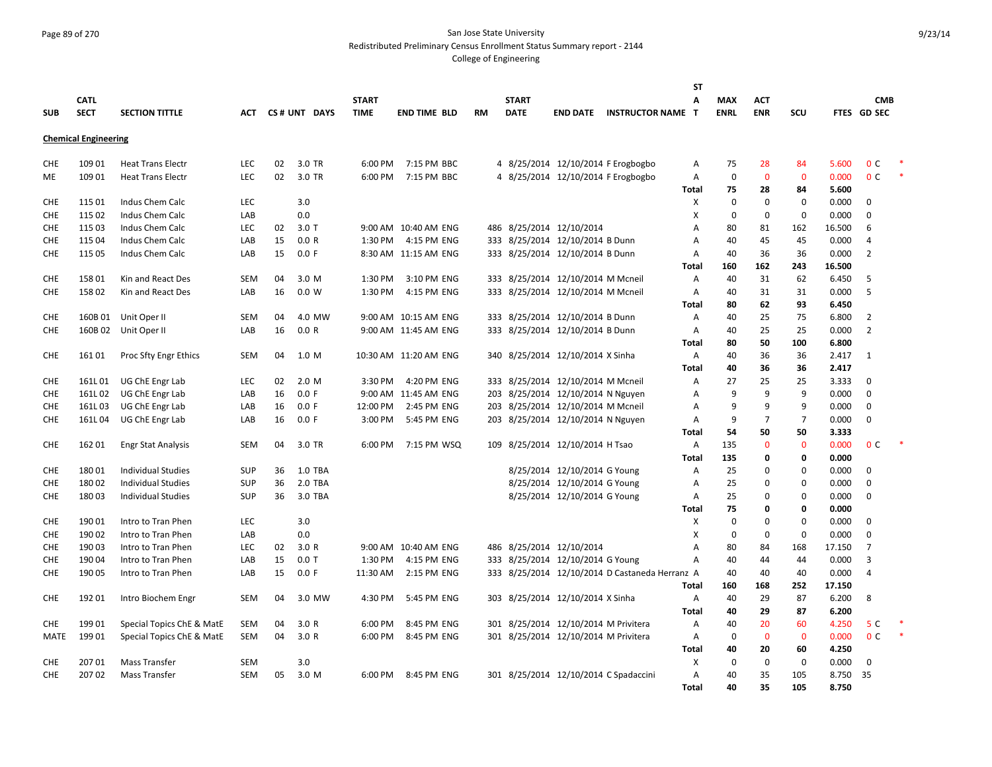#### Page 89 of 270 San Jose State University Redistributed Preliminary Census Enrollment Status Summary report - 2144

|             |                             |                           |            |    |              |              |                       |           |              |                                      |                                                | <b>ST</b>    |             |                |                |        |                |  |
|-------------|-----------------------------|---------------------------|------------|----|--------------|--------------|-----------------------|-----------|--------------|--------------------------------------|------------------------------------------------|--------------|-------------|----------------|----------------|--------|----------------|--|
|             | <b>CATL</b>                 |                           |            |    |              | <b>START</b> |                       |           | <b>START</b> |                                      |                                                | A            | MAX         | АСТ            |                |        | <b>CMB</b>     |  |
| <b>SUB</b>  | <b>SECT</b>                 | <b>SECTION TITTLE</b>     | ACT        |    | CS# UNT DAYS | <b>TIME</b>  | <b>END TIME BLD</b>   | <b>RM</b> | <b>DATE</b>  |                                      | <b>END DATE INSTRUCTOR NAME T</b>              |              | <b>ENRL</b> | <b>ENR</b>     | <b>SCU</b>     |        | FTES GD SEC    |  |
|             |                             |                           |            |    |              |              |                       |           |              |                                      |                                                |              |             |                |                |        |                |  |
|             | <b>Chemical Engineering</b> |                           |            |    |              |              |                       |           |              |                                      |                                                |              |             |                |                |        |                |  |
|             |                             |                           |            |    |              |              |                       |           |              |                                      |                                                |              |             |                |                |        |                |  |
| <b>CHE</b>  | 109 01                      | <b>Heat Trans Electr</b>  | <b>LEC</b> | 02 | 3.0 TR       | 6:00 PM      | 7:15 PM BBC           |           |              |                                      | 4 8/25/2014 12/10/2014 F Erogbogbo             | A            | 75          | 28             | 84             | 5.600  | 0 <sup>c</sup> |  |
| ME          | 109 01                      | <b>Heat Trans Electr</b>  | <b>LEC</b> | 02 | 3.0 TR       | 6:00 PM      | 7:15 PM BBC           |           |              |                                      | 4 8/25/2014 12/10/2014 F Erogbogbo             | Α            | $\pmb{0}$   | $\Omega$       | $\mathbf 0$    | 0.000  | 0 <sup>c</sup> |  |
|             |                             |                           |            |    |              |              |                       |           |              |                                      |                                                | Total        | 75          | 28             | 84             | 5.600  |                |  |
| <b>CHE</b>  | 115 01                      | Indus Chem Calc           | <b>LEC</b> |    | 3.0          |              |                       |           |              |                                      |                                                | X            | $\mathbf 0$ | $\mathbf 0$    | $\mathbf 0$    | 0.000  | $\mathbf 0$    |  |
| <b>CHE</b>  | 115 02                      | Indus Chem Calc           | LAB        |    | 0.0          |              |                       |           |              |                                      |                                                | X            | $\mathbf 0$ | $\mathbf 0$    | $\mathbf 0$    | 0.000  | $\Omega$       |  |
| CHE         | 115 03                      | Indus Chem Calc           | LEC        | 02 | $3.0$ T      |              | 9:00 AM 10:40 AM ENG  |           |              | 486 8/25/2014 12/10/2014             |                                                | A            | 80          | 81             | 162            | 16.500 | 6              |  |
| <b>CHE</b>  | 115 04                      | Indus Chem Calc           | LAB        | 15 | 0.0 R        | 1:30 PM      | 4:15 PM ENG           |           |              | 333 8/25/2014 12/10/2014 B Dunn      |                                                | Α            | 40          | 45             | 45             | 0.000  | $\overline{4}$ |  |
| <b>CHE</b>  | 115 05                      | Indus Chem Calc           | LAB        | 15 | 0.0 F        |              | 8:30 AM 11:15 AM ENG  |           |              | 333 8/25/2014 12/10/2014 B Dunn      |                                                | Α            | 40          | 36             | 36             | 0.000  | $\overline{2}$ |  |
|             |                             |                           |            |    |              |              |                       |           |              |                                      |                                                | Total        | 160         | 162            | 243            | 16.500 |                |  |
| <b>CHE</b>  | 15801                       | Kin and React Des         | <b>SEM</b> | 04 | 3.0 M        | 1:30 PM      | 3:10 PM ENG           |           |              | 333 8/25/2014 12/10/2014 M Mcneil    |                                                | Α            | 40          | 31             | 62             | 6.450  | 5              |  |
| <b>CHE</b>  | 15802                       | Kin and React Des         | LAB        | 16 | 0.0 W        | 1:30 PM      | 4:15 PM ENG           |           |              | 333 8/25/2014 12/10/2014 M Mcneil    |                                                | Α            | 40          | 31             | 31             | 0.000  | 5              |  |
|             |                             |                           |            |    |              |              |                       |           |              |                                      |                                                | <b>Total</b> | 80          | 62             | 93             | 6.450  |                |  |
| <b>CHE</b>  | 160B 01                     | Unit Oper II              | SEM        | 04 | 4.0 MW       |              | 9:00 AM 10:15 AM ENG  |           |              | 333 8/25/2014 12/10/2014 B Dunn      |                                                | Α            | 40          | 25             | 75             | 6.800  | $\overline{2}$ |  |
| <b>CHE</b>  |                             | 160B 02 Unit Oper II      | LAB        | 16 | 0.0 R        |              | 9:00 AM 11:45 AM ENG  |           |              | 333 8/25/2014 12/10/2014 B Dunn      |                                                | A            | 40          | 25             | 25             | 0.000  | $\overline{2}$ |  |
|             |                             |                           |            |    |              |              |                       |           |              |                                      |                                                | <b>Total</b> | 80          | 50             | 100            | 6.800  |                |  |
| <b>CHE</b>  | 161 01                      | Proc Sfty Engr Ethics     | <b>SEM</b> | 04 | 1.0 M        |              | 10:30 AM 11:20 AM ENG |           |              | 340 8/25/2014 12/10/2014 X Sinha     |                                                | Α            | 40          | 36             | 36             | 2.417  | 1              |  |
|             |                             |                           |            |    |              |              |                       |           |              |                                      |                                                | <b>Total</b> | 40          | 36             | 36             | 2.417  |                |  |
| <b>CHE</b>  | 161L01                      | UG ChE Engr Lab           | <b>LEC</b> | 02 | 2.0 M        | 3:30 PM      | 4:20 PM ENG           |           |              | 333 8/25/2014 12/10/2014 M Mcneil    |                                                | Α            | 27          | 25             | 25             | 3.333  | $\mathbf 0$    |  |
| <b>CHE</b>  | 161L02                      | UG ChE Engr Lab           | LAB        | 16 | 0.0 F        | 9:00 AM      | 11:45 AM ENG          |           |              | 203 8/25/2014 12/10/2014 N Nguyen    |                                                | Α            | 9           | 9              | 9              | 0.000  | $\mathbf 0$    |  |
| <b>CHE</b>  | 161L03                      | UG ChE Engr Lab           | LAB        | 16 | 0.0 F        | 12:00 PM     | 2:45 PM ENG           |           |              | 203 8/25/2014 12/10/2014 M Mcneil    |                                                | Α            | 9           | 9              | 9              | 0.000  | $\mathbf 0$    |  |
| <b>CHE</b>  | 161L04                      | UG ChE Engr Lab           | LAB        | 16 | 0.0 F        | 3:00 PM      | 5:45 PM ENG           |           |              | 203 8/25/2014 12/10/2014 N Nguyen    |                                                | Α            | 9           | $\overline{7}$ | $\overline{7}$ | 0.000  | $\mathbf 0$    |  |
|             |                             |                           |            |    |              |              |                       |           |              |                                      |                                                | <b>Total</b> | 54          | 50             | 50             | 3.333  |                |  |
| <b>CHE</b>  | 16201                       | <b>Engr Stat Analysis</b> | <b>SEM</b> | 04 | 3.0 TR       | 6:00 PM      | 7:15 PM WSQ           |           |              | 109 8/25/2014 12/10/2014 H Tsao      |                                                | Α            | 135         | $\mathbf{0}$   | $\mathbf 0$    | 0.000  | 0 <sup>C</sup> |  |
|             |                             |                           |            |    |              |              |                       |           |              |                                      |                                                | <b>Total</b> | 135         | 0              | 0              | 0.000  |                |  |
| <b>CHE</b>  | 18001                       | <b>Individual Studies</b> | <b>SUP</b> | 36 | 1.0 TBA      |              |                       |           |              | 8/25/2014 12/10/2014 G Young         |                                                | Α            | 25          | $\Omega$       | 0              | 0.000  | $\Omega$       |  |
| <b>CHE</b>  | 18002                       | <b>Individual Studies</b> | <b>SUP</b> | 36 | 2.0 TBA      |              |                       |           |              | 8/25/2014 12/10/2014 G Young         |                                                | Α            | 25          | 0              | 0              | 0.000  | $\mathbf 0$    |  |
| <b>CHE</b>  | 18003                       | <b>Individual Studies</b> | <b>SUP</b> | 36 | 3.0 TBA      |              |                       |           |              | 8/25/2014 12/10/2014 G Young         |                                                | Α            | 25          | 0              | $\mathbf 0$    | 0.000  | $\Omega$       |  |
|             |                             |                           |            |    |              |              |                       |           |              |                                      |                                                | Total        | 75          | 0              | 0              | 0.000  |                |  |
| <b>CHE</b>  | 190 01                      | Intro to Tran Phen        | LEC        |    | 3.0          |              |                       |           |              |                                      |                                                | X            | $\mathbf 0$ | $\mathbf 0$    | $\mathbf 0$    | 0.000  | $\mathbf 0$    |  |
| <b>CHE</b>  | 190 02                      | Intro to Tran Phen        | LAB        |    | 0.0          |              |                       |           |              |                                      |                                                | х            | $\mathbf 0$ | 0              | $\mathbf 0$    | 0.000  | $\Omega$       |  |
| <b>CHE</b>  | 190 03                      | Intro to Tran Phen        | LEC        | 02 | 3.0R         |              | 9:00 AM 10:40 AM ENG  |           |              | 486 8/25/2014 12/10/2014             |                                                | A            | 80          | 84             | 168            | 17.150 | $\overline{7}$ |  |
| <b>CHE</b>  | 19004                       | Intro to Tran Phen        | LAB        | 15 | $0.0$ T      | 1:30 PM      | 4:15 PM ENG           |           |              | 333 8/25/2014 12/10/2014 G Young     |                                                | Α            | 40          | 44             | 44             | 0.000  | 3              |  |
| <b>CHE</b>  | 190 05                      | Intro to Tran Phen        | LAB        | 15 | 0.0 F        | 11:30 AM     | 2:15 PM ENG           |           |              |                                      | 333 8/25/2014 12/10/2014 D Castaneda Herranz A |              | 40          | 40             | 40             | 0.000  | $\overline{4}$ |  |
|             |                             |                           |            |    |              |              |                       |           |              |                                      |                                                | <b>Total</b> | 160         | 168            | 252            | 17.150 |                |  |
| <b>CHE</b>  | 19201                       |                           | SEM        | 04 | 3.0 MW       | 4:30 PM      | 5:45 PM ENG           |           |              | 303 8/25/2014 12/10/2014 X Sinha     |                                                |              | 40          | 29             | 87             | 6.200  | 8              |  |
|             |                             | Intro Biochem Engr        |            |    |              |              |                       |           |              |                                      |                                                | Α            |             | 29             |                |        |                |  |
|             |                             |                           |            |    |              |              |                       |           |              |                                      |                                                | Total        | 40          |                | 87             | 6.200  |                |  |
| <b>CHE</b>  | 19901                       | Special Topics ChE & MatE | SEM        | 04 | 3.0R         | 6:00 PM      | 8:45 PM ENG           |           |              | 301 8/25/2014 12/10/2014 M Privitera |                                                | Α            | 40          | 20             | 60             | 4.250  | 5 C            |  |
| <b>MATE</b> | 19901                       | Special Topics ChE & MatE | <b>SEM</b> | 04 | 3.0R         | 6:00 PM      | 8:45 PM ENG           |           |              | 301 8/25/2014 12/10/2014 M Privitera |                                                | Α            | $\mathbf 0$ | $\Omega$       | $\mathbf{0}$   | 0.000  | 0 <sup>C</sup> |  |
|             |                             |                           |            |    |              |              |                       |           |              |                                      |                                                | Total        | 40          | 20             | 60             | 4.250  |                |  |
| CHE         | 20701                       | Mass Transfer             | <b>SEM</b> |    | 3.0          |              |                       |           |              |                                      |                                                | X            | $\mathbf 0$ | $\mathbf 0$    | $\mathbf 0$    | 0.000  | $\mathbf 0$    |  |
| <b>CHE</b>  | 20702                       | Mass Transfer             | <b>SEM</b> | 05 | 3.0 M        | 6:00 PM      | 8:45 PM ENG           |           |              |                                      | 301 8/25/2014 12/10/2014 C Spadaccini          | A            | 40          | 35             | 105            | 8.750  | 35             |  |
|             |                             |                           |            |    |              |              |                       |           |              |                                      |                                                | <b>Total</b> | 40          | 35             | 105            | 8.750  |                |  |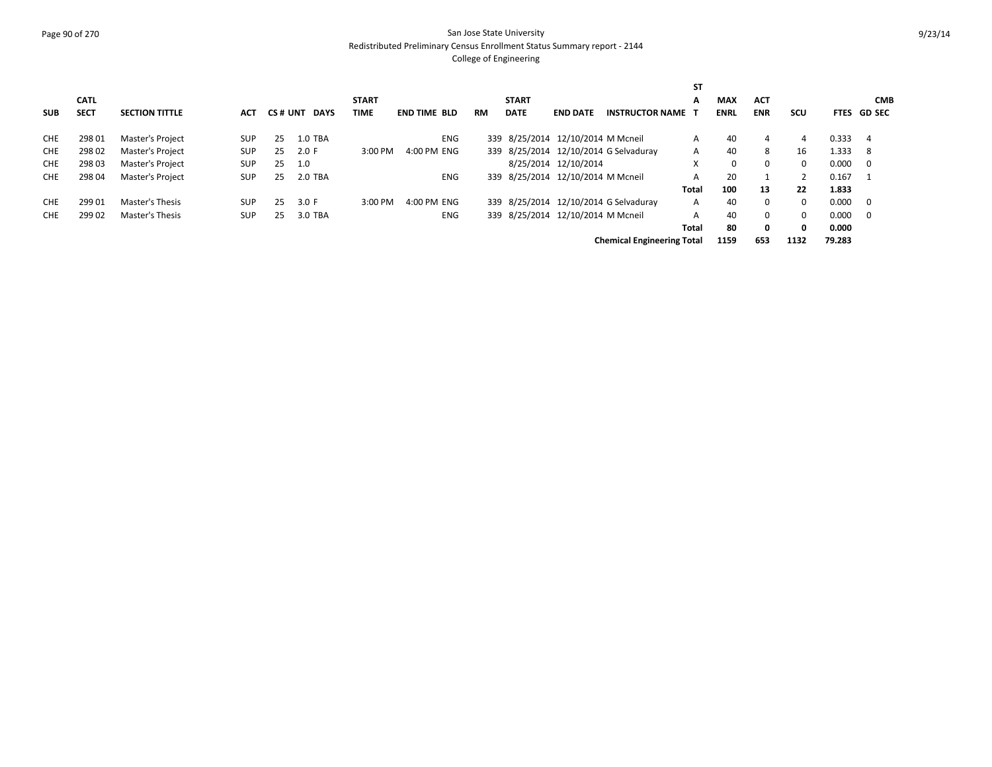# Page 90 of 270 San Jose State University Redistributed Preliminary Census Enrollment Status Summary report - 2144

|            |             |                         |            |         |             |              |                     |           |              |                                   |                                       | <b>ST</b>    |             |            |              |        |             |
|------------|-------------|-------------------------|------------|---------|-------------|--------------|---------------------|-----------|--------------|-----------------------------------|---------------------------------------|--------------|-------------|------------|--------------|--------|-------------|
|            | <b>CATL</b> |                         |            |         |             | <b>START</b> |                     |           | <b>START</b> |                                   |                                       | А            | <b>MAX</b>  | <b>ACT</b> |              |        | <b>CMB</b>  |
| <b>SUB</b> | <b>SECT</b> | <b>SECTION TITTLE</b>   | <b>ACT</b> | CS# UNT | <b>DAYS</b> | TIME         | <b>END TIME BLD</b> | <b>RM</b> | <b>DATE</b>  | <b>END DATE</b>                   | <b>INSTRUCTOR NAME</b>                |              | <b>ENRL</b> | <b>ENR</b> | <b>SCU</b>   |        | FTES GD SEC |
| <b>CHE</b> | 298 01      | Master's Project        | <b>SUP</b> | 25      | 1.0 TBA     |              | <b>ENG</b>          |           |              | 339 8/25/2014 12/10/2014 M Mcneil |                                       | A            | 40          | 4          | 4            | 0.333  | -4          |
| <b>CHE</b> | 29802       | <b>Master's Project</b> | <b>SUP</b> | 25      | 2.0 F       | 3:00 PM      | 4:00 PM ENG         |           |              |                                   | 339 8/25/2014 12/10/2014 G Selvaduray | A            | 40          | 8          | 16           | 1.333  | -8          |
| <b>CHE</b> | 298 03      | Master's Project        | <b>SUP</b> | 25      | 1.0         |              |                     |           |              | 8/25/2014 12/10/2014              |                                       | X            | $\Omega$    | 0          | $\Omega$     | 0.000  | - 0         |
| <b>CHE</b> | 298 04      | Master's Project        | <b>SUP</b> | 25      | 2.0 TBA     |              | <b>ENG</b>          |           |              | 339 8/25/2014 12/10/2014 M Mcneil |                                       | A            | 20          |            |              | 0.167  |             |
|            |             |                         |            |         |             |              |                     |           |              |                                   |                                       | <b>Total</b> | 100         | 13         | 22           | 1.833  |             |
| <b>CHE</b> | 29901       | Master's Thesis         | <b>SUP</b> | 25      | 3.0 F       | 3:00 PM      | 4:00 PM ENG         |           |              |                                   | 339 8/25/2014 12/10/2014 G Selvaduray | A            | 40          | $\Omega$   | $\Omega$     | 0.000  | - 0         |
| <b>CHE</b> | 299 02      | Master's Thesis         | <b>SUP</b> | 25      | 3.0 TBA     |              | <b>ENG</b>          |           |              | 339 8/25/2014 12/10/2014 M Mcneil |                                       | A            | 40          | $\Omega$   | $\Omega$     | 0.000  | - 0         |
|            |             |                         |            |         |             |              |                     |           |              |                                   |                                       | Total        | 80          | 0          | $\mathbf{0}$ | 0.000  |             |
|            |             |                         |            |         |             |              |                     |           |              |                                   | <b>Chemical Engineering Total</b>     |              | 1159        | 653        | 1132         | 79.283 |             |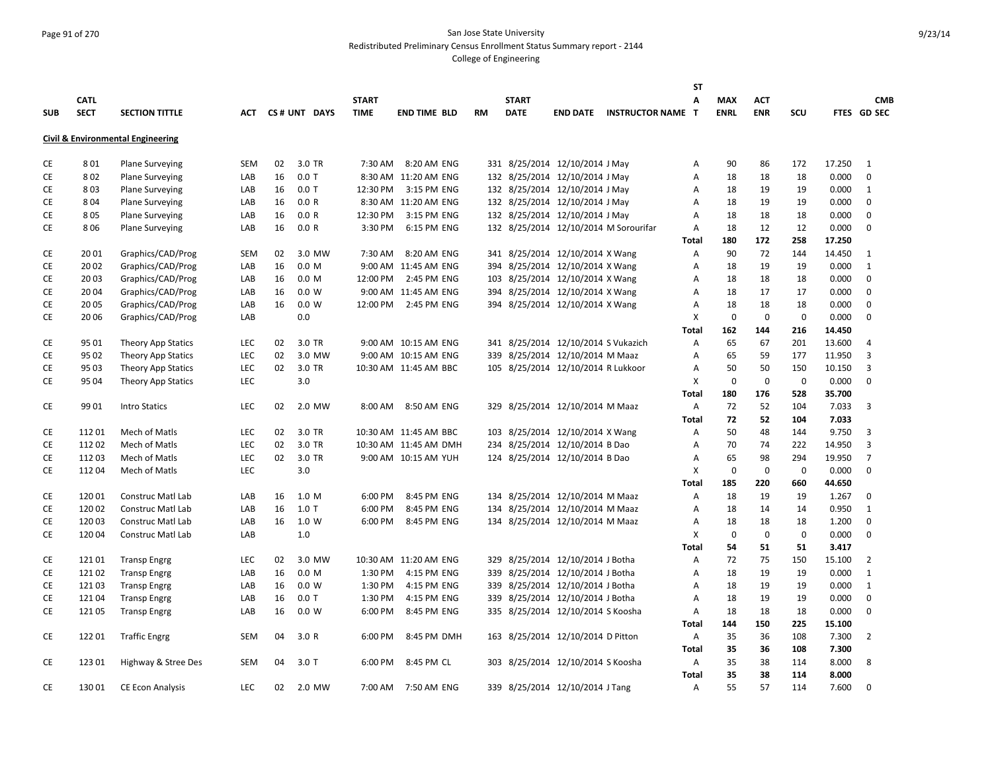#### Page 91 of 270 San Jose State University Redistributed Preliminary Census Enrollment Status Summary report - 2144

|            |             |                                   |            |    |                  |              |                       |           |              |                                     |                                       | <b>ST</b>    |             |             |             |        |                |
|------------|-------------|-----------------------------------|------------|----|------------------|--------------|-----------------------|-----------|--------------|-------------------------------------|---------------------------------------|--------------|-------------|-------------|-------------|--------|----------------|
|            | <b>CATL</b> |                                   |            |    |                  | <b>START</b> |                       |           | <b>START</b> |                                     |                                       | A            | <b>MAX</b>  | <b>ACT</b>  |             |        | <b>CMB</b>     |
| <b>SUB</b> | <b>SECT</b> | <b>SECTION TITTLE</b>             |            |    | ACT CS# UNT DAYS | <b>TIME</b>  | <b>END TIME BLD</b>   | <b>RM</b> | <b>DATE</b>  |                                     | <b>END DATE INSTRUCTOR NAME T</b>     |              | <b>ENRL</b> | <b>ENR</b>  | SCU         |        | FTES GD SEC    |
|            |             | Civil & Environmental Engineering |            |    |                  |              |                       |           |              |                                     |                                       |              |             |             |             |        |                |
|            |             |                                   |            |    |                  |              |                       |           |              |                                     |                                       |              |             |             |             |        |                |
| CE         | 801         | <b>Plane Surveying</b>            | <b>SEM</b> | 02 | 3.0 TR           |              | 7:30 AM 8:20 AM ENG   |           |              | 331 8/25/2014 12/10/2014 J May      |                                       | Α            | 90          | 86          | 172         | 17.250 | 1              |
| CE         | 802         | <b>Plane Surveying</b>            | LAB        | 16 | $0.0$ T          |              | 8:30 AM 11:20 AM ENG  |           |              | 132 8/25/2014 12/10/2014 J May      |                                       | Α            | 18          | 18          | 18          | 0.000  | $\mathbf 0$    |
| CE         | 803         | <b>Plane Surveying</b>            | LAB        | 16 | $0.0$ T          | 12:30 PM     | 3:15 PM ENG           |           |              | 132 8/25/2014 12/10/2014 J May      |                                       | A            | 18          | 19          | 19          | 0.000  | 1              |
| CE         | 804         | <b>Plane Surveying</b>            | LAB        | 16 | 0.0 R            |              | 8:30 AM 11:20 AM ENG  |           |              | 132 8/25/2014 12/10/2014 J May      |                                       | A            | 18          | 19          | 19          | 0.000  | $\mathbf 0$    |
| CE         | 805         | <b>Plane Surveying</b>            | LAB        | 16 | 0.0 R            | 12:30 PM     | 3:15 PM ENG           |           |              | 132 8/25/2014 12/10/2014 J May      |                                       | Α            | 18          | 18          | 18          | 0.000  | $\mathbf 0$    |
| CE         | 806         | <b>Plane Surveying</b>            | LAB        | 16 | 0.0 R            | 3:30 PM      | 6:15 PM ENG           |           |              |                                     | 132 8/25/2014 12/10/2014 M Sorourifar | Α            | 18          | 12          | 12          | 0.000  | 0              |
|            |             |                                   |            |    |                  |              |                       |           |              |                                     |                                       | Total        | 180         | 172         | 258         | 17.250 |                |
| CE         | 2001        | Graphics/CAD/Prog                 | <b>SEM</b> | 02 | 3.0 MW           | 7:30 AM      | 8:20 AM ENG           |           |              | 341 8/25/2014 12/10/2014 X Wang     |                                       | Α            | 90          | 72          | 144         | 14.450 | 1              |
| CE         | 2002        | Graphics/CAD/Prog                 | LAB        | 16 | 0.0 M            |              | 9:00 AM 11:45 AM ENG  |           |              | 394 8/25/2014 12/10/2014 X Wang     |                                       | A            | 18          | 19          | 19          | 0.000  | 1              |
| <b>CE</b>  | 2003        | Graphics/CAD/Prog                 | LAB        | 16 | 0.0 M            | 12:00 PM     | 2:45 PM ENG           |           |              | 103 8/25/2014 12/10/2014 X Wang     |                                       | A            | 18          | 18          | 18          | 0.000  | $\mathbf 0$    |
| CE         | 2004        | Graphics/CAD/Prog                 | LAB        | 16 | 0.0 W            |              | 9:00 AM 11:45 AM ENG  |           |              | 394 8/25/2014 12/10/2014 X Wang     |                                       | A            | 18          | 17          | 17          | 0.000  | $\mathbf 0$    |
| CE         | 2005        | Graphics/CAD/Prog                 | LAB        | 16 | 0.0 W            |              | 12:00 PM 2:45 PM ENG  |           |              | 394 8/25/2014 12/10/2014 X Wang     |                                       | Α            | 18          | 18          | 18          | 0.000  | $\mathbf 0$    |
| CE         | 20 06       | Graphics/CAD/Prog                 | LAB        |    | 0.0              |              |                       |           |              |                                     |                                       | Х            | $\mathbf 0$ | $\mathbf 0$ | $\mathbf 0$ | 0.000  | 0              |
|            |             |                                   |            |    |                  |              |                       |           |              |                                     |                                       | Total        | 162         | 144         | 216         | 14.450 |                |
| CE         | 95 01       | Theory App Statics                | <b>LEC</b> | 02 | 3.0 TR           |              | 9:00 AM 10:15 AM ENG  |           |              | 341 8/25/2014 12/10/2014 S Vukazich |                                       | A            | 65          | 67          | 201         | 13.600 | $\overline{4}$ |
| CE         | 95 02       | Theory App Statics                | LEC        | 02 | 3.0 MW           |              | 9:00 AM 10:15 AM ENG  |           |              | 339 8/25/2014 12/10/2014 M Maaz     |                                       | Α            | 65          | 59          | 177         | 11.950 | 3              |
| CE         | 95 03       | <b>Theory App Statics</b>         | LEC        | 02 | 3.0 TR           |              | 10:30 AM 11:45 AM BBC |           |              | 105 8/25/2014 12/10/2014 R Lukkoor  |                                       | Α            | 50          | 50          | 150         | 10.150 | 3              |
| <b>CE</b>  | 95 04       | Theory App Statics                | <b>LEC</b> |    | 3.0              |              |                       |           |              |                                     |                                       | X            | $\mathbf 0$ | $\mathbf 0$ | $\mathbf 0$ | 0.000  | $\mathbf 0$    |
|            |             |                                   |            |    |                  |              |                       |           |              |                                     |                                       | Total        | 180         | 176         | 528         | 35.700 |                |
| CE         | 99 01       | <b>Intro Statics</b>              | <b>LEC</b> | 02 | 2.0 MW           |              | 8:00 AM 8:50 AM ENG   |           |              | 329 8/25/2014 12/10/2014 M Maaz     |                                       | Α            | 72          | 52          | 104         | 7.033  | 3              |
|            |             |                                   |            |    |                  |              |                       |           |              |                                     |                                       | <b>Total</b> | 72          | 52          | 104         | 7.033  |                |
| CE         | 11201       | Mech of Matls                     | LEC        | 02 | 3.0 TR           |              | 10:30 AM 11:45 AM BBC |           |              | 103 8/25/2014 12/10/2014 X Wang     |                                       | A            | 50          | 48          | 144         | 9.750  | 3              |
| CE         | 11202       | Mech of Matls                     | LEC        | 02 | 3.0 TR           |              | 10:30 AM 11:45 AM DMH |           |              | 234 8/25/2014 12/10/2014 B Dao      |                                       | A            | 70          | 74          | 222         | 14.950 | 3              |
| CE         | 11203       | Mech of Matls                     | LEC        | 02 | 3.0 TR           |              | 9:00 AM 10:15 AM YUH  |           |              | 124 8/25/2014 12/10/2014 B Dao      |                                       | Α            | 65          | 98          | 294         | 19.950 | $\overline{7}$ |
| CE         | 11204       | Mech of Matls                     | LEC        |    | 3.0              |              |                       |           |              |                                     |                                       | X            | $\mathbf 0$ | $\mathbf 0$ | $\mathbf 0$ | 0.000  | $\mathbf 0$    |
|            |             |                                   |            |    |                  |              |                       |           |              |                                     |                                       | Total        | 185         | 220         | 660         | 44.650 |                |
| CE         | 12001       | Construc Matl Lab                 | LAB        | 16 | 1.0 M            | 6:00 PM      | 8:45 PM ENG           |           |              | 134 8/25/2014 12/10/2014 M Maaz     |                                       | Α            | 18          | 19          | 19          | 1.267  | 0              |
| CE         | 12002       | Construc Matl Lab                 | LAB        | 16 | $1.0$ T          | 6:00 PM      | 8:45 PM ENG           |           |              | 134 8/25/2014 12/10/2014 M Maaz     |                                       | Α            | 18          | 14          | 14          | 0.950  | 1              |
| CE         | 12003       | Construc Matl Lab                 | LAB        | 16 | 1.0 W            | 6:00 PM      | 8:45 PM ENG           |           |              | 134 8/25/2014 12/10/2014 M Maaz     |                                       | A            | 18          | 18          | 18          | 1.200  | $\mathbf 0$    |
| CE         | 12004       | <b>Construc Matl Lab</b>          | LAB        |    | 1.0              |              |                       |           |              |                                     |                                       | X            | $\mathbf 0$ | $\mathbf 0$ | $\mathbf 0$ | 0.000  | $\mathbf 0$    |
|            |             |                                   |            |    |                  |              |                       |           |              |                                     |                                       | <b>Total</b> | 54          | 51          | 51          | 3.417  |                |
| CE         | 12101       | <b>Transp Engrg</b>               | LEC        | 02 | 3.0 MW           |              | 10:30 AM 11:20 AM ENG |           |              | 329 8/25/2014 12/10/2014 J Botha    |                                       | Α            | 72          | 75          | 150         | 15.100 | $\overline{2}$ |
| CE         | 12102       | <b>Transp Engrg</b>               | LAB        | 16 | 0.0 M            | 1:30 PM      | 4:15 PM ENG           |           |              | 339 8/25/2014 12/10/2014 J Botha    |                                       | Α            | 18          | 19          | 19          | 0.000  | 1              |
| CE         | 12103       | <b>Transp Engrg</b>               | LAB        | 16 | 0.0 W            | 1:30 PM      | 4:15 PM ENG           |           |              | 339 8/25/2014 12/10/2014 J Botha    |                                       | A            | 18          | 19          | 19          | 0.000  | 1              |
| CE         | 12104       | <b>Transp Engrg</b>               | LAB        | 16 | 0.0T             | 1:30 PM      | 4:15 PM ENG           |           |              | 339 8/25/2014 12/10/2014 J Botha    |                                       | Α            | 18          | 19          | 19          | 0.000  | 0              |
| CE         | 12105       | <b>Transp Engrg</b>               | LAB        | 16 | 0.0 W            | 6:00 PM      | 8:45 PM ENG           |           |              | 335 8/25/2014 12/10/2014 S Koosha   |                                       | A            | 18          | 18          | 18          | 0.000  | $\mathbf 0$    |
|            |             |                                   |            |    |                  |              |                       |           |              |                                     |                                       | <b>Total</b> | 144         | 150         | 225         | 15.100 |                |
| CE         | 12201       | <b>Traffic Engrg</b>              | <b>SEM</b> | 04 | 3.0 R            | 6:00 PM      | 8:45 PM DMH           |           |              | 163 8/25/2014 12/10/2014 D Pitton   |                                       | A            | 35          | 36          | 108         | 7.300  | $\overline{2}$ |
|            |             |                                   |            |    |                  |              |                       |           |              |                                     |                                       | <b>Total</b> | 35          | 36          | 108         | 7.300  |                |
| CE         | 123 01      | Highway & Stree Des               | <b>SEM</b> | 04 | $3.0$ T          | 6:00 PM      | 8:45 PM CL            |           |              | 303 8/25/2014 12/10/2014 S Koosha   |                                       | Α            | 35          | 38          | 114         | 8.000  | 8              |
|            |             |                                   |            |    |                  |              |                       |           |              |                                     |                                       | <b>Total</b> | 35          | 38          | 114         | 8.000  |                |
| CE         | 13001       | <b>CE Econ Analysis</b>           | LEC.       | 02 | 2.0 MW           |              | 7:00 AM  7:50 AM ENG  |           |              | 339 8/25/2014 12/10/2014 J Tang     |                                       | A            | 55          | 57          | 114         | 7.600  | $\Omega$       |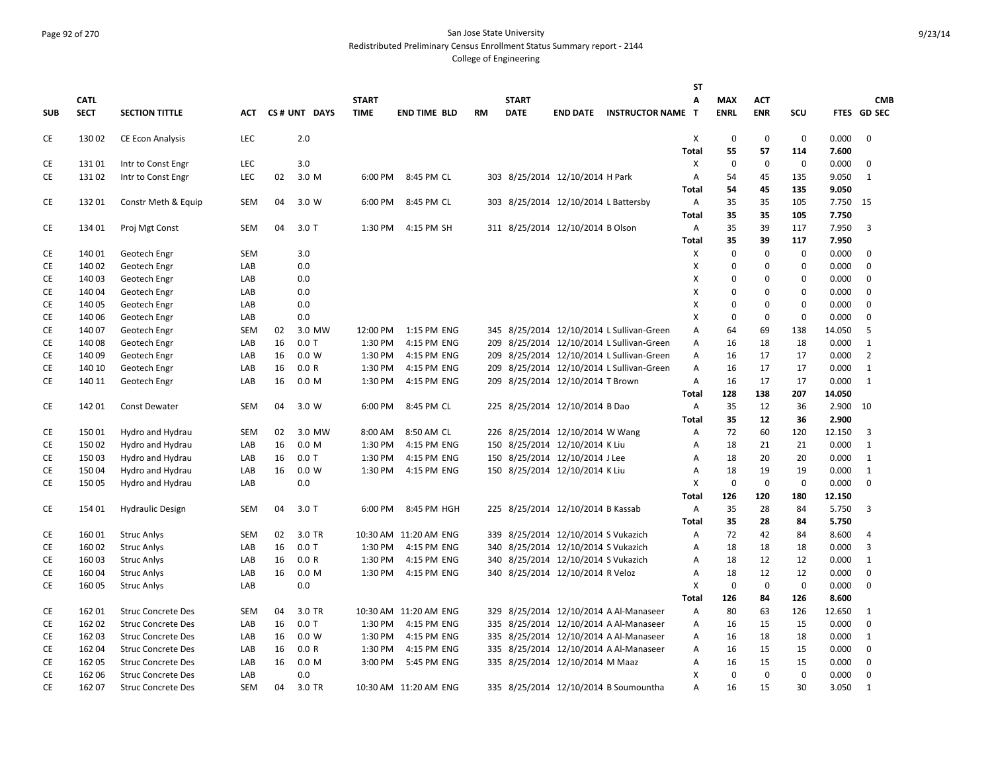#### Page 92 of 270 San Jose State University Redistributed Preliminary Census Enrollment Status Summary report - 2144

|            |             |                           |            |    |                  |              |                       |           |              |                                      |                                           | <b>ST</b>                      |             |             |             |                |                |
|------------|-------------|---------------------------|------------|----|------------------|--------------|-----------------------|-----------|--------------|--------------------------------------|-------------------------------------------|--------------------------------|-------------|-------------|-------------|----------------|----------------|
|            | <b>CATL</b> |                           |            |    |                  | <b>START</b> |                       |           | <b>START</b> |                                      |                                           | A                              | <b>MAX</b>  | <b>ACT</b>  |             |                | <b>CMB</b>     |
| <b>SUB</b> | <b>SECT</b> | <b>SECTION TITTLE</b>     | АСТ        |    | CS# UNT DAYS     | <b>TIME</b>  | <b>END TIME BLD</b>   | <b>RM</b> | <b>DATE</b>  |                                      | <b>END DATE INSTRUCTOR NAME T</b>         |                                | <b>ENRL</b> | <b>ENR</b>  | SCU         |                | FTES GD SEC    |
| CE         | 13002       | <b>CE Econ Analysis</b>   | LEC        |    | 2.0              |              |                       |           |              |                                      |                                           | X                              | $\mathbf 0$ | $\mathbf 0$ | $\mathbf 0$ | 0.000          | $\mathbf 0$    |
|            |             |                           |            |    |                  |              |                       |           |              |                                      |                                           | <b>Total</b>                   | 55          | 57          | 114         | 7.600          |                |
| CE         | 13101       | Intr to Const Engr        | LEC        |    | 3.0              |              |                       |           |              |                                      |                                           | Χ                              | $\mathbf 0$ | 0           | 0           | 0.000          | $\mathbf 0$    |
| CE         | 13102       | Intr to Const Engr        | LEC        | 02 | 3.0 M            | 6:00 PM      | 8:45 PM CL            |           |              | 303 8/25/2014 12/10/2014 H Park      |                                           | Α                              | 54          | 45          | 135         | 9.050          | 1              |
|            |             |                           |            |    |                  |              |                       |           |              |                                      |                                           | <b>Total</b>                   | 54          | 45          | 135         | 9.050          |                |
| CE         | 13201       | Constr Meth & Equip       | <b>SEM</b> | 04 | 3.0 W            | 6:00 PM      | 8:45 PM CL            |           |              | 303 8/25/2014 12/10/2014 L Battersby |                                           | A                              | 35          | 35          | 105         | 7.750 15       |                |
|            |             |                           |            |    |                  |              |                       |           |              |                                      |                                           | <b>Total</b>                   | 35          | 35          | 105         | 7.750          |                |
| CE         | 134 01      | Proj Mgt Const            | <b>SEM</b> | 04 | $3.0$ T          | 1:30 PM      | 4:15 PM SH            |           |              | 311 8/25/2014 12/10/2014 B Olson     |                                           | Α                              | 35          | 39          | 117         | 7.950          | 3              |
|            |             |                           |            |    |                  |              |                       |           |              |                                      |                                           | <b>Total</b>                   | 35          | 39          | 117         | 7.950          |                |
| CE         | 140 01      | Geotech Engr              | <b>SEM</b> |    | 3.0              |              |                       |           |              |                                      |                                           | X                              | $\mathbf 0$ | $\mathbf 0$ | $\mathbf 0$ | 0.000          | $\mathbf 0$    |
| <b>CE</b>  | 140 02      | Geotech Engr              | LAB        |    | 0.0              |              |                       |           |              |                                      |                                           | X                              | 0           | $\mathbf 0$ | $\mathbf 0$ | 0.000          | $\mathbf 0$    |
| CE         | 14003       | Geotech Engr              | LAB        |    | 0.0              |              |                       |           |              |                                      |                                           | X                              | 0           | $\Omega$    | $\Omega$    | 0.000          | $\Omega$       |
| <b>CE</b>  | 140 04      | Geotech Engr              | LAB        |    | 0.0              |              |                       |           |              |                                      |                                           | X                              | 0           | $\mathbf 0$ | $\mathbf 0$ | 0.000          | $\mathbf 0$    |
| <b>CE</b>  | 140 05      | Geotech Engr              | LAB        |    | 0.0              |              |                       |           |              |                                      |                                           | X                              | 0           | $\mathbf 0$ | $\mathbf 0$ | 0.000          | $\mathbf 0$    |
| CE         | 140 06      | Geotech Engr              | LAB        |    | 0.0              |              |                       |           |              |                                      |                                           | X                              | $\Omega$    | $\mathbf 0$ | $\mathbf 0$ | 0.000          | $\mathbf 0$    |
| CE         | 140 07      | Geotech Engr              | <b>SEM</b> | 02 | 3.0 MW           | 12:00 PM     | 1:15 PM ENG           |           |              |                                      | 345 8/25/2014 12/10/2014 L Sullivan-Green | Α                              | 64          | 69          | 138         | 14.050         | 5              |
| CE         | 14008       | Geotech Engr              | LAB        | 16 | $0.0$ T          | 1:30 PM      | 4:15 PM ENG           |           |              |                                      | 209 8/25/2014 12/10/2014 L Sullivan-Green | Α                              | 16          | 18          | 18          | 0.000          | 1              |
| <b>CE</b>  | 140 09      | Geotech Engr              | LAB        | 16 | 0.0 W            | 1:30 PM      | 4:15 PM ENG           |           |              |                                      | 209 8/25/2014 12/10/2014 L Sullivan-Green | Α                              | 16          | 17          | 17          | 0.000          | $\overline{2}$ |
| CE         | 140 10      | Geotech Engr              | LAB        | 16 | 0.0 R            | 1:30 PM      | 4:15 PM ENG           |           |              |                                      | 209 8/25/2014 12/10/2014 L Sullivan-Green | A                              | 16          | 17          | 17          | 0.000          | 1              |
| CE         | 140 11      | Geotech Engr              | LAB        | 16 | 0.0 <sub>M</sub> | 1:30 PM      | 4:15 PM ENG           |           |              | 209 8/25/2014 12/10/2014 T Brown     |                                           | Α                              | 16          | 17          | 17          | 0.000          | $\mathbf{1}$   |
|            |             |                           |            | 04 |                  | 6:00 PM      | 8:45 PM CL            |           |              |                                      |                                           | <b>Total</b><br>$\overline{A}$ | 128         | 138<br>12   | 207         | 14.050         |                |
| CE         | 14201       | <b>Const Dewater</b>      | <b>SEM</b> |    | 3.0 W            |              |                       |           |              | 225 8/25/2014 12/10/2014 B Dao       |                                           | <b>Total</b>                   | 35<br>35    | 12          | 36<br>36    | 2.900<br>2.900 | 10             |
| CE         | 15001       | Hydro and Hydrau          | <b>SEM</b> | 02 | 3.0 MW           | 8:00 AM      | 8:50 AM CL            |           |              | 226 8/25/2014 12/10/2014 W Wang      |                                           | Α                              | 72          | 60          | 120         | 12.150         | 3              |
| CE         | 15002       | Hydro and Hydrau          | LAB        | 16 | 0.0 M            | 1:30 PM      | 4:15 PM ENG           |           |              | 150 8/25/2014 12/10/2014 K Liu       |                                           | A                              | 18          | 21          | 21          | 0.000          | 1              |
| CE         | 15003       | Hydro and Hydrau          | LAB        | 16 | $0.0$ T          | 1:30 PM      | 4:15 PM ENG           |           |              | 150 8/25/2014 12/10/2014 J Lee       |                                           | A                              | 18          | 20          | 20          | 0.000          | 1              |
| CE         | 15004       | Hydro and Hydrau          | LAB        | 16 | 0.0 W            | 1:30 PM      | 4:15 PM ENG           |           |              | 150 8/25/2014 12/10/2014 K Liu       |                                           | Α                              | 18          | 19          | 19          | 0.000          | 1              |
| CE         | 15005       | Hydro and Hydrau          | LAB        |    | 0.0              |              |                       |           |              |                                      |                                           | X                              | $\mathbf 0$ | $\mathbf 0$ | $\mathbf 0$ | 0.000          | $\mathbf 0$    |
|            |             |                           |            |    |                  |              |                       |           |              |                                      |                                           | <b>Total</b>                   | 126         | 120         | 180         | 12.150         |                |
| CE         | 154 01      | <b>Hydraulic Design</b>   | <b>SEM</b> | 04 | $3.0$ T          | 6:00 PM      | 8:45 PM HGH           |           |              | 225 8/25/2014 12/10/2014 B Kassab    |                                           | A                              | 35          | 28          | 84          | 5.750          | 3              |
|            |             |                           |            |    |                  |              |                       |           |              |                                      |                                           | <b>Total</b>                   | 35          | 28          | 84          | 5.750          |                |
| CE         | 16001       | Struc Anlys               | <b>SEM</b> | 02 | 3.0 TR           |              | 10:30 AM 11:20 AM ENG |           |              | 339 8/25/2014 12/10/2014 S Vukazich  |                                           | A                              | 72          | 42          | 84          | 8.600          | 4              |
| <b>CE</b>  | 16002       | <b>Struc Anlys</b>        | LAB        | 16 | $0.0$ T          | 1:30 PM      | 4:15 PM ENG           |           |              | 340 8/25/2014 12/10/2014 S Vukazich  |                                           | A                              | 18          | 18          | 18          | 0.000          | 3              |
| CE         | 16003       | <b>Struc Anlys</b>        | LAB        | 16 | 0.0 R            | 1:30 PM      | 4:15 PM ENG           |           |              | 340 8/25/2014 12/10/2014 S Vukazich  |                                           | Α                              | 18          | 12          | 12          | 0.000          | $\mathbf{1}$   |
| CE         | 16004       | Struc Anlys               | LAB        | 16 | 0.0 <sub>M</sub> | 1:30 PM      | 4:15 PM ENG           |           |              | 340 8/25/2014 12/10/2014 R Veloz     |                                           | Α                              | 18          | 12          | 12          | 0.000          | 0              |
| <b>CE</b>  | 16005       | Struc Anlys               | LAB        |    | 0.0              |              |                       |           |              |                                      |                                           | X                              | $\mathbf 0$ | $\mathbf 0$ | $\mathbf 0$ | 0.000          | $\Omega$       |
|            |             |                           |            |    |                  |              |                       |           |              |                                      |                                           | <b>Total</b>                   | 126         | 84          | 126         | 8.600          |                |
| CE         | 162 01      | <b>Struc Concrete Des</b> | <b>SEM</b> | 04 | 3.0 TR           |              | 10:30 AM 11:20 AM ENG |           |              |                                      | 329 8/25/2014 12/10/2014 A Al-Manaseer    | Α                              | 80          | 63          | 126         | 12.650         | 1              |
| CE         | 162 02      | <b>Struc Concrete Des</b> | LAB        | 16 | $0.0$ T          | 1:30 PM      | 4:15 PM ENG           |           |              |                                      | 335 8/25/2014 12/10/2014 A Al-Manaseer    | Α                              | 16          | 15          | 15          | 0.000          | $\mathbf 0$    |
| <b>CE</b>  | 162 03      | <b>Struc Concrete Des</b> | LAB        | 16 | 0.0 W            | 1:30 PM      | 4:15 PM ENG           |           |              |                                      | 335 8/25/2014 12/10/2014 A Al-Manaseer    | Α                              | 16          | 18          | 18          | 0.000          | $\mathbf{1}$   |
| <b>CE</b>  | 16204       | <b>Struc Concrete Des</b> | LAB        | 16 | 0.0 R            | 1:30 PM      | 4:15 PM ENG           |           |              |                                      | 335 8/25/2014 12/10/2014 A Al-Manaseer    | Α                              | 16          | 15          | 15          | 0.000          | $\mathbf 0$    |
| CE         | 162 05      | <b>Struc Concrete Des</b> | LAB        | 16 | 0.0 M            | 3:00 PM      | 5:45 PM ENG           |           |              | 335 8/25/2014 12/10/2014 M Maaz      |                                           | Α                              | 16          | 15          | 15          | 0.000          | 0              |
| CE         | 162 06      | <b>Struc Concrete Des</b> | LAB        |    | 0.0              |              |                       |           |              |                                      |                                           | X                              | $\mathbf 0$ | $\mathbf 0$ | $\mathbf 0$ | 0.000          | $\mathbf 0$    |
| <b>CE</b>  | 162 07      | <b>Struc Concrete Des</b> | <b>SEM</b> | 04 | 3.0 TR           |              | 10:30 AM 11:20 AM ENG |           |              |                                      | 335 8/25/2014 12/10/2014 B Soumountha     | A                              | 16          | 15          | 30          | 3.050          | $\mathbf{1}$   |
|            |             |                           |            |    |                  |              |                       |           |              |                                      |                                           |                                |             |             |             |                |                |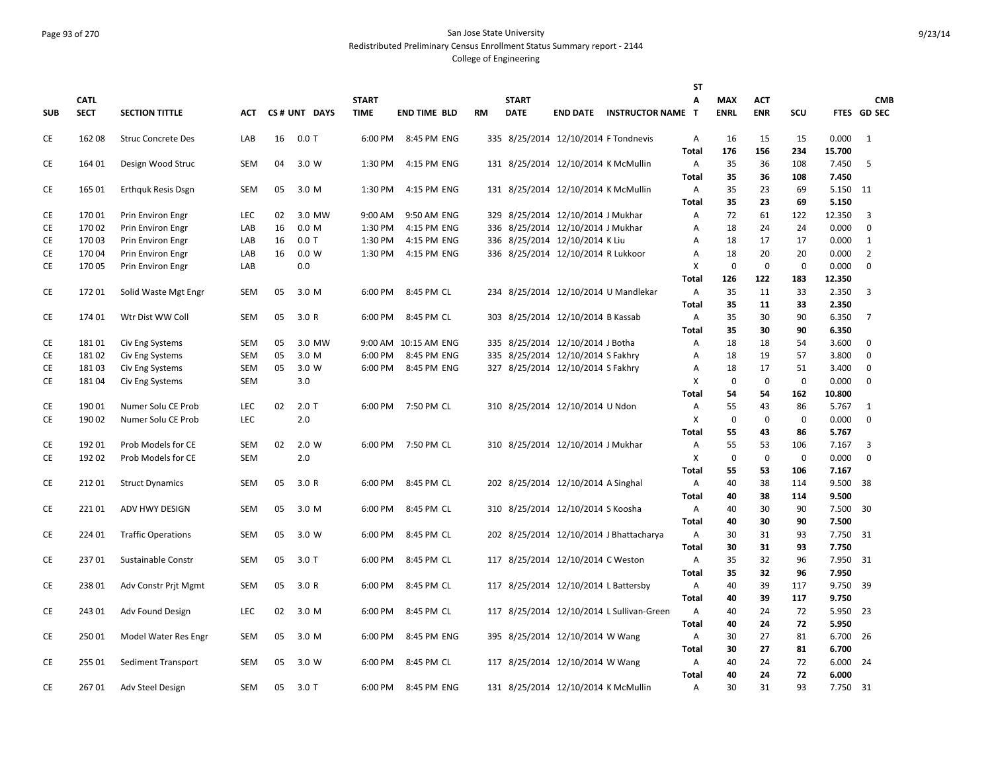# Page 93 of 270 San Jose State University Redistributed Preliminary Census Enrollment Status Summary report - 2144

|            |             |                           |            |    |              |              |                      |    |              |                                      |                                           | ST           |             |             |             |        |                |
|------------|-------------|---------------------------|------------|----|--------------|--------------|----------------------|----|--------------|--------------------------------------|-------------------------------------------|--------------|-------------|-------------|-------------|--------|----------------|
|            | <b>CATL</b> |                           |            |    |              | <b>START</b> |                      |    | <b>START</b> |                                      |                                           | A            | <b>MAX</b>  | <b>ACT</b>  |             |        | <b>CMB</b>     |
| <b>SUB</b> | <b>SECT</b> | <b>SECTION TITTLE</b>     | <b>ACT</b> |    | CS# UNT DAYS | <b>TIME</b>  | <b>END TIME BLD</b>  | RM | <b>DATE</b>  |                                      | <b>END DATE INSTRUCTOR NAME T</b>         |              | <b>ENRL</b> | <b>ENR</b>  | SCU         |        | FTES GD SEC    |
| CE         | 16208       | <b>Struc Concrete Des</b> | LAB        | 16 | $0.0$ T      | 6:00 PM      | 8:45 PM ENG          |    |              |                                      | 335 8/25/2014 12/10/2014 F Tondnevis      | Α            | 16          | 15          | 15          | 0.000  | 1              |
|            |             |                           |            |    |              |              |                      |    |              |                                      |                                           | <b>Total</b> | 176         | 156         | 234         | 15.700 |                |
| CE         | 164 01      | Design Wood Struc         | <b>SEM</b> | 04 | 3.0 W        | 1:30 PM      | 4:15 PM ENG          |    |              | 131 8/25/2014 12/10/2014 K McMullin  |                                           | Α            | 35          | 36          | 108         | 7.450  | 5              |
|            |             |                           |            |    |              |              |                      |    |              |                                      |                                           | Total        | 35          | 36          | 108         | 7.450  |                |
| CE         | 165 01      | <b>Erthquk Resis Dsgn</b> | <b>SEM</b> | 05 | 3.0 M        | 1:30 PM      | 4:15 PM ENG          |    |              | 131 8/25/2014 12/10/2014 K McMullin  |                                           | Α            | 35          | 23          | 69          | 5.150  | 11             |
|            |             |                           |            |    |              |              |                      |    |              |                                      |                                           | <b>Total</b> | 35          | 23          | 69          | 5.150  |                |
| CE         | 17001       | Prin Environ Engr         | LEC        | 02 | 3.0 MW       | 9:00 AM      | 9:50 AM ENG          |    |              | 329 8/25/2014 12/10/2014 J Mukhar    |                                           | Α            | 72          | 61          | 122         | 12.350 | 3              |
| CE         | 17002       | Prin Environ Engr         | LAB        | 16 | 0.0 M        | 1:30 PM      | 4:15 PM ENG          |    |              | 336 8/25/2014 12/10/2014 J Mukhar    |                                           | А            | 18          | 24          | 24          | 0.000  | $\mathbf 0$    |
| CE         | 17003       | Prin Environ Engr         | LAB        | 16 | $0.0$ T      | 1:30 PM      | 4:15 PM ENG          |    |              | 336 8/25/2014 12/10/2014 K Liu       |                                           | Α            | 18          | 17          | 17          | 0.000  | 1              |
| CE         | 170 04      | Prin Environ Engr         | LAB        | 16 | 0.0 W        | 1:30 PM      | 4:15 PM ENG          |    |              | 336 8/25/2014 12/10/2014 R Lukkoor   |                                           | А            | 18          | 20          | 20          | 0.000  | $\overline{2}$ |
| CE         | 17005       | Prin Environ Engr         | LAB        |    | 0.0          |              |                      |    |              |                                      |                                           | х            | $\mathbf 0$ | $\mathbf 0$ | 0           | 0.000  | 0              |
|            |             |                           |            |    |              |              |                      |    |              |                                      |                                           | Total        | 126         | 122         | 183         | 12.350 |                |
| СE         | 17201       | Solid Waste Mgt Engr      | SEM        | 05 | 3.0 M        | 6:00 PM      | 8:45 PM CL           |    |              |                                      | 234 8/25/2014 12/10/2014 U Mandlekar      | Α            | 35          | 11          | 33          | 2.350  | 3              |
|            |             |                           |            |    |              |              |                      |    |              |                                      |                                           | Total        | 35          | 11          | 33          | 2.350  |                |
| CE         | 174 01      | Wtr Dist WW Coll          | <b>SEM</b> | 05 | 3.0 R        | 6:00 PM      | 8:45 PM CL           |    |              | 303 8/25/2014 12/10/2014 B Kassab    |                                           | Α            | 35          | 30          | 90          | 6.350  | $\overline{7}$ |
|            |             |                           |            |    |              |              |                      |    |              |                                      |                                           | Total        | 35          | 30          | 90          | 6.350  |                |
| CE         | 18101       | Civ Eng Systems           | <b>SEM</b> | 05 | 3.0 MW       |              | 9:00 AM 10:15 AM ENG |    |              | 335 8/25/2014 12/10/2014 J Botha     |                                           | Α            | 18          | 18          | 54          | 3.600  | 0              |
| CE         | 18102       | Civ Eng Systems           | <b>SEM</b> | 05 | 3.0 M        | 6:00 PM      | 8:45 PM ENG          |    |              | 335 8/25/2014 12/10/2014 S Fakhry    |                                           | А            | 18          | 19          | 57          | 3.800  | $\mathbf 0$    |
| CE         | 18103       | Civ Eng Systems           | <b>SEM</b> | 05 | 3.0 W        | 6:00 PM      | 8:45 PM ENG          |    |              | 327 8/25/2014 12/10/2014 S Fakhry    |                                           | Α            | 18          | 17          | 51          | 3.400  | $\mathbf 0$    |
| <b>CE</b>  | 18104       | Civ Eng Systems           | <b>SEM</b> |    | 3.0          |              |                      |    |              |                                      |                                           | X            | $\mathbf 0$ | $\mathbf 0$ | $\mathbf 0$ | 0.000  | $\mathbf 0$    |
|            |             |                           |            |    |              |              |                      |    |              |                                      |                                           | Total        | 54          | 54          | 162         | 10.800 |                |
| CE         | 19001       | Numer Solu CE Prob        | LEC        | 02 | $2.0$ T      |              | 6:00 PM 7:50 PM CL   |    |              | 310 8/25/2014 12/10/2014 U Ndon      |                                           | Α            | 55          | 43          | 86          | 5.767  | 1              |
| CE         | 190 02      | Numer Solu CE Prob        | LEC        |    | 2.0          |              |                      |    |              |                                      |                                           | X            | $\mathbf 0$ | $\mathbf 0$ | 0           | 0.000  | $\mathbf 0$    |
|            |             |                           |            |    |              |              |                      |    |              |                                      |                                           | Total        | 55          | 43          | 86          | 5.767  |                |
| <b>CE</b>  | 19201       | Prob Models for CE        | <b>SEM</b> | 02 | 2.0 W        |              | 6:00 PM 7:50 PM CL   |    |              | 310 8/25/2014 12/10/2014 J Mukhar    |                                           | Α            | 55          | 53          | 106         | 7.167  | 3              |
| CE         | 192 02      | Prob Models for CE        | <b>SEM</b> |    | 2.0          |              |                      |    |              |                                      |                                           | X            | $\mathbf 0$ | $\mathbf 0$ | $\mathbf 0$ | 0.000  | $\mathbf 0$    |
|            |             |                           |            |    |              |              |                      |    |              |                                      |                                           | <b>Total</b> | 55          | 53          | 106         | 7.167  |                |
| CE         | 21201       | <b>Struct Dynamics</b>    | <b>SEM</b> | 05 | 3.0R         | 6:00 PM      | 8:45 PM CL           |    |              | 202 8/25/2014 12/10/2014 A Singhal   |                                           | Α            | 40          | 38          | 114         | 9.500  | -38            |
|            |             |                           |            |    |              |              |                      |    |              |                                      |                                           | Total        | 40          | 38          | 114         | 9.500  |                |
| CE         | 22101       | ADV HWY DESIGN            | <b>SEM</b> | 05 | 3.0 M        | 6:00 PM      | 8:45 PM CL           |    |              | 310 8/25/2014 12/10/2014 S Koosha    |                                           | Α            | 40          | 30          | 90          | 7.500  | 30             |
|            |             |                           |            |    |              |              |                      |    |              |                                      |                                           | Total        | 40          | 30          | 90          | 7.500  |                |
| CE         | 224 01      | <b>Traffic Operations</b> | SEM        | 05 | 3.0 W        | 6:00 PM      | 8:45 PM CL           |    |              |                                      | 202 8/25/2014 12/10/2014 J Bhattacharya   | Α            | 30          | 31          | 93          | 7.750  | -31            |
|            |             |                           |            |    |              |              |                      |    |              |                                      |                                           | Total        | 30          | 31          | 93          | 7.750  |                |
| CE         | 23701       | Sustainable Constr        | <b>SEM</b> | 05 | $3.0$ T      | 6:00 PM      | 8:45 PM CL           |    |              | 117 8/25/2014 12/10/2014 C Weston    |                                           | Α            | 35          | 32          | 96          | 7.950  | 31             |
|            |             |                           |            |    |              |              |                      |    |              |                                      |                                           | <b>Total</b> | 35          | 32          | 96          | 7.950  |                |
| CE         | 23801       | Adv Constr Prit Mgmt      | <b>SEM</b> | 05 | 3.0 R        | 6:00 PM      | 8:45 PM CL           |    |              | 117 8/25/2014 12/10/2014 L Battersby |                                           | Α            | 40          | 39          | 117         | 9.750  | -39            |
|            |             |                           |            |    |              |              |                      |    |              |                                      |                                           | Total        | 40          | 39          | 117         | 9.750  |                |
| CE         | 24301       | Adv Found Design          | LEC        | 02 | 3.0 M        | 6:00 PM      | 8:45 PM CL           |    |              |                                      | 117 8/25/2014 12/10/2014 L Sullivan-Green | Α            | 40          | 24          | 72          | 5.950  | 23             |
|            |             |                           |            |    |              |              |                      |    |              |                                      |                                           | Total        | 40          | 24          | 72          | 5.950  |                |
| СE         | 25001       | Model Water Res Engr      | <b>SEM</b> | 05 | 3.0 M        | 6:00 PM      | 8:45 PM ENG          |    |              | 395 8/25/2014 12/10/2014 W Wang      |                                           | Α            | 30          | 27          | 81          | 6.700  | 26             |
|            |             |                           |            |    |              |              |                      |    |              |                                      |                                           | <b>Total</b> | 30          | 27          | 81          | 6.700  |                |
| CE         | 255 01      | Sediment Transport        | <b>SEM</b> | 05 | 3.0 W        | 6:00 PM      | 8:45 PM CL           |    |              | 117 8/25/2014 12/10/2014 W Wang      |                                           | Α            | 40          | 24          | 72          | 6.000  | 24             |
|            |             |                           |            |    |              |              |                      |    |              |                                      |                                           | <b>Total</b> | 40          | 24          | 72          | 6.000  |                |
| СE         | 26701       | Adv Steel Design          | SEM        | 05 | $3.0$ T      | 6:00 PM      | 8:45 PM ENG          |    |              | 131 8/25/2014 12/10/2014 K McMullin  |                                           | A            | 30          | 31          | 93          | 7.750  | - 31           |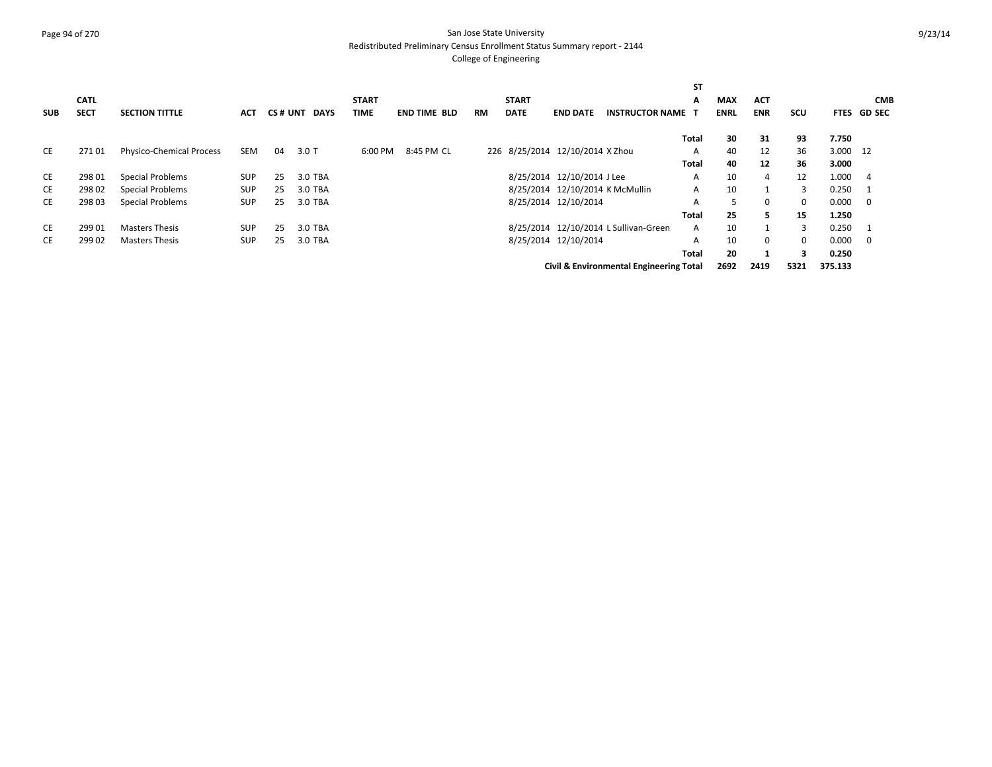#### Page 94 of 270 San Jose State University Redistributed Preliminary Census Enrollment Status Summary report - 2144

|            |             |                                 |            |    |              |              |                     |           |              |                                 |                                         | ST           |             |             |            |          |              |
|------------|-------------|---------------------------------|------------|----|--------------|--------------|---------------------|-----------|--------------|---------------------------------|-----------------------------------------|--------------|-------------|-------------|------------|----------|--------------|
|            | <b>CATL</b> |                                 |            |    |              | <b>START</b> |                     |           | <b>START</b> |                                 |                                         | A            | <b>MAX</b>  | <b>ACT</b>  |            |          | <b>CMB</b>   |
| <b>SUB</b> | <b>SECT</b> | <b>SECTION TITTLE</b>           | <b>ACT</b> |    | CS# UNT DAYS | <b>TIME</b>  | <b>END TIME BLD</b> | <b>RM</b> | <b>DATE</b>  | <b>END DATE</b>                 | <b>INSTRUCTOR NAME</b>                  | ா            | <b>ENRL</b> | <b>ENR</b>  | <b>SCU</b> |          | FTES GD SEC  |
|            |             |                                 |            |    |              |              |                     |           |              |                                 |                                         | Total        | 30          | 31          | 93         | 7.750    |              |
| CE         | 27101       | <b>Physico-Chemical Process</b> | SEM        | 04 | $3.0$ T      | 6:00 PM      | 8:45 PM CL          |           |              | 226 8/25/2014 12/10/2014 X Zhou |                                         | A            | 40          | 12          | 36         | 3.000 12 |              |
|            |             |                                 |            |    |              |              |                     |           |              |                                 |                                         | Total        | 40          | 12          | 36         | 3.000    |              |
| CE         | 298 01      | Special Problems                | <b>SUP</b> | 25 | 3.0 TBA      |              |                     |           |              | 8/25/2014 12/10/2014 J Lee      |                                         | A            | 10          | 4           | 12         | 1.000    | -4           |
| CE         | 298 02      | Special Problems                | <b>SUP</b> | 25 | 3.0 TBA      |              |                     |           |              |                                 | 8/25/2014 12/10/2014 K McMullin         | A            | 10          |             | 3          | 0.250    | - 1          |
| CE         | 298 03      | Special Problems                | <b>SUP</b> | 25 | 3.0 TBA      |              |                     |           |              | 8/25/2014 12/10/2014            |                                         | A            | 5           | $\mathbf 0$ | 0          | 0.000    | - 0          |
|            |             |                                 |            |    |              |              |                     |           |              |                                 |                                         | <b>Total</b> | 25          | 5.          | 15         | 1.250    |              |
| CE         | 299 01      | <b>Masters Thesis</b>           | <b>SUP</b> | 25 | 3.0 TBA      |              |                     |           |              |                                 | 8/25/2014 12/10/2014 L Sullivan-Green   | A            | 10          |             | 3          | 0.250    | $\mathbf{1}$ |
| CE         | 299 02      | <b>Masters Thesis</b>           | <b>SUP</b> | 25 | 3.0 TBA      |              |                     |           |              | 8/25/2014 12/10/2014            |                                         | A            | 10          | $\mathbf 0$ | 0          | 0.000    | - 0          |
|            |             |                                 |            |    |              |              |                     |           |              |                                 |                                         | <b>Total</b> | 20          |             | 3          | 0.250    |              |
|            |             |                                 |            |    |              |              |                     |           |              |                                 | Civil & Environmental Engineering Total |              | 2692        | 2419        | 5321       | 375.133  |              |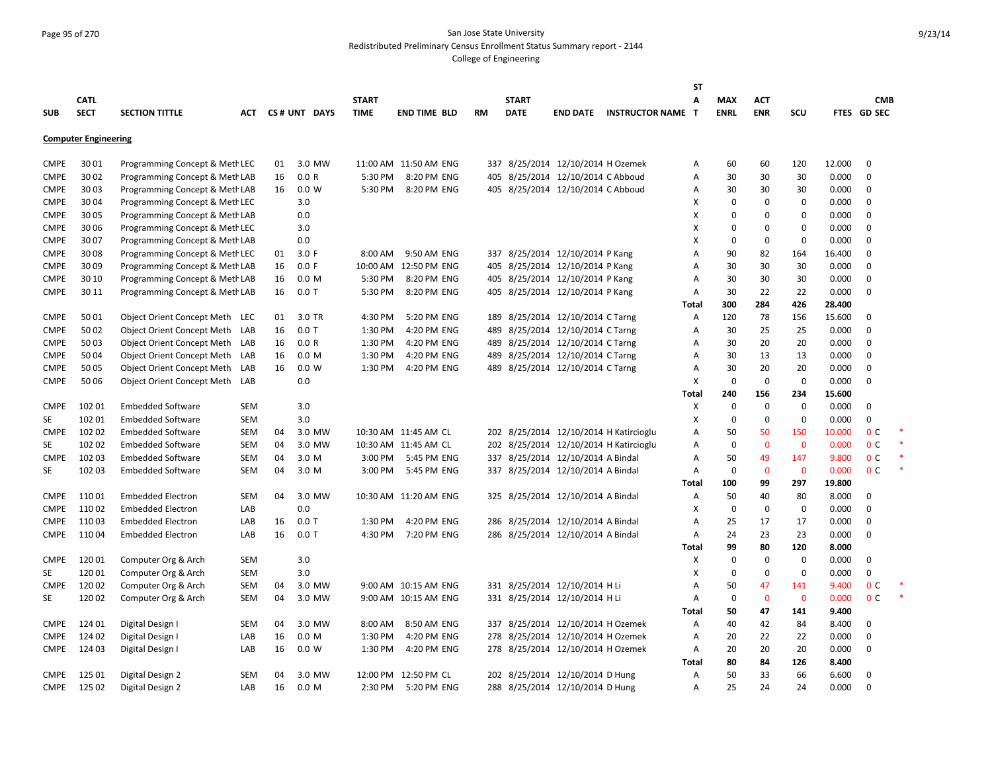# Page 95 of 270 San Jose State University Redistributed Preliminary Census Enrollment Status Summary report - 2144

|             |                             |                                   |            |    |                  |              |                       |           |              |                                   |                                        | ST           |             |              |             |        |                |  |
|-------------|-----------------------------|-----------------------------------|------------|----|------------------|--------------|-----------------------|-----------|--------------|-----------------------------------|----------------------------------------|--------------|-------------|--------------|-------------|--------|----------------|--|
|             | <b>CATL</b>                 |                                   |            |    |                  | <b>START</b> |                       |           | <b>START</b> |                                   |                                        | A            | <b>MAX</b>  | <b>ACT</b>   |             |        | <b>CMB</b>     |  |
| <b>SUB</b>  | <b>SECT</b>                 | <b>SECTION TITTLE</b>             | АСТ        |    | CS# UNT DAYS     | <b>TIME</b>  | <b>END TIME BLD</b>   | <b>RM</b> | <b>DATE</b>  |                                   | <b>END DATE INSTRUCTOR NAME</b>        | $\mathbf{T}$ | <b>ENRL</b> | <b>ENR</b>   | scu         |        | FTES GD SEC    |  |
|             |                             |                                   |            |    |                  |              |                       |           |              |                                   |                                        |              |             |              |             |        |                |  |
|             | <b>Computer Engineering</b> |                                   |            |    |                  |              |                       |           |              |                                   |                                        |              |             |              |             |        |                |  |
|             |                             |                                   |            |    |                  |              |                       |           |              |                                   |                                        |              |             |              |             |        |                |  |
| <b>CMPE</b> | 3001                        | Programming Concept & Meth LEC    |            | 01 | 3.0 MW           |              | 11:00 AM 11:50 AM ENG |           |              | 337 8/25/2014 12/10/2014 H Ozemek |                                        | А            | 60          | 60           | 120         | 12.000 | $\mathbf 0$    |  |
| <b>CMPE</b> | 3002                        | Programming Concept & Meth LAB    |            | 16 | 0.0 R            | 5:30 PM      | 8:20 PM ENG           |           |              | 405 8/25/2014 12/10/2014 C Abboud |                                        | А            | 30          | 30           | 30          | 0.000  | $\mathbf 0$    |  |
| <b>CMPE</b> | 3003                        | Programming Concept & Meth LAB    |            | 16 | 0.0 W            | 5:30 PM      | 8:20 PM ENG           |           |              | 405 8/25/2014 12/10/2014 C Abboud |                                        | Α            | 30          | 30           | 30          | 0.000  | $\mathbf 0$    |  |
| <b>CMPE</b> | 3004                        | Programming Concept & Meth LEC    |            |    | 3.0              |              |                       |           |              |                                   |                                        | Х            | $\Omega$    | $\mathbf 0$  | $\mathbf 0$ | 0.000  | 0              |  |
| <b>CMPE</b> | 3005                        | Programming Concept & Meth LAB    |            |    | 0.0              |              |                       |           |              |                                   |                                        | X            | $\Omega$    | 0            | $\Omega$    | 0.000  | $\mathbf 0$    |  |
| <b>CMPE</b> | 30 06                       | Programming Concept & Meth LEC    |            |    | 3.0              |              |                       |           |              |                                   |                                        | X            | $\Omega$    | $\mathbf 0$  | $\Omega$    | 0.000  | $\mathbf 0$    |  |
| <b>CMPE</b> | 3007                        | Programming Concept & Meth LAB    |            |    | 0.0              |              |                       |           |              |                                   |                                        | X            | $\Omega$    | $\mathbf 0$  | $\Omega$    | 0.000  | $\mathbf 0$    |  |
| <b>CMPE</b> | 3008                        | Programming Concept & Meth LEC    |            | 01 | 3.0 F            | 8:00 AM      | 9:50 AM ENG           |           |              | 337 8/25/2014 12/10/2014 P Kang   |                                        | А            | 90          | 82           | 164         | 16.400 | $\mathbf 0$    |  |
| <b>CMPE</b> | 3009                        | Programming Concept & Meth LAB    |            | 16 | 0.0 F            |              | 10:00 AM 12:50 PM ENG |           |              | 405 8/25/2014 12/10/2014 P Kang   |                                        | A            | 30          | 30           | 30          | 0.000  | $\mathbf 0$    |  |
| <b>CMPE</b> | 30 10                       | Programming Concept & Meth LAB    |            | 16 | 0.0 <sub>M</sub> | 5:30 PM      | 8:20 PM ENG           |           |              | 405 8/25/2014 12/10/2014 P Kang   |                                        | A            | 30          | 30           | 30          | 0.000  | $\mathbf 0$    |  |
| <b>CMPE</b> | 30 11                       | Programming Concept & Meth LAB    |            | 16 | $0.0$ T          | 5:30 PM      | 8:20 PM ENG           |           |              | 405 8/25/2014 12/10/2014 P Kang   |                                        | Α            | 30          | 22           | 22          | 0.000  | $\mathbf 0$    |  |
|             |                             |                                   |            |    |                  |              |                       |           |              |                                   |                                        | Total        | 300         | 284          | 426         | 28.400 |                |  |
| <b>CMPE</b> | 5001                        | Object Orient Concept Meth LEC    |            | 01 | 3.0 TR           | 4:30 PM      | 5:20 PM ENG           | 189       |              | 8/25/2014 12/10/2014 C Tarng      |                                        | Α            | 120         | 78           | 156         | 15.600 | $\mathbf 0$    |  |
| <b>CMPE</b> | 5002                        | <b>Object Orient Concept Meth</b> | LAB        | 16 | $0.0$ T          | 1:30 PM      | 4:20 PM ENG           |           |              | 489 8/25/2014 12/10/2014 C Tarng  |                                        | A            | 30          | 25           | 25          | 0.000  | $\mathbf 0$    |  |
| <b>CMPE</b> | 5003                        | Object Orient Concept Meth        | LAB        | 16 | 0.0 R            | 1:30 PM      | 4:20 PM ENG           |           |              | 489 8/25/2014 12/10/2014 C Tarng  |                                        | А            | 30          | 20           | 20          | 0.000  | $\mathbf 0$    |  |
| <b>CMPE</b> | 5004                        | Object Orient Concept Meth LAB    |            | 16 | 0.0 M            | 1:30 PM      | 4:20 PM ENG           |           |              | 489 8/25/2014 12/10/2014 C Tarng  |                                        | А            | 30          | 13           | 13          | 0.000  | $\mathbf 0$    |  |
| <b>CMPE</b> | 5005                        | Object Orient Concept Meth        | LAB        | 16 | 0.0 W            | 1:30 PM      | 4:20 PM ENG           |           |              | 489 8/25/2014 12/10/2014 C Tarng  |                                        | A            | 30          | 20           | 20          | 0.000  | $\mathbf 0$    |  |
| <b>CMPE</b> | 5006                        | Object Orient Concept Meth        | LAB        |    | 0.0              |              |                       |           |              |                                   |                                        | X            | $\mathbf 0$ | $\mathbf 0$  | 0           | 0.000  | $\mathbf 0$    |  |
|             |                             |                                   |            |    |                  |              |                       |           |              |                                   |                                        | Total        | 240         | 156          | 234         | 15.600 |                |  |
| <b>CMPE</b> | 102 01                      | <b>Embedded Software</b>          | <b>SEM</b> |    | 3.0              |              |                       |           |              |                                   |                                        | х            | 0           | $\mathbf 0$  | 0           | 0.000  | 0              |  |
| SE          | 102 01                      | <b>Embedded Software</b>          | <b>SEM</b> |    | 3.0              |              |                       |           |              |                                   |                                        | X            | 0           | $\mathbf 0$  | 0           | 0.000  | $\mathbf 0$    |  |
| <b>CMPE</b> | 102 02                      | <b>Embedded Software</b>          | <b>SEM</b> | 04 | 3.0 MW           |              | 10:30 AM 11:45 AM CL  |           |              |                                   | 202 8/25/2014 12/10/2014 H Katircioglu | Α            | 50          | 50           | 150         | 10.000 | 0 <sup>c</sup> |  |
| <b>SE</b>   | 102 02                      | <b>Embedded Software</b>          | <b>SEM</b> | 04 | 3.0 MW           |              | 10:30 AM 11:45 AM CL  |           |              |                                   | 202 8/25/2014 12/10/2014 H Katircioglu | Α            | 0           | $\mathbf{0}$ | $\mathbf 0$ | 0.000  | 0 <sup>c</sup> |  |
| <b>CMPE</b> | 102 03                      | <b>Embedded Software</b>          | <b>SEM</b> | 04 | 3.0 M            | 3:00 PM      | 5:45 PM ENG           |           |              | 337 8/25/2014 12/10/2014 A Bindal |                                        | Α            | 50          | 49           | 147         | 9.800  | 0 <sup>C</sup> |  |
| SE          | 102 03                      | <b>Embedded Software</b>          | SEM        | 04 | 3.0 M            | 3:00 PM      | 5:45 PM ENG           |           |              | 337 8/25/2014 12/10/2014 A Bindal |                                        | A            | 0           | $\mathbf 0$  | $\mathbf 0$ | 0.000  | 0 <sup>C</sup> |  |
|             |                             |                                   |            |    |                  |              |                       |           |              |                                   |                                        | Total        | 100         | 99           | 297         | 19.800 |                |  |
| <b>CMPE</b> | 11001                       | <b>Embedded Electron</b>          | SEM        | 04 | 3.0 MW           |              | 10:30 AM 11:20 AM ENG |           |              | 325 8/25/2014 12/10/2014 A Bindal |                                        | Α            | 50          | 40           | 80          | 8.000  | $\mathbf 0$    |  |
| <b>CMPE</b> | 11002                       | <b>Embedded Electron</b>          | LAB        |    | 0.0              |              |                       |           |              |                                   |                                        | X            | $\mathbf 0$ | $\mathbf 0$  | $\mathbf 0$ | 0.000  | $\mathbf 0$    |  |
| <b>CMPE</b> | 11003                       | <b>Embedded Electron</b>          | LAB        | 16 | $0.0$ T          | 1:30 PM      | 4:20 PM ENG           | 286       |              | 8/25/2014 12/10/2014 A Bindal     |                                        | A            | 25          | 17           | 17          | 0.000  | $\mathbf 0$    |  |
| <b>CMPE</b> | 11004                       | <b>Embedded Electron</b>          | LAB        | 16 | $0.0$ T          | 4:30 PM      | 7:20 PM ENG           |           |              | 286 8/25/2014 12/10/2014 A Bindal |                                        | A            | 24          | 23           | 23          | 0.000  | $\mathbf 0$    |  |
|             |                             |                                   |            |    |                  |              |                       |           |              |                                   |                                        | Total        | 99          | 80           | 120         | 8.000  |                |  |
| <b>CMPE</b> | 12001                       | Computer Org & Arch               | <b>SEM</b> |    | 3.0              |              |                       |           |              |                                   |                                        | X            | 0           | $\mathbf 0$  | $\mathbf 0$ | 0.000  | $\mathbf 0$    |  |
| SE          | 12001                       | Computer Org & Arch               | <b>SEM</b> |    | 3.0              |              |                       |           |              |                                   |                                        | X            | 0           | $\mathbf 0$  | $\mathbf 0$ | 0.000  | $\mathbf 0$    |  |
| <b>CMPE</b> | 12002                       | Computer Org & Arch               | <b>SEM</b> | 04 | 3.0 MW           |              | 9:00 AM 10:15 AM ENG  |           |              | 331 8/25/2014 12/10/2014 H Li     |                                        | A            | 50          | 47           | 141         | 9.400  | 0 <sup>c</sup> |  |
| SE          | 12002                       | Computer Org & Arch               | SEM        | 04 | 3.0 MW           |              | 9:00 AM 10:15 AM ENG  |           |              | 331 8/25/2014 12/10/2014 H Li     |                                        | Α            | $\mathbf 0$ | $\mathbf 0$  | $\mathbf 0$ | 0.000  | 0 <sup>C</sup> |  |
|             |                             |                                   |            |    |                  |              |                       |           |              |                                   |                                        | Total        | 50          | 47           | 141         | 9.400  |                |  |
| <b>CMPE</b> | 124 01                      | Digital Design I                  | <b>SEM</b> | 04 | 3.0 MW           | 8:00 AM      | 8:50 AM ENG           |           |              | 337 8/25/2014 12/10/2014 H Ozemek |                                        | Α            | 40          | 42           | 84          | 8.400  | $\mathbf 0$    |  |
| <b>CMPE</b> | 124 02                      | Digital Design I                  | LAB        | 16 | 0.0 <sub>M</sub> | 1:30 PM      | 4:20 PM ENG           |           |              | 278 8/25/2014 12/10/2014 H Ozemek |                                        | Α            | 20          | 22           | 22          | 0.000  | $\mathbf 0$    |  |
|             |                             |                                   |            |    |                  |              |                       |           |              |                                   |                                        |              |             |              |             |        | $\mathbf 0$    |  |
| <b>CMPE</b> | 124 03                      | Digital Design I                  | LAB        | 16 | 0.0 W            | 1:30 PM      | 4:20 PM ENG           |           |              | 278 8/25/2014 12/10/2014 H Ozemek |                                        | Α            | 20<br>80    | 20<br>84     | 20<br>126   | 0.000  |                |  |
|             |                             |                                   |            |    |                  |              |                       |           |              |                                   |                                        | <b>Total</b> |             |              |             | 8.400  |                |  |
| <b>CMPE</b> | 125 01                      | Digital Design 2                  | SEM        | 04 | 3.0 MW           |              | 12:00 PM 12:50 PM CL  |           |              | 202 8/25/2014 12/10/2014 D Hung   |                                        | Α            | 50          | 33           | 66          | 6.600  | 0              |  |
| <b>CMPE</b> | 125 02                      | Digital Design 2                  | LAB        | 16 | 0.0 <sub>M</sub> | 2:30 PM      | 5:20 PM ENG           |           |              | 288 8/25/2014 12/10/2014 D Hung   |                                        | A            | 25          | 24           | 24          | 0.000  | $\mathbf 0$    |  |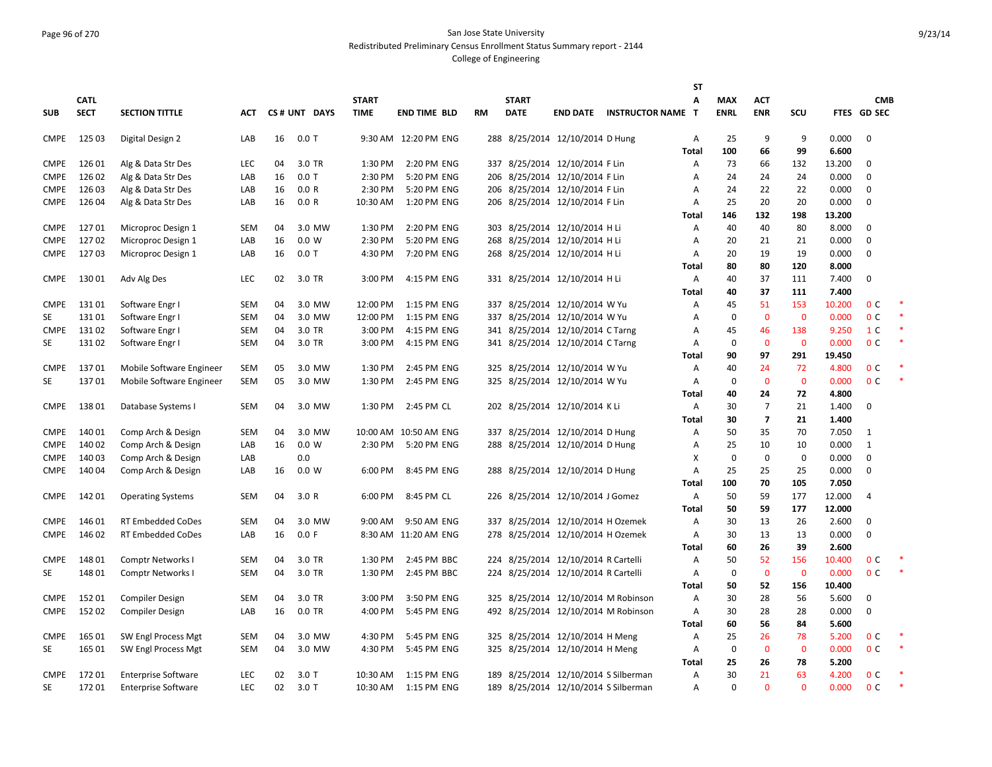### Page 96 of 270 San Jose State University Redistributed Preliminary Census Enrollment Status Summary report - 2144

|                   |                |                            |            |    |              |                    |                            |    |              |                                      |                                     | <b>ST</b>         |                   |                         |                     |                 |                                  |        |
|-------------------|----------------|----------------------------|------------|----|--------------|--------------------|----------------------------|----|--------------|--------------------------------------|-------------------------------------|-------------------|-------------------|-------------------------|---------------------|-----------------|----------------------------------|--------|
|                   | <b>CATL</b>    |                            |            |    |              | <b>START</b>       |                            |    | <b>START</b> |                                      |                                     | A                 | <b>MAX</b>        | <b>ACT</b>              |                     |                 | <b>CMB</b>                       |        |
| <b>SUB</b>        | <b>SECT</b>    | <b>SECTION TITTLE</b>      | ACT        |    | CS# UNT DAYS | <b>TIME</b>        | <b>END TIME BLD</b>        | RM | <b>DATE</b>  | <b>END DATE</b>                      | <b>INSTRUCTOR NAME</b>              | $\mathbf{T}$      | <b>ENRL</b>       | <b>ENR</b>              | SCU                 |                 | FTES GD SEC                      |        |
|                   |                |                            |            |    |              |                    |                            |    |              |                                      |                                     |                   |                   |                         |                     |                 |                                  |        |
| <b>CMPE</b>       | 125 03         | Digital Design 2           | LAB        | 16 | $0.0$ T      |                    | 9:30 AM 12:20 PM ENG       |    |              | 288 8/25/2014 12/10/2014 D Hung      |                                     | Α<br><b>Total</b> | 25<br>100         | 9<br>66                 | 9<br>99             | 0.000<br>6.600  | $\mathbf 0$                      |        |
| <b>CMPE</b>       | 126 01         | Alg & Data Str Des         | LEC        | 04 | 3.0 TR       | 1:30 PM            | 2:20 PM ENG                |    |              | 337 8/25/2014 12/10/2014 F Lin       |                                     | Α                 | 73                | 66                      | 132                 | 13.200          | $\mathbf 0$                      |        |
| <b>CMPE</b>       | 126 02         | Alg & Data Str Des         | LAB        | 16 | $0.0$ T      | 2:30 PM            | 5:20 PM ENG                |    |              | 206 8/25/2014 12/10/2014 F Lin       |                                     | Α                 | 24                | 24                      | 24                  | 0.000           | $\mathbf 0$                      |        |
| <b>CMPE</b>       | 126 03         | Alg & Data Str Des         | LAB        | 16 | 0.0 R        | 2:30 PM            | 5:20 PM ENG                |    |              | 206 8/25/2014 12/10/2014 F Lin       |                                     | Α                 | 24                | 22                      | 22                  | 0.000           | $\mathbf 0$                      |        |
| <b>CMPE</b>       | 126 04         | Alg & Data Str Des         | LAB        | 16 | 0.0 R        | 10:30 AM           | 1:20 PM ENG                |    |              | 206 8/25/2014 12/10/2014 F Lin       |                                     | A                 | 25                | 20                      | 20                  | 0.000           | $\mathbf 0$                      |        |
|                   |                |                            |            |    |              |                    |                            |    |              |                                      |                                     | Total             | 146               | 132                     | 198                 | 13.200          |                                  |        |
| <b>CMPE</b>       | 12701          | Microproc Design 1         | <b>SEM</b> | 04 | 3.0 MW       | 1:30 PM            | 2:20 PM ENG                |    |              | 303 8/25/2014 12/10/2014 H Li        |                                     | Α                 | 40                | 40                      | 80                  | 8.000           | $\mathbf 0$                      |        |
| <b>CMPE</b>       | 12702          | Microproc Design 1         | LAB        | 16 | 0.0 W        | 2:30 PM            | 5:20 PM ENG                |    |              | 268 8/25/2014 12/10/2014 H Li        |                                     | Α                 | 20                | 21                      | 21                  | 0.000           | $\mathbf{0}$                     |        |
| <b>CMPE</b>       | 12703          | Microproc Design 1         | LAB        | 16 | $0.0$ T      | 4:30 PM            | 7:20 PM ENG                |    |              | 268 8/25/2014 12/10/2014 H Li        |                                     | Α                 | 20                | 19                      | 19                  | 0.000           | $\mathbf 0$                      |        |
|                   |                |                            |            |    |              |                    |                            |    |              |                                      |                                     | Total             | 80                | 80                      | 120                 | 8.000           |                                  |        |
| <b>CMPE</b>       | 13001          | Adv Alg Des                | LEC        | 02 | 3.0 TR       | 3:00 PM            | 4:15 PM ENG                |    |              | 331 8/25/2014 12/10/2014 H Li        |                                     | Α                 | 40                | 37                      | 111                 | 7.400           | $\mathbf{0}$                     |        |
|                   |                |                            |            |    |              |                    |                            |    |              |                                      |                                     | <b>Total</b>      | 40                | 37                      | 111                 | 7.400           |                                  |        |
| CMPE              | 13101          | Software Engr I            | <b>SEM</b> | 04 | 3.0 MW       | 12:00 PM           | 1:15 PM ENG                |    |              | 337 8/25/2014 12/10/2014 W Yu        |                                     | Α                 | 45                | 51                      | 153                 | 10.200          | 0 <sup>C</sup>                   |        |
| SE                | 13101          | Software Engr I            | <b>SEM</b> | 04 | 3.0 MW       | 12:00 PM           | 1:15 PM ENG                |    |              | 337 8/25/2014 12/10/2014 W Yu        |                                     | Α                 | $\mathbf 0$       | $\mathbf 0$             | $\overline{0}$      | 0.000           | 0 <sup>C</sup>                   |        |
| <b>CMPE</b>       | 13102          | Software Engr I            | <b>SEM</b> | 04 | 3.0 TR       | 3:00 PM            | 4:15 PM ENG                |    |              | 341 8/25/2014 12/10/2014 C Tarng     |                                     | Α                 | 45                | 46                      | 138                 | 9.250           | 1 <sup>C</sup>                   |        |
| <b>SE</b>         | 13102          | Software Engr I            | <b>SEM</b> | 04 | 3.0 TR       | 3:00 PM            | 4:15 PM ENG                |    |              | 341 8/25/2014 12/10/2014 C Tarng     |                                     | Α                 | $\mathbf 0$       | $\mathbf 0$             | $\mathbf{0}$        | 0.000           | 0 <sup>c</sup>                   |        |
| <b>CMPE</b>       | 13701          | Mobile Software Engineer   | <b>SEM</b> | 05 | 3.0 MW       | 1:30 PM            | 2:45 PM ENG                |    |              | 325 8/25/2014 12/10/2014 W Yu        |                                     | Total<br>Α        | 90<br>40          | 97<br>24                | 291<br>72           | 19.450<br>4.800 | 0 <sup>c</sup>                   |        |
| <b>SE</b>         | 13701          | Mobile Software Engineer   | <b>SEM</b> | 05 | 3.0 MW       | 1:30 PM            | 2:45 PM ENG                |    |              | 325 8/25/2014 12/10/2014 W Yu        |                                     | Α                 | $\mathbf 0$       | $\mathbf{0}$            | $\overline{0}$      | 0.000           | 0 <sup>c</sup>                   |        |
|                   |                |                            |            |    |              |                    |                            |    |              |                                      |                                     | Total             | 40                | 24                      | 72                  | 4.800           |                                  |        |
| <b>CMPE</b>       | 13801          | Database Systems I         | <b>SEM</b> | 04 | 3.0 MW       | 1:30 PM            | 2:45 PM CL                 |    |              | 202 8/25/2014 12/10/2014 KLi         |                                     | Α                 | 30                | $\overline{7}$          | 21                  | 1.400           | 0                                |        |
|                   |                |                            |            |    |              |                    |                            |    |              |                                      |                                     | Total             | 30                | $\overline{\mathbf{z}}$ | 21                  | 1.400           |                                  |        |
| <b>CMPE</b>       | 14001          | Comp Arch & Design         | <b>SEM</b> | 04 | 3.0 MW       |                    | 10:00 AM 10:50 AM ENG      |    |              | 337 8/25/2014 12/10/2014 D Hung      |                                     | Α                 | 50                | 35                      | 70                  | 7.050           | $\mathbf{1}$                     |        |
| <b>CMPE</b>       | 140 02         | Comp Arch & Design         | LAB        | 16 | 0.0 W        | 2:30 PM            | 5:20 PM ENG                |    |              | 288 8/25/2014 12/10/2014 D Hung      |                                     | Α                 | 25                | 10                      | 10                  | 0.000           | $\mathbf{1}$                     |        |
| <b>CMPE</b>       | 140 03         | Comp Arch & Design         | LAB        |    | 0.0          |                    |                            |    |              |                                      |                                     | х                 | $\mathbf 0$       | $\mathbf 0$             | $\mathbf 0$         | 0.000           | $\mathbf{0}$                     |        |
| <b>CMPE</b>       | 14004          | Comp Arch & Design         | LAB        | 16 | 0.0 W        | 6:00 PM            | 8:45 PM ENG                |    |              | 288 8/25/2014 12/10/2014 D Hung      |                                     | Α                 | 25                | 25                      | 25                  | 0.000           | $\mathbf 0$                      |        |
|                   |                |                            |            |    |              |                    |                            |    |              |                                      |                                     | <b>Total</b>      | 100               | 70                      | 105                 | 7.050           |                                  |        |
| <b>CMPE</b>       | 14201          | <b>Operating Systems</b>   | <b>SEM</b> | 04 | 3.0R         | 6:00 PM            | 8:45 PM CL                 |    |              | 226 8/25/2014 12/10/2014 J Gomez     |                                     | Α                 | 50                | 59                      | 177                 | 12.000          | $\overline{4}$                   |        |
|                   |                |                            |            |    |              |                    |                            |    |              |                                      |                                     | Total             | 50                | 59                      | 177                 | 12.000          |                                  |        |
| <b>CMPE</b>       | 14601          | <b>RT Embedded CoDes</b>   | <b>SEM</b> | 04 | 3.0 MW       | 9:00 AM            | 9:50 AM ENG                |    |              | 337 8/25/2014 12/10/2014 H Ozemek    |                                     | Α                 | 30                | 13                      | 26                  | 2.600           | 0                                |        |
| <b>CMPE</b>       | 146 02         | <b>RT Embedded CoDes</b>   | LAB        | 16 | 0.0 F        |                    | 8:30 AM 11:20 AM ENG       |    |              | 278 8/25/2014 12/10/2014 H Ozemek    |                                     | A                 | 30                | 13                      | 13                  | 0.000           | $\pmb{0}$                        |        |
|                   |                |                            |            |    |              |                    |                            |    |              |                                      |                                     | Total             | 60                | 26                      | 39                  | 2.600           |                                  |        |
| <b>CMPE</b><br>SE | 14801<br>14801 | <b>Comptr Networks I</b>   | <b>SEM</b> | 04 | 3.0 TR       | 1:30 PM<br>1:30 PM | 2:45 PM BBC<br>2:45 PM BBC |    |              | 224 8/25/2014 12/10/2014 R Cartelli  |                                     | Α                 | 50<br>$\mathbf 0$ | 52<br>$\mathbf 0$       | 156<br>$\mathbf{0}$ | 10.400<br>0.000 | 0 <sup>c</sup><br>0 <sup>C</sup> |        |
|                   |                | <b>Comptr Networks I</b>   | <b>SEM</b> | 04 | 3.0 TR       |                    |                            |    |              | 224 8/25/2014 12/10/2014 R Cartelli  |                                     | Α<br>Total        | 50                | 52                      | 156                 | 10.400          |                                  |        |
| <b>CMPE</b>       | 15201          | <b>Compiler Design</b>     | <b>SEM</b> | 04 | 3.0 TR       | 3:00 PM            | 3:50 PM ENG                |    |              | 325 8/25/2014 12/10/2014 M Robinson  |                                     | Α                 | 30                | 28                      | 56                  | 5.600           | $\mathbf 0$                      |        |
| <b>CMPE</b>       | 15202          | <b>Compiler Design</b>     | LAB        | 16 | $0.0$ TR     | 4:00 PM            | 5:45 PM ENG                |    |              |                                      | 492 8/25/2014 12/10/2014 M Robinson | Α                 | 30                | 28                      | 28                  | 0.000           | $\mathbf{0}$                     |        |
|                   |                |                            |            |    |              |                    |                            |    |              |                                      |                                     | <b>Total</b>      | 60                | 56                      | 84                  | 5.600           |                                  |        |
| <b>CMPE</b>       | 165 01         | SW Engl Process Mgt        | <b>SEM</b> | 04 | 3.0 MW       | 4:30 PM            | 5:45 PM ENG                |    |              | 325 8/25/2014 12/10/2014 H Meng      |                                     | Α                 | 25                | 26                      | 78                  | 5.200           | 0 <sup>c</sup>                   |        |
| SE                | 165 01         | SW Engl Process Mgt        | <b>SEM</b> | 04 | 3.0 MW       | 4:30 PM            | 5:45 PM ENG                |    |              | 325 8/25/2014 12/10/2014 H Meng      |                                     | Α                 | 0                 | $\mathbf 0$             | $\mathbf 0$         | 0.000           | 0 <sup>C</sup>                   | $\ast$ |
|                   |                |                            |            |    |              |                    |                            |    |              |                                      |                                     | Total             | 25                | 26                      | 78                  | 5.200           |                                  |        |
| <b>CMPE</b>       | 17201          | <b>Enterprise Software</b> | LEC        | 02 | 3.0T         | 10:30 AM           | 1:15 PM ENG                |    |              | 189 8/25/2014 12/10/2014 S Silberman |                                     | Α                 | 30                | 21                      | 63                  | 4.200           | 0 <sup>C</sup>                   |        |
| SE                | 17201          | <b>Enterprise Software</b> | <b>LEC</b> | 02 | $3.0$ T      |                    | 10:30 AM  1:15 PM ENG      |    |              | 189 8/25/2014 12/10/2014 S Silberman |                                     | Α                 | $\Omega$          | $\overline{0}$          | $\Omega$            | 0.000           | 0 <sup>C</sup>                   | $\ast$ |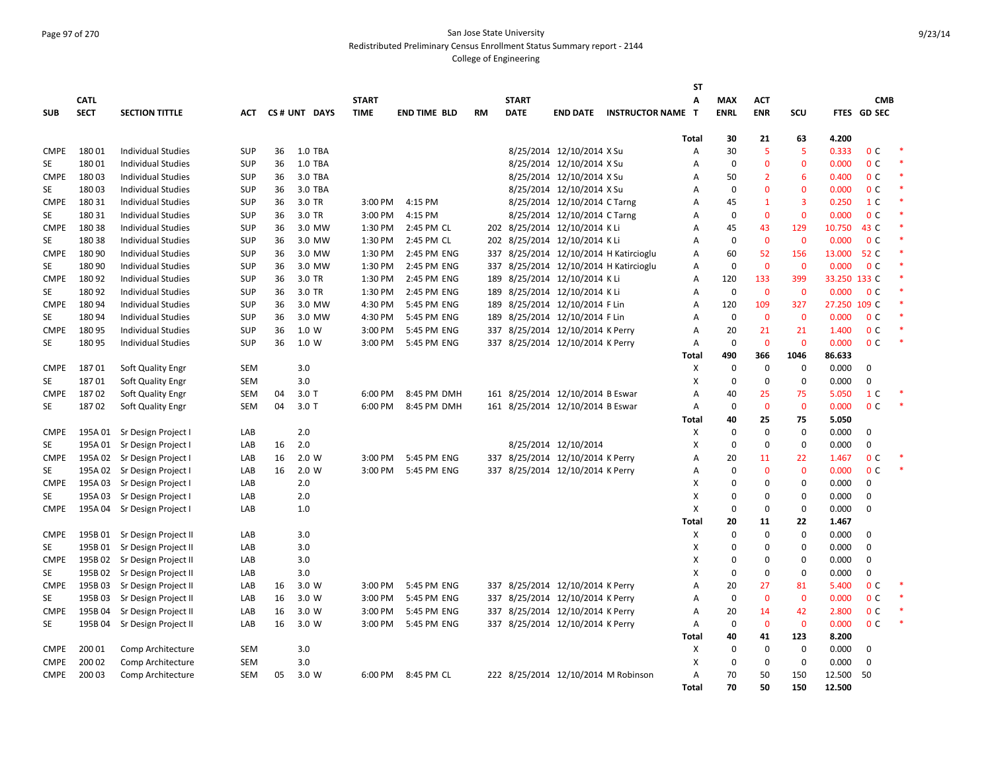# Page 97 of 270 San Jose State University Redistributed Preliminary Census Enrollment Status Summary report - 2144

|             |             |                              |            |    |              |                   |                     |           |              |                                     |                                        | <b>ST</b>    |             |                |                |              |                |  |
|-------------|-------------|------------------------------|------------|----|--------------|-------------------|---------------------|-----------|--------------|-------------------------------------|----------------------------------------|--------------|-------------|----------------|----------------|--------------|----------------|--|
|             | <b>CATL</b> |                              |            |    |              | <b>START</b>      |                     |           | <b>START</b> |                                     |                                        | Α            | <b>MAX</b>  | <b>ACT</b>     |                |              | <b>CMB</b>     |  |
| <b>SUB</b>  | <b>SECT</b> | <b>SECTION TITTLE</b>        | <b>ACT</b> |    | CS# UNT DAYS | <b>TIME</b>       | <b>END TIME BLD</b> | <b>RM</b> | <b>DATE</b>  | <b>END DATE</b>                     | <b>INSTRUCTOR NAME</b>                 | Т            | <b>ENRL</b> | <b>ENR</b>     | SCU            |              | FTES GD SEC    |  |
|             |             |                              |            |    |              |                   |                     |           |              |                                     |                                        |              |             |                |                |              |                |  |
|             |             |                              |            |    |              |                   |                     |           |              |                                     |                                        | <b>Total</b> | 30          | 21             | 63             | 4.200        |                |  |
| <b>CMPE</b> | 18001       | <b>Individual Studies</b>    | <b>SUP</b> | 36 | 1.0 TBA      |                   |                     |           |              | 8/25/2014 12/10/2014 X Su           |                                        | А            | 30          | -5             | 5              | 0.333        | 0 <sup>C</sup> |  |
| <b>SE</b>   | 18001       | <b>Individual Studies</b>    | <b>SUP</b> | 36 | 1.0 TBA      |                   |                     |           |              | 8/25/2014 12/10/2014 X Su           |                                        | А            | $\mathbf 0$ | $\mathbf{0}$   | $\mathbf{0}$   | 0.000        | 0 <sup>C</sup> |  |
| <b>CMPE</b> | 18003       | <b>Individual Studies</b>    | <b>SUP</b> | 36 | 3.0 TBA      |                   |                     |           |              | 8/25/2014 12/10/2014 X Su           |                                        | A            | 50          | $\overline{2}$ | 6              | 0.400        | 0 <sup>C</sup> |  |
| SE          | 18003       | Individual Studies           | SUP        | 36 | 3.0 TBA      |                   |                     |           |              | 8/25/2014 12/10/2014 X Su           |                                        | А            | $\mathbf 0$ | $\mathbf 0$    | $\mathbf 0$    | 0.000        | 0 <sup>C</sup> |  |
| <b>CMPE</b> | 180 31      | <b>Individual Studies</b>    | <b>SUP</b> | 36 | 3.0 TR       | 3:00 PM           | 4:15 PM             |           |              | 8/25/2014 12/10/2014 C Tarng        |                                        | А            | 45          | $\mathbf{1}$   | $\overline{3}$ | 0.250        | 1 <sup>C</sup> |  |
| <b>SE</b>   | 180 31      | <b>Individual Studies</b>    | <b>SUP</b> | 36 | 3.0 TR       | 3:00 PM           | 4:15 PM             |           |              | 8/25/2014 12/10/2014 C Tarng        |                                        | А            | 0           | $\mathbf{0}$   | $\mathbf{0}$   | 0.000        | 0 <sup>C</sup> |  |
| <b>CMPE</b> | 18038       | <b>Individual Studies</b>    | <b>SUP</b> | 36 | 3.0 MW       | 1:30 PM           | 2:45 PM CL          |           |              | 202 8/25/2014 12/10/2014 K Li       |                                        | Α            | 45          | 43             | 129            | 10.750       | 43 C           |  |
| <b>SE</b>   | 18038       | <b>Individual Studies</b>    | <b>SUP</b> | 36 | 3.0 MW       | 1:30 PM           | 2:45 PM CL          |           |              | 202 8/25/2014 12/10/2014 K Li       |                                        | A            | $\Omega$    | $\mathbf{0}$   | $\overline{0}$ | 0.000        | 0 <sup>c</sup> |  |
| <b>CMPE</b> | 180 90      | <b>Individual Studies</b>    | <b>SUP</b> | 36 | 3.0 MW       | 1:30 PM           | 2:45 PM ENG         |           |              |                                     | 337 8/25/2014 12/10/2014 H Katircioglu | Α            | 60          | 52             | 156            | 13.000       | 52 C           |  |
| SE          | 180 90      | <b>Individual Studies</b>    | <b>SUP</b> | 36 | 3.0 MW       | 1:30 PM           | 2:45 PM ENG         |           |              |                                     | 337 8/25/2014 12/10/2014 H Katircioglu | Α            | $\mathbf 0$ | $\mathbf{0}$   | $\mathbf 0$    | 0.000        | 0 <sup>C</sup> |  |
| <b>CMPE</b> | 18092       | <b>Individual Studies</b>    | <b>SUP</b> | 36 | 3.0 TR       | 1:30 PM           | 2:45 PM ENG         |           |              | 189 8/25/2014 12/10/2014 KLi        |                                        | Α            | 120         | 133            | 399            | 33.250 133 C |                |  |
| SE          | 18092       | <b>Individual Studies</b>    | <b>SUP</b> | 36 | 3.0 TR       | 1:30 PM           | 2:45 PM ENG         |           |              | 189 8/25/2014 12/10/2014 KLi        |                                        | А            | $\mathbf 0$ | $\mathbf 0$    | $\overline{0}$ | 0.000        | 0 <sup>c</sup> |  |
| <b>CMPE</b> | 18094       | <b>Individual Studies</b>    | <b>SUP</b> | 36 | 3.0 MW       | 4:30 PM           | 5:45 PM ENG         |           |              | 189 8/25/2014 12/10/2014 F Lin      |                                        | Α            | 120         | 109            | 327            | 27.250 109 C |                |  |
| <b>SE</b>   | 180 94      | <b>Individual Studies</b>    | <b>SUP</b> | 36 | 3.0 MW       | 4:30 PM           | 5:45 PM ENG         |           |              | 189 8/25/2014 12/10/2014 F Lin      |                                        | Α            | $\mathbf 0$ | $\mathbf 0$    | $\mathbf 0$    | 0.000        | 0 <sup>C</sup> |  |
| <b>CMPE</b> | 18095       | <b>Individual Studies</b>    | <b>SUP</b> | 36 | 1.0 W        | 3:00 PM           | 5:45 PM ENG         |           |              | 337 8/25/2014 12/10/2014 K Perry    |                                        | А            | 20          | 21             | 21             | 1.400        | 0 <sup>C</sup> |  |
| SE          | 18095       | <b>Individual Studies</b>    | <b>SUP</b> | 36 | 1.0 W        | 3:00 PM           | 5:45 PM ENG         |           |              | 337 8/25/2014 12/10/2014 K Perry    |                                        | Α            | $\mathbf 0$ | $\mathbf 0$    | $\mathbf{0}$   | 0.000        | 0 <sup>C</sup> |  |
|             |             |                              |            |    |              |                   |                     |           |              |                                     |                                        | <b>Total</b> | 490         | 366            | 1046           | 86.633       |                |  |
| <b>CMPE</b> | 18701       | Soft Quality Engr            | <b>SEM</b> |    | 3.0          |                   |                     |           |              |                                     |                                        | X            | $\mathbf 0$ | $\mathbf 0$    | $\mathbf 0$    | 0.000        | $\mathbf 0$    |  |
| <b>SE</b>   | 18701       | Soft Quality Engr            | <b>SEM</b> |    | 3.0          |                   |                     |           |              |                                     |                                        | X            | $\mathbf 0$ | $\mathbf 0$    | $\mathbf 0$    | 0.000        | $\mathbf 0$    |  |
| <b>CMPE</b> | 18702       | Soft Quality Engr            | <b>SEM</b> | 04 | $3.0$ T      | 6:00 PM           | 8:45 PM DMH         |           |              | 161 8/25/2014 12/10/2014 B Eswar    |                                        | А            | 40          | 25             | 75             | 5.050        | 1 <sup>C</sup> |  |
| SE          | 18702       | Soft Quality Engr            | <b>SEM</b> | 04 | $3.0$ T      | 6:00 PM           | 8:45 PM DMH         |           |              | 161 8/25/2014 12/10/2014 B Eswar    |                                        | Α            | 0           | $\mathbf 0$    | $\mathbf 0$    | 0.000        | 0 <sup>C</sup> |  |
|             |             |                              |            |    |              |                   |                     |           |              |                                     |                                        | <b>Total</b> | 40          | 25             | 75             | 5.050        |                |  |
| <b>CMPE</b> | 195A01      | Sr Design Project I          | LAB        |    | 2.0          |                   |                     |           |              |                                     |                                        | X            | $\Omega$    | $\mathbf 0$    | $\mathbf 0$    | 0.000        | $\mathbf 0$    |  |
| <b>SE</b>   | 195A 01     | Sr Design Project I          | LAB        | 16 | 2.0          |                   |                     |           |              | 8/25/2014 12/10/2014                |                                        | X            | $\Omega$    | $\mathbf 0$    | $\mathbf 0$    | 0.000        | $\mathbf 0$    |  |
| <b>CMPE</b> | 195A 02     | Sr Design Project I          | LAB        | 16 | 2.0 W        | 3:00 PM           | 5:45 PM ENG         |           |              | 337 8/25/2014 12/10/2014 K Perry    |                                        | А            | 20          | 11             | 22             | 1.467        | 0 <sup>c</sup> |  |
| SE          | 195A 02     | Sr Design Project I          | LAB        | 16 | 2.0 W        | 3:00 PM           | 5:45 PM ENG         |           |              | 337 8/25/2014 12/10/2014 K Perry    |                                        | Α            | 0           | $\mathbf{0}$   | $\overline{0}$ | 0.000        | 0 <sup>C</sup> |  |
| <b>CMPE</b> | 195A 03     | Sr Design Project I          | LAB        |    | 2.0          |                   |                     |           |              |                                     |                                        | Χ            | 0           | $\mathbf 0$    | $\mathbf 0$    | 0.000        | $\mathbf 0$    |  |
| SE          | 195A 03     | Sr Design Project I          | LAB        |    | 2.0          |                   |                     |           |              |                                     |                                        | X            | 0           | $\mathbf 0$    | $\mathbf 0$    | 0.000        | $\mathbf 0$    |  |
| <b>CMPE</b> |             | 195A 04 Sr Design Project I  | LAB        |    | 1.0          |                   |                     |           |              |                                     |                                        | X            | $\mathbf 0$ | $\mathbf 0$    | $\mathbf 0$    | 0.000        | $\mathbf 0$    |  |
|             |             |                              |            |    |              |                   |                     |           |              |                                     |                                        | <b>Total</b> | 20          | 11             | 22             | 1.467        |                |  |
| <b>CMPE</b> |             | 195B 01 Sr Design Project II | LAB        |    | 3.0          |                   |                     |           |              |                                     |                                        | х            | $\Omega$    | $\mathbf 0$    | $\mathbf 0$    | 0.000        | $\mathbf 0$    |  |
| SE          | 195B01      | Sr Design Project II         | LAB        |    | 3.0          |                   |                     |           |              |                                     |                                        | X            | 0           | $\mathbf 0$    | 0              | 0.000        | $\mathbf 0$    |  |
| <b>CMPE</b> | 195B02      | Sr Design Project II         | LAB        |    | 3.0          |                   |                     |           |              |                                     |                                        | Χ            | 0           | 0              | 0              | 0.000        | $\mathbf 0$    |  |
| SE          | 195B02      | Sr Design Project II         | LAB        |    | 3.0          |                   |                     |           |              |                                     |                                        | Χ            | $\mathbf 0$ | $\mathbf 0$    | $\mathbf 0$    | 0.000        | $\mathbf 0$    |  |
| <b>CMPE</b> | 195B03      | Sr Design Project II         | LAB        | 16 | 3.0 W        | $3:00 \text{ PM}$ | 5:45 PM ENG         |           |              | 337 8/25/2014 12/10/2014 K Perry    |                                        | Α            | 20          | 27             | 81             | 5.400        | 0 <sup>C</sup> |  |
|             |             |                              |            |    |              |                   |                     |           |              |                                     |                                        |              |             | $\mathbf 0$    |                |              |                |  |
| SE          | 195B03      | Sr Design Project II         | LAB        | 16 | 3.0 W        | 3:00 PM           | 5:45 PM ENG         |           |              | 337 8/25/2014 12/10/2014 K Perry    |                                        | Α            | 0           |                | $\mathbf 0$    | 0.000        | 0 <sup>C</sup> |  |
| <b>CMPE</b> | 195B 04     | Sr Design Project II         | LAB        | 16 | 3.0 W        | 3:00 PM           | 5:45 PM ENG         |           |              | 337 8/25/2014 12/10/2014 K Perry    |                                        | Α            | 20          | 14             | 42             | 2.800        | 0 <sup>C</sup> |  |
| SE          | 195B 04     | Sr Design Project II         | LAB        | 16 | 3.0 W        | 3:00 PM           | 5:45 PM ENG         |           |              | 337 8/25/2014 12/10/2014 K Perry    |                                        | Α            | $\mathbf 0$ | $\mathbf{0}$   | $\overline{0}$ | 0.000        | 0 <sup>C</sup> |  |
|             |             |                              |            |    |              |                   |                     |           |              |                                     |                                        | Total        | 40          | 41             | 123            | 8.200        |                |  |
| <b>CMPE</b> | 200 01      | Comp Architecture            | SEM        |    | 3.0          |                   |                     |           |              |                                     |                                        | X            | 0           | $\mathbf 0$    | $\mathbf 0$    | 0.000        | $\mathbf 0$    |  |
| <b>CMPE</b> | 200 02      | Comp Architecture            | <b>SEM</b> |    | 3.0          |                   |                     |           |              |                                     |                                        | X            | $\mathbf 0$ | $\mathbf 0$    | $\mathbf 0$    | 0.000        | $\mathbf 0$    |  |
| <b>CMPE</b> | 200 03      | Comp Architecture            | SEM        | 05 | 3.0 W        | 6:00 PM           | 8:45 PM CL          |           |              | 222 8/25/2014 12/10/2014 M Robinson |                                        | Α            | 70          | 50             | 150            | 12.500       | 50             |  |
|             |             |                              |            |    |              |                   |                     |           |              |                                     |                                        | Total        | 70          | 50             | 150            | 12.500       |                |  |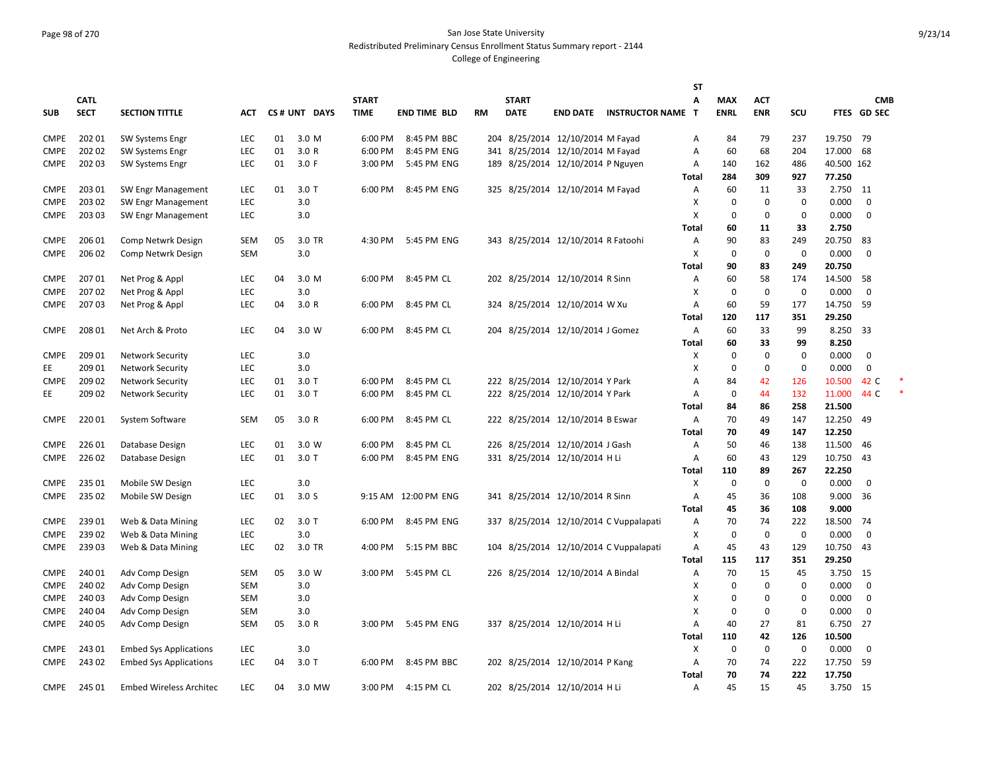## Page 98 of 270 San Jose State University Redistributed Preliminary Census Enrollment Status Summary report - 2144

|             |             |                                |            |    |                  |              |                      |     |              |                                    |                                        | ST             |             |             |             |            |             |  |
|-------------|-------------|--------------------------------|------------|----|------------------|--------------|----------------------|-----|--------------|------------------------------------|----------------------------------------|----------------|-------------|-------------|-------------|------------|-------------|--|
|             | <b>CATL</b> |                                |            |    |                  | <b>START</b> |                      |     | <b>START</b> |                                    |                                        | A              | <b>MAX</b>  | <b>ACT</b>  |             |            | <b>CMB</b>  |  |
| <b>SUB</b>  | <b>SECT</b> | <b>SECTION TITTLE</b>          | ACT        |    | CS# UNT DAYS     | <b>TIME</b>  | <b>END TIME BLD</b>  | RM  | <b>DATE</b>  | <b>END DATE</b>                    | <b>INSTRUCTOR NAME T</b>               |                | <b>ENRL</b> | <b>ENR</b>  | SCU         |            | FTES GD SEC |  |
| <b>CMPE</b> | 202 01      | <b>SW Systems Engr</b>         | <b>LEC</b> | 01 | 3.0 M            | 6:00 PM      | 8:45 PM BBC          | 204 |              | 8/25/2014 12/10/2014 M Fayad       |                                        | Α              | 84          | 79          | 237         | 19.750     | 79          |  |
| <b>CMPE</b> | 202 02      | <b>SW Systems Engr</b>         | <b>LEC</b> | 01 | 3.0 R            | 6:00 PM      | 8:45 PM ENG          |     |              | 341 8/25/2014 12/10/2014 M Fayad   |                                        | Α              | 60          | 68          | 204         | 17.000     | 68          |  |
| <b>CMPE</b> | 202 03      | SW Systems Engr                | <b>LEC</b> | 01 | 3.0 F            | 3:00 PM      | 5:45 PM ENG          |     |              | 189 8/25/2014 12/10/2014 P Nguyen  |                                        | Α              | 140         | 162         | 486         | 40.500 162 |             |  |
|             |             |                                |            |    |                  |              |                      |     |              |                                    |                                        | Total          | 284         | 309         | 927         | 77.250     |             |  |
| <b>CMPE</b> | 203 01      | SW Engr Management             | LEC        | 01 | 3.0 T            | 6:00 PM      | 8:45 PM ENG          |     |              | 325 8/25/2014 12/10/2014 M Fayad   |                                        | Α              | 60          | 11          | 33          | 2.750      | 11          |  |
| <b>CMPE</b> | 203 02      | SW Engr Management             | LEC        |    | 3.0              |              |                      |     |              |                                    |                                        | X              | $\mathbf 0$ | $\mathbf 0$ | 0           | 0.000      | 0           |  |
| <b>CMPE</b> | 203 03      | SW Engr Management             | <b>LEC</b> |    | 3.0              |              |                      |     |              |                                    |                                        | X              | 0           | $\mathbf 0$ | 0           | 0.000      | $\mathbf 0$ |  |
|             |             |                                |            |    |                  |              |                      |     |              |                                    |                                        | Total          | 60          | 11          | 33          | 2.750      |             |  |
| <b>CMPE</b> | 206 01      | Comp Netwrk Design             | SEM        | 05 | 3.0 TR           | 4:30 PM      | 5:45 PM ENG          |     |              | 343 8/25/2014 12/10/2014 R Fatoohi |                                        | Α              | 90          | 83          | 249         | 20.750     | -83         |  |
| <b>CMPE</b> | 206 02      | Comp Netwrk Design             | <b>SEM</b> |    | 3.0              |              |                      |     |              |                                    |                                        | х              | 0           | $\mathbf 0$ | 0           | 0.000      | $\mathbf 0$ |  |
|             |             |                                |            |    |                  |              |                      |     |              |                                    |                                        | Total          | 90          | 83          | 249         | 20.750     |             |  |
| <b>CMPE</b> | 207 01      | Net Prog & Appl                | <b>LEC</b> | 04 | 3.0 M            | 6:00 PM      | 8:45 PM CL           |     |              | 202 8/25/2014 12/10/2014 R Sinn    |                                        | Α              | 60          | 58          | 174         | 14.500     | 58          |  |
| <b>CMPE</b> | 20702       | Net Prog & Appl                | LEC        |    | 3.0              |              |                      |     |              |                                    |                                        | Χ              | $\mathbf 0$ | $\mathbf 0$ | $\mathbf 0$ | 0.000      | $\mathbf 0$ |  |
| CMPE        | 20703       | Net Prog & Appl                | <b>LEC</b> | 04 | 3.0 R            | 6:00 PM      | 8:45 PM CL           |     |              | 324 8/25/2014 12/10/2014 W Xu      |                                        | A              | 60          | 59          | 177         | 14.750     | 59          |  |
|             |             |                                |            |    |                  |              |                      |     |              |                                    |                                        | Total          | 120         | 117         | 351         | 29.250     |             |  |
| <b>CMPE</b> | 208 01      | Net Arch & Proto               | <b>LEC</b> | 04 | 3.0 W            | 6:00 PM      | 8:45 PM CL           |     |              | 204 8/25/2014 12/10/2014 J Gomez   |                                        | Α              | 60          | 33          | 99          | 8.250      | 33          |  |
|             |             |                                |            |    |                  |              |                      |     |              |                                    |                                        | <b>Total</b>   | 60          | 33          | 99          | 8.250      |             |  |
| <b>CMPE</b> | 209 01      | <b>Network Security</b>        | LEC        |    | 3.0              |              |                      |     |              |                                    |                                        | X              | $\Omega$    | $\mathbf 0$ | $\mathbf 0$ | 0.000      | $\mathbf 0$ |  |
| EЕ          | 209 01      | <b>Network Security</b>        | LEC        |    | 3.0              |              |                      |     |              |                                    |                                        | X              | 0           | 0           | 0           | 0.000      | $\mathbf 0$ |  |
| <b>CMPE</b> | 209 02      | <b>Network Security</b>        | LEC        | 01 | $3.0$ T          | 6:00 PM      | 8:45 PM CL           |     |              | 222 8/25/2014 12/10/2014 Y Park    |                                        | Α              | 84          | 42          | 126         | 10.500     | 42 C        |  |
| EE          | 209 02      | <b>Network Security</b>        | <b>LEC</b> | 01 | $3.0$ T          | 6:00 PM      | 8:45 PM CL           |     |              | 222 8/25/2014 12/10/2014 Y Park    |                                        | Α              | 0           | 44          | 132         | 11.000     | 44 C        |  |
|             |             |                                |            |    |                  |              |                      |     |              |                                    |                                        | Total          | 84          | 86          | 258         | 21.500     |             |  |
| <b>CMPE</b> | 22001       | System Software                | <b>SEM</b> | 05 | 3.0R             | 6:00 PM      | 8:45 PM CL           |     |              | 222 8/25/2014 12/10/2014 B Eswar   |                                        | Α              | 70          | 49          | 147         | 12.250     | 49          |  |
|             |             |                                |            |    |                  |              |                      |     |              |                                    |                                        | Total          | 70          | 49          | 147         | 12.250     |             |  |
| <b>CMPE</b> | 226 01      | Database Design                | LEC        | 01 | 3.0 W            | 6:00 PM      | 8:45 PM CL           |     |              | 226 8/25/2014 12/10/2014 J Gash    |                                        | Α              | 50          | 46          | 138         | 11.500     | 46          |  |
| <b>CMPE</b> | 226 02      | Database Design                | LEC        | 01 | $3.0$ T          | 6:00 PM      | 8:45 PM ENG          |     |              | 331 8/25/2014 12/10/2014 H Li      |                                        | Α              | 60          | 43          | 129         | 10.750     | 43          |  |
|             |             |                                |            |    |                  |              |                      |     |              |                                    |                                        | Total          | 110         | 89          | 267         | 22.250     |             |  |
| <b>CMPE</b> | 235 01      | Mobile SW Design               | LEC        |    | 3.0              |              |                      |     |              |                                    |                                        | X              | $\mathbf 0$ | $\mathbf 0$ | $\mathbf 0$ | 0.000      | $\mathbf 0$ |  |
| <b>CMPE</b> | 235 02      | Mobile SW Design               | LEC        | 01 | 3.0 <sub>S</sub> |              | 9:15 AM 12:00 PM ENG |     |              | 341 8/25/2014 12/10/2014 R Sinn    |                                        | Α              | 45          | 36          | 108         | 9.000      | 36          |  |
|             |             |                                |            |    |                  |              |                      |     |              |                                    |                                        | Total          | 45          | 36          | 108         | 9.000      |             |  |
| <b>CMPE</b> | 23901       | Web & Data Mining              | LEC        | 02 | $3.0$ T          | 6:00 PM      | 8:45 PM ENG          | 337 |              |                                    | 8/25/2014 12/10/2014 C Vuppalapati     | Α              | 70          | 74          | 222         | 18.500     | 74          |  |
| <b>CMPE</b> | 23902       | Web & Data Mining              | LEC        |    | 3.0              |              |                      |     |              |                                    |                                        | Χ              | $\mathbf 0$ | $\mathbf 0$ | $\mathbf 0$ | 0.000      | $\mathbf 0$ |  |
| CMPE        | 23903       | Web & Data Mining              | LEC        | 02 | 3.0 TR           | 4:00 PM      | 5:15 PM BBC          |     |              |                                    | 104 8/25/2014 12/10/2014 C Vuppalapati | A              | 45          | 43          | 129         | 10.750     | 43          |  |
|             |             |                                |            |    |                  |              |                      |     |              |                                    |                                        | Total          | 115         | 117         | 351         | 29.250     |             |  |
| <b>CMPE</b> | 240 01      | Adv Comp Design                | <b>SEM</b> | 05 | 3.0 W            | 3:00 PM      | 5:45 PM CL           |     |              | 226 8/25/2014 12/10/2014 A Bindal  |                                        | Α              | 70          | 15          | 45          | 3.750      | 15          |  |
| <b>CMPE</b> | 240 02      | Adv Comp Design                | <b>SEM</b> |    | 3.0              |              |                      |     |              |                                    |                                        | X              | $\mathbf 0$ | $\mathbf 0$ | 0           | 0.000      | $\mathbf 0$ |  |
| <b>CMPE</b> | 240 03      | Adv Comp Design                | <b>SEM</b> |    | 3.0              |              |                      |     |              |                                    |                                        | Χ              | $\Omega$    | 0           | 0           | 0.000      | $\mathbf 0$ |  |
| CMPE        | 240 04      | Adv Comp Design                | SEM        |    | 3.0              |              |                      |     |              |                                    |                                        | Χ              | $\mathbf 0$ | $\mathbf 0$ | $\mathbf 0$ | 0.000      | $\mathbf 0$ |  |
| CMPE        | 240 05      | Adv Comp Design                | SEM        | 05 | 3.0R             | 3:00 PM      | 5:45 PM ENG          |     |              | 337 8/25/2014 12/10/2014 H Li      |                                        | Α              | 40          | 27          | 81          | 6.750      | 27          |  |
|             |             |                                |            |    |                  |              |                      |     |              |                                    |                                        | Total          | 110         | 42          | 126         | 10.500     |             |  |
| <b>CMPE</b> | 24301       | <b>Embed Sys Applications</b>  | <b>LEC</b> |    | 3.0              |              |                      |     |              |                                    |                                        | Χ              | 0           | $\mathbf 0$ | $\Omega$    | 0.000      | $\mathbf 0$ |  |
| <b>CMPE</b> | 243 02      | <b>Embed Sys Applications</b>  | LEC        | 04 | $3.0$ T          | 6:00 PM      | 8:45 PM BBC          |     |              | 202 8/25/2014 12/10/2014 P Kang    |                                        | Α              | 70          | 74          | 222         | 17.750     | 59          |  |
|             |             |                                |            |    |                  |              |                      |     |              |                                    |                                        | Total          | 70          | 74          | 222         | 17.750     |             |  |
| <b>CMPE</b> | 245 01      | <b>Embed Wireless Architec</b> | LEC        | 04 | 3.0 MW           | 3:00 PM      | 4:15 PM CL           |     |              | 202 8/25/2014 12/10/2014 H Li      |                                        | $\overline{A}$ | 45          | 15          | 45          | 3.750      | 15          |  |
|             |             |                                |            |    |                  |              |                      |     |              |                                    |                                        |                |             |             |             |            |             |  |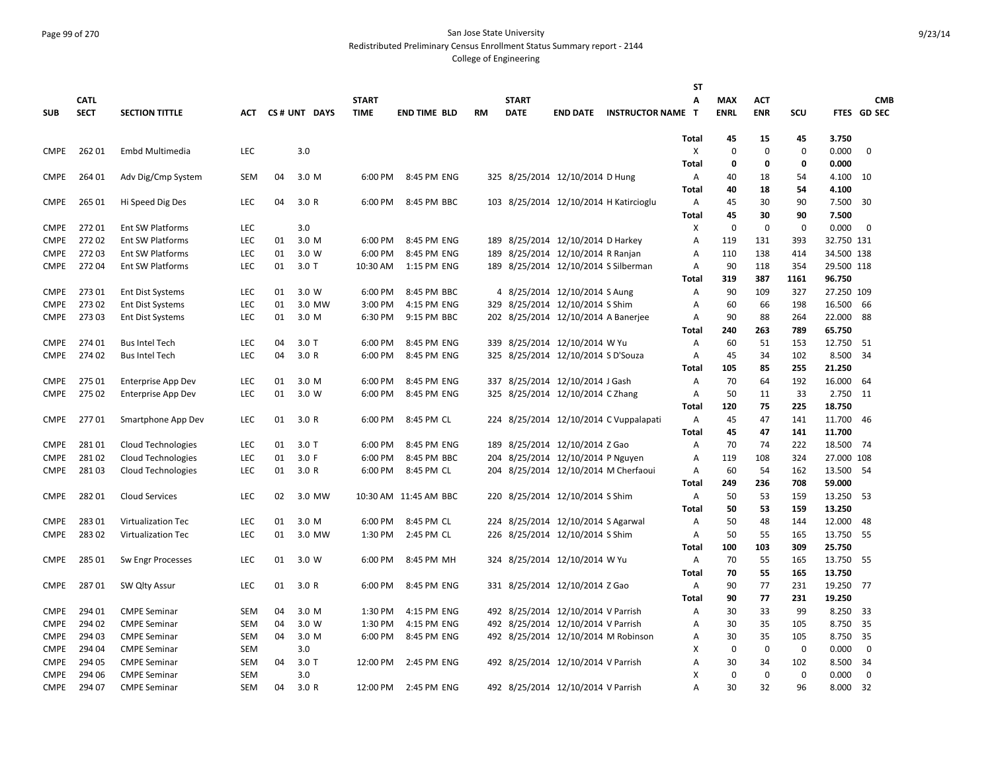#### Page 99 of 270 San Jose State University Redistributed Preliminary Census Enrollment Status Summary report - 2144

|             |             |                           |            |    |              |              |                       |           |              |                                      |                                        | <b>ST</b>    |             |             |             |            |             |
|-------------|-------------|---------------------------|------------|----|--------------|--------------|-----------------------|-----------|--------------|--------------------------------------|----------------------------------------|--------------|-------------|-------------|-------------|------------|-------------|
|             | <b>CATL</b> |                           |            |    |              | <b>START</b> |                       |           | <b>START</b> |                                      |                                        | Α            | <b>MAX</b>  | ACT         |             |            | <b>CMB</b>  |
| <b>SUB</b>  | <b>SECT</b> | <b>SECTION TITTLE</b>     | АСТ        |    | CS# UNT DAYS | <b>TIME</b>  | <b>END TIME BLD</b>   | <b>RM</b> | <b>DATE</b>  | <b>END DATE</b>                      | <b>INSTRUCTOR NAME T</b>               |              | <b>ENRL</b> | <b>ENR</b>  | SCU         |            | FTES GD SEC |
|             |             |                           |            |    |              |              |                       |           |              |                                      |                                        |              |             |             |             |            |             |
|             |             |                           |            |    |              |              |                       |           |              |                                      |                                        | Total        | 45          | 15          | 45          | 3.750      |             |
| <b>CMPE</b> | 26201       | Embd Multimedia           | <b>LEC</b> |    | 3.0          |              |                       |           |              |                                      |                                        | X            | $\mathbf 0$ | $\mathbf 0$ | $\mathbf 0$ | 0.000      | $\mathbf 0$ |
|             |             |                           |            |    |              |              |                       |           |              |                                      |                                        | Total        | 0           | 0           | 0           | 0.000      |             |
| <b>CMPE</b> | 264 01      | Adv Dig/Cmp System        | SEM        | 04 | 3.0 M        | 6:00 PM      | 8:45 PM ENG           |           |              | 325 8/25/2014 12/10/2014 D Hung      |                                        | Α            | 40          | 18          | 54          | 4.100      | 10          |
|             |             |                           |            |    |              |              |                       |           |              |                                      |                                        | Total        | 40          | 18          | 54          | 4.100      |             |
| <b>CMPE</b> | 265 01      | Hi Speed Dig Des          | LEC        | 04 | 3.0R         | 6:00 PM      | 8:45 PM BBC           |           |              |                                      | 103 8/25/2014 12/10/2014 H Katircioglu | Α            | 45          | 30          | 90          | 7.500      | 30          |
|             |             |                           |            |    |              |              |                       |           |              |                                      |                                        | <b>Total</b> | 45          | 30          | 90          | 7.500      |             |
| <b>CMPE</b> | 27201       | Ent SW Platforms          | LEC        |    | 3.0          |              |                       |           |              |                                      |                                        | X            | $\mathbf 0$ | $\mathbf 0$ | $\mathbf 0$ | 0.000      | $\mathbf 0$ |
| <b>CMPE</b> | 27202       | <b>Ent SW Platforms</b>   | LEC        | 01 | 3.0 M        | 6:00 PM      | 8:45 PM ENG           |           |              | 189 8/25/2014 12/10/2014 D Harkey    |                                        | A            | 119         | 131         | 393         | 32.750 131 |             |
| <b>CMPE</b> | 27203       | <b>Ent SW Platforms</b>   | LEC        | 01 | 3.0 W        | 6:00 PM      | 8:45 PM ENG           | 189       |              | 8/25/2014 12/10/2014 R Ranjan        |                                        | A            | 110         | 138         | 414         | 34.500 138 |             |
| <b>CMPE</b> | 27204       | Ent SW Platforms          | LEC        | 01 | 3.0T         | 10:30 AM     | 1:15 PM ENG           |           |              | 189 8/25/2014 12/10/2014 S Silberman |                                        | Α            | 90          | 118         | 354         | 29.500 118 |             |
|             |             |                           |            |    |              |              |                       |           |              |                                      |                                        | Total        | 319         | 387         | 1161        | 96.750     |             |
| <b>CMPE</b> | 27301       | <b>Ent Dist Systems</b>   | LEC        | 01 | 3.0 W        | 6:00 PM      | 8:45 PM BBC           |           |              | 4 8/25/2014 12/10/2014 S Aung        |                                        | A            | 90          | 109         | 327         | 27.250 109 |             |
| <b>CMPE</b> | 27302       | <b>Ent Dist Systems</b>   | LEC        | 01 | 3.0 MW       | 3:00 PM      | 4:15 PM ENG           |           |              | 329 8/25/2014 12/10/2014 S Shim      |                                        | A            | 60          | 66          | 198         | 16.500     | 66          |
| <b>CMPE</b> | 27303       | <b>Ent Dist Systems</b>   | LEC        | 01 | 3.0 M        | 6:30 PM      | 9:15 PM BBC           |           |              | 202 8/25/2014 12/10/2014 A Banerjee  |                                        | A            | 90          | 88          | 264         | 22.000     | 88          |
|             |             |                           |            |    |              |              |                       |           |              |                                      |                                        | Total        | 240         | 263         | 789         | 65.750     |             |
| <b>CMPE</b> | 274 01      | <b>Bus Intel Tech</b>     | LEC        | 04 | 3.0T         | 6:00 PM      | 8:45 PM ENG           |           |              | 339 8/25/2014 12/10/2014 W Yu        |                                        | A            | 60          | 51          | 153         | 12.750     | -51         |
| <b>CMPE</b> | 274 02      | <b>Bus Intel Tech</b>     | LEC        | 04 | 3.0R         | 6:00 PM      | 8:45 PM ENG           |           |              | 325 8/25/2014 12/10/2014 S D'Souza   |                                        | Α            | 45          | 34          | 102         | 8.500      | 34          |
|             |             |                           |            |    |              |              |                       |           |              |                                      |                                        | Total        | 105         | 85          | 255         | 21.250     |             |
| <b>CMPE</b> | 275 01      | <b>Enterprise App Dev</b> | LEC        | 01 | 3.0 M        | 6:00 PM      | 8:45 PM ENG           |           |              | 337 8/25/2014 12/10/2014 J Gash      |                                        | Α            | 70          | 64          | 192         | 16.000     | 64          |
| <b>CMPE</b> | 275 02      | <b>Enterprise App Dev</b> | LEC        | 01 | 3.0 W        | 6:00 PM      | 8:45 PM ENG           |           |              | 325 8/25/2014 12/10/2014 C Zhang     |                                        | A            | 50          | 11          | 33          | 2.750      | 11          |
|             |             |                           |            |    |              |              |                       |           |              |                                      |                                        | Total        | 120         | 75          | 225         | 18.750     |             |
| <b>CMPE</b> | 27701       | Smartphone App Dev        | LEC        | 01 | 3.0R         | 6:00 PM      | 8:45 PM CL            |           |              |                                      | 224 8/25/2014 12/10/2014 C Vuppalapati | Α            | 45          | 47          | 141         | 11.700     | -46         |
|             |             |                           |            |    |              |              |                       |           |              |                                      |                                        | <b>Total</b> | 45          | 47          | 141         | 11.700     |             |
| <b>CMPE</b> | 28101       | <b>Cloud Technologies</b> | LEC        | 01 | $3.0$ T      | 6:00 PM      | 8:45 PM ENG           |           |              | 189 8/25/2014 12/10/2014 Z Gao       |                                        | Α            | 70          | 74          | 222         | 18.500     | - 74        |
| <b>CMPE</b> | 28102       | Cloud Technologies        | LEC        | 01 | 3.0 F        | 6:00 PM      | 8:45 PM BBC           |           |              | 204 8/25/2014 12/10/2014 P Nguyen    |                                        | Α            | 119         | 108         | 324         | 27.000 108 |             |
| <b>CMPE</b> | 28103       | Cloud Technologies        | <b>LEC</b> | 01 | 3.0R         | 6:00 PM      | 8:45 PM CL            |           |              |                                      | 204 8/25/2014 12/10/2014 M Cherfaoui   | A            | 60          | 54          | 162         | 13.500     | -54         |
|             |             |                           |            |    |              |              |                       |           |              |                                      |                                        | Total        | 249         | 236         | 708         | 59.000     |             |
| <b>CMPE</b> | 28201       | Cloud Services            | LEC        | 02 | 3.0 MW       |              | 10:30 AM 11:45 AM BBC |           |              | 220 8/25/2014 12/10/2014 S Shim      |                                        | Α            | 50          | 53          | 159         | 13.250     | 53          |
|             |             |                           |            |    |              |              |                       |           |              |                                      |                                        | Total        | 50          | 53          | 159         | 13.250     |             |
| <b>CMPE</b> | 28301       | <b>Virtualization Tec</b> | LEC        | 01 | 3.0 M        | 6:00 PM      | 8:45 PM CL            |           |              | 224 8/25/2014 12/10/2014 S Agarwal   |                                        | A            | 50          | 48          | 144         | 12.000     | 48          |
| <b>CMPE</b> | 28302       | <b>Virtualization Tec</b> | LEC        | 01 | 3.0 MW       | 1:30 PM      | 2:45 PM CL            |           |              | 226 8/25/2014 12/10/2014 S Shim      |                                        | Α            | 50          | 55          | 165         | 13.750     | 55          |
|             |             |                           |            |    |              |              |                       |           |              |                                      |                                        | Total        | 100         | 103         | 309         | 25.750     |             |
| <b>CMPE</b> | 285 01      | Sw Engr Processes         | LEC        | 01 | 3.0 W        | 6:00 PM      | 8:45 PM MH            |           |              | 324 8/25/2014 12/10/2014 W Yu        |                                        | Α            | 70          | 55          | 165         | 13.750     | - 55        |
|             |             |                           |            |    |              |              |                       |           |              |                                      |                                        | <b>Total</b> | 70          | 55          | 165         | 13.750     |             |
| <b>CMPE</b> | 28701       | SW Qlty Assur             | LEC        | 01 | 3.0R         | 6:00 PM      | 8:45 PM ENG           |           |              | 331 8/25/2014 12/10/2014 Z Gao       |                                        | Α            | 90          | 77          | 231         | 19.250     | -77         |
|             |             |                           |            |    |              |              |                       |           |              |                                      |                                        | Total        | 90          | 77          | 231         | 19.250     |             |
| <b>CMPE</b> | 294 01      | <b>CMPE Seminar</b>       | <b>SEM</b> | 04 | 3.0 M        | 1:30 PM      | 4:15 PM ENG           |           |              | 492 8/25/2014 12/10/2014 V Parrish   |                                        | Α            | 30          | 33          | 99          | 8.250      | -33         |
| <b>CMPE</b> | 294 02      | <b>CMPE Seminar</b>       | SEM        | 04 | 3.0 W        | 1:30 PM      | 4:15 PM ENG           |           |              | 492 8/25/2014 12/10/2014 V Parrish   |                                        | A            | 30          | 35          | 105         | 8.750      | 35          |
| <b>CMPE</b> | 294 03      | <b>CMPE Seminar</b>       | SEM        | 04 | 3.0 M        | 6:00 PM      | 8:45 PM ENG           |           |              |                                      | 492 8/25/2014 12/10/2014 M Robinson    | Α            | 30          | 35          | 105         | 8.750      | 35          |
| <b>CMPE</b> | 294 04      | <b>CMPE Seminar</b>       | SEM        |    | 3.0          |              |                       |           |              |                                      |                                        | x            | $\mathbf 0$ | 0           | 0           | 0.000      | $\mathbf 0$ |
| <b>CMPE</b> | 294 05      | <b>CMPE Seminar</b>       | <b>SEM</b> | 04 | $3.0$ T      | 12:00 PM     | 2:45 PM ENG           |           |              | 492 8/25/2014 12/10/2014 V Parrish   |                                        | A            | 30          | 34          | 102         | 8.500      | 34          |
| <b>CMPE</b> | 294 06      | <b>CMPE Seminar</b>       | <b>SEM</b> |    | 3.0          |              |                       |           |              |                                      |                                        | X            | $\mathbf 0$ | $\mathbf 0$ | $\mathbf 0$ | 0.000      | $\mathbf 0$ |
| <b>CMPE</b> | 294 07      | <b>CMPE Seminar</b>       | SEM        | 04 | 3.0R         | 12:00 PM     | 2:45 PM ENG           |           |              | 492 8/25/2014 12/10/2014 V Parrish   |                                        | A            | 30          | 32          | 96          | 8.000      | 32          |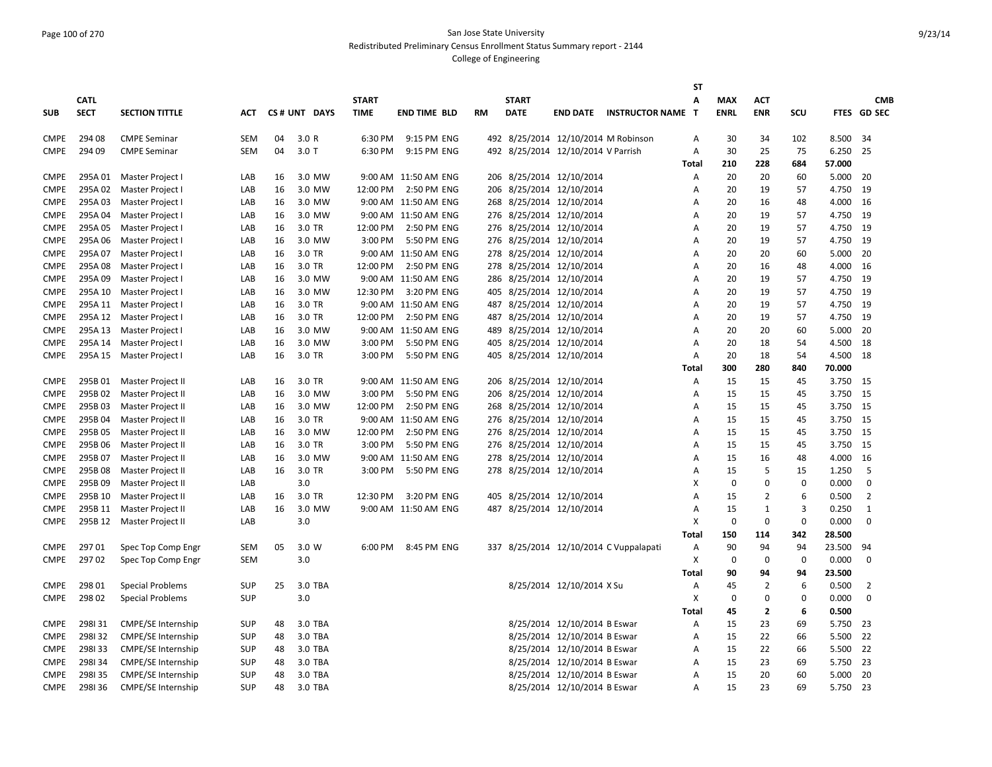### Page 100 of 270 San Jose State University Redistributed Preliminary Census Enrollment Status Summary report - 2144

|             |             |                           |            |    |              |              |                      |           |              |                                    |                                        | <b>ST</b> |             |                |             |        |                |
|-------------|-------------|---------------------------|------------|----|--------------|--------------|----------------------|-----------|--------------|------------------------------------|----------------------------------------|-----------|-------------|----------------|-------------|--------|----------------|
|             | <b>CATL</b> |                           |            |    |              | <b>START</b> |                      |           | <b>START</b> |                                    |                                        | Α         | <b>MAX</b>  | <b>ACT</b>     |             |        | <b>CMB</b>     |
| <b>SUB</b>  | <b>SECT</b> | <b>SECTION TITTLE</b>     | ACT        |    | CS# UNT DAYS | <b>TIME</b>  | <b>END TIME BLD</b>  | <b>RM</b> | <b>DATE</b>  |                                    | <b>END DATE INSTRUCTOR NAME</b>        | ா         | <b>ENRL</b> | <b>ENR</b>     | SCU         |        | FTES GD SEC    |
|             |             |                           |            |    |              |              |                      |           |              |                                    |                                        |           |             |                |             |        |                |
| <b>CMPE</b> | 294 08      | <b>CMPE Seminar</b>       | <b>SEM</b> | 04 | 3.0 R        | 6:30 PM      | 9:15 PM ENG          |           |              |                                    | 492 8/25/2014 12/10/2014 M Robinson    | Α         | 30          | 34             | 102         | 8.500  | 34             |
| <b>CMPE</b> | 294 09      | <b>CMPE Seminar</b>       | SEM        | 04 | 3.0T         | 6:30 PM      | 9:15 PM ENG          |           |              | 492 8/25/2014 12/10/2014 V Parrish |                                        | A         | 30          | 25             | 75          | 6.250  | 25             |
|             |             |                           |            |    |              |              |                      |           |              |                                    |                                        | Total     | 210         | 228            | 684         | 57.000 |                |
| <b>CMPE</b> | 295A 01     | Master Project I          | LAB        | 16 | 3.0 MW       |              | 9:00 AM 11:50 AM ENG |           |              | 206 8/25/2014 12/10/2014           |                                        | Α         | 20          | 20             | 60          | 5.000  | -20            |
| <b>CMPE</b> | 295A 02     | Master Project I          | LAB        | 16 | 3.0 MW       | 12:00 PM     | 2:50 PM ENG          | 206       |              | 8/25/2014 12/10/2014               |                                        | Α         | 20          | 19             | 57          | 4.750  | 19             |
| <b>CMPE</b> | 295A03      | Master Project I          | LAB        | 16 | 3.0 MW       |              | 9:00 AM 11:50 AM ENG | 268       |              | 8/25/2014 12/10/2014               |                                        | A         | 20          | 16             | 48          | 4.000  | 16             |
| <b>CMPE</b> | 295A 04     | Master Project I          | LAB        | 16 | 3.0 MW       |              | 9:00 AM 11:50 AM ENG |           |              | 276 8/25/2014 12/10/2014           |                                        | Α         | 20          | 19             | 57          | 4.750  | 19             |
| <b>CMPE</b> | 295A 05     | Master Project I          | LAB        | 16 | 3.0 TR       | 12:00 PM     | 2:50 PM ENG          | 276       |              | 8/25/2014 12/10/2014               |                                        | Α         | 20          | 19             | 57          | 4.750  | 19             |
| <b>CMPE</b> | 295A06      | Master Project I          | LAB        | 16 | 3.0 MW       | 3:00 PM      | 5:50 PM ENG          |           |              | 276 8/25/2014 12/10/2014           |                                        | A         | 20          | 19             | 57          | 4.750  | 19             |
| <b>CMPE</b> | 295A07      | Master Project I          | LAB        | 16 | 3.0 TR       |              | 9:00 AM 11:50 AM ENG | 278       |              | 8/25/2014 12/10/2014               |                                        | A         | 20          | 20             | 60          | 5.000  | -20            |
| <b>CMPE</b> | 295A08      | Master Project I          | LAB        | 16 | 3.0 TR       | 12:00 PM     | 2:50 PM ENG          |           |              | 278 8/25/2014 12/10/2014           |                                        | A         | 20          | 16             | 48          | 4.000  | 16             |
| <b>CMPE</b> | 295A09      | Master Project I          | LAB        | 16 | 3.0 MW       |              | 9:00 AM 11:50 AM ENG | 286       |              | 8/25/2014 12/10/2014               |                                        | Α         | 20          | 19             | 57          | 4.750  | 19             |
| <b>CMPE</b> | 295A 10     | Master Project I          | LAB        | 16 | 3.0 MW       | 12:30 PM     | 3:20 PM ENG          |           |              | 405 8/25/2014 12/10/2014           |                                        | Α         | 20          | 19             | 57          | 4.750  | 19             |
| <b>CMPE</b> | 295A 11     | Master Project I          | LAB        | 16 | 3.0 TR       |              | 9:00 AM 11:50 AM ENG |           |              | 487 8/25/2014 12/10/2014           |                                        | A         | 20          | 19             | 57          | 4.750  | 19             |
| <b>CMPE</b> | 295A 12     | Master Project I          | LAB        | 16 | 3.0 TR       | 12:00 PM     | 2:50 PM ENG          | 487       |              | 8/25/2014 12/10/2014               |                                        | А         | 20          | 19             | 57          | 4.750  | 19             |
| <b>CMPE</b> | 295A 13     | Master Project I          | LAB        | 16 | 3.0 MW       |              | 9:00 AM 11:50 AM ENG | 489       |              | 8/25/2014 12/10/2014               |                                        | A         | 20          | 20             | 60          | 5.000  | -20            |
| <b>CMPE</b> | 295A 14     | Master Project I          | LAB        | 16 | 3.0 MW       | 3:00 PM      | 5:50 PM ENG          | 405       |              | 8/25/2014 12/10/2014               |                                        | А         | 20          | 18             | 54          | 4.500  | 18             |
| <b>CMPE</b> | 295A 15     | Master Project I          | LAB        | 16 | 3.0 TR       | 3:00 PM      | 5:50 PM ENG          |           |              | 405 8/25/2014 12/10/2014           |                                        | Α         | 20          | 18             | 54          | 4.500  | 18             |
|             |             |                           |            |    |              |              |                      |           |              |                                    |                                        | Total     | 300         | 280            | 840         | 70.000 |                |
| <b>CMPE</b> | 295B01      | Master Project II         | LAB        | 16 | 3.0 TR       |              | 9:00 AM 11:50 AM ENG |           |              | 206 8/25/2014 12/10/2014           |                                        | Α         | 15          | 15             | 45          | 3.750  | -15            |
|             |             |                           |            |    |              |              | 5:50 PM ENG          |           |              |                                    |                                        |           |             |                |             |        | 15             |
| <b>CMPE</b> | 295B 02     | Master Project II         | LAB        | 16 | 3.0 MW       | 3:00 PM      |                      | 206       |              | 8/25/2014 12/10/2014               |                                        | Α         | 15          | 15             | 45          | 3.750  |                |
| <b>CMPE</b> | 295B03      | Master Project II         | LAB        | 16 | 3.0 MW       | 12:00 PM     | 2:50 PM ENG          | 268       |              | 8/25/2014 12/10/2014               |                                        | Α         | 15          | 15             | 45          | 3.750  | -15            |
| <b>CMPE</b> | 295B 04     | Master Project II         | LAB        | 16 | 3.0 TR       |              | 9:00 AM 11:50 AM ENG |           |              | 276 8/25/2014 12/10/2014           |                                        | Α         | 15          | 15             | 45          | 3.750  | 15             |
| <b>CMPE</b> | 295B05      | Master Project II         | LAB        | 16 | 3.0 MW       | 12:00 PM     | 2:50 PM ENG          |           |              | 276 8/25/2014 12/10/2014           |                                        | A         | 15          | 15             | 45          | 3.750  | 15             |
| <b>CMPE</b> | 295B 06     | Master Project II         | LAB        | 16 | 3.0 TR       | 3:00 PM      | 5:50 PM ENG          |           |              | 276 8/25/2014 12/10/2014           |                                        | Α         | 15          | 15             | 45          | 3.750  | 15             |
| <b>CMPE</b> | 295B07      | Master Project II         | LAB        | 16 | 3.0 MW       |              | 9:00 AM 11:50 AM ENG |           |              | 278 8/25/2014 12/10/2014           |                                        | А         | 15          | 16             | 48          | 4.000  | 16             |
| <b>CMPE</b> | 295B08      | Master Project II         | LAB        | 16 | 3.0 TR       | 3:00 PM      | 5:50 PM ENG          |           |              | 278 8/25/2014 12/10/2014           |                                        | A         | 15          | 5              | 15          | 1.250  | 5              |
| <b>CMPE</b> | 295B09      | Master Project II         | LAB        |    | 3.0          |              |                      |           |              |                                    |                                        | X         | $\mathbf 0$ | $\mathbf 0$    | $\mathbf 0$ | 0.000  | $\mathbf 0$    |
| <b>CMPE</b> | 295B 10     | Master Project II         | LAB        | 16 | 3.0 TR       | 12:30 PM     | 3:20 PM ENG          | 405       |              | 8/25/2014 12/10/2014               |                                        | A         | 15          | $\overline{2}$ | 6           | 0.500  | $\overline{2}$ |
| <b>CMPE</b> | 295B 11     | Master Project II         | LAB        | 16 | 3.0 MW       |              | 9:00 AM 11:50 AM ENG |           |              | 487 8/25/2014 12/10/2014           |                                        | А         | 15          | $\mathbf{1}$   | 3           | 0.250  | 1              |
| <b>CMPE</b> | 295B 12     | Master Project II         | LAB        |    | 3.0          |              |                      |           |              |                                    |                                        | х         | $\mathbf 0$ | $\mathbf 0$    | $\pmb{0}$   | 0.000  | 0              |
|             |             |                           |            |    |              |              |                      |           |              |                                    |                                        | Total     | 150         | 114            | 342         | 28.500 |                |
| CMPE        | 29701       | Spec Top Comp Engr        | SEM        | 05 | 3.0 W        | 6:00 PM      | 8:45 PM ENG          |           |              |                                    | 337 8/25/2014 12/10/2014 C Vuppalapati | Α         | 90          | 94             | 94          | 23.500 | 94             |
| <b>CMPE</b> | 29702       | Spec Top Comp Engr        | SEM        |    | 3.0          |              |                      |           |              |                                    |                                        | х         | 0           | 0              | $\mathbf 0$ | 0.000  | $\mathbf 0$    |
|             |             |                           |            |    |              |              |                      |           |              |                                    |                                        | Total     | 90          | 94             | 94          | 23.500 |                |
| <b>CMPE</b> | 298 01      | <b>Special Problems</b>   | <b>SUP</b> | 25 | 3.0 TBA      |              |                      |           |              | 8/25/2014 12/10/2014 X Su          |                                        | А         | 45          | $\overline{2}$ | 6           | 0.500  | 2              |
| <b>CMPE</b> | 298 02      | <b>Special Problems</b>   | SUP        |    | 3.0          |              |                      |           |              |                                    |                                        | X         | $\mathbf 0$ | $\mathbf 0$    | $\mathbf 0$ | 0.000  | $\mathbf 0$    |
|             |             |                           |            |    |              |              |                      |           |              |                                    |                                        | Total     | 45          | $\overline{2}$ | 6           | 0.500  |                |
| <b>CMPE</b> | 298131      | <b>CMPE/SE Internship</b> | <b>SUP</b> | 48 | 3.0 TBA      |              |                      |           |              | 8/25/2014 12/10/2014 B Eswar       |                                        | Α         | 15          | 23             | 69          | 5.750  | 23             |
| <b>CMPE</b> | 298132      | <b>CMPE/SE Internship</b> | <b>SUP</b> | 48 | 3.0 TBA      |              |                      |           |              | 8/25/2014 12/10/2014 B Eswar       |                                        | Α         | 15          | 22             | 66          | 5.500  | 22             |
| <b>CMPE</b> | 298133      | <b>CMPE/SE Internship</b> | <b>SUP</b> | 48 | 3.0 TBA      |              |                      |           |              | 8/25/2014 12/10/2014 B Eswar       |                                        | А         | 15          | 22             | 66          | 5.500  | 22             |
| <b>CMPE</b> | 298134      | <b>CMPE/SE Internship</b> | <b>SUP</b> | 48 | 3.0 TBA      |              |                      |           |              | 8/25/2014 12/10/2014 B Eswar       |                                        | Α         | 15          | 23             | 69          | 5.750  | 23             |
| <b>CMPE</b> | 298135      | <b>CMPE/SE Internship</b> | SUP        | 48 | 3.0 TBA      |              |                      |           |              | 8/25/2014 12/10/2014 B Eswar       |                                        | Α         | 15          | 20             | 60          | 5.000  | 20             |
| <b>CMPE</b> | 298136      | <b>CMPE/SE Internship</b> | <b>SUP</b> | 48 | 3.0 TBA      |              |                      |           |              | 8/25/2014 12/10/2014 B Eswar       |                                        | A         | 15          | 23             | 69          | 5.750  | 23             |
|             |             |                           |            |    |              |              |                      |           |              |                                    |                                        |           |             |                |             |        |                |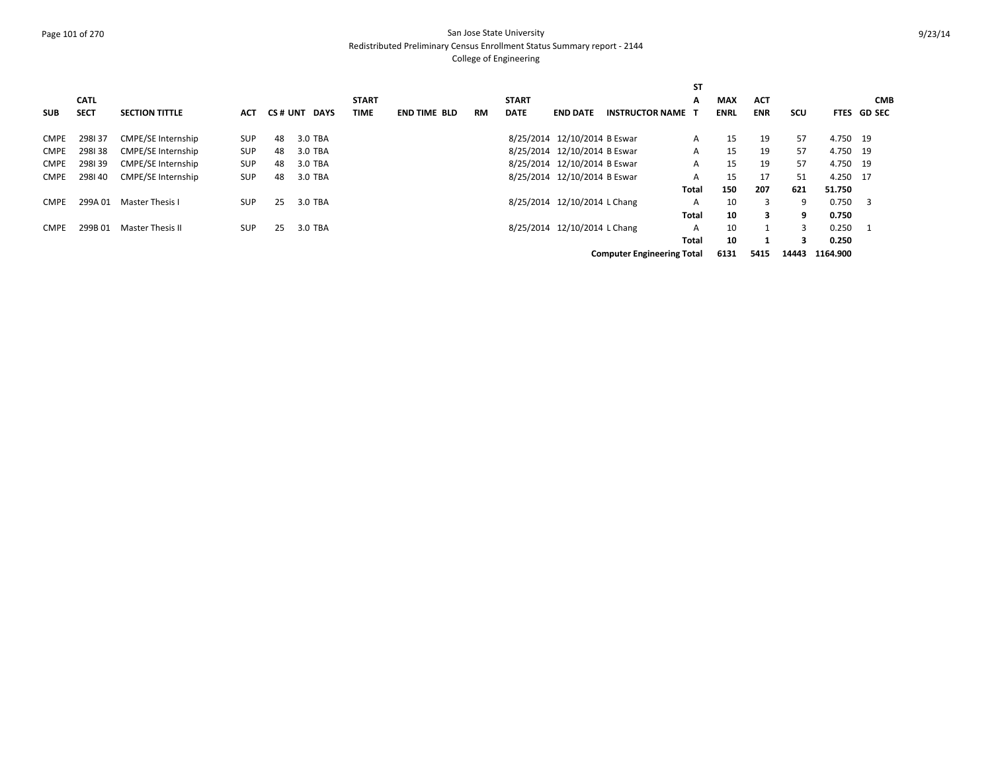## Page 101 of 270 San Jose State University Redistributed Preliminary Census Enrollment Status Summary report - 2144

|             |             |                           |            |    |              |              |                     |    |              |                              |                                   | ST    |             |            |            |          |             |
|-------------|-------------|---------------------------|------------|----|--------------|--------------|---------------------|----|--------------|------------------------------|-----------------------------------|-------|-------------|------------|------------|----------|-------------|
|             | <b>CATL</b> |                           |            |    |              | <b>START</b> |                     |    | <b>START</b> |                              |                                   | A     | <b>MAX</b>  | <b>ACT</b> |            |          | <b>CMB</b>  |
| <b>SUB</b>  | <b>SECT</b> | <b>SECTION TITTLE</b>     | <b>ACT</b> |    | CS# UNT DAYS | <b>TIME</b>  | <b>END TIME BLD</b> | RM | <b>DATE</b>  | <b>END DATE</b>              | <b>INSTRUCTOR NAME</b>            |       | <b>ENRL</b> | <b>ENR</b> | <b>SCU</b> |          | FTES GD SEC |
| <b>CMPE</b> | 298137      | CMPE/SE Internship        | <b>SUP</b> | 48 | 3.0 TBA      |              |                     |    |              | 8/25/2014 12/10/2014 B Eswar |                                   | A     | 15          | 19         | 57         | 4.750 19 |             |
| <b>CMPE</b> | 298138      | <b>CMPE/SE Internship</b> | <b>SUP</b> | 48 | 3.0 TBA      |              |                     |    |              | 8/25/2014 12/10/2014 B Eswar |                                   | A     | 15          | 19         | 57         | 4.750 19 |             |
| <b>CMPE</b> | 298139      | <b>CMPE/SE Internship</b> | <b>SUP</b> | 48 | 3.0 TBA      |              |                     |    |              | 8/25/2014 12/10/2014 B Eswar |                                   | A     | 15          | 19         | 57         | 4.750 19 |             |
| <b>CMPE</b> | 298140      | <b>CMPE/SE Internship</b> | <b>SUP</b> | 48 | 3.0 TBA      |              |                     |    |              | 8/25/2014 12/10/2014 B Eswar |                                   | A     | 15          | 17         | 51         | 4.250 17 |             |
|             |             |                           |            |    |              |              |                     |    |              |                              |                                   | Total | 150         | 207        | 621        | 51.750   |             |
| <b>CMPE</b> | 299A 01     | Master Thesis I           | <b>SUP</b> | 25 | 3.0 TBA      |              |                     |    |              | 8/25/2014 12/10/2014 L Chang |                                   | A     | 10          | 3          | 9          | 0.750    | - 3         |
|             |             |                           |            |    |              |              |                     |    |              |                              |                                   | Total | 10          | 3          | 9          | 0.750    |             |
| <b>CMPE</b> | 299B 01     | Master Thesis II          | <b>SUP</b> | 25 | 3.0 TBA      |              |                     |    |              | 8/25/2014 12/10/2014 L Chang |                                   | A     | 10          |            | 3          | 0.250    |             |
|             |             |                           |            |    |              |              |                     |    |              |                              |                                   | Total | 10          |            | 3          | 0.250    |             |
|             |             |                           |            |    |              |              |                     |    |              |                              | <b>Computer Engineering Total</b> |       | 6131        | 5415       | 14443      | 1164.900 |             |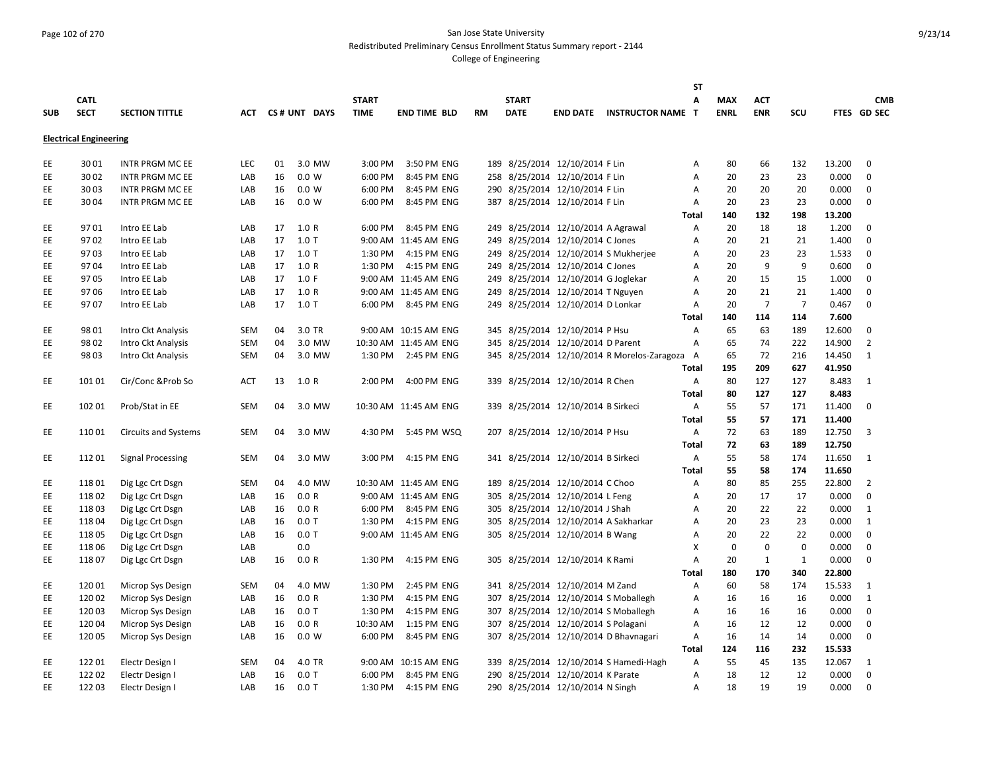# Page 102 of 270 San Jose State University Redistributed Preliminary Census Enrollment Status Summary report - 2144

|            |                               |                             |            |    |              |              |                       |           |              |                                     |                                             | <b>ST</b>    |             |                |                |        |                |
|------------|-------------------------------|-----------------------------|------------|----|--------------|--------------|-----------------------|-----------|--------------|-------------------------------------|---------------------------------------------|--------------|-------------|----------------|----------------|--------|----------------|
|            | <b>CATL</b>                   |                             |            |    |              | <b>START</b> |                       |           | <b>START</b> |                                     |                                             | A            | <b>MAX</b>  | <b>ACT</b>     |                |        | <b>CMB</b>     |
| <b>SUB</b> | <b>SECT</b>                   | <b>SECTION TITTLE</b>       | <b>ACT</b> |    | CS# UNT DAYS | <b>TIME</b>  | <b>END TIME BLD</b>   | <b>RM</b> | <b>DATE</b>  | <b>END DATE</b>                     | <b>INSTRUCTOR NAME T</b>                    |              | <b>ENRL</b> | <b>ENR</b>     | <b>SCU</b>     |        | FTES GD SEC    |
|            |                               |                             |            |    |              |              |                       |           |              |                                     |                                             |              |             |                |                |        |                |
|            | <b>Electrical Engineering</b> |                             |            |    |              |              |                       |           |              |                                     |                                             |              |             |                |                |        |                |
| EE         | 3001                          | <b>INTR PRGM MC EE</b>      | LEC        | 01 | 3.0 MW       | 3:00 PM      | 3:50 PM ENG           |           |              | 189 8/25/2014 12/10/2014 F Lin      |                                             | Α            | 80          | 66             | 132            | 13.200 | $\mathbf 0$    |
| EE         | 3002                          | <b>INTR PRGM MC EE</b>      | LAB        | 16 | 0.0 W        | 6:00 PM      | 8:45 PM ENG           |           |              | 258 8/25/2014 12/10/2014 F Lin      |                                             | A            | 20          | 23             | 23             | 0.000  | $\mathbf 0$    |
| EE         | 3003                          | <b>INTR PRGM MC EE</b>      | LAB        | 16 | 0.0 W        | 6:00 PM      | 8:45 PM ENG           |           |              | 290 8/25/2014 12/10/2014 F Lin      |                                             | A            | 20          | 20             | 20             | 0.000  | $\mathbf 0$    |
| EE         | 3004                          | <b>INTR PRGM MC EE</b>      | LAB        | 16 | 0.0 W        | 6:00 PM      | 8:45 PM ENG           |           |              | 387 8/25/2014 12/10/2014 F Lin      |                                             | A            | 20          | 23             | 23             | 0.000  | $\mathbf 0$    |
|            |                               |                             |            |    |              |              |                       |           |              |                                     |                                             | Total        | 140         | 132            | 198            | 13.200 |                |
| EE         | 9701                          | Intro EE Lab                | LAB        | 17 | 1.0 R        | 6:00 PM      | 8:45 PM ENG           |           |              | 249 8/25/2014 12/10/2014 A Agrawal  |                                             | Α            | 20          | 18             | 18             | 1.200  | 0              |
| EE         | 9702                          | Intro EE Lab                | LAB        | 17 | $1.0$ T      |              | 9:00 AM 11:45 AM ENG  |           |              | 249 8/25/2014 12/10/2014 C Jones    |                                             | A            | 20          | 21             | 21             | 1.400  | $\mathbf 0$    |
| EE         | 9703                          | Intro EE Lab                | LAB        | 17 | $1.0$ T      | 1:30 PM      | 4:15 PM ENG           |           |              |                                     | 249 8/25/2014 12/10/2014 S Mukherjee        | A            | 20          | 23             | 23             | 1.533  | 0              |
| EE         | 9704                          | Intro EE Lab                | LAB        | 17 | 1.0 R        | 1:30 PM      | 4:15 PM ENG           |           |              | 249 8/25/2014 12/10/2014 C Jones    |                                             | A            | 20          | 9              | 9              | 0.600  | $\mathbf 0$    |
| EE         | 9705                          |                             | LAB        | 17 | 1.0 F        |              | 9:00 AM 11:45 AM ENG  |           |              |                                     |                                             |              | 20          | 15             | 15             | 1.000  | $\mathbf 0$    |
|            |                               | Intro EE Lab                |            |    |              |              |                       |           |              | 249 8/25/2014 12/10/2014 G Joglekar |                                             | A            |             |                |                |        |                |
| EE         | 9706                          | Intro EE Lab                | LAB        | 17 | 1.0 R        |              | 9:00 AM 11:45 AM ENG  |           |              | 249 8/25/2014 12/10/2014 T Nguyen   |                                             | A            | 20          | 21             | 21             | 1.400  | $\mathbf 0$    |
| EE.        | 9707                          | Intro EE Lab                | LAB        | 17 | $1.0$ T      | 6:00 PM      | 8:45 PM ENG           |           |              | 249 8/25/2014 12/10/2014 D Lonkar   |                                             | Α            | 20          | $\overline{7}$ | $\overline{7}$ | 0.467  | $\mathbf 0$    |
|            |                               |                             |            |    |              |              |                       |           |              |                                     |                                             | Total        | 140         | 114            | 114            | 7.600  |                |
| EE         | 9801                          | Intro Ckt Analysis          | <b>SEM</b> | 04 | 3.0 TR       |              | 9:00 AM 10:15 AM ENG  |           |              | 345 8/25/2014 12/10/2014 P Hsu      |                                             | A            | 65          | 63             | 189            | 12.600 | $\mathbf 0$    |
| EE         | 9802                          | Intro Ckt Analysis          | <b>SEM</b> | 04 | 3.0 MW       |              | 10:30 AM 11:45 AM ENG |           |              | 345 8/25/2014 12/10/2014 D Parent   |                                             | A            | 65          | 74             | 222            | 14.900 | $\overline{2}$ |
| EE         | 98 03                         | Intro Ckt Analysis          | SEM        | 04 | 3.0 MW       |              | 1:30 PM 2:45 PM ENG   |           |              |                                     | 345 8/25/2014 12/10/2014 R Morelos-Zaragoza | A            | 65          | 72             | 216            | 14.450 | 1              |
|            |                               |                             |            |    |              |              |                       |           |              |                                     |                                             | Total        | 195         | 209            | 627            | 41.950 |                |
| EE         | 101 01                        | Cir/Conc & Prob So          | <b>ACT</b> | 13 | 1.0 R        | 2:00 PM      | 4:00 PM ENG           |           |              | 339 8/25/2014 12/10/2014 R Chen     |                                             | Α            | 80          | 127            | 127            | 8.483  | 1              |
|            |                               |                             |            |    |              |              |                       |           |              |                                     |                                             | <b>Total</b> | 80          | 127            | 127            | 8.483  |                |
| EE         | 102 01                        | Prob/Stat in EE             | SEM        | 04 | 3.0 MW       |              | 10:30 AM 11:45 AM ENG |           |              | 339 8/25/2014 12/10/2014 B Sirkeci  |                                             | Α            | 55          | 57             | 171            | 11.400 | 0              |
|            |                               |                             |            |    |              |              |                       |           |              |                                     |                                             | Total        | 55          | 57             | 171            | 11.400 |                |
| EE         | 11001                         | <b>Circuits and Systems</b> | <b>SEM</b> | 04 | 3.0 MW       | 4:30 PM      | 5:45 PM WSQ           |           |              | 207 8/25/2014 12/10/2014 P Hsu      |                                             | A            | 72          | 63             | 189            | 12.750 | 3              |
|            |                               |                             |            |    |              |              |                       |           |              |                                     |                                             | Total        | 72          | 63             | 189            | 12.750 |                |
| EE         | 11201                         | <b>Signal Processing</b>    | <b>SEM</b> | 04 | 3.0 MW       | 3:00 PM      | 4:15 PM ENG           |           |              | 341 8/25/2014 12/10/2014 B Sirkeci  |                                             | A            | 55          | 58             | 174            | 11.650 | 1              |
|            |                               |                             |            |    |              |              |                       |           |              |                                     |                                             | Total        | 55          | 58             | 174            | 11.650 |                |
| EE.        | 11801                         | Dig Lgc Crt Dsgn            | SEM        | 04 | 4.0 MW       |              | 10:30 AM 11:45 AM ENG |           |              | 189 8/25/2014 12/10/2014 C Choo     |                                             | Α            | 80          | 85             | 255            | 22.800 | 2              |
| EE         | 11802                         | Dig Lgc Crt Dsgn            | LAB        | 16 | 0.0 R        |              | 9:00 AM 11:45 AM ENG  | 305       |              | 8/25/2014 12/10/2014 L Feng         |                                             | Α            | 20          | 17             | 17             | 0.000  | 0              |
| EE         | 11803                         | Dig Lgc Crt Dsgn            | LAB        | 16 | 0.0 R        | 6:00 PM      | 8:45 PM ENG           |           |              | 305 8/25/2014 12/10/2014 J Shah     |                                             | Α            | 20          | 22             | 22             | 0.000  | 1              |
| EE         | 11804                         | Dig Lgc Crt Dsgn            | LAB        | 16 | 0.0T         | 1:30 PM      | 4:15 PM ENG           |           |              |                                     | 305 8/25/2014 12/10/2014 A Sakharkar        | A            | 20          | 23             | 23             | 0.000  | 1              |
| EE.        | 11805                         | Dig Lgc Crt Dsgn            | LAB        | 16 | $0.0$ T      |              | 9:00 AM 11:45 AM ENG  |           |              | 305 8/25/2014 12/10/2014 B Wang     |                                             | A            | 20          | 22             | 22             | 0.000  | $\mathbf 0$    |
| EE.        | 11806                         | Dig Lgc Crt Dsgn            | LAB        |    | 0.0          |              |                       |           |              |                                     |                                             | х            | $\mathbf 0$ | $\mathbf 0$    | $\Omega$       | 0.000  | $\mathbf 0$    |
| EE         | 11807                         | Dig Lgc Crt Dsgn            | LAB        | 16 | 0.0 R        | 1:30 PM      | 4:15 PM ENG           |           |              | 305 8/25/2014 12/10/2014 K Rami     |                                             | A            | 20          | $\mathbf{1}$   | $\mathbf{1}$   | 0.000  | $\mathbf 0$    |
|            |                               |                             |            |    |              |              |                       |           |              |                                     |                                             | Total        | 180         | 170            | 340            | 22.800 |                |
|            |                               |                             |            |    |              |              |                       |           |              |                                     |                                             |              |             |                |                |        |                |
| EE.        | 12001                         | Microp Sys Design           | <b>SEM</b> | 04 | 4.0 MW       | 1:30 PM      | 2:45 PM ENG           |           |              | 341 8/25/2014 12/10/2014 M Zand     |                                             | Α            | 60          | 58             | 174            | 15.533 | 1              |
| EE         | 12002                         | Microp Sys Design           | LAB        | 16 | 0.0 R        | 1:30 PM      | 4:15 PM ENG           |           |              |                                     | 307 8/25/2014 12/10/2014 S Moballegh        | Α            | 16          | 16             | 16             | 0.000  | 1              |
| EE         | 12003                         | Microp Sys Design           | LAB        | 16 | $0.0$ T      | 1:30 PM      | 4:15 PM ENG           | 307       |              |                                     | 8/25/2014 12/10/2014 S Moballegh            | A            | 16          | 16             | 16             | 0.000  | 0              |
| EE         | 12004                         | Microp Sys Design           | LAB        | 16 | 0.0 R        | 10:30 AM     | 1:15 PM ENG           |           |              | 307 8/25/2014 12/10/2014 S Polagani |                                             | A            | 16          | 12             | 12             | 0.000  | $\mathbf 0$    |
| EE.        | 12005                         | Microp Sys Design           | LAB        | 16 | 0.0 W        | 6:00 PM      | 8:45 PM ENG           |           |              |                                     | 307 8/25/2014 12/10/2014 D Bhavnagari       | A            | 16          | 14             | 14             | 0.000  | $\Omega$       |
|            |                               |                             |            |    |              |              |                       |           |              |                                     |                                             | <b>Total</b> | 124         | 116            | 232            | 15.533 |                |
| EE         | 12201                         | Electr Design I             | <b>SEM</b> | 04 | 4.0 TR       |              | 9:00 AM 10:15 AM ENG  |           |              |                                     | 339 8/25/2014 12/10/2014 S Hamedi-Hagh      | Α            | 55          | 45             | 135            | 12.067 | 1              |
| EE         | 122 02                        | Electr Design I             | LAB        | 16 | $0.0$ T      | 6:00 PM      | 8:45 PM ENG           |           |              | 290 8/25/2014 12/10/2014 K Parate   |                                             | A            | 18          | 12             | 12             | 0.000  | $\mathbf 0$    |
| EE.        | 12203                         | Electr Design I             | LAB        | 16 | $0.0$ T      | 1:30 PM      | 4:15 PM ENG           |           |              | 290 8/25/2014 12/10/2014 N Singh    |                                             | A            | 18          | 19             | 19             | 0.000  | $\Omega$       |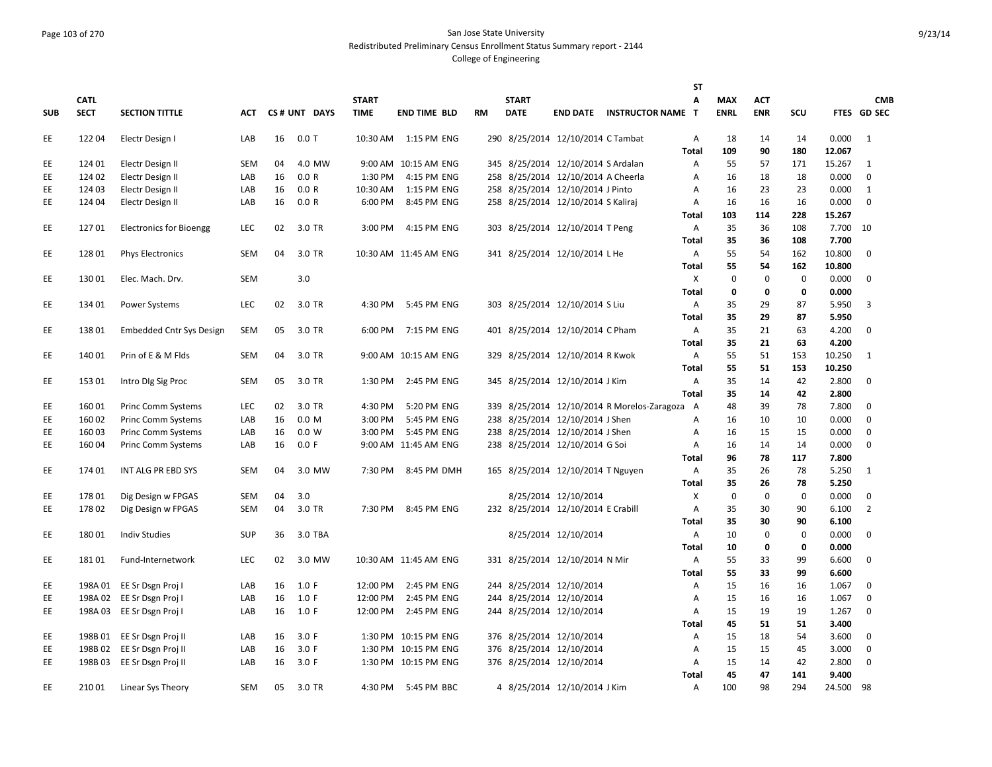## Page 103 of 270 San Jose State University Redistributed Preliminary Census Enrollment Status Summary report - 2144

|            |             |                                 |            |    |              |              |                       |    |              |                                    |                                             | SΤ           |             |             |             |        |                |
|------------|-------------|---------------------------------|------------|----|--------------|--------------|-----------------------|----|--------------|------------------------------------|---------------------------------------------|--------------|-------------|-------------|-------------|--------|----------------|
|            | <b>CATL</b> |                                 |            |    |              | <b>START</b> |                       |    | <b>START</b> |                                    |                                             | A            | <b>MAX</b>  | <b>ACT</b>  |             |        | <b>CMB</b>     |
| <b>SUB</b> | <b>SECT</b> | <b>SECTION TITTLE</b>           | <b>ACT</b> |    | CS# UNT DAYS | <b>TIME</b>  | <b>END TIME BLD</b>   | RM | <b>DATE</b>  |                                    | <b>END DATE INSTRUCTOR NAME</b>             | T            | <b>ENRL</b> | <b>ENR</b>  | SCU         |        | FTES GD SEC    |
| EE         | 12204       | Electr Design I                 | LAB        | 16 | $0.0$ T      | 10:30 AM     | 1:15 PM ENG           |    |              | 290 8/25/2014 12/10/2014 C Tambat  |                                             | A            | 18          | 14          | 14          | 0.000  | 1              |
|            |             |                                 |            |    |              |              |                       |    |              |                                    |                                             | Total        | 109         | 90          | 180         | 12.067 |                |
| EE         | 124 01      | Electr Design II                | SEM        | 04 | 4.0 MW       |              | 9:00 AM 10:15 AM ENG  |    |              | 345 8/25/2014 12/10/2014 S Ardalan |                                             | A            | 55          | 57          | 171         | 15.267 | 1              |
| EE         | 124 02      | Electr Design II                | LAB        | 16 | 0.0 R        | 1:30 PM      | 4:15 PM ENG           |    |              | 258 8/25/2014 12/10/2014 A Cheerla |                                             | Α            | 16          | 18          | 18          | 0.000  | $\mathbf 0$    |
| EE         | 124 03      | Electr Design II                | LAB        | 16 | 0.0 R        | 10:30 AM     | 1:15 PM ENG           |    |              | 258 8/25/2014 12/10/2014 J Pinto   |                                             | Α            | 16          | 23          | 23          | 0.000  | 1              |
| EE.        | 124 04      | Electr Design II                | LAB        | 16 | 0.0 R        | 6:00 PM      | 8:45 PM ENG           |    |              | 258 8/25/2014 12/10/2014 S Kaliraj |                                             | A            | 16          | 16          | 16          | 0.000  | $\mathbf 0$    |
|            |             |                                 |            |    |              |              |                       |    |              |                                    |                                             | <b>Total</b> | 103         | 114         | 228         | 15.267 |                |
| EE.        | 12701       | <b>Electronics for Bioengg</b>  | LEC        | 02 | 3.0 TR       | 3:00 PM      | 4:15 PM ENG           |    |              | 303 8/25/2014 12/10/2014 T Peng    |                                             | Α            | 35          | 36          | 108         | 7.700  | 10             |
|            |             |                                 |            |    |              |              |                       |    |              |                                    |                                             | Total        | 35          | 36          | 108         | 7.700  |                |
| EE         | 12801       | <b>Phys Electronics</b>         | SEM        | 04 | 3.0 TR       |              | 10:30 AM 11:45 AM ENG |    |              | 341 8/25/2014 12/10/2014 L He      |                                             | A            | 55          | 54          | 162         | 10.800 | $\mathbf 0$    |
|            |             |                                 |            |    |              |              |                       |    |              |                                    |                                             | Total        | 55          | 54          | 162         | 10.800 |                |
| EE         | 13001       | Elec. Mach. Drv.                | SEM        |    | 3.0          |              |                       |    |              |                                    |                                             | X            | $\mathbf 0$ | $\mathbf 0$ | $\pmb{0}$   | 0.000  | $\mathbf 0$    |
|            |             |                                 |            |    |              |              |                       |    |              |                                    |                                             | Total        | $\pmb{0}$   | $\mathbf 0$ | $\pmb{0}$   | 0.000  |                |
| EE         | 134 01      | Power Systems                   | LEC        | 02 | 3.0 TR       | 4:30 PM      | 5:45 PM ENG           |    |              | 303 8/25/2014 12/10/2014 S Liu     |                                             | Α            | 35          | 29          | 87          | 5.950  | 3              |
|            |             |                                 |            |    |              |              |                       |    |              |                                    |                                             | Total        | 35          | 29          | 87          | 5.950  |                |
| EE         | 13801       | <b>Embedded Cntr Sys Design</b> | SEM        | 05 | 3.0 TR       | 6:00 PM      | 7:15 PM ENG           |    |              | 401 8/25/2014 12/10/2014 C Pham    |                                             | Α            | 35          | 21          | 63          | 4.200  | $\mathbf 0$    |
|            |             |                                 |            |    |              |              |                       |    |              |                                    |                                             | Total        | 35          | 21          | 63          | 4.200  |                |
| EE         | 140 01      | Prin of E & M Flds              | SEM        | 04 | 3.0 TR       |              | 9:00 AM 10:15 AM ENG  |    |              | 329 8/25/2014 12/10/2014 R Kwok    |                                             | Α            | 55          | 51          | 153         | 10.250 | 1              |
|            |             |                                 |            |    |              |              |                       |    |              |                                    |                                             | Total        | 55          | 51          | 153         | 10.250 |                |
| EE         | 15301       | Intro DIg Sig Proc              | <b>SEM</b> | 05 | 3.0 TR       | 1:30 PM      | 2:45 PM ENG           |    |              | 345 8/25/2014 12/10/2014 J Kim     |                                             | Α            | 35          | 14          | 42          | 2.800  | $\mathbf 0$    |
|            |             |                                 |            |    |              |              |                       |    |              |                                    |                                             | Total        | 35          | 14          | 42          | 2.800  |                |
| EE.        | 16001       | <b>Princ Comm Systems</b>       | LEC        | 02 | 3.0 TR       | 4:30 PM      | 5:20 PM ENG           |    |              |                                    | 339 8/25/2014 12/10/2014 R Morelos-Zaragoza | A            | 48          | 39          | 78          | 7.800  | $\mathbf 0$    |
| EE         | 16002       | <b>Princ Comm Systems</b>       | LAB        | 16 | 0.0 M        | 3:00 PM      | 5:45 PM ENG           |    |              | 238 8/25/2014 12/10/2014 J Shen    |                                             | Α            | 16          | 10          | 10          | 0.000  | $\mathbf 0$    |
| EE         | 16003       | <b>Princ Comm Systems</b>       | LAB        | 16 | 0.0 W        | 3:00 PM      | 5:45 PM ENG           |    |              | 238 8/25/2014 12/10/2014 J Shen    |                                             | Α            | 16          | 15          | 15          | 0.000  | 0              |
| EE         | 16004       | Princ Comm Systems              | LAB        | 16 | 0.0 F        |              | 9:00 AM 11:45 AM ENG  |    |              | 238 8/25/2014 12/10/2014 G Soi     |                                             | Α            | 16          | 14          | 14          | 0.000  | $\mathbf 0$    |
|            |             |                                 |            |    |              |              |                       |    |              |                                    |                                             | Total        | 96          | 78          | 117         | 7.800  |                |
| EE         | 174 01      | INT ALG PR EBD SYS              | SEM        | 04 | 3.0 MW       | 7:30 PM      | 8:45 PM DMH           |    |              | 165 8/25/2014 12/10/2014 T Nguyen  |                                             | Α            | 35          | 26          | 78          | 5.250  | 1              |
|            |             |                                 |            |    |              |              |                       |    |              |                                    |                                             | Total        | 35          | 26          | 78          | 5.250  |                |
| EE         | 17801       | Dig Design w FPGAS              | SEM        | 04 | 3.0          |              |                       |    |              | 8/25/2014 12/10/2014               |                                             | X            | $\mathbf 0$ | $\mathbf 0$ | $\mathbf 0$ | 0.000  | $\mathbf 0$    |
| EE         | 17802       | Dig Design w FPGAS              | SEM        | 04 | 3.0 TR       | 7:30 PM      | 8:45 PM ENG           |    |              | 232 8/25/2014 12/10/2014 E Crabill |                                             | Α            | 35          | 30          | 90          | 6.100  | $\overline{2}$ |
|            |             |                                 |            |    |              |              |                       |    |              |                                    |                                             | Total        | 35          | 30          | 90          | 6.100  |                |
| EE         | 18001       | <b>Indiv Studies</b>            | <b>SUP</b> | 36 | 3.0 TBA      |              |                       |    |              | 8/25/2014 12/10/2014               |                                             | Α            | 10          | $\mathbf 0$ | 0           | 0.000  | $\mathbf 0$    |
|            |             |                                 |            |    |              |              |                       |    |              |                                    |                                             | Total        | 10          | $\mathbf 0$ | $\mathbf 0$ | 0.000  |                |
| EE.        | 18101       | Fund-Internetwork               | LEC        | 02 | 3.0 MW       |              | 10:30 AM 11:45 AM ENG |    |              | 331 8/25/2014 12/10/2014 N Mir     |                                             | Α            | 55          | 33          | 99          | 6.600  | $\Omega$       |
|            |             |                                 |            |    |              |              |                       |    |              |                                    |                                             | Total        | 55          | 33          | 99          | 6.600  |                |
| EE         |             | 198A 01 EE Sr Dsgn Proj I       | LAB        | 16 | 1.0 F        | 12:00 PM     | 2:45 PM ENG           |    |              | 244 8/25/2014 12/10/2014           |                                             | A            | 15          | 16          | 16          | 1.067  | $\mathbf 0$    |
| EE         |             | 198A 02 EE Sr Dsgn Proj I       | LAB        | 16 | 1.0 F        | 12:00 PM     | 2:45 PM ENG           |    |              | 244 8/25/2014 12/10/2014           |                                             | Α            | 15          | 16          | 16          | 1.067  | $\mathbf 0$    |
| EE.        | 198A 03     | EE Sr Dsgn Proj I               | LAB        | 16 | 1.0 F        | 12:00 PM     | 2:45 PM ENG           |    |              | 244 8/25/2014 12/10/2014           |                                             | A            | 15          | 19          | 19          | 1.267  | $\mathbf 0$    |
|            |             |                                 |            |    |              |              |                       |    |              |                                    |                                             | <b>Total</b> | 45          | 51          | 51          | 3.400  |                |
| EE.        | 198B 01     | EE Sr Dsgn Proj II              | LAB        | 16 | 3.0 F        | 1:30 PM      | 10:15 PM ENG          |    |              | 376 8/25/2014 12/10/2014           |                                             | Α            | 15          | 18          | 54          | 3.600  | 0              |
| EE         | 198B02      | EE Sr Dsgn Proj II              | LAB        | 16 | 3.0 F        |              | 1:30 PM 10:15 PM ENG  |    |              | 376 8/25/2014 12/10/2014           |                                             | Α            | 15          | 15          | 45          | 3.000  | $\mathbf 0$    |
| EE.        | 198B03      | EE Sr Dsgn Proj II              | LAB        | 16 | 3.0 F        |              | 1:30 PM 10:15 PM ENG  |    |              | 376 8/25/2014 12/10/2014           |                                             | A            | 15          | 14          | 42          | 2.800  | $\mathbf 0$    |
|            |             |                                 |            |    |              |              |                       |    |              |                                    |                                             | <b>Total</b> | 45          | 47          | 141         | 9.400  |                |
| EE         | 21001       | Linear Sys Theory               | SEM        | 05 | 3.0 TR       | 4:30 PM      | 5:45 PM BBC           |    |              | 4 8/25/2014 12/10/2014 J Kim       |                                             | Α            | 100         | 98          | 294         | 24.500 | - 98           |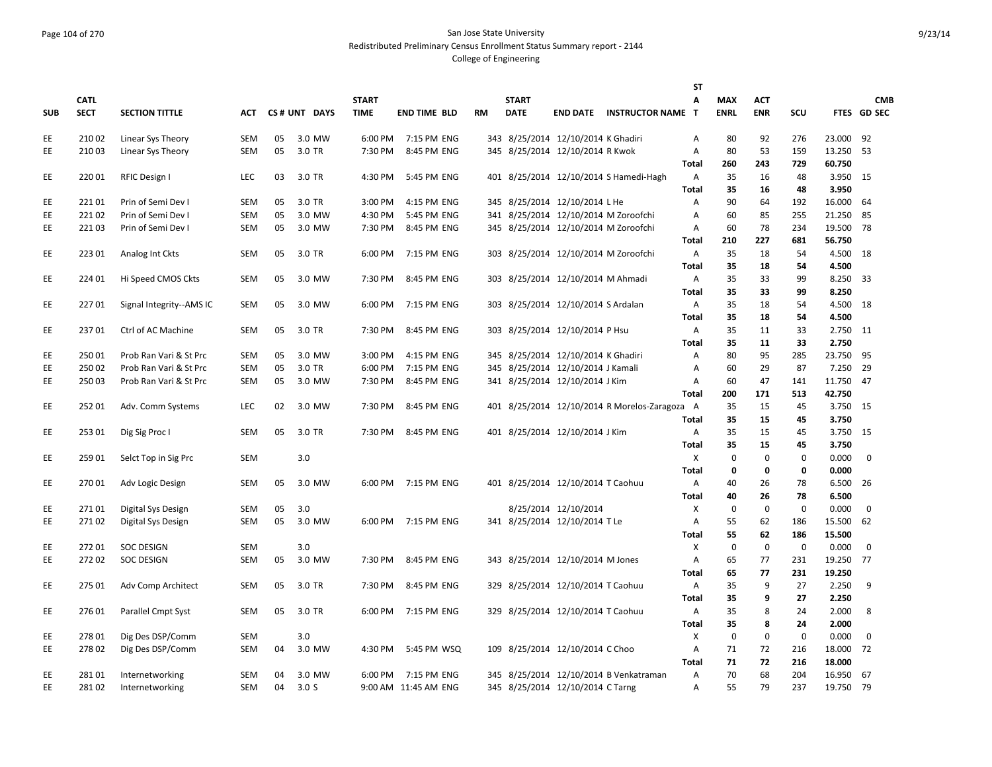### Page 104 of 270 San Jose State University Redistributed Preliminary Census Enrollment Status Summary report - 2144

|            |             |                          |            |    |                  |              |                      |           |              |                                    |                                               | <b>ST</b>    |             |                            |                            |                |             |
|------------|-------------|--------------------------|------------|----|------------------|--------------|----------------------|-----------|--------------|------------------------------------|-----------------------------------------------|--------------|-------------|----------------------------|----------------------------|----------------|-------------|
|            | <b>CATL</b> |                          |            |    |                  | <b>START</b> |                      |           | <b>START</b> |                                    |                                               | Α            | <b>MAX</b>  | <b>ACT</b>                 |                            |                | <b>CMB</b>  |
| <b>SUB</b> | <b>SECT</b> | <b>SECTION TITTLE</b>    | АСТ        |    | CS# UNT DAYS     | <b>TIME</b>  | <b>END TIME BLD</b>  | <b>RM</b> | <b>DATE</b>  |                                    | <b>END DATE INSTRUCTOR NAME T</b>             |              | <b>ENRL</b> | <b>ENR</b>                 | <b>SCU</b>                 |                | FTES GD SEC |
| EE         | 21002       | Linear Sys Theory        | <b>SEM</b> | 05 | 3.0 MW           | 6:00 PM      | 7:15 PM ENG          |           |              | 343 8/25/2014 12/10/2014 K Ghadiri |                                               | Α            | 80          | 92                         | 276                        | 23.000         | 92          |
| EE         | 21003       | Linear Sys Theory        | <b>SEM</b> | 05 | 3.0 TR           | 7:30 PM      | 8:45 PM ENG          |           |              | 345 8/25/2014 12/10/2014 R Kwok    |                                               | Α            | 80          | 53                         | 159                        | 13.250         | -53         |
|            |             |                          |            |    |                  |              |                      |           |              |                                    |                                               | Total        | 260         | 243                        | 729                        | 60.750         |             |
| EE.        | 22001       | RFIC Design I            | LEC        | 03 | 3.0 TR           | 4:30 PM      | 5:45 PM ENG          |           |              |                                    | 401 8/25/2014 12/10/2014 S Hamedi-Hagh        | А            | 35          | 16                         | 48                         | 3.950          | - 15        |
|            |             |                          |            |    |                  |              |                      |           |              |                                    |                                               | <b>Total</b> | 35          | 16                         | 48                         | 3.950          |             |
| EE         | 22101       | Prin of Semi Dev I       | <b>SEM</b> | 05 | 3.0 TR           | 3:00 PM      | 4:15 PM ENG          |           |              | 345 8/25/2014 12/10/2014 L He      |                                               | Α            | 90          | 64                         | 192                        | 16.000         | 64          |
| EE         | 22102       | Prin of Semi Dev I       | <b>SEM</b> | 05 | 3.0 MW           | 4:30 PM      | 5:45 PM ENG          |           |              |                                    | 341 8/25/2014 12/10/2014 M Zoroofchi          | Α            | 60          | 85                         | 255                        | 21.250         | 85          |
| EE         | 22103       | Prin of Semi Dev I       | <b>SEM</b> | 05 | 3.0 MW           | 7:30 PM      | 8:45 PM ENG          |           |              |                                    | 345 8/25/2014 12/10/2014 M Zoroofchi          | Α            | 60          | 78                         | 234                        | 19.500         | 78          |
|            |             |                          |            |    |                  |              |                      |           |              |                                    |                                               | Total        | 210         | 227                        | 681                        | 56.750         |             |
| EE.        | 223 01      | Analog Int Ckts          | <b>SEM</b> | 05 | 3.0 TR           | 6:00 PM      | 7:15 PM ENG          |           |              |                                    | 303 8/25/2014 12/10/2014 M Zoroofchi          | Α            | 35          | 18                         | 54                         | 4.500          | 18          |
|            |             |                          |            |    |                  |              |                      |           |              |                                    |                                               | <b>Total</b> | 35          | 18                         | 54                         | 4.500          |             |
| EE         | 224 01      | Hi Speed CMOS Ckts       | <b>SEM</b> | 05 | 3.0 MW           | 7:30 PM      | 8:45 PM ENG          |           |              | 303 8/25/2014 12/10/2014 M Ahmadi  |                                               | Α            | 35          | 33                         | 99                         | 8.250          | -33         |
|            |             |                          |            |    |                  |              |                      |           |              |                                    |                                               | <b>Total</b> | 35          | 33                         | 99                         | 8.250          |             |
| EE         | 22701       | Signal Integrity--AMS IC | <b>SEM</b> | 05 | 3.0 MW           | 6:00 PM      | 7:15 PM ENG          |           |              | 303 8/25/2014 12/10/2014 S Ardalan |                                               | Α            | 35          | 18                         | 54                         | 4.500          | 18          |
|            |             |                          |            |    |                  |              |                      |           |              |                                    |                                               | <b>Total</b> | 35          | 18                         | 54                         | 4.500          |             |
| EE.        | 23701       | Ctrl of AC Machine       | <b>SEM</b> | 05 | 3.0 TR           | 7:30 PM      | 8:45 PM ENG          |           |              | 303 8/25/2014 12/10/2014 P Hsu     |                                               | Α            | 35          | 11                         | 33                         | 2.750          | -11         |
|            |             |                          |            |    |                  |              |                      |           |              |                                    |                                               | <b>Total</b> | 35          | 11                         | 33                         | 2.750          |             |
| EE         | 250 01      | Prob Ran Vari & St Prc   | <b>SEM</b> | 05 | 3.0 MW           | 3:00 PM      | 4:15 PM ENG          |           |              | 345 8/25/2014 12/10/2014 K Ghadiri |                                               | Α            | 80          | 95                         | 285                        | 23.750         | 95          |
| <b>EE</b>  | 250 02      | Prob Ran Vari & St Prc   | <b>SEM</b> | 05 | 3.0 TR           | 6:00 PM      | 7:15 PM ENG          |           |              | 345 8/25/2014 12/10/2014 J Kamali  |                                               | A            | 60          | 29                         | 87                         | 7.250          | 29          |
| EE         | 250 03      | Prob Ran Vari & St Prc   | SEM        | 05 | 3.0 MW           | 7:30 PM      | 8:45 PM ENG          |           |              | 341 8/25/2014 12/10/2014 J Kim     |                                               | Α            | 60          | 47                         | 141                        | 11.750         | 47          |
|            |             |                          |            |    |                  |              |                      |           |              |                                    |                                               | <b>Total</b> | 200         | 171                        | 513                        | 42.750         |             |
| EE         | 25201       | Adv. Comm Systems        | LEC        | 02 | 3.0 MW           | 7:30 PM      | 8:45 PM ENG          |           |              |                                    | 401 8/25/2014 12/10/2014 R Morelos-Zaragoza A |              | 35          | 15                         | 45                         | 3.750          | 15          |
|            |             |                          |            |    |                  |              |                      |           |              |                                    |                                               | <b>Total</b> | 35          | 15                         | 45                         | 3.750          |             |
| EE         | 25301       | Dig Sig Proc I           | <b>SEM</b> | 05 | 3.0 TR           | 7:30 PM      | 8:45 PM ENG          |           |              | 401 8/25/2014 12/10/2014 J Kim     |                                               | Α            | 35          | 15                         | 45                         | 3.750          | 15          |
|            |             |                          |            |    |                  |              |                      |           |              |                                    |                                               | Total        | 35          | 15                         | 45                         | 3.750          |             |
| EE         | 259 01      | Selct Top in Sig Prc     | <b>SEM</b> |    | 3.0              |              |                      |           |              |                                    |                                               | X            | $\mathbf 0$ | $\mathbf 0$<br>$\mathbf 0$ | $\mathbf 0$<br>$\mathbf 0$ | 0.000<br>0.000 | $\mathbf 0$ |
| EE         | 270 01      |                          | <b>SEM</b> | 05 | 3.0 MW           | 6:00 PM      | 7:15 PM ENG          |           |              | 401 8/25/2014 12/10/2014 T Caohuu  |                                               | Total<br>A   | 0<br>40     | 26                         | 78                         | 6.500          | 26          |
|            |             | Adv Logic Design         |            |    |                  |              |                      |           |              |                                    |                                               | <b>Total</b> | 40          | 26                         | 78                         | 6.500          |             |
| EE         | 27101       | Digital Sys Design       | <b>SEM</b> | 05 | 3.0              |              |                      |           |              | 8/25/2014 12/10/2014               |                                               | х            | 0           | $\pmb{0}$                  | $\mathbf 0$                | 0.000          | 0           |
| EE         | 27102       | Digital Sys Design       | SEM        | 05 | 3.0 MW           |              | 6:00 PM 7:15 PM ENG  |           |              | 341 8/25/2014 12/10/2014 TLe       |                                               | Α            | 55          | 62                         | 186                        | 15.500         | 62          |
|            |             |                          |            |    |                  |              |                      |           |              |                                    |                                               | Total        | 55          | 62                         | 186                        | 15.500         |             |
| EE         | 27201       | <b>SOC DESIGN</b>        | SEM        |    | 3.0              |              |                      |           |              |                                    |                                               | X            | $\pmb{0}$   | $\mathbf 0$                | $\mathbf 0$                | 0.000          | $\mathbf 0$ |
| EE.        | 27202       | <b>SOC DESIGN</b>        | SEM        | 05 | 3.0 MW           | 7:30 PM      | 8:45 PM ENG          |           |              | 343 8/25/2014 12/10/2014 M Jones   |                                               | A            | 65          | 77                         | 231                        | 19.250         | 77          |
|            |             |                          |            |    |                  |              |                      |           |              |                                    |                                               | <b>Total</b> | 65          | 77                         | 231                        | 19.250         |             |
| EE         | 275 01      | Adv Comp Architect       | SEM        | 05 | 3.0 TR           | 7:30 PM      | 8:45 PM ENG          |           |              | 329 8/25/2014 12/10/2014 T Caohuu  |                                               | Α            | 35          | 9                          | 27                         | 2.250          | 9           |
|            |             |                          |            |    |                  |              |                      |           |              |                                    |                                               | <b>Total</b> | 35          | 9                          | 27                         | 2.250          |             |
| EE.        | 27601       | Parallel Cmpt Syst       | <b>SEM</b> | 05 | 3.0 TR           |              | 6:00 PM 7:15 PM ENG  |           |              | 329 8/25/2014 12/10/2014 T Caohuu  |                                               | Α            | 35          | 8                          | 24                         | 2.000          | 8           |
|            |             |                          |            |    |                  |              |                      |           |              |                                    |                                               | Total        | 35          | 8                          | 24                         | 2.000          |             |
| EE         | 27801       | Dig Des DSP/Comm         | <b>SEM</b> |    | 3.0              |              |                      |           |              |                                    |                                               | X            | $\mathbf 0$ | $\pmb{0}$                  | $\mathbf 0$                | 0.000          | 0           |
| EE         | 27802       | Dig Des DSP/Comm         | <b>SEM</b> | 04 | 3.0 MW           | 4:30 PM      | 5:45 PM WSQ          |           |              | 109 8/25/2014 12/10/2014 C Choo    |                                               | Α            | 71          | 72                         | 216                        | 18.000         | 72          |
|            |             |                          |            |    |                  |              |                      |           |              |                                    |                                               | <b>Total</b> | 71          | 72                         | 216                        | 18.000         |             |
| EE         | 28101       | Internetworking          | <b>SEM</b> | 04 | 3.0 MW           | 6:00 PM      | 7:15 PM ENG          |           |              |                                    | 345 8/25/2014 12/10/2014 B Venkatraman        | A            | 70          | 68                         | 204                        | 16.950         | 67          |
| EE         | 28102       | Internetworking          | SEM        | 04 | 3.0 <sub>S</sub> |              | 9:00 AM 11:45 AM ENG |           |              | 345 8/25/2014 12/10/2014 C Tarng   |                                               | Α            | 55          | 79                         | 237                        | 19.750         | 79          |
|            |             |                          |            |    |                  |              |                      |           |              |                                    |                                               |              |             |                            |                            |                |             |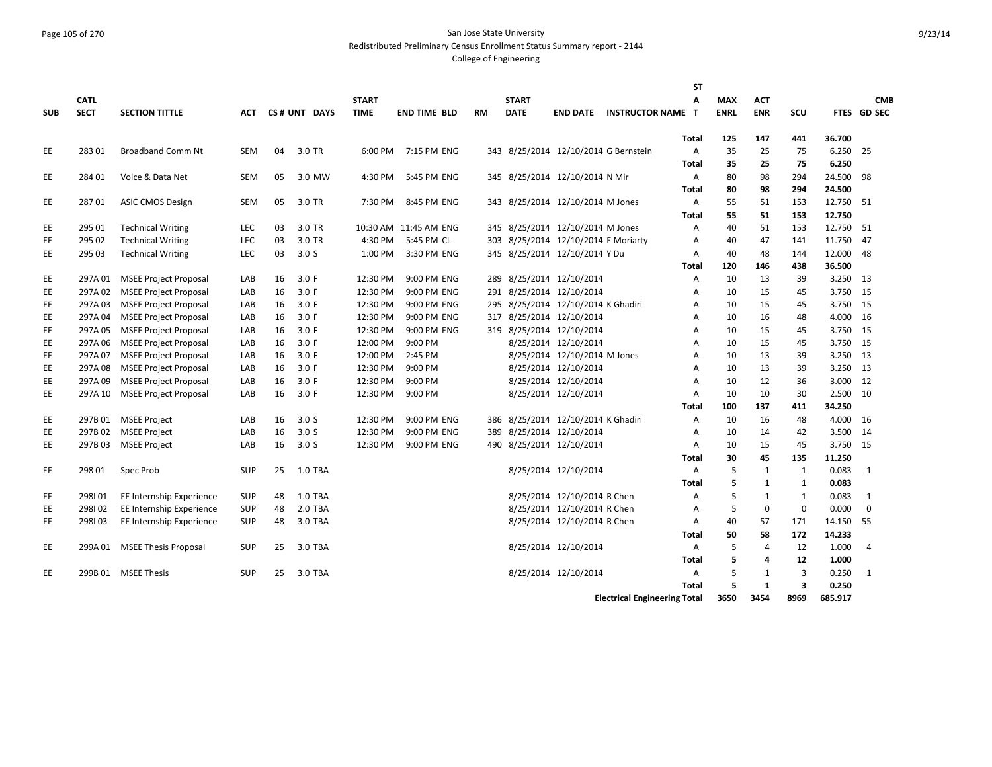#### Page 105 of 270 San Jose State University Redistributed Preliminary Census Enrollment Status Summary report - 2144

|            |             |                              |            |    |                  |              |                       |           |              |                                     |                                      | <b>ST</b>    |             |                |              |         |                |
|------------|-------------|------------------------------|------------|----|------------------|--------------|-----------------------|-----------|--------------|-------------------------------------|--------------------------------------|--------------|-------------|----------------|--------------|---------|----------------|
|            | <b>CATL</b> |                              |            |    |                  | <b>START</b> |                       |           | <b>START</b> |                                     |                                      | Α            | <b>MAX</b>  | <b>ACT</b>     |              |         | <b>CMB</b>     |
| <b>SUB</b> | <b>SECT</b> | <b>SECTION TITTLE</b>        | АСТ        |    | CS# UNT DAYS     | <b>TIME</b>  | <b>END TIME BLD</b>   | <b>RM</b> | <b>DATE</b>  | <b>END DATE</b>                     | <b>INSTRUCTOR NAME T</b>             |              | <b>ENRL</b> | <b>ENR</b>     | SCU          |         | FTES GD SEC    |
|            |             |                              |            |    |                  |              |                       |           |              |                                     |                                      |              |             |                |              |         |                |
|            |             |                              |            |    |                  |              |                       |           |              |                                     |                                      | Total        | 125         | 147            | 441          | 36.700  |                |
| EE         | 28301       | <b>Broadband Comm Nt</b>     | <b>SEM</b> | 04 | 3.0 TR           | 6:00 PM      | 7:15 PM ENG           |           |              |                                     | 343 8/25/2014 12/10/2014 G Bernstein | Α            | 35          | 25             | 75           | 6.250   | 25             |
|            |             |                              |            |    |                  |              |                       |           |              |                                     |                                      | Total        | 35          | 25             | 75           | 6.250   |                |
| EE         | 284 01      | Voice & Data Net             | <b>SEM</b> | 05 | 3.0 MW           | 4:30 PM      | 5:45 PM ENG           |           |              | 345 8/25/2014 12/10/2014 N Mir      |                                      | Α            | 80          | 98             | 294          | 24.500  | 98             |
|            |             |                              |            |    |                  |              |                       |           |              |                                     |                                      | Total        | 80          | 98             | 294          | 24.500  |                |
| EE         | 28701       | <b>ASIC CMOS Design</b>      | <b>SEM</b> | 05 | 3.0 TR           | 7:30 PM      | 8:45 PM ENG           |           |              | 343 8/25/2014 12/10/2014 M Jones    |                                      | A            | 55          | 51             | 153          | 12.750  | -51            |
|            |             |                              |            |    |                  |              |                       |           |              |                                     |                                      | Total        | 55          | 51             | 153          | 12.750  |                |
| EE         | 295 01      | <b>Technical Writing</b>     | LEC        | 03 | 3.0 TR           |              | 10:30 AM 11:45 AM ENG |           |              | 345 8/25/2014 12/10/2014 M Jones    |                                      | A            | 40          | 51             | 153          | 12.750  | 51             |
| EE         | 295 02      | <b>Technical Writing</b>     | LEC        | 03 | 3.0 TR           | 4:30 PM      | 5:45 PM CL            |           |              | 303 8/25/2014 12/10/2014 E Moriarty |                                      | Α            | 40          | 47             | 141          | 11.750  | 47             |
| EE         | 295 03      | <b>Technical Writing</b>     | LEC        | 03 | 3.0 <sub>S</sub> | 1:00 PM      | 3:30 PM ENG           |           |              | 345 8/25/2014 12/10/2014 Y Du       |                                      | Α            | 40          | 48             | 144          | 12.000  | 48             |
|            |             |                              |            |    |                  |              |                       |           |              |                                     |                                      | Total        | 120         | 146            | 438          | 36.500  |                |
| EE         | 297A 01     | <b>MSEE Project Proposal</b> | LAB        | 16 | 3.0 F            | 12:30 PM     | 9:00 PM ENG           |           |              | 289 8/25/2014 12/10/2014            |                                      | Α            | 10          | 13             | 39           | 3.250   | -13            |
| EE         | 297A 02     | <b>MSEE Project Proposal</b> | LAB        | 16 | 3.0 F            | 12:30 PM     | 9:00 PM ENG           |           |              | 291 8/25/2014 12/10/2014            |                                      | Α            | 10          | 15             | 45           | 3.750   | 15             |
| EE         | 297A03      | <b>MSEE Project Proposal</b> | LAB        | 16 | 3.0 F            | 12:30 PM     | 9:00 PM ENG           |           |              | 295 8/25/2014 12/10/2014 K Ghadiri  |                                      | Α            | 10          | 15             | 45           | 3.750   | 15             |
| EE         | 297A04      | <b>MSEE Project Proposal</b> | LAB        | 16 | 3.0 F            | 12:30 PM     | 9:00 PM ENG           |           |              | 317 8/25/2014 12/10/2014            |                                      | Α            | 10          | 16             | 48           | 4.000   | 16             |
| EE         | 297A 05     | <b>MSEE Project Proposal</b> | LAB        | 16 | 3.0 F            | 12:30 PM     | 9:00 PM ENG           |           |              | 319 8/25/2014 12/10/2014            |                                      | Α            | 10          | 15             | 45           | 3.750   | 15             |
| EE         | 297A 06     | <b>MSEE Project Proposal</b> | LAB        | 16 | 3.0 F            | 12:00 PM     | 9:00 PM               |           |              | 8/25/2014 12/10/2014                |                                      | A            | 10          | 15             | 45           | 3.750   | - 15           |
| EE         | 297A07      | <b>MSEE Project Proposal</b> | LAB        | 16 | 3.0 F            | 12:00 PM     | 2:45 PM               |           |              | 8/25/2014 12/10/2014 M Jones        |                                      | Α            | 10          | 13             | 39           | 3.250   | -13            |
| EE         | 297A08      | <b>MSEE Project Proposal</b> | LAB        | 16 | 3.0 F            | 12:30 PM     | 9:00 PM               |           |              | 8/25/2014 12/10/2014                |                                      | Α            | 10          | 13             | 39           | 3.250   | 13             |
| EE         | 297A09      | <b>MSEE Project Proposal</b> | LAB        | 16 | 3.0 F            | 12:30 PM     | 9:00 PM               |           |              | 8/25/2014 12/10/2014                |                                      | Α            | 10          | 12             | 36           | 3.000   | 12             |
| EE         | 297A 10     | <b>MSEE Project Proposal</b> | LAB        | 16 | 3.0 F            | 12:30 PM     | 9:00 PM               |           |              | 8/25/2014 12/10/2014                |                                      | A            | 10          | 10             | 30           | 2.500   | 10             |
|            |             |                              |            |    |                  |              |                       |           |              |                                     |                                      | Total        | 100         | 137            | 411          | 34.250  |                |
| EE         | 297B 01     | <b>MSEE Project</b>          | LAB        | 16 | 3.0 <sub>S</sub> | 12:30 PM     | 9:00 PM ENG           |           |              | 386 8/25/2014 12/10/2014 K Ghadiri  |                                      | A            | 10          | 16             | 48           | 4.000   | -16            |
| EE.        | 297B02      | <b>MSEE Project</b>          | LAB        | 16 | 3.0 <sub>S</sub> | 12:30 PM     | 9:00 PM ENG           |           |              | 389 8/25/2014 12/10/2014            |                                      | A            | 10          | 14             | 42           | 3.500   | 14             |
| EE         | 297B03      | <b>MSEE Project</b>          | LAB        | 16 | 3.0 <sub>S</sub> | 12:30 PM     | 9:00 PM ENG           |           |              | 490 8/25/2014 12/10/2014            |                                      | A            | 10          | 15             | 45           | 3.750   | 15             |
|            |             |                              |            |    |                  |              |                       |           |              |                                     |                                      | Total        | 30          | 45             | 135          | 11.250  |                |
| EE         | 298 01      | Spec Prob                    | <b>SUP</b> | 25 | 1.0 TBA          |              |                       |           |              | 8/25/2014 12/10/2014                |                                      | Α            | 5           | 1              | $\mathbf{1}$ | 0.083   | 1              |
|            |             |                              |            |    |                  |              |                       |           |              |                                     |                                      | Total        | 5           | 1              | 1            | 0.083   |                |
| EE         | 298101      | EE Internship Experience     | <b>SUP</b> | 48 | 1.0 TBA          |              |                       |           |              | 8/25/2014 12/10/2014 R Chen         |                                      | A            | 5           | 1              | $\mathbf{1}$ | 0.083   | 1              |
| EE         | 298102      | EE Internship Experience     | <b>SUP</b> | 48 | 2.0 TBA          |              |                       |           |              | 8/25/2014 12/10/2014 R Chen         |                                      | A            | 5           | $\mathbf 0$    | $\mathbf 0$  | 0.000   | $\mathbf 0$    |
| EE         | 298103      | EE Internship Experience     | <b>SUP</b> | 48 | 3.0 TBA          |              |                       |           |              | 8/25/2014 12/10/2014 R Chen         |                                      | Α            | 40          | 57             | 171          | 14.150  | 55             |
|            |             |                              |            |    |                  |              |                       |           |              |                                     |                                      | Total        | 50          | 58             | 172          | 14.233  |                |
| EE         |             | 299A 01 MSEE Thesis Proposal | <b>SUP</b> | 25 | 3.0 TBA          |              |                       |           |              | 8/25/2014 12/10/2014                |                                      | Α            | 5           | $\overline{4}$ | 12           | 1.000   | $\overline{4}$ |
|            |             |                              |            |    |                  |              |                       |           |              |                                     |                                      | Total        | 5           | 4              | 12           | 1.000   |                |
| EE.        |             | 299B 01 MSEE Thesis          | <b>SUP</b> | 25 | 3.0 TBA          |              |                       |           |              | 8/25/2014 12/10/2014                |                                      | Α            | 5           | 1              | 3            | 0.250   | 1              |
|            |             |                              |            |    |                  |              |                       |           |              |                                     |                                      | <b>Total</b> | 5           | $\mathbf{1}$   | 3            | 0.250   |                |
|            |             |                              |            |    |                  |              |                       |           |              |                                     | <b>Electrical Engineering Total</b>  |              | 3650        | 3454           | 8969         | 685.917 |                |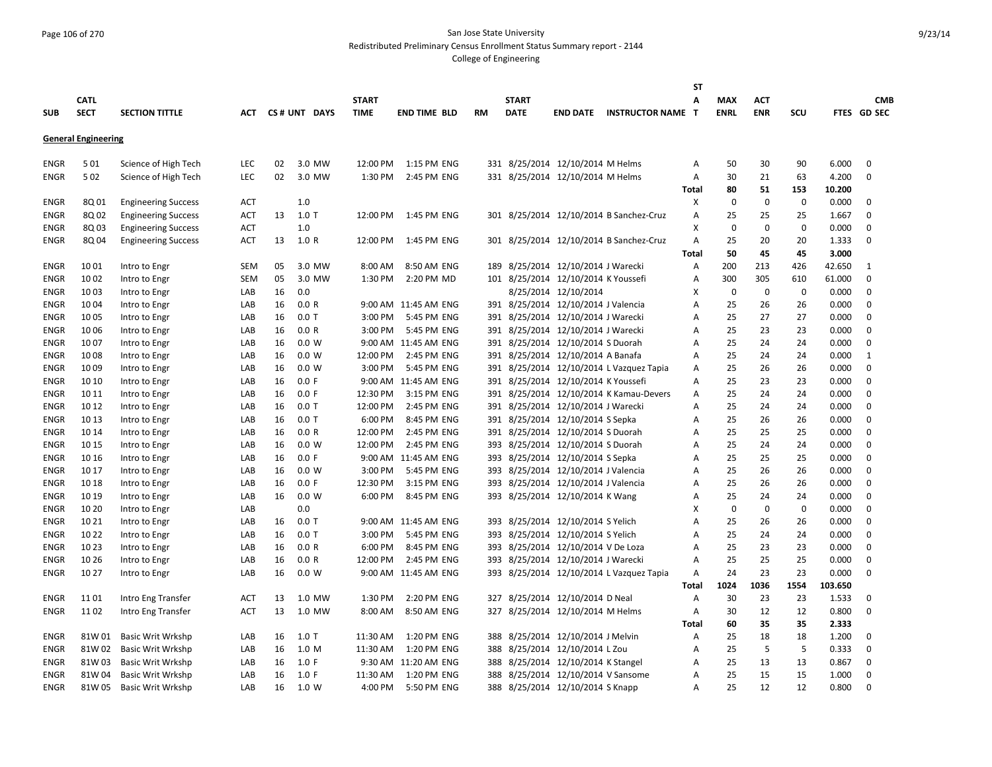#### Page 106 of 270 San Jose State University Redistributed Preliminary Census Enrollment Status Summary report - 2144

|             |                            |                            |            |    |              |              |                      |     |              |                                     |                                          | <b>ST</b>    |             |             |             |         |             |
|-------------|----------------------------|----------------------------|------------|----|--------------|--------------|----------------------|-----|--------------|-------------------------------------|------------------------------------------|--------------|-------------|-------------|-------------|---------|-------------|
|             | <b>CATL</b>                |                            |            |    |              | <b>START</b> |                      |     | <b>START</b> |                                     |                                          | A            | <b>MAX</b>  | <b>ACT</b>  |             |         | <b>CMB</b>  |
| <b>SUB</b>  | <b>SECT</b>                | <b>SECTION TITTLE</b>      | АСТ        |    | CS# UNT DAYS | <b>TIME</b>  | <b>END TIME BLD</b>  | RM  | <b>DATE</b>  | <b>END DATE</b>                     | <b>INSTRUCTOR NAME T</b>                 |              | <b>ENRL</b> | <b>ENR</b>  | SCU         |         | FTES GD SEC |
|             |                            |                            |            |    |              |              |                      |     |              |                                     |                                          |              |             |             |             |         |             |
|             | <b>General Engineering</b> |                            |            |    |              |              |                      |     |              |                                     |                                          |              |             |             |             |         |             |
|             |                            |                            |            |    |              |              |                      |     |              |                                     |                                          |              |             |             |             |         |             |
| ENGR        | 501                        | Science of High Tech       | <b>LEC</b> | 02 | 3.0 MW       | 12:00 PM     | 1:15 PM ENG          |     |              | 331 8/25/2014 12/10/2014 M Helms    |                                          | Α            | 50          | 30          | 90          | 6.000   | $\mathbf 0$ |
| <b>ENGR</b> | 502                        | Science of High Tech       | LEC        | 02 | 3.0 MW       | 1:30 PM      | 2:45 PM ENG          |     |              | 331 8/25/2014 12/10/2014 M Helms    |                                          | Α            | 30          | 21          | 63          | 4.200   | $\mathbf 0$ |
|             |                            |                            |            |    |              |              |                      |     |              |                                     |                                          | Total        | 80          | 51          | 153         | 10.200  |             |
| <b>ENGR</b> | 8Q 01                      | <b>Engineering Success</b> | ACT        |    | 1.0          |              |                      |     |              |                                     |                                          | X            | $\mathbf 0$ | $\mathbf 0$ | $\mathbf 0$ | 0.000   | 0           |
| <b>ENGR</b> | 8Q 02                      | <b>Engineering Success</b> | ACT        | 13 | $1.0$ T      | 12:00 PM     | 1:45 PM ENG          |     |              |                                     | 301 8/25/2014 12/10/2014 B Sanchez-Cruz  | A            | 25          | 25          | 25          | 1.667   | $\mathbf 0$ |
| <b>ENGR</b> | 8Q03                       | <b>Engineering Success</b> | ACT        |    | 1.0          |              |                      |     |              |                                     |                                          | X            | $\mathbf 0$ | $\mathbf 0$ | $\mathbf 0$ | 0.000   | $\mathbf 0$ |
| ENGR        | 8Q 04                      | <b>Engineering Success</b> | <b>ACT</b> | 13 | 1.0 R        | 12:00 PM     | 1:45 PM ENG          |     |              |                                     | 301 8/25/2014 12/10/2014 B Sanchez-Cruz  | A            | 25          | 20          | 20          | 1.333   | $\mathbf 0$ |
|             |                            |                            |            |    |              |              |                      |     |              |                                     |                                          | Total        | 50          | 45          | 45          | 3.000   |             |
| <b>ENGR</b> | 1001                       | Intro to Engr              | <b>SEM</b> | 05 | 3.0 MW       | 8:00 AM      | 8:50 AM ENG          | 189 |              | 8/25/2014 12/10/2014 J Warecki      |                                          | Α            | 200         | 213         | 426         | 42.650  | 1           |
| <b>ENGR</b> | 1002                       | Intro to Engr              | <b>SEM</b> | 05 | 3.0 MW       | 1:30 PM      | 2:20 PM MD           |     |              | 101 8/25/2014 12/10/2014 K Youssefi |                                          | A            | 300         | 305         | 610         | 61.000  | $\mathbf 0$ |
| <b>ENGR</b> | 1003                       | Intro to Engr              | LAB        | 16 | 0.0          |              |                      |     |              | 8/25/2014 12/10/2014                |                                          | X            | $\mathbf 0$ | $\mathbf 0$ | $\mathbf 0$ | 0.000   | $\mathbf 0$ |
| ENGR        | 1004                       | Intro to Engr              | LAB        | 16 | 0.0 R        |              | 9:00 AM 11:45 AM ENG |     |              | 391 8/25/2014 12/10/2014 J Valencia |                                          | A            | 25          | 26          | 26          | 0.000   | $\mathbf 0$ |
| ENGR        | 1005                       | Intro to Engr              | LAB        | 16 | $0.0$ T      | 3:00 PM      | 5:45 PM ENG          |     |              | 391 8/25/2014 12/10/2014 J Warecki  |                                          | Α            | 25          | 27          | 27          | 0.000   | 0           |
| <b>ENGR</b> | 1006                       | Intro to Engr              | LAB        | 16 | 0.0 R        | 3:00 PM      | 5:45 PM ENG          |     |              | 391 8/25/2014 12/10/2014 J Warecki  |                                          | A            | 25          | 23          | 23          | 0.000   | $\mathbf 0$ |
| <b>ENGR</b> | 1007                       | Intro to Engr              | LAB        | 16 | 0.0 W        |              | 9:00 AM 11:45 AM ENG |     |              | 391 8/25/2014 12/10/2014 S Duorah   |                                          | A            | 25          | 24          | 24          | 0.000   | $\mathbf 0$ |
| ENGR        | 1008                       | Intro to Engr              | LAB        | 16 | 0.0 W        | 12:00 PM     | 2:45 PM ENG          |     |              | 391 8/25/2014 12/10/2014 A Banafa   |                                          | Α            | 25          | 24          | 24          | 0.000   | 1           |
| ENGR        | 1009                       | Intro to Engr              | LAB        | 16 | 0.0 W        | 3:00 PM      | 5:45 PM ENG          |     |              |                                     | 391 8/25/2014 12/10/2014 L Vazquez Tapia | Α            | 25          | 26          | 26          | 0.000   | 0           |
| ENGR        | 10 10                      | Intro to Engr              | LAB        | 16 | 0.0 F        |              | 9:00 AM 11:45 AM ENG |     |              | 391 8/25/2014 12/10/2014 K Youssefi |                                          | Α            | 25          | 23          | 23          | 0.000   | 0           |
| <b>ENGR</b> | 10 11                      | Intro to Engr              | LAB        | 16 | 0.0 F        | 12:30 PM     | 3:15 PM ENG          |     |              |                                     | 391 8/25/2014 12/10/2014 K Kamau-Devers  | A            | 25          | 24          | 24          | 0.000   | $\mathbf 0$ |
| <b>ENGR</b> | 10 12                      | Intro to Engr              | LAB        | 16 | $0.0$ T      | 12:00 PM     | 2:45 PM ENG          |     |              | 391 8/25/2014 12/10/2014 J Warecki  |                                          | A            | 25          | 24          | 24          | 0.000   | $\mathbf 0$ |
| ENGR        | 10 13                      | Intro to Engr              | LAB        | 16 | $0.0$ T      | 6:00 PM      | 8:45 PM ENG          |     |              | 391 8/25/2014 12/10/2014 S Sepka    |                                          | Α            | 25          | 26          | 26          | 0.000   | $\mathbf 0$ |
| <b>ENGR</b> | 10 14                      | Intro to Engr              | LAB        | 16 | 0.0 R        | 12:00 PM     | 2:45 PM ENG          |     |              | 391 8/25/2014 12/10/2014 S Duorah   |                                          | Α            | 25          | 25          | 25          | 0.000   | 0           |
| ENGR        | 10 15                      | Intro to Engr              | LAB        | 16 | 0.0 W        | 12:00 PM     | 2:45 PM ENG          |     |              | 393 8/25/2014 12/10/2014 S Duorah   |                                          | A            | 25          | 24          | 24          | 0.000   | $\mathbf 0$ |
| <b>ENGR</b> | 10 16                      | Intro to Engr              | LAB        | 16 | 0.0 F        |              | 9:00 AM 11:45 AM ENG |     |              | 393 8/25/2014 12/10/2014 S Sepka    |                                          | A            | 25          | 25          | 25          | 0.000   | $\mathbf 0$ |
| <b>ENGR</b> | 10 17                      | Intro to Engr              | LAB        | 16 | 0.0 W        | 3:00 PM      | 5:45 PM ENG          |     |              | 393 8/25/2014 12/10/2014 J Valencia |                                          | A            | 25          | 26          | 26          | 0.000   | $\mathbf 0$ |
| <b>ENGR</b> | 10 18                      | Intro to Engr              | LAB        | 16 | 0.0 F        | 12:30 PM     | 3:15 PM ENG          |     |              | 393 8/25/2014 12/10/2014 J Valencia |                                          | Α            | 25          | 26          | 26          | 0.000   | $\mathbf 0$ |
| ENGR        | 10 19                      | Intro to Engr              | LAB        | 16 | 0.0 W        | 6:00 PM      | 8:45 PM ENG          | 393 |              | 8/25/2014 12/10/2014 K Wang         |                                          | A            | 25          | 24          | 24          | 0.000   | 0           |
| <b>ENGR</b> | 10 20                      | Intro to Engr              | LAB        |    | 0.0          |              |                      |     |              |                                     |                                          | х            | $\mathbf 0$ | 0           | $\mathbf 0$ | 0.000   | $\mathbf 0$ |
| <b>ENGR</b> | 10 21                      | Intro to Engr              | LAB        | 16 | $0.0$ T      |              | 9:00 AM 11:45 AM ENG | 393 |              | 8/25/2014 12/10/2014 S Yelich       |                                          | A            | 25          | 26          | 26          | 0.000   | $\mathbf 0$ |
| <b>ENGR</b> | 10 22                      | Intro to Engr              | LAB        | 16 | $0.0$ T      | 3:00 PM      | 5:45 PM ENG          |     |              | 393 8/25/2014 12/10/2014 S Yelich   |                                          | A            | 25          | 24          | 24          | 0.000   | $\mathbf 0$ |
| ENGR        | 10 23                      | Intro to Engr              | LAB        | 16 | 0.0 R        | 6:00 PM      | 8:45 PM ENG          |     |              | 393 8/25/2014 12/10/2014 V De Loza  |                                          | A            | 25          | 23          | 23          | 0.000   | $\mathbf 0$ |
| ENGR        | 10 26                      | Intro to Engr              | LAB        | 16 | 0.0 R        | 12:00 PM     | 2:45 PM ENG          |     |              | 393 8/25/2014 12/10/2014 J Warecki  |                                          | A            | 25          | 25          | 25          | 0.000   | $\mathbf 0$ |
| <b>ENGR</b> | 10 27                      | Intro to Engr              | LAB        | 16 | 0.0 W        |              | 9:00 AM 11:45 AM ENG |     |              |                                     | 393 8/25/2014 12/10/2014 L Vazquez Tapia | Α            | 24          | 23          | 23          | 0.000   | $\mathbf 0$ |
|             |                            |                            |            |    |              |              |                      |     |              |                                     |                                          | <b>Total</b> | 1024        | 1036        | 1554        | 103.650 |             |
| <b>ENGR</b> | 1101                       | Intro Eng Transfer         | <b>ACT</b> | 13 | 1.0 MW       | 1:30 PM      | 2:20 PM ENG          |     |              | 327 8/25/2014 12/10/2014 D Neal     |                                          | Α            | 30          | 23          | 23          | 1.533   | 0           |
| ENGR        | 1102                       | Intro Eng Transfer         | ACT        | 13 | 1.0 MW       | 8:00 AM      | 8:50 AM ENG          |     |              | 327 8/25/2014 12/10/2014 M Helms    |                                          | Α            | 30          | 12          | 12          | 0.800   | $\mathbf 0$ |
|             |                            |                            |            |    |              |              |                      |     |              |                                     |                                          | Total        | 60          | 35          | 35          | 2.333   |             |
| <b>ENGR</b> | 81W 01                     | <b>Basic Writ Wrkshp</b>   | LAB        | 16 | $1.0$ T      | 11:30 AM     | 1:20 PM ENG          | 388 |              | 8/25/2014 12/10/2014 J Melvin       |                                          | Α            | 25          | 18          | 18          | 1.200   | 0           |
| <b>ENGR</b> | 81W 02                     | <b>Basic Writ Wrkshp</b>   | LAB        | 16 | 1.0 M        | 11:30 AM     | 1:20 PM ENG          |     |              | 388 8/25/2014 12/10/2014 L Zou      |                                          | A            | 25          | 5           | 5           | 0.333   | $\mathbf 0$ |
| <b>ENGR</b> | 81W 03                     | Basic Writ Wrkshp          | LAB        | 16 | 1.0 F        |              | 9:30 AM 11:20 AM ENG | 388 |              | 8/25/2014 12/10/2014 K Stangel      |                                          | Α            | 25          | 13          | 13          | 0.867   | $\mathbf 0$ |
| <b>ENGR</b> | 81W 04                     | <b>Basic Writ Wrkshp</b>   | LAB        | 16 | 1.0 F        | 11:30 AM     | 1:20 PM ENG          |     |              | 388 8/25/2014 12/10/2014 V Sansome  |                                          | Α            | 25          | 15          | 15          | 1.000   | $\mathbf 0$ |
| <b>ENGR</b> | 81W 05                     | <b>Basic Writ Wrkshp</b>   | LAB        | 16 | 1.0 W        | 4:00 PM      | 5:50 PM ENG          |     |              | 388 8/25/2014 12/10/2014 S Knapp    |                                          | A            | 25          | 12          | 12          | 0.800   | $\mathbf 0$ |
|             |                            |                            |            |    |              |              |                      |     |              |                                     |                                          |              |             |             |             |         |             |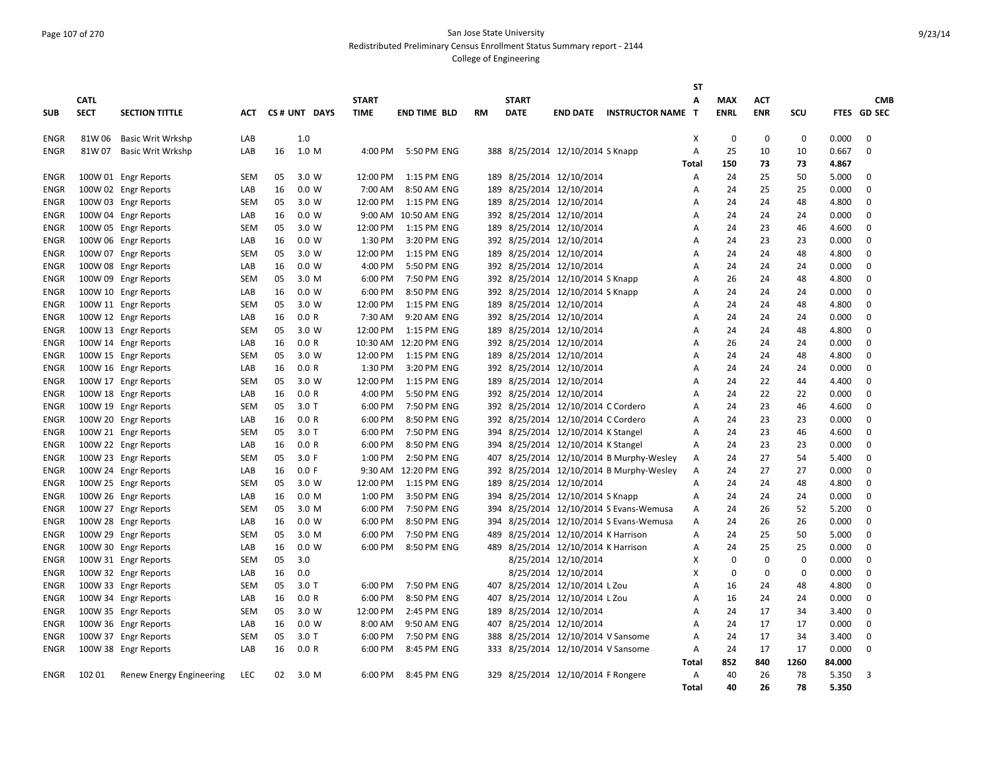#### Page 107 of 270 San Jose State University Redistributed Preliminary Census Enrollment Status Summary report - 2144

|                            |             |                                              |                   |          |                |                    |                            |           |              |                                                                      |                                          | ST           |             |             |             |                |                            |
|----------------------------|-------------|----------------------------------------------|-------------------|----------|----------------|--------------------|----------------------------|-----------|--------------|----------------------------------------------------------------------|------------------------------------------|--------------|-------------|-------------|-------------|----------------|----------------------------|
|                            | <b>CATL</b> |                                              |                   |          |                | <b>START</b>       |                            |           | <b>START</b> |                                                                      |                                          | Α            | <b>MAX</b>  | <b>ACT</b>  |             |                | <b>CMB</b>                 |
| <b>SUB</b>                 | <b>SECT</b> | <b>SECTION TITTLE</b>                        | <b>ACT</b>        |          | CS# UNT DAYS   | <b>TIME</b>        | <b>END TIME BLD</b>        | <b>RM</b> | <b>DATE</b>  | <b>END DATE</b>                                                      | <b>INSTRUCTOR NAME T</b>                 |              | <b>ENRL</b> | <b>ENR</b>  | SCU         |                | FTES GD SEC                |
| ENGR                       | 81W 06      | <b>Basic Writ Wrkshp</b>                     | LAB               |          | 1.0            |                    |                            |           |              |                                                                      |                                          | X            | $\mathbf 0$ | $\mathbf 0$ | $\mathbf 0$ | 0.000          | $\mathbf 0$                |
| ENGR                       | 81W 07      | Basic Writ Wrkshp                            | LAB               | 16       | 1.0 M          | 4:00 PM            | 5:50 PM ENG                |           |              | 388 8/25/2014 12/10/2014 S Knapp                                     |                                          | Α            | 25          | 10          | 10          | 0.667          | $\mathbf 0$                |
|                            |             |                                              |                   |          |                |                    |                            |           |              |                                                                      |                                          | Total        | 150         | 73          | 73          | 4.867          |                            |
| <b>ENGR</b>                |             | 100W 01 Engr Reports                         | <b>SEM</b>        | 05       | 3.0 W          | 12:00 PM           | 1:15 PM ENG                |           |              | 189 8/25/2014 12/10/2014                                             |                                          | Α            | 24          | 25          | 50          | 5.000          | $\mathbf 0$                |
| <b>ENGR</b>                |             | 100W 02 Engr Reports                         | LAB               | 16       | 0.0 W          | 7:00 AM            | 8:50 AM ENG                |           |              | 189 8/25/2014 12/10/2014                                             |                                          | Α            | 24          | 25          | 25          | 0.000          | $\mathbf 0$                |
| <b>ENGR</b>                |             | 100W 03 Engr Reports                         | <b>SEM</b>        | 05       | 3.0 W          | 12:00 PM           | 1:15 PM ENG                |           |              | 189 8/25/2014 12/10/2014                                             |                                          | A            | 24          | 24          | 48          | 4.800          | $\mathbf 0$                |
| <b>ENGR</b>                |             | 100W 04 Engr Reports                         | LAB               | 16       | 0.0 W          | 9:00 AM            | 10:50 AM ENG               |           |              | 392 8/25/2014 12/10/2014                                             |                                          | Α            | 24          | 24          | 24          | 0.000          | $\mathbf 0$                |
| <b>ENGR</b>                |             | 100W 05 Engr Reports                         | SEM               | 05       | 3.0 W          | 12:00 PM           | 1:15 PM ENG                | 189       |              | 8/25/2014 12/10/2014                                                 |                                          | Α            | 24          | 23          | 46          | 4.600          | $\mathbf 0$                |
| ENGR                       |             | 100W 06 Engr Reports                         | LAB               | 16       | 0.0 W          | 1:30 PM            | 3:20 PM ENG                |           |              | 392 8/25/2014 12/10/2014                                             |                                          | Α            | 24          | 23          | 23          | 0.000          | 0                          |
| <b>ENGR</b>                |             | 100W 07 Engr Reports                         | <b>SEM</b>        | 05       | 3.0 W          | 12:00 PM           | 1:15 PM ENG                |           |              | 189 8/25/2014 12/10/2014                                             |                                          | A            | 24<br>24    | 24          | 48          | 4.800          | $\mathbf 0$                |
| <b>ENGR</b>                |             | 100W 08 Engr Reports                         | LAB               | 16       | 0.0 W          | 4:00 PM<br>6:00 PM | 5:50 PM ENG<br>7:50 PM ENG |           |              | 392 8/25/2014 12/10/2014                                             |                                          | А            |             | 24<br>24    | 24          | 0.000<br>4.800 | $\mathbf 0$<br>$\mathbf 0$ |
| <b>ENGR</b><br><b>ENGR</b> |             | 100W 09 Engr Reports<br>100W 10 Engr Reports | <b>SEM</b><br>LAB | 05<br>16 | 3.0 M<br>0.0 W | 6:00 PM            | 8:50 PM ENG                |           |              | 392 8/25/2014 12/10/2014 S Knapp<br>392 8/25/2014 12/10/2014 S Knapp |                                          | А<br>A       | 26<br>24    | 24          | 48<br>24    | 0.000          | $\mathbf 0$                |
| ENGR                       |             | 100W 11 Engr Reports                         | <b>SEM</b>        | 05       | 3.0 W          | 12:00 PM           | 1:15 PM ENG                |           |              | 189 8/25/2014 12/10/2014                                             |                                          | A            | 24          | 24          | 48          | 4.800          | $\mathbf 0$                |
| ENGR                       |             | 100W 12 Engr Reports                         | LAB               | 16       | 0.0 R          | 7:30 AM            | 9:20 AM ENG                |           |              | 392 8/25/2014 12/10/2014                                             |                                          | Α            | 24          | 24          | 24          | 0.000          | $\mathbf 0$                |
| <b>ENGR</b>                |             | 100W 13 Engr Reports                         | <b>SEM</b>        | 05       | 3.0 W          | 12:00 PM           | 1:15 PM ENG                |           |              | 189 8/25/2014 12/10/2014                                             |                                          | А            | 24          | 24          | 48          | 4.800          | 0                          |
| <b>ENGR</b>                |             | 100W 14 Engr Reports                         | LAB               | 16       | 0.0 R          | 10:30 AM           | 12:20 PM ENG               |           |              | 392 8/25/2014 12/10/2014                                             |                                          | A            | 26          | 24          | 24          | 0.000          | $\mathbf 0$                |
| <b>ENGR</b>                |             | 100W 15 Engr Reports                         | <b>SEM</b>        | 05       | 3.0 W          | 12:00 PM           | 1:15 PM ENG                |           |              | 189 8/25/2014 12/10/2014                                             |                                          | А            | 24          | 24          | 48          | 4.800          | 0                          |
| <b>ENGR</b>                |             | 100W 16 Engr Reports                         | LAB               | 16       | 0.0 R          | 1:30 PM            | 3:20 PM ENG                |           |              | 392 8/25/2014 12/10/2014                                             |                                          | Α            | 24          | 24          | 24          | 0.000          | $\mathbf 0$                |
| <b>ENGR</b>                |             | 100W 17 Engr Reports                         | <b>SEM</b>        | 05       | 3.0 W          | 12:00 PM           | 1:15 PM ENG                |           |              | 189 8/25/2014 12/10/2014                                             |                                          | А            | 24          | 22          | 44          | 4.400          | $\mathbf 0$                |
| ENGR                       |             | 100W 18 Engr Reports                         | LAB               | 16       | 0.0 R          | 4:00 PM            | 5:50 PM ENG                |           |              | 392 8/25/2014 12/10/2014                                             |                                          | A            | 24          | 22          | 22          | 0.000          | $\mathbf 0$                |
| ENGR                       |             | 100W 19 Engr Reports                         | <b>SEM</b>        | 05       | 3.0T           | 6:00 PM            | 7:50 PM ENG                |           |              | 392 8/25/2014 12/10/2014 C Cordero                                   |                                          | А            | 24          | 23          | 46          | 4.600          | 0                          |
| <b>ENGR</b>                |             | 100W 20 Engr Reports                         | LAB               | 16       | 0.0 R          | 6:00 PM            | 8:50 PM ENG                |           |              | 392 8/25/2014 12/10/2014 C Cordero                                   |                                          | Α            | 24          | 23          | 23          | 0.000          | 0                          |
| <b>ENGR</b>                |             | 100W 21 Engr Reports                         | <b>SEM</b>        | 05       | 3.0T           | 6:00 PM            | 7:50 PM ENG                | 394       |              | 8/25/2014 12/10/2014 K Stangel                                       |                                          | А            | 24          | 23          | 46          | 4.600          | 0                          |
| <b>ENGR</b>                |             | 100W 22 Engr Reports                         | LAB               | 16       | 0.0 R          | 6:00 PM            | 8:50 PM ENG                |           |              | 394 8/25/2014 12/10/2014 K Stangel                                   |                                          | A            | 24          | 23          | 23          | 0.000          | 0                          |
| <b>ENGR</b>                |             | 100W 23 Engr Reports                         | <b>SEM</b>        | 05       | 3.0 F          | 1:00 PM            | 2:50 PM ENG                | 407       |              |                                                                      | 8/25/2014 12/10/2014 B Murphy-Wesley     | Α            | 24          | 27          | 54          | 5.400          | $\mathbf 0$                |
| <b>ENGR</b>                |             | 100W 24 Engr Reports                         | LAB               | 16       | 0.0 F          | 9:30 AM            | 12:20 PM ENG               |           |              |                                                                      | 392 8/25/2014 12/10/2014 B Murphy-Wesley | Α            | 24          | 27          | 27          | 0.000          | $\mathbf 0$                |
| ENGR                       |             | 100W 25 Engr Reports                         | <b>SEM</b>        | 05       | 3.0 W          | 12:00 PM           | 1:15 PM ENG                |           |              | 189 8/25/2014 12/10/2014                                             |                                          | Α            | 24          | 24          | 48          | 4.800          | $\mathbf 0$                |
| ENGR                       |             | 100W 26 Engr Reports                         | LAB               | 16       | 0.0 M          | 1:00 PM            | 3:50 PM ENG                |           |              | 394 8/25/2014 12/10/2014 S Knapp                                     |                                          | Α            | 24          | 24          | 24          | 0.000          | $\mathbf 0$                |
| ENGR                       |             | 100W 27 Engr Reports                         | <b>SEM</b>        | 05       | 3.0 M          | 6:00 PM            | 7:50 PM ENG                |           |              |                                                                      | 394 8/25/2014 12/10/2014 S Evans-Wemusa  | Α            | 24          | 26          | 52          | 5.200          | 0                          |
| <b>ENGR</b>                |             | 100W 28 Engr Reports                         | LAB               | 16       | 0.0 W          | 6:00 PM            | 8:50 PM ENG                |           |              |                                                                      | 394 8/25/2014 12/10/2014 S Evans-Wemusa  | Α            | 24          | 26          | 26          | 0.000          | 0                          |
| <b>ENGR</b>                |             | 100W 29 Engr Reports                         | <b>SEM</b>        | 05       | 3.0 M          | 6:00 PM            | 7:50 PM ENG                |           |              | 489 8/25/2014 12/10/2014 K Harrison                                  |                                          | А            | 24          | 25          | 50          | 5.000          | 0                          |
| <b>ENGR</b>                |             | 100W 30 Engr Reports                         | LAB               | 16       | 0.0 W          | 6:00 PM            | 8:50 PM ENG                |           |              | 489 8/25/2014 12/10/2014 K Harrison                                  |                                          | A            | 24          | 25          | 25          | 0.000          | $\Omega$                   |
| <b>ENGR</b>                |             | 100W 31 Engr Reports                         | <b>SEM</b>        | 05       | 3.0            |                    |                            |           |              | 8/25/2014 12/10/2014                                                 |                                          | х            | 0           | $\Omega$    | $\Omega$    | 0.000          | $\Omega$                   |
| ENGR                       |             | 100W 32 Engr Reports                         | LAB               | 16       | 0.0            |                    |                            |           |              | 8/25/2014 12/10/2014                                                 |                                          | X            | $\mathbf 0$ | 0           | $\mathbf 0$ | 0.000          | $\mathbf 0$                |
| <b>ENGR</b>                |             | 100W 33 Engr Reports                         | SEM               | 05       | $3.0$ T        | 6:00 PM            | 7:50 PM ENG                |           |              | 407 8/25/2014 12/10/2014 L Zou                                       |                                          | A            | 16          | 24          | 48          | 4.800          | $\mathbf 0$                |
| ENGR                       |             | 100W 34 Engr Reports                         | LAB               | 16       | 0.0 R          | 6:00 PM            | 8:50 PM ENG                |           |              | 407 8/25/2014 12/10/2014 L Zou                                       |                                          | Α            | 16          | 24          | 24          | 0.000          | 0                          |
| ENGR                       |             | 100W 35 Engr Reports                         | <b>SEM</b>        | 05       | 3.0 W          | 12:00 PM           | 2:45 PM ENG                |           |              | 189 8/25/2014 12/10/2014                                             |                                          | A            | 24          | 17          | 34          | 3.400          | 0                          |
| <b>ENGR</b>                |             | 100W 36 Engr Reports                         | LAB               | 16       | 0.0 W          | 8:00 AM            | 9:50 AM ENG                |           |              | 407 8/25/2014 12/10/2014                                             |                                          | А            | 24          | 17          | 17          | 0.000          | 0                          |
| <b>ENGR</b>                |             | 100W 37 Engr Reports                         | <b>SEM</b>        | 05       | $3.0$ T        | 6:00 PM            | 7:50 PM ENG                |           |              | 388 8/25/2014 12/10/2014 V Sansome                                   |                                          | А            | 24          | 17          | 34          | 3.400          | $\mathbf 0$                |
| ENGR                       |             | 100W 38 Engr Reports                         | LAB               | 16       | 0.0 R          | 6:00 PM            | 8:45 PM ENG                |           |              | 333 8/25/2014 12/10/2014 V Sansome                                   |                                          | Α            | 24          | 17          | 17          | 0.000          | $\mathbf 0$                |
|                            |             |                                              |                   |          |                |                    |                            |           |              |                                                                      |                                          | Total        | 852         | 840         | 1260        | 84.000         |                            |
| <b>ENGR</b>                | 10201       | Renew Energy Engineering                     | LEC               | 02       | 3.0 M          | 6:00 PM            | 8:45 PM ENG                |           |              | 329 8/25/2014 12/10/2014 F Rongere                                   |                                          | Α            | 40          | 26          | 78          | 5.350          | 3                          |
|                            |             |                                              |                   |          |                |                    |                            |           |              |                                                                      |                                          | <b>Total</b> | 40          | 26          | 78          | 5.350          |                            |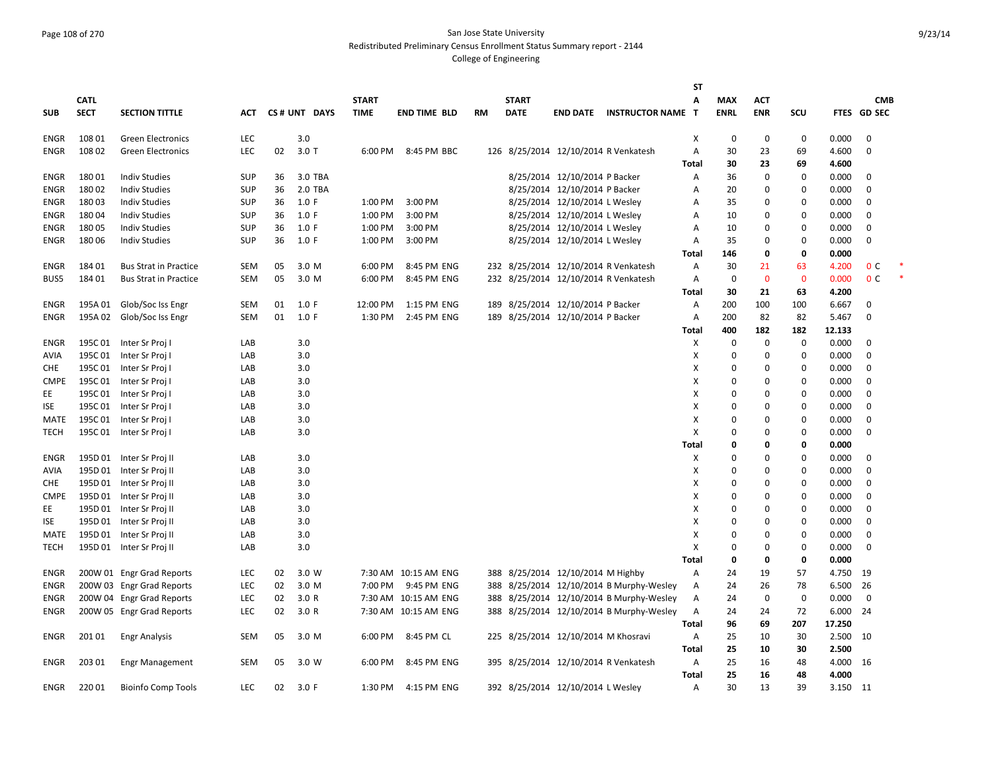#### Page 108 of 270 San Jose State University Redistributed Preliminary Census Enrollment Status Summary report - 2144

|             |             |                              |            |    |              |              |                      |    |              |                                     |                                          | <b>ST</b>    |             |             |             |          |                |  |
|-------------|-------------|------------------------------|------------|----|--------------|--------------|----------------------|----|--------------|-------------------------------------|------------------------------------------|--------------|-------------|-------------|-------------|----------|----------------|--|
|             | <b>CATL</b> |                              |            |    |              | <b>START</b> |                      |    | <b>START</b> |                                     |                                          | A            | <b>MAX</b>  | <b>ACT</b>  |             |          | <b>CMB</b>     |  |
| <b>SUB</b>  | <b>SECT</b> | <b>SECTION TITTLE</b>        | ACT        |    | CS# UNT DAYS | <b>TIME</b>  | <b>END TIME BLD</b>  | RM | <b>DATE</b>  | <b>END DATE</b>                     | <b>INSTRUCTOR NAME</b>                   | T            | <b>ENRL</b> | <b>ENR</b>  | scu         |          | FTES GD SEC    |  |
|             |             |                              |            |    |              |              |                      |    |              |                                     |                                          |              |             |             |             |          |                |  |
| ENGR        | 108 01      | <b>Green Electronics</b>     | <b>LEC</b> |    | 3.0          |              |                      |    |              |                                     |                                          | X            | 0           | 0           | 0           | 0.000    | 0              |  |
| <b>ENGR</b> | 108 02      | <b>Green Electronics</b>     | LEC        | 02 | $3.0$ T      | 6:00 PM      | 8:45 PM BBC          |    |              |                                     | 126 8/25/2014 12/10/2014 R Venkatesh     | Α            | 30          | 23          | 69          | 4.600    | 0              |  |
|             |             |                              |            |    |              |              |                      |    |              |                                     |                                          | Total        | 30          | 23          | 69          | 4.600    |                |  |
| <b>ENGR</b> | 18001       | <b>Indiv Studies</b>         | <b>SUP</b> | 36 | 3.0 TBA      |              |                      |    |              | 8/25/2014 12/10/2014 P Backer       |                                          | Α            | 36          | $\mathbf 0$ | $\mathbf 0$ | 0.000    | 0              |  |
| <b>ENGR</b> | 18002       | <b>Indiv Studies</b>         | <b>SUP</b> | 36 | 2.0 TBA      |              |                      |    |              | 8/25/2014 12/10/2014 P Backer       |                                          | Α            | 20          | $\pmb{0}$   | 0           | 0.000    | $\Omega$       |  |
| ENGR        | 18003       | <b>Indiv Studies</b>         | SUP        | 36 | 1.0 F        | 1:00 PM      | 3:00 PM              |    |              | 8/25/2014 12/10/2014 L Wesley       |                                          | A            | 35          | 0           | 0           | 0.000    | 0              |  |
| ENGR        | 18004       | <b>Indiv Studies</b>         | SUP        | 36 | 1.0 F        | 1:00 PM      | 3:00 PM              |    |              | 8/25/2014 12/10/2014 L Wesley       |                                          | Α            | 10          | $\Omega$    | $\mathbf 0$ | 0.000    | $\Omega$       |  |
| <b>ENGR</b> | 18005       | <b>Indiv Studies</b>         | <b>SUP</b> | 36 | 1.0 F        | 1:00 PM      | 3:00 PM              |    |              | 8/25/2014 12/10/2014 L Wesley       |                                          | Α            | 10          | $\Omega$    | 0           | 0.000    | $\Omega$       |  |
| ENGR        | 18006       | <b>Indiv Studies</b>         | <b>SUP</b> | 36 | 1.0 F        | 1:00 PM      | 3:00 PM              |    |              | 8/25/2014 12/10/2014 L Wesley       |                                          | Α            | 35          | 0           | $\mathbf 0$ | 0.000    | 0              |  |
|             |             |                              |            |    |              |              |                      |    |              |                                     |                                          | Total        | 146         | $\mathbf 0$ | 0           | 0.000    |                |  |
| ENGR        | 184 01      | <b>Bus Strat in Practice</b> | SEM        | 05 | 3.0 M        | 6:00 PM      | 8:45 PM ENG          |    |              |                                     | 232 8/25/2014 12/10/2014 R Venkatesh     | A            | 30          | 21          | 63          | 4.200    | 0 <sup>C</sup> |  |
| BUS5        | 184 01      | <b>Bus Strat in Practice</b> | SEM        | 05 | 3.0 M        | 6:00 PM      | 8:45 PM ENG          |    |              |                                     | 232 8/25/2014 12/10/2014 R Venkatesh     | Α            | 0           | $\mathbf 0$ | $\mathbf 0$ | 0.000    | 0 <sup>c</sup> |  |
|             |             |                              |            |    |              |              |                      |    |              |                                     |                                          | Total        | 30          | 21          | 63          | 4.200    |                |  |
| <b>ENGR</b> | 195A 01     | Glob/Soc Iss Engr            | <b>SEM</b> | 01 | 1.0 F        | 12:00 PM     | 1:15 PM ENG          |    |              | 189 8/25/2014 12/10/2014 P Backer   |                                          | Α            | 200         | 100         | 100         | 6.667    | 0              |  |
| <b>ENGR</b> | 195A 02     | Glob/Soc Iss Engr            | <b>SEM</b> | 01 | 1.0 F        | 1:30 PM      | 2:45 PM ENG          |    |              | 189 8/25/2014 12/10/2014 P Backer   |                                          | Α            | 200         | 82          | 82          | 5.467    | $\Omega$       |  |
|             |             |                              |            |    |              |              |                      |    |              |                                     |                                          | <b>Total</b> | 400         | 182         | 182         | 12.133   |                |  |
| ENGR        | 195C 01     | Inter Sr Proj I              | LAB        |    | 3.0          |              |                      |    |              |                                     |                                          | X            | $\mathbf 0$ | $\pmb{0}$   | $\mathbf 0$ | 0.000    | $\mathbf 0$    |  |
| AVIA        | 195C01      | Inter Sr Proj I              | LAB        |    | 3.0          |              |                      |    |              |                                     |                                          | X            | $\mathbf 0$ | $\mathbf 0$ | 0           | 0.000    | 0              |  |
| CHE         | 195C 01     | Inter Sr Proj I              | LAB        |    | 3.0          |              |                      |    |              |                                     |                                          | X            | $\Omega$    | $\mathbf 0$ | 0           | 0.000    | 0              |  |
| <b>CMPE</b> | 195C 01     | Inter Sr Proj I              | LAB        |    | 3.0          |              |                      |    |              |                                     |                                          | Х            | $\mathbf 0$ | 0           | $\mathbf 0$ | 0.000    | 0              |  |
| EE          | 195C01      | Inter Sr Proj I              | LAB        |    | 3.0          |              |                      |    |              |                                     |                                          | X            | $\Omega$    | $\Omega$    | $\mathbf 0$ | 0.000    | $\Omega$       |  |
| <b>ISE</b>  | 195C01      | Inter Sr Proj I              | LAB        |    | 3.0          |              |                      |    |              |                                     |                                          | X            | $\Omega$    | $\Omega$    | $\mathbf 0$ | 0.000    | $\Omega$       |  |
| MATE        | 195C 01     | Inter Sr Proj I              | LAB        |    | 3.0          |              |                      |    |              |                                     |                                          | X            | $\Omega$    | $\Omega$    | $\mathbf 0$ | 0.000    | $\mathbf 0$    |  |
| TECH        | 195C 01     | Inter Sr Proj I              | LAB        |    | 3.0          |              |                      |    |              |                                     |                                          | Χ            | $\Omega$    | 0           | 0           | 0.000    | 0              |  |
|             |             |                              |            |    |              |              |                      |    |              |                                     |                                          | Total        | 0           | 0           | 0           | 0.000    |                |  |
| <b>ENGR</b> | 195D 01     | Inter Sr Proj II             | LAB        |    | 3.0          |              |                      |    |              |                                     |                                          | X            | $\Omega$    | $\Omega$    | $\mathbf 0$ | 0.000    | $\mathbf 0$    |  |
| <b>AVIA</b> |             | 195D 01 Inter Sr Proj II     | LAB        |    | 3.0          |              |                      |    |              |                                     |                                          | X            | $\Omega$    | $\Omega$    | $\mathbf 0$ | 0.000    | $\Omega$       |  |
| <b>CHE</b>  |             | 195D 01 Inter Sr Proj II     | LAB        |    | 3.0          |              |                      |    |              |                                     |                                          | X            | $\Omega$    | $\mathbf 0$ | $\mathbf 0$ | 0.000    | $\Omega$       |  |
| <b>CMPE</b> |             | 195D 01 Inter Sr Proj II     | LAB        |    | 3.0          |              |                      |    |              |                                     |                                          | X            | 0           | $\mathbf 0$ | $\mathbf 0$ | 0.000    | $\mathbf 0$    |  |
| EE          | 195D 01     | Inter Sr Proj II             | LAB        |    | 3.0          |              |                      |    |              |                                     |                                          | Х            | $\mathbf 0$ | $\mathbf 0$ | 0           | 0.000    | 0              |  |
| ISE         | 195D 01     | Inter Sr Proj II             | LAB        |    | 3.0          |              |                      |    |              |                                     |                                          | х            | $\Omega$    | 0           | 0           | 0.000    | $\Omega$       |  |
| MATE        | 195D 01     | Inter Sr Proj II             | LAB        |    | 3.0          |              |                      |    |              |                                     |                                          | х            | $\Omega$    | $\Omega$    | $\mathbf 0$ | 0.000    | $\Omega$       |  |
| TECH        |             | 195D 01 Inter Sr Proj II     | LAB        |    | 3.0          |              |                      |    |              |                                     |                                          | X            | 0           | 0           | $\mathbf 0$ | 0.000    | $\mathbf 0$    |  |
|             |             |                              |            |    |              |              |                      |    |              |                                     |                                          | Total        | 0           | $\mathbf 0$ | 0           | 0.000    |                |  |
| ENGR        |             | 200W 01 Engr Grad Reports    | LEC        | 02 | 3.0 W        |              | 7:30 AM 10:15 AM ENG |    |              | 388 8/25/2014 12/10/2014 M Highby   |                                          | A            | 24          | 19          | 57          | 4.750    | 19             |  |
| ENGR        |             | 200W 03 Engr Grad Reports    | LEC        | 02 | 3.0 M        | 7:00 PM      | 9:45 PM ENG          |    |              |                                     | 388 8/25/2014 12/10/2014 B Murphy-Wesley | Α            | 24          | 26          | 78          | 6.500    | 26             |  |
| ENGR        |             | 200W 04 Engr Grad Reports    | <b>LEC</b> | 02 | 3.0 R        |              | 7:30 AM 10:15 AM ENG |    |              |                                     | 388 8/25/2014 12/10/2014 B Murphy-Wesley | A            | 24          | $\mathbf 0$ | 0           | 0.000    | 0              |  |
| ENGR        |             | 200W 05 Engr Grad Reports    | LEC        | 02 | 3.0 R        |              | 7:30 AM 10:15 AM ENG |    |              |                                     | 388 8/25/2014 12/10/2014 B Murphy-Wesley | Α            | 24          | 24          | 72          | 6.000    | 24             |  |
|             |             |                              |            |    |              |              |                      |    |              |                                     |                                          | Total        | 96          | 69          | 207         | 17.250   |                |  |
| ENGR        | 201 01      | <b>Engr Analysis</b>         | <b>SEM</b> | 05 | 3.0 M        | 6:00 PM      | 8:45 PM CL           |    |              | 225 8/25/2014 12/10/2014 M Khosravi |                                          | Α            | 25          | 10          | 30          | 2.500    | 10             |  |
|             |             |                              |            |    |              |              |                      |    |              |                                     |                                          | Total        | 25          | 10          | 30          | 2.500    |                |  |
| ENGR        | 203 01      | <b>Engr Management</b>       | <b>SEM</b> | 05 | 3.0 W        | 6:00 PM      | 8:45 PM ENG          |    |              |                                     | 395 8/25/2014 12/10/2014 R Venkatesh     | A            | 25          | 16          | 48          | 4.000 16 |                |  |
|             |             |                              |            |    |              |              |                      |    |              |                                     |                                          | Total        | 25          | 16          | 48          | 4.000    |                |  |
| ENGR        | 22001       | <b>Bioinfo Comp Tools</b>    | <b>LEC</b> | 02 | 3.0 F        | 1:30 PM      | 4:15 PM ENG          |    |              | 392 8/25/2014 12/10/2014 L Wesley   |                                          | A            | 30          | 13          | 39          | 3.150 11 |                |  |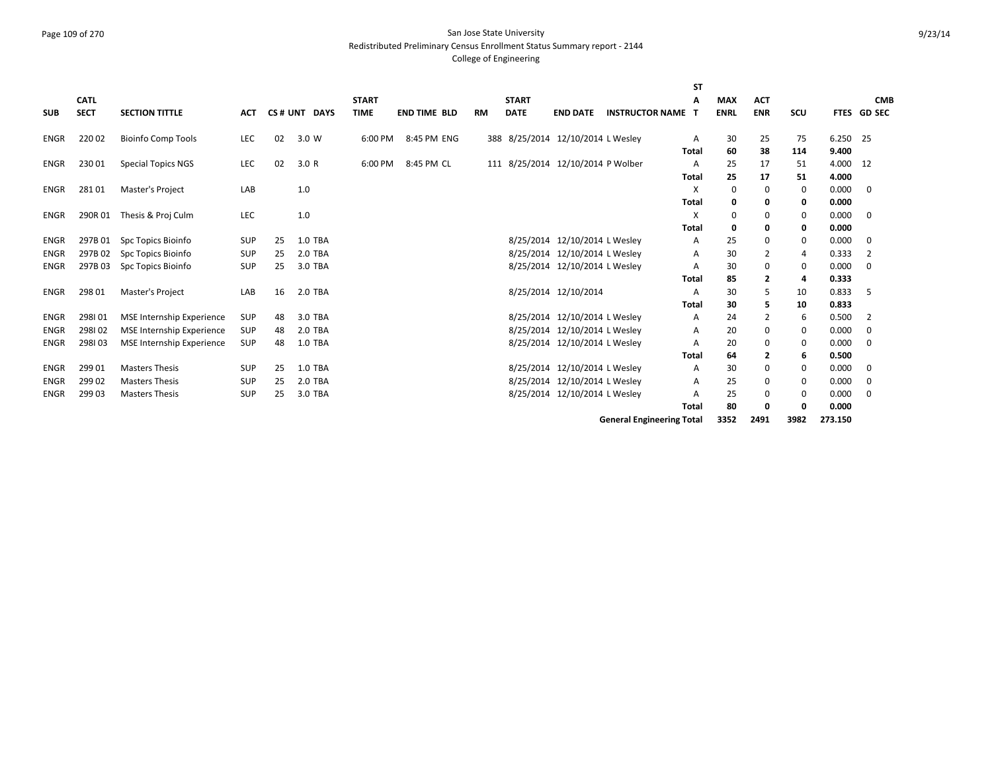### Page 109 of 270 San Jose State University Redistributed Preliminary Census Enrollment Status Summary report - 2144

|             |             |                                  |            |    |                |              |                     |           |              |                                   |                                  | <b>ST</b>    |             |                         |      |          |                |
|-------------|-------------|----------------------------------|------------|----|----------------|--------------|---------------------|-----------|--------------|-----------------------------------|----------------------------------|--------------|-------------|-------------------------|------|----------|----------------|
|             | <b>CATL</b> |                                  |            |    |                | <b>START</b> |                     |           | <b>START</b> |                                   |                                  | А            | <b>MAX</b>  | <b>ACT</b>              |      |          | <b>CMB</b>     |
| <b>SUB</b>  | <b>SECT</b> | <b>SECTION TITTLE</b>            | <b>ACT</b> |    | CS# UNT DAYS   | <b>TIME</b>  | <b>END TIME BLD</b> | <b>RM</b> | <b>DATE</b>  | <b>END DATE</b>                   | <b>INSTRUCTOR NAME</b>           | т            | <b>ENRL</b> | <b>ENR</b>              | SCU  |          | FTES GD SEC    |
| ENGR        | 22002       | <b>Bioinfo Comp Tools</b>        | LEC        | 02 | 3.0 W          | 6:00 PM      | 8:45 PM ENG         |           |              | 388 8/25/2014 12/10/2014 L Wesley |                                  | A            | 30          | 25                      | 75   | 6.250 25 |                |
|             |             |                                  |            |    |                |              |                     |           |              |                                   |                                  | <b>Total</b> | 60          | 38                      | 114  | 9.400    |                |
| ENGR        | 23001       | <b>Special Topics NGS</b>        | LEC        | 02 | 3.0R           | 6:00 PM      | 8:45 PM CL          |           |              | 111 8/25/2014 12/10/2014 P Wolber |                                  | Α            | 25          | 17                      | 51   | 4.000    | 12             |
|             |             |                                  |            |    |                |              |                     |           |              |                                   |                                  | <b>Total</b> | 25          | 17                      | 51   | 4.000    |                |
| ENGR        | 28101       | Master's Project                 | LAB        |    | 1.0            |              |                     |           |              |                                   |                                  | X            | 0           | 0                       | 0    | 0.000    | $\mathbf 0$    |
|             |             |                                  |            |    |                |              |                     |           |              |                                   |                                  | <b>Total</b> | 0           | 0                       | 0    | 0.000    |                |
| ENGR        | 290R01      | Thesis & Proj Culm               | LEC        |    | 1.0            |              |                     |           |              |                                   |                                  | X            | 0           | 0                       | 0    | 0.000    | $\mathbf 0$    |
|             |             |                                  |            |    |                |              |                     |           |              |                                   |                                  | <b>Total</b> | 0           | 0                       | 0    | 0.000    |                |
| <b>ENGR</b> | 297B01      | Spc Topics Bioinfo               | <b>SUP</b> | 25 | <b>1.0 TBA</b> |              |                     |           |              | 8/25/2014 12/10/2014 L Wesley     |                                  | А            | 25          | 0                       | 0    | 0.000    | 0              |
| <b>ENGR</b> | 297B02      | Spc Topics Bioinfo               | <b>SUP</b> | 25 | 2.0 TBA        |              |                     |           |              | 8/25/2014 12/10/2014 L Wesley     |                                  | А            | 30          | 2                       | 4    | 0.333    | $\overline{2}$ |
| <b>ENGR</b> | 297B03      | Spc Topics Bioinfo               | SUP        | 25 | 3.0 TBA        |              |                     |           |              | 8/25/2014 12/10/2014 L Wesley     |                                  | А            | 30          | 0                       | 0    | 0.000    | $\mathbf 0$    |
|             |             |                                  |            |    |                |              |                     |           |              |                                   |                                  | Total        | 85          | $\overline{\mathbf{2}}$ | 4    | 0.333    |                |
| ENGR        | 298 01      | <b>Master's Project</b>          | LAB        | 16 | 2.0 TBA        |              |                     |           |              | 8/25/2014 12/10/2014              |                                  | А            | 30          | 5                       | 10   | 0.833    | -5             |
|             |             |                                  |            |    |                |              |                     |           |              |                                   |                                  | <b>Total</b> | 30          | 5                       | 10   | 0.833    |                |
| <b>ENGR</b> | 298101      | <b>MSE Internship Experience</b> | <b>SUP</b> | 48 | 3.0 TBA        |              |                     |           |              | 8/25/2014 12/10/2014 L Wesley     |                                  | A            | 24          | 2                       | 6    | 0.500    | 2              |
| <b>ENGR</b> | 298102      | <b>MSE Internship Experience</b> | <b>SUP</b> | 48 | 2.0 TBA        |              |                     |           |              | 8/25/2014 12/10/2014 L Wesley     |                                  | Α            | 20          | 0                       | 0    | 0.000    | $\mathbf 0$    |
| <b>ENGR</b> | 298103      | MSE Internship Experience        | SUP        | 48 | 1.0 TBA        |              |                     |           |              | 8/25/2014 12/10/2014 L Wesley     |                                  | A            | 20          | 0                       | 0    | 0.000    | $\mathbf 0$    |
|             |             |                                  |            |    |                |              |                     |           |              |                                   |                                  | <b>Total</b> | 64          | $\overline{2}$          | 6    | 0.500    |                |
| <b>ENGR</b> | 299 01      | <b>Masters Thesis</b>            | <b>SUP</b> | 25 | 1.0 TBA        |              |                     |           |              | 8/25/2014 12/10/2014 L Wesley     |                                  | А            | 30          | 0                       | 0    | 0.000    | 0              |
| <b>ENGR</b> | 299 02      | <b>Masters Thesis</b>            | SUP        | 25 | 2.0 TBA        |              |                     |           |              | 8/25/2014 12/10/2014 L Wesley     |                                  | А            | 25          | 0                       | 0    | 0.000    | 0              |
| <b>ENGR</b> | 299 03      | <b>Masters Thesis</b>            | <b>SUP</b> | 25 | 3.0 TBA        |              |                     |           |              | 8/25/2014 12/10/2014 L Wesley     |                                  | A            | 25          | 0                       | 0    | 0.000    | $\mathbf 0$    |
|             |             |                                  |            |    |                |              |                     |           |              |                                   |                                  | <b>Total</b> | 80          | 0                       | 0    | 0.000    |                |
|             |             |                                  |            |    |                |              |                     |           |              |                                   | <b>General Engineering Total</b> |              | 3352        | 2491                    | 3982 | 273.150  |                |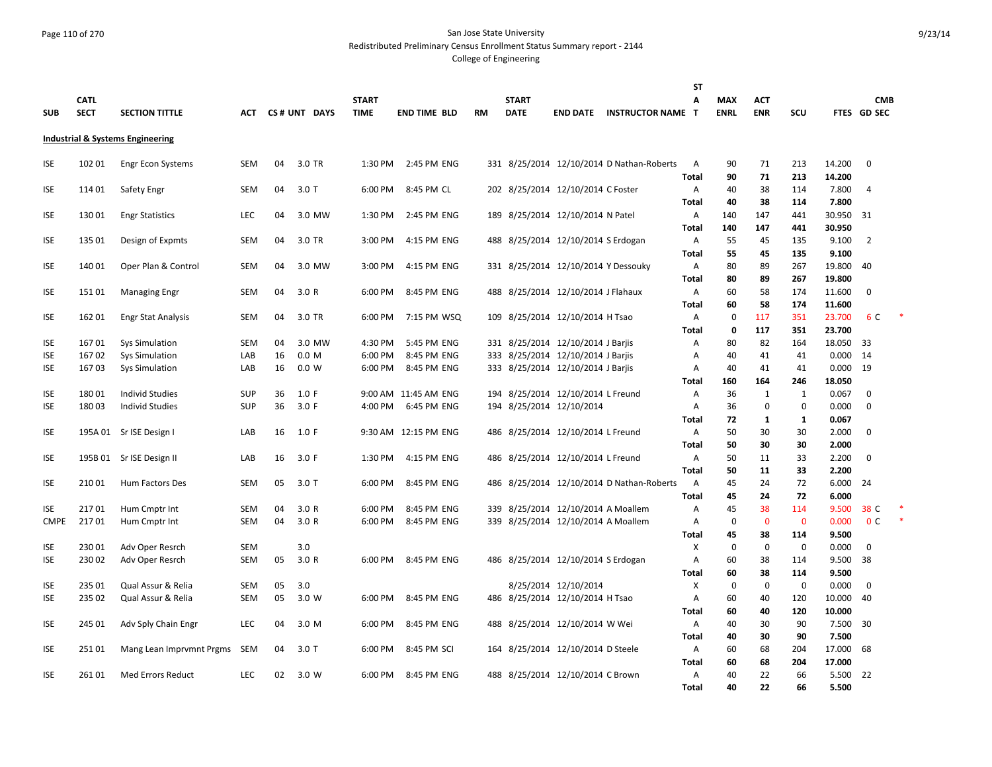## Page 110 of 270 San Jose State University Redistributed Preliminary Census Enrollment Status Summary report - 2144

|             |             |                                             |            |    |                  |              |                      |           |              |                                     |                                           | <b>ST</b>    |                   |                   |                |                  |                |  |
|-------------|-------------|---------------------------------------------|------------|----|------------------|--------------|----------------------|-----------|--------------|-------------------------------------|-------------------------------------------|--------------|-------------------|-------------------|----------------|------------------|----------------|--|
|             | <b>CATL</b> |                                             |            |    |                  | <b>START</b> |                      |           | <b>START</b> |                                     |                                           | A            | <b>MAX</b>        | <b>ACT</b>        |                |                  | <b>CMB</b>     |  |
| <b>SUB</b>  | <b>SECT</b> | <b>SECTION TITTLE</b>                       | ACT        |    | CS# UNT DAYS     | <b>TIME</b>  | <b>END TIME BLD</b>  | <b>RM</b> | <b>DATE</b>  | <b>END DATE</b>                     | <b>INSTRUCTOR NAME T</b>                  |              | <b>ENRL</b>       | <b>ENR</b>        | scu            |                  | FTES GD SEC    |  |
|             |             |                                             |            |    |                  |              |                      |           |              |                                     |                                           |              |                   |                   |                |                  |                |  |
|             |             | <b>Industrial &amp; Systems Engineering</b> |            |    |                  |              |                      |           |              |                                     |                                           |              |                   |                   |                |                  |                |  |
| ISE         | 102 01      | <b>Engr Econ Systems</b>                    | SEM        | 04 | 3.0 TR           | 1:30 PM      | 2:45 PM ENG          |           |              |                                     | 331 8/25/2014 12/10/2014 D Nathan-Roberts | A            | 90                | 71                | 213            | 14.200           | $\mathbf 0$    |  |
|             |             |                                             |            |    |                  |              |                      |           |              |                                     |                                           | Total        | 90                | 71                | 213            | 14.200           |                |  |
| <b>ISE</b>  | 11401       | Safety Engr                                 | <b>SEM</b> | 04 | $3.0$ T          | 6:00 PM      | 8:45 PM CL           |           |              | 202 8/25/2014 12/10/2014 C Foster   |                                           | Α            | 40                | 38                | 114            | 7.800            | 4              |  |
|             |             |                                             |            |    |                  |              |                      |           |              |                                     |                                           | <b>Total</b> | 40                | 38                | 114            | 7.800            |                |  |
| <b>ISE</b>  | 13001       | <b>Engr Statistics</b>                      | LEC        | 04 | 3.0 MW           | 1:30 PM      | 2:45 PM ENG          |           |              | 189 8/25/2014 12/10/2014 N Patel    |                                           | Α            | 140               | 147               | 441            | 30.950           | 31             |  |
|             |             |                                             |            |    |                  |              |                      |           |              |                                     |                                           | <b>Total</b> | 140               | 147               | 441            | 30.950           |                |  |
| <b>ISE</b>  | 135 01      | Design of Expmts                            | <b>SEM</b> | 04 | 3.0 TR           | 3:00 PM      | 4:15 PM ENG          |           |              | 488 8/25/2014 12/10/2014 S Erdogan  |                                           | Α            | 55                | 45                | 135            | 9.100            | $\overline{2}$ |  |
|             |             |                                             |            |    |                  |              |                      |           |              |                                     |                                           | <b>Total</b> | 55                | 45                | 135            | 9.100            |                |  |
| <b>ISE</b>  | 140 01      | Oper Plan & Control                         | <b>SEM</b> | 04 | 3.0 MW           | 3:00 PM      | 4:15 PM ENG          |           |              | 331 8/25/2014 12/10/2014 Y Dessouky |                                           | Α            | 80                | 89                | 267            | 19.800           | 40             |  |
|             |             |                                             |            |    |                  |              |                      |           |              |                                     |                                           | <b>Total</b> | 80                | 89                | 267            | 19.800           |                |  |
| <b>ISE</b>  | 15101       | <b>Managing Engr</b>                        | <b>SEM</b> | 04 | 3.0 R            | 6:00 PM      | 8:45 PM ENG          |           |              | 488 8/25/2014 12/10/2014 J Flahaux  |                                           | Α            | 60                | 58                | 174            | 11.600           | $\mathbf 0$    |  |
| ISE         | 16201       |                                             | SEM        | 04 | 3.0 TR           | 6:00 PM      | 7:15 PM WSQ          |           |              | 109 8/25/2014 12/10/2014 H Tsao     |                                           | Total<br>Α   | 60<br>$\mathbf 0$ | 58<br>117         | 174<br>351     | 11.600<br>23.700 | 6 C            |  |
|             |             | <b>Engr Stat Analysis</b>                   |            |    |                  |              |                      |           |              |                                     |                                           | Total        | 0                 | 117               | 351            | 23.700           |                |  |
| <b>ISE</b>  | 16701       | Sys Simulation                              | <b>SEM</b> | 04 | 3.0 MW           | 4:30 PM      | 5:45 PM ENG          |           |              | 331 8/25/2014 12/10/2014 J Barjis   |                                           | Α            | 80                | 82                | 164            | 18.050           | 33             |  |
| ISE.        | 16702       | Sys Simulation                              | LAB        | 16 | 0.0 <sub>M</sub> | 6:00 PM      | 8:45 PM ENG          |           |              | 333 8/25/2014 12/10/2014 J Barjis   |                                           | Α            | 40                | 41                | 41             | 0.000            | 14             |  |
| ISE         | 16703       | Sys Simulation                              | LAB        | 16 | 0.0 W            | 6:00 PM      | 8:45 PM ENG          |           |              | 333 8/25/2014 12/10/2014 J Barjis   |                                           | Α            | 40                | 41                | 41             | 0.000            | 19             |  |
|             |             |                                             |            |    |                  |              |                      |           |              |                                     |                                           | Total        | 160               | 164               | 246            | 18.050           |                |  |
| <b>ISE</b>  | 18001       | <b>Individ Studies</b>                      | <b>SUP</b> | 36 | 1.0 F            |              | 9:00 AM 11:45 AM ENG |           |              | 194 8/25/2014 12/10/2014 L Freund   |                                           | Α            | 36                | $\mathbf{1}$      | 1              | 0.067            | $\mathbf 0$    |  |
| <b>ISE</b>  | 18003       | Individ Studies                             | <b>SUP</b> | 36 | 3.0 F            | 4:00 PM      | 6:45 PM ENG          |           |              | 194 8/25/2014 12/10/2014            |                                           | Α            | 36                | $\mathbf 0$       | $\mathbf 0$    | 0.000            | $\mathbf 0$    |  |
|             |             |                                             |            |    |                  |              |                      |           |              |                                     |                                           | Total        | 72                | 1                 | 1              | 0.067            |                |  |
| <b>ISE</b>  | 195A 01     | Sr ISE Design I                             | LAB        | 16 | 1.0 F            |              | 9:30 AM 12:15 PM ENG |           |              | 486 8/25/2014 12/10/2014 L Freund   |                                           | A            | 50                | 30                | 30             | 2.000            | $\mathbf 0$    |  |
|             |             |                                             |            |    |                  |              |                      |           |              |                                     |                                           | <b>Total</b> | 50                | 30                | 30             | 2.000            |                |  |
| ISE         | 195B 01     | Sr ISE Design II                            | LAB        | 16 | 3.0 F            | 1:30 PM      | 4:15 PM ENG          |           |              | 486 8/25/2014 12/10/2014 L Freund   |                                           | Α            | 50                | 11                | 33             | 2.200            | $\mathbf 0$    |  |
|             |             |                                             |            |    |                  |              |                      |           |              |                                     |                                           | Total        | 50                | 11                | 33             | 2.200            |                |  |
| ISE         | 21001       | Hum Factors Des                             | <b>SEM</b> | 05 | $3.0$ T          | 6:00 PM      | 8:45 PM ENG          |           |              |                                     | 486 8/25/2014 12/10/2014 D Nathan-Roberts | A            | 45                | 24                | 72             | 6.000            | 24             |  |
|             |             |                                             |            |    |                  |              |                      |           |              |                                     |                                           | Total        | 45                | 24                | 72             | 6.000            |                |  |
| ISE         | 21701       | Hum Cmptr Int                               | SEM        | 04 | 3.0R             | 6:00 PM      | 8:45 PM ENG          |           |              | 339 8/25/2014 12/10/2014 A Moallem  |                                           | Α            | 45                | 38                | 114            | 9.500            | 38 C           |  |
| <b>CMPE</b> | 21701       | Hum Cmptr Int                               | <b>SEM</b> | 04 | 3.0R             | 6:00 PM      | 8:45 PM ENG          |           |              | 339 8/25/2014 12/10/2014 A Moallem  |                                           | Α            | $\mathbf 0$       | $\overline{0}$    | $\mathbf 0$    | 0.000            | 0 <sup>c</sup> |  |
| ISE         | 23001       | Adv Oper Resrch                             | <b>SEM</b> |    | 3.0              |              |                      |           |              |                                     |                                           | Total<br>Χ   | 45<br>0           | 38<br>$\mathbf 0$ | 114<br>0       | 9.500<br>0.000   | 0              |  |
| <b>ISE</b>  | 23002       | Adv Oper Resrch                             | SEM        | 05 | 3.0R             | 6:00 PM      | 8:45 PM ENG          |           |              | 486 8/25/2014 12/10/2014 S Erdogan  |                                           | Α            | 60                | 38                | 114            | 9.500            | 38             |  |
|             |             |                                             |            |    |                  |              |                      |           |              |                                     |                                           | Total        | 60                | 38                | 114            | 9.500            |                |  |
| ISE         | 235 01      | Qual Assur & Relia                          | <b>SEM</b> | 05 | 3.0              |              |                      |           |              | 8/25/2014 12/10/2014                |                                           | X            | $\mathbf 0$       | $\mathbf 0$       | $\overline{0}$ | 0.000            | $\mathbf 0$    |  |
| <b>ISE</b>  | 235 02      | Qual Assur & Relia                          | SEM        | 05 | 3.0 W            | 6:00 PM      | 8:45 PM ENG          |           |              | 486 8/25/2014 12/10/2014 H Tsao     |                                           | A            | 60                | 40                | 120            | 10.000           | 40             |  |
|             |             |                                             |            |    |                  |              |                      |           |              |                                     |                                           | Total        | 60                | 40                | 120            | 10.000           |                |  |
| <b>ISE</b>  | 245 01      | Adv Sply Chain Engr                         | <b>LEC</b> | 04 | 3.0 M            | 6:00 PM      | 8:45 PM ENG          |           |              | 488 8/25/2014 12/10/2014 W Wei      |                                           | A            | 40                | 30                | 90             | 7.500            | 30             |  |
|             |             |                                             |            |    |                  |              |                      |           |              |                                     |                                           | Total        | 40                | 30                | 90             | 7.500            |                |  |
| ISE         | 25101       | Mang Lean Imprvmnt Prgms SEM                |            | 04 | 3.0T             | 6:00 PM      | 8:45 PM SCI          |           |              | 164 8/25/2014 12/10/2014 D Steele   |                                           | Α            | 60                | 68                | 204            | 17.000           | 68             |  |
|             |             |                                             |            |    |                  |              |                      |           |              |                                     |                                           | <b>Total</b> | 60                | 68                | 204            | 17.000           |                |  |
| <b>ISE</b>  | 26101       | <b>Med Errors Reduct</b>                    | <b>LEC</b> | 02 | 3.0 W            | 6:00 PM      | 8:45 PM ENG          |           |              | 488 8/25/2014 12/10/2014 C Brown    |                                           | Α            | 40                | 22                | 66             | 5.500            | 22             |  |
|             |             |                                             |            |    |                  |              |                      |           |              |                                     |                                           | Total        | 40                | 22                | 66             | 5.500            |                |  |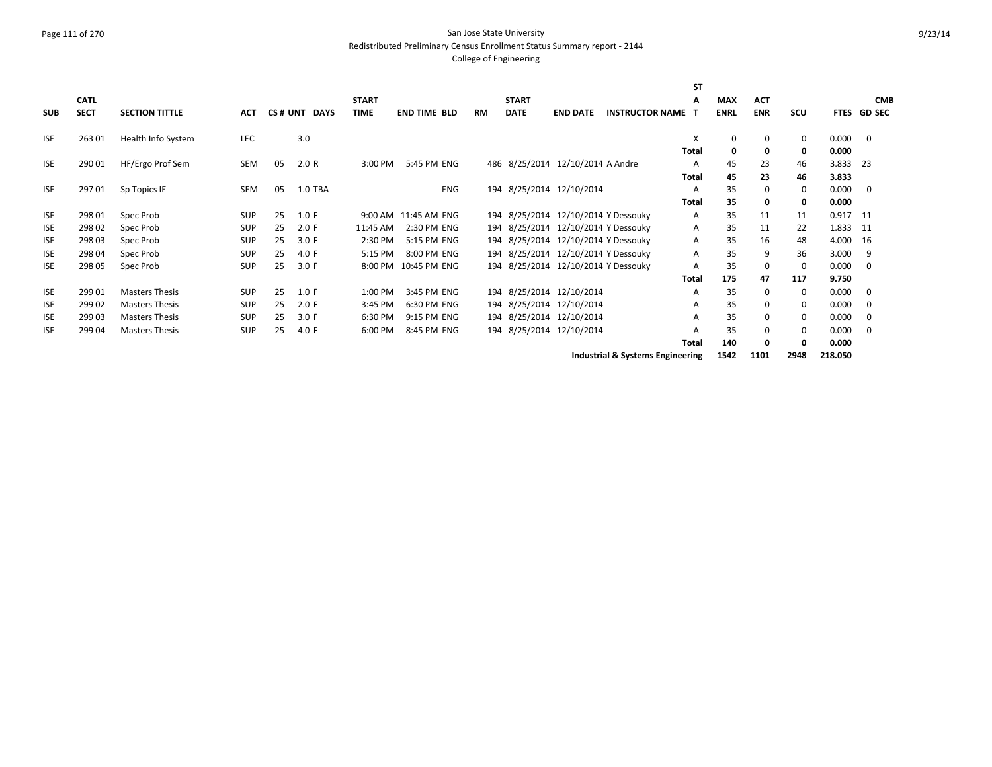#### Page 111 of 270 San Jose State University Redistributed Preliminary Census Enrollment Status Summary report - 2144

# College of Engineering

|            |             |                       |            |    |              |              |                      |     |              |                                     |                        | <b>ST</b>    |             |             |                      |          |             |
|------------|-------------|-----------------------|------------|----|--------------|--------------|----------------------|-----|--------------|-------------------------------------|------------------------|--------------|-------------|-------------|----------------------|----------|-------------|
|            | <b>CATL</b> |                       |            |    |              | <b>START</b> |                      |     | <b>START</b> |                                     |                        | A            | <b>MAX</b>  | <b>ACT</b>  |                      |          | <b>CMB</b>  |
| <b>SUB</b> | <b>SECT</b> | <b>SECTION TITTLE</b> | <b>ACT</b> |    | CS# UNT DAYS | TIME         | END TIME BLD         | RM  | <b>DATE</b>  | <b>END DATE</b>                     | <b>INSTRUCTOR NAME</b> |              | <b>ENRL</b> | ENR         | <b>SCU</b>           |          | FTES GD SEC |
| <b>ISE</b> | 26301       | Health Info System    | <b>LEC</b> |    | 3.0          |              |                      |     |              |                                     |                        | х            | 0           | $\mathbf 0$ | $\mathbf{0}$         | 0.000    | $\mathbf 0$ |
|            |             |                       |            |    |              |              |                      |     |              |                                     |                        | <b>Total</b> | $\mathbf 0$ | 0           | 0                    | 0.000    |             |
| <b>ISE</b> | 290 01      | HF/Ergo Prof Sem      | SEM        | 05 | 2.0 R        | 3:00 PM      | 5:45 PM ENG          | 486 |              | 8/25/2014 12/10/2014 A Andre        |                        | A            | 45          | 23          | 46                   | 3.833    | - 23        |
|            |             |                       |            |    |              |              |                      |     |              |                                     |                        | Total        | 45          | 23          | 46                   | 3.833    |             |
| <b>ISE</b> | 29701       | Sp Topics IE          | SEM        | 05 | 1.0 TBA      |              | ENG                  |     |              | 194 8/25/2014 12/10/2014            |                        | Α            | 35          | 0           | 0                    | 0.000    | 0           |
|            |             |                       |            |    |              |              |                      |     |              |                                     |                        | <b>Total</b> | 35          | 0           | 0                    | 0.000    |             |
| <b>ISE</b> | 298 01      | Spec Prob             | <b>SUP</b> | 25 | 1.0 F        |              | 9:00 AM 11:45 AM ENG |     |              | 194 8/25/2014 12/10/2014 Y Dessouky |                        | A            | 35          | 11          | 11                   | 0.917    | - 11        |
| <b>ISE</b> | 298 02      | Spec Prob             | <b>SUP</b> | 25 | 2.0 F        | 11:45 AM     | 2:30 PM ENG          |     |              | 194 8/25/2014 12/10/2014 Y Dessouky |                        | Α            | 35          | 11          | 22                   | 1.833 11 |             |
| <b>ISE</b> | 298 03      | Spec Prob             | <b>SUP</b> | 25 | 3.0 F        | 2:30 PM      | 5:15 PM ENG          |     |              | 194 8/25/2014 12/10/2014 Y Dessouky |                        | Α            | 35          | 16          | 48                   | 4.000    | 16          |
| <b>ISE</b> | 298 04      | Spec Prob             | <b>SUP</b> | 25 | 4.0 F        | 5:15 PM      | 8:00 PM ENG          |     |              | 194 8/25/2014 12/10/2014 Y Dessouky |                        | A            | 35          | 9           | 36                   | 3.000    | 9           |
| <b>ISE</b> | 298 05      | Spec Prob             | <b>SUP</b> | 25 | 3.0 F        |              | 8:00 PM 10:45 PM ENG |     |              | 194 8/25/2014 12/10/2014 Y Dessouky |                        | A            | 35          | 0           | $\Omega$             | 0.000    | $\mathbf 0$ |
|            |             |                       |            |    |              |              |                      |     |              |                                     |                        | <b>Total</b> | 175         | 47          | 117                  | 9.750    |             |
| <b>ISE</b> | 299 01      | Masters Thesis        | <b>SUP</b> | 25 | 1.0 F        | 1:00 PM      | 3:45 PM ENG          |     |              | 194 8/25/2014 12/10/2014            |                        | Α            | 35          | 0           | 0                    | 0.000    | 0           |
| <b>ISE</b> | 299 02      | <b>Masters Thesis</b> | <b>SUP</b> | 25 | 2.0 F        | 3:45 PM      | 6:30 PM ENG          |     |              | 194 8/25/2014 12/10/2014            |                        | A            | 35          | $\Omega$    | 0                    | 0.000    | 0           |
| <b>ISE</b> | 29903       | <b>Masters Thesis</b> | <b>SUP</b> | 25 | 3.0 F        | 6:30 PM      | 9:15 PM ENG          |     |              | 194 8/25/2014 12/10/2014            |                        | A            | 35          | 0           | 0                    | 0.000    | 0           |
| <b>ISE</b> | 299 04      | <b>Masters Thesis</b> | <b>SUP</b> | 25 | 4.0 F        | 6:00 PM      | 8:45 PM ENG          |     |              | 194 8/25/2014 12/10/2014            |                        | A            | 35          | 0           | $\Omega$             | 0.000    | $\Omega$    |
|            |             |                       |            |    |              |              |                      |     |              |                                     |                        | <b>Total</b> | 140         | 0           | 0                    | 0.000    |             |
|            |             |                       |            |    |              |              |                      |     |              | .                                   |                        |              |             |             | $\sim$ $\sim$ $\sim$ |          |             |

**Industrial & Systems Engineering 1542 1101 2948 218.050**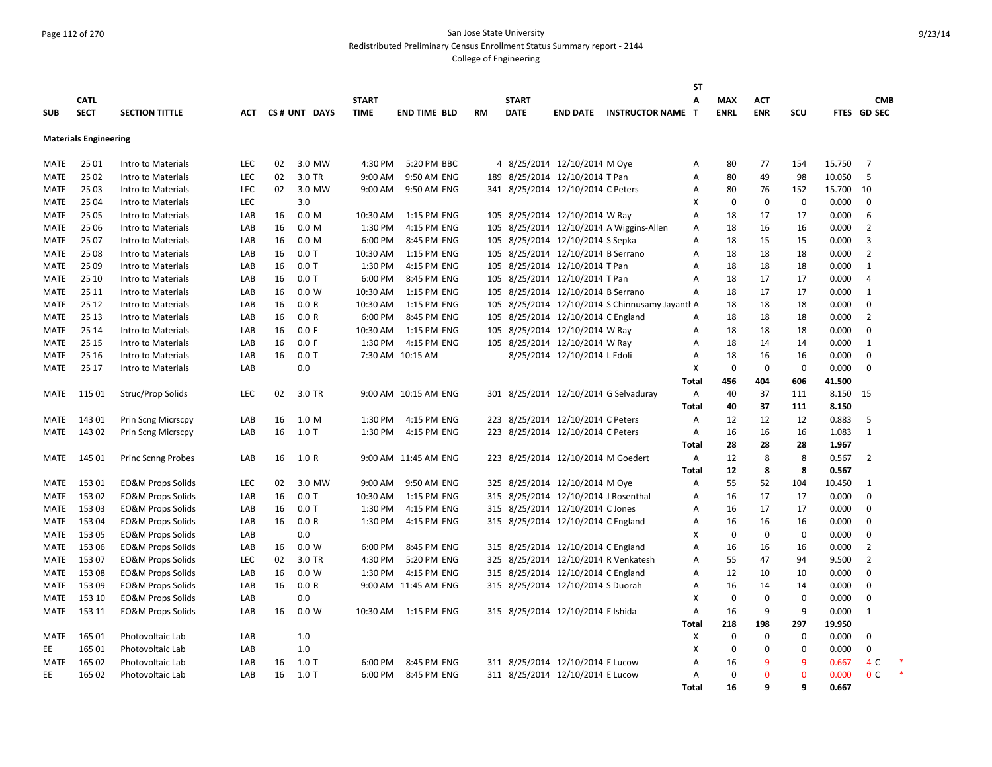## Page 112 of 270 San Jose State University Redistributed Preliminary Census Enrollment Status Summary report - 2144

|             |                              |                              |            |    |              |              |                      |    |              |                                      |                                                 | <b>ST</b>    |             |              |             |        |                |  |
|-------------|------------------------------|------------------------------|------------|----|--------------|--------------|----------------------|----|--------------|--------------------------------------|-------------------------------------------------|--------------|-------------|--------------|-------------|--------|----------------|--|
|             | <b>CATL</b>                  |                              |            |    |              | <b>START</b> |                      |    | <b>START</b> |                                      |                                                 | A            | <b>MAX</b>  | <b>ACT</b>   |             |        | <b>CMB</b>     |  |
| <b>SUB</b>  | <b>SECT</b>                  | <b>SECTION TITTLE</b>        | ACT        |    | CS# UNT DAYS | <b>TIME</b>  | <b>END TIME BLD</b>  | RM | <b>DATE</b>  | <b>END DATE</b>                      | <b>INSTRUCTOR NAME</b>                          | т            | <b>ENRL</b> | <b>ENR</b>   | scu         |        | FTES GD SEC    |  |
|             |                              |                              |            |    |              |              |                      |    |              |                                      |                                                 |              |             |              |             |        |                |  |
|             | <b>Materials Engineering</b> |                              |            |    |              |              |                      |    |              |                                      |                                                 |              |             |              |             |        |                |  |
|             |                              |                              |            |    |              |              |                      |    |              |                                      |                                                 |              |             |              |             |        |                |  |
| MATE        | 25 01                        | Intro to Materials           | <b>LEC</b> | 02 | 3.0 MW       | 4:30 PM      | 5:20 PM BBC          |    |              | 4 8/25/2014 12/10/2014 M Oye         |                                                 | A            | 80          | 77           | 154         | 15.750 | 7              |  |
| <b>MATE</b> | 25 02                        | Intro to Materials           | LEC        | 02 | 3.0 TR       | 9:00 AM      | 9:50 AM ENG          |    |              | 189 8/25/2014 12/10/2014 T Pan       |                                                 | A            | 80          | 49           | 98          | 10.050 | 5              |  |
| MATE        | 25 03                        | Intro to Materials           | <b>LEC</b> | 02 | 3.0 MW       | 9:00 AM      | 9:50 AM ENG          |    |              | 341 8/25/2014 12/10/2014 C Peters    |                                                 | A            | 80          | 76           | 152         | 15.700 | 10             |  |
| MATE        | 25 04                        | Intro to Materials           | <b>LEC</b> |    | 3.0          |              |                      |    |              |                                      |                                                 | х            | 0           | $\mathbf 0$  | 0           | 0.000  | 0              |  |
| MATE        | 25 05                        | Intro to Materials           | LAB        | 16 | 0.0 M        | 10:30 AM     | 1:15 PM ENG          |    |              | 105 8/25/2014 12/10/2014 W Ray       |                                                 | Α            | 18          | 17           | 17          | 0.000  | 6              |  |
| MATE        | 25 06                        | Intro to Materials           | LAB        | 16 | 0.0 M        | 1:30 PM      | 4:15 PM ENG          |    |              |                                      | 105 8/25/2014 12/10/2014 A Wiggins-Allen        | A            | 18          | 16           | 16          | 0.000  | $\overline{2}$ |  |
| <b>MATE</b> | 25 07                        | Intro to Materials           | LAB        | 16 | 0.0 M        | 6:00 PM      | 8:45 PM ENG          |    |              | 105 8/25/2014 12/10/2014 S Sepka     |                                                 | A            | 18          | 15           | 15          | 0.000  | 3              |  |
| MATE        | 25 08                        | Intro to Materials           | LAB        | 16 | $0.0$ T      | 10:30 AM     | 1:15 PM ENG          |    |              | 105 8/25/2014 12/10/2014 B Serrano   |                                                 | A            | 18          | 18           | 18          | 0.000  | $\overline{2}$ |  |
| MATE        | 25 09                        | Intro to Materials           | LAB        | 16 | $0.0$ T      | 1:30 PM      | 4:15 PM ENG          |    |              | 105 8/25/2014 12/10/2014 T Pan       |                                                 | Α            | 18          | 18           | 18          | 0.000  | 1              |  |
| MATE        | 25 10                        | Intro to Materials           | LAB        | 16 | $0.0$ T      | 6:00 PM      | 8:45 PM ENG          |    |              | 105 8/25/2014 12/10/2014 T Pan       |                                                 | A            | 18          | 17           | 17          | 0.000  | 4              |  |
| MATE        | 25 11                        | Intro to Materials           | LAB        | 16 | 0.0 W        | 10:30 AM     | 1:15 PM ENG          |    |              | 105 8/25/2014 12/10/2014 B Serrano   |                                                 | A            | 18          | 17           | 17          | 0.000  | 1              |  |
| MATE        | 25 12                        | Intro to Materials           | LAB        | 16 | 0.0 R        | 10:30 AM     | 1:15 PM ENG          |    |              |                                      | 105 8/25/2014 12/10/2014 S Chinnusamy Jayanth A |              | 18          | 18           | 18          | 0.000  | $\mathbf 0$    |  |
| MATE        | 25 13                        | Intro to Materials           | LAB        | 16 | 0.0 R        | 6:00 PM      | 8:45 PM ENG          |    |              | 105 8/25/2014 12/10/2014 C England   |                                                 | A            | 18          | 18           | 18          | 0.000  | $\overline{2}$ |  |
| MATE        | 25 14                        | Intro to Materials           | LAB        | 16 | 0.0 F        | 10:30 AM     | 1:15 PM ENG          |    |              | 105 8/25/2014 12/10/2014 W Ray       |                                                 | A            | 18          | 18           | 18          | 0.000  | $\Omega$       |  |
| <b>MATE</b> | 25 15                        | Intro to Materials           | LAB        | 16 | 0.0 F        | 1:30 PM      | 4:15 PM ENG          |    |              | 105 8/25/2014 12/10/2014 W Ray       |                                                 | Α            | 18          | 14           | 14          | 0.000  | 1              |  |
| MATE        | 25 16                        | Intro to Materials           | LAB        | 16 | $0.0$ T      |              | 7:30 AM 10:15 AM     |    |              | 8/25/2014 12/10/2014 L Edoli         |                                                 | Α            | 18          | 16           | 16          | 0.000  | 0              |  |
| <b>MATE</b> | 25 17                        | Intro to Materials           | LAB        |    | 0.0          |              |                      |    |              |                                      |                                                 | Χ            | $\mathbf 0$ | $\mathbf 0$  | $\mathbf 0$ | 0.000  | $\mathbf 0$    |  |
|             |                              |                              |            |    |              |              |                      |    |              |                                      |                                                 | Total        | 456         | 404          | 606         | 41.500 |                |  |
| MATE        | 115 01                       | Struc/Prop Solids            | LEC        | 02 | 3.0 TR       |              | 9:00 AM 10:15 AM ENG |    |              |                                      | 301 8/25/2014 12/10/2014 G Selvaduray           | A            | 40          | 37           | 111         | 8.150  | 15             |  |
|             |                              |                              |            |    |              |              |                      |    |              |                                      |                                                 | Total        | 40          | 37           | 111         | 8.150  |                |  |
| MATE        | 143 01                       | Prin Scng Micrscpy           | LAB        | 16 | 1.0 M        | 1:30 PM      | 4:15 PM ENG          |    |              | 223 8/25/2014 12/10/2014 C Peters    |                                                 | A            | 12          | 12           | 12          | 0.883  | 5              |  |
| MATE        | 14302                        | Prin Scng Micrscpy           | LAB        | 16 | $1.0$ T      | 1:30 PM      | 4:15 PM ENG          |    |              | 223 8/25/2014 12/10/2014 C Peters    |                                                 | A            | 16          | 16           | 16          | 1.083  | 1              |  |
|             |                              |                              |            |    |              |              |                      |    |              |                                      |                                                 | <b>Total</b> | 28          | 28           | 28          | 1.967  |                |  |
| MATE        | 145 01                       | <b>Princ Scnng Probes</b>    | LAB        | 16 | 1.0 R        |              | 9:00 AM 11:45 AM ENG |    |              | 223 8/25/2014 12/10/2014 M Goedert   |                                                 | A            | 12          | 8            | 8           | 0.567  | $\overline{2}$ |  |
|             |                              |                              |            |    |              |              |                      |    |              |                                      |                                                 | Total        | 12          | 8            | 8           | 0.567  |                |  |
| MATE        | 153 01                       | <b>EO&amp;M Props Solids</b> | LEC        | 02 | 3.0 MW       | 9:00 AM      | 9:50 AM ENG          |    |              | 325 8/25/2014 12/10/2014 M Oye       |                                                 | A            | 55          | 52           | 104         | 10.450 | 1              |  |
| MATE        | 153 02                       | <b>EO&amp;M Props Solids</b> | LAB        | 16 | $0.0$ T      | 10:30 AM     | 1:15 PM ENG          |    |              | 315 8/25/2014 12/10/2014 J Rosenthal |                                                 | A            | 16          | 17           | 17          | 0.000  | $\Omega$       |  |
| MATE        | 153 03                       | <b>EO&amp;M Props Solids</b> | LAB        | 16 | $0.0$ T      | 1:30 PM      | 4:15 PM ENG          |    |              | 315 8/25/2014 12/10/2014 C Jones     |                                                 | Α            | 16          | 17           | 17          | 0.000  | $\Omega$       |  |
| MATE        | 153 04                       | <b>EO&amp;M Props Solids</b> | LAB        | 16 | 0.0 R        | 1:30 PM      | 4:15 PM ENG          |    |              | 315 8/25/2014 12/10/2014 C England   |                                                 | A            | 16          | 16           | 16          | 0.000  | $\mathbf 0$    |  |
| MATE        | 15305                        | EO&M Props Solids            | LAB        |    | 0.0          |              |                      |    |              |                                      |                                                 | X            | $\mathbf 0$ | 0            | $\mathbf 0$ | 0.000  | $\Omega$       |  |
| MATE        | 15306                        | <b>EO&amp;M Props Solids</b> | LAB        | 16 | 0.0 W        | 6:00 PM      | 8:45 PM ENG          |    |              | 315 8/25/2014 12/10/2014 C England   |                                                 | Α            | 16          | 16           | 16          | 0.000  | 2              |  |
| MATE        | 15307                        | EO&M Props Solids            | LEC        | 02 | 3.0 TR       | 4:30 PM      | 5:20 PM ENG          |    |              | 325 8/25/2014 12/10/2014 R Venkatesh |                                                 | Α            | 55          | 47           | 94          | 9.500  | $\overline{2}$ |  |
| <b>MATE</b> | 15308                        | <b>EO&amp;M Props Solids</b> | LAB        | 16 | 0.0 W        | 1:30 PM      | 4:15 PM ENG          |    |              | 315 8/25/2014 12/10/2014 C England   |                                                 |              | 12          | 10           | 10          | 0.000  | $\Omega$       |  |
|             |                              |                              |            |    |              |              |                      |    |              |                                      |                                                 | A            |             |              |             |        | $\Omega$       |  |
| MATE        | 153 09                       | <b>EO&amp;M Props Solids</b> | LAB        | 16 | 0.0 R        |              | 9:00 AM 11:45 AM ENG |    |              | 315 8/25/2014 12/10/2014 S Duorah    |                                                 | A            | 16          | 14           | 14          | 0.000  |                |  |
| MATE        | 153 10                       | EO&M Props Solids            | LAB        |    | $0.0\,$      |              |                      |    |              |                                      |                                                 | х            | 0           | 0            | 0           | 0.000  | 0              |  |
| MATE        | 153 11                       | EO&M Props Solids            | LAB        | 16 | 0.0 W        | 10:30 AM     | 1:15 PM ENG          |    |              | 315 8/25/2014 12/10/2014 Elshida     |                                                 | Α            | 16          | 9            | 9           | 0.000  | 1              |  |
|             |                              |                              |            |    |              |              |                      |    |              |                                      |                                                 | Total        | 218         | 198          | 297         | 19.950 |                |  |
| MATE        | 165 01                       | Photovoltaic Lab             | LAB        |    | 1.0          |              |                      |    |              |                                      |                                                 | X            | $\Omega$    | $\mathbf 0$  | $\mathbf 0$ | 0.000  | $\mathbf 0$    |  |
| EE          | 165 01                       | Photovoltaic Lab             | LAB        |    | 1.0          |              |                      |    |              |                                      |                                                 | х            | $\Omega$    | $\Omega$     | $\Omega$    | 0.000  | $\mathbf 0$    |  |
| MATE        | 165 02                       | Photovoltaic Lab             | LAB        | 16 | $1.0$ T      | 6:00 PM      | 8:45 PM ENG          |    |              | 311 8/25/2014 12/10/2014 E Lucow     |                                                 | Α            | 16          | 9            | 9           | 0.667  | 4 C            |  |
| EE          | 165 02                       | Photovoltaic Lab             | LAB        | 16 | $1.0$ T      | 6:00 PM      | 8:45 PM ENG          |    |              | 311 8/25/2014 12/10/2014 E Lucow     |                                                 | Α            | 0           | $\mathbf{0}$ | $\Omega$    | 0.000  | 0 <sup>C</sup> |  |
|             |                              |                              |            |    |              |              |                      |    |              |                                      |                                                 | Total        | 16          | 9            | 9           | 0.667  |                |  |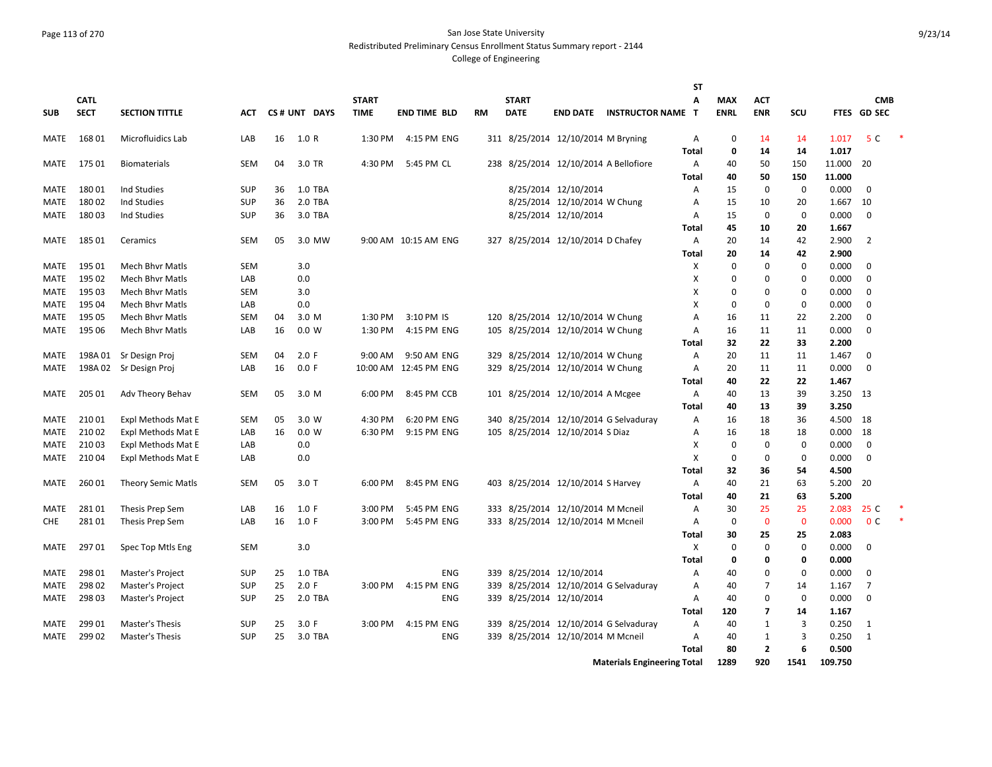#### Page 113 of 270 San Jose State University Redistributed Preliminary Census Enrollment Status Summary report - 2144

|              |                 |                                           |                          |          |                  |              |                           |    |              |                                       |                                       | <b>ST</b>    |             |                     |             |                |                |  |
|--------------|-----------------|-------------------------------------------|--------------------------|----------|------------------|--------------|---------------------------|----|--------------|---------------------------------------|---------------------------------------|--------------|-------------|---------------------|-------------|----------------|----------------|--|
|              | <b>CATL</b>     |                                           |                          |          |                  | <b>START</b> |                           |    | <b>START</b> |                                       |                                       | Α            | <b>MAX</b>  | ACT                 |             |                | <b>CMB</b>     |  |
| <b>SUB</b>   | <b>SECT</b>     | <b>SECTION TITTLE</b>                     | ACT                      |          | CS# UNT DAYS     | <b>TIME</b>  | <b>END TIME BLD</b>       | RM | <b>DATE</b>  | <b>END DATE</b>                       | <b>INSTRUCTOR NAME</b>                | т            | <b>ENRL</b> | <b>ENR</b>          | <b>SCU</b>  |                | FTES GD SEC    |  |
| MATE         | 16801           | Microfluidics Lab                         | LAB                      | 16       | 1.0 R            | 1:30 PM      | 4:15 PM ENG               |    |              | 311 8/25/2014 12/10/2014 M Bryning    |                                       | A            | 0           | 14                  | 14          | 1.017          | 5 C            |  |
|              |                 |                                           |                          |          |                  |              |                           |    |              |                                       |                                       | <b>Total</b> | 0           | 14                  | 14          | 1.017          |                |  |
| <b>MATE</b>  | 175 01          | <b>Biomaterials</b>                       | <b>SEM</b>               | 04       | 3.0 TR           | 4:30 PM      | 5:45 PM CL                |    |              | 238 8/25/2014 12/10/2014 A Bellofiore |                                       | Α            | 40          | 50                  | 150         | 11.000         | 20             |  |
|              |                 |                                           |                          |          |                  |              |                           |    |              |                                       |                                       | <b>Total</b> | 40          | 50                  | 150         | 11.000         |                |  |
| <b>MATE</b>  | 18001           | Ind Studies                               | <b>SUP</b>               | 36       | 1.0 TBA          |              |                           |    |              | 8/25/2014 12/10/2014                  |                                       | Α            | 15          | 0                   | $\mathbf 0$ | 0.000          | $\Omega$       |  |
| <b>MATE</b>  | 18002           | Ind Studies                               | <b>SUP</b>               | 36       | 2.0 TBA          |              |                           |    |              | 8/25/2014 12/10/2014 W Chung          |                                       | A            | 15          | 10                  | 20          | 1.667          | 10             |  |
| <b>MATE</b>  | 18003           | Ind Studies                               | <b>SUP</b>               | 36       | 3.0 TBA          |              |                           |    |              | 8/25/2014 12/10/2014                  |                                       | Α            | 15          | $\Omega$            | $\mathbf 0$ | 0.000          | $\Omega$       |  |
|              |                 |                                           |                          |          |                  |              |                           |    |              |                                       |                                       | Total        | 45          | 10                  | 20          | 1.667          |                |  |
| MATE         | 185 01          | Ceramics                                  | <b>SEM</b>               | 05       | 3.0 MW           |              | 9:00 AM 10:15 AM ENG      |    |              | 327 8/25/2014 12/10/2014 D Chafey     |                                       | Α            | 20          | 14                  | 42          | 2.900          | 2              |  |
|              |                 |                                           |                          |          |                  |              |                           |    |              |                                       |                                       | Total        | 20          | 14                  | 42          | 2.900          |                |  |
| MATE         | 195 01          | Mech Bhvr Matls                           | <b>SEM</b>               |          | 3.0              |              |                           |    |              |                                       |                                       | х            | 0           | 0                   | $\mathbf 0$ | 0.000          | 0              |  |
| MATE         | 195 02          | Mech Bhvr Matls                           | LAB                      |          | 0.0              |              |                           |    |              |                                       |                                       | х            | 0           | 0                   | 0           | 0.000          | $\mathbf 0$    |  |
| MATE         | 195 03          | <b>Mech Bhvr Matls</b>                    | <b>SEM</b>               |          | 3.0              |              |                           |    |              |                                       |                                       | х            | 0           | 0                   | 0           | 0.000          | $\mathbf 0$    |  |
| MATE         | 195 04          | <b>Mech Bhvr Matls</b>                    | LAB                      |          | 0.0              |              |                           |    |              |                                       |                                       | х            | $\mathbf 0$ | $\mathbf 0$         | 0           | 0.000          | $\Omega$       |  |
| MATE         | 195 05          | <b>Mech Bhvr Matls</b>                    | <b>SEM</b>               | 04       | 3.0 M            | 1:30 PM      | 3:10 PM IS                |    |              | 120 8/25/2014 12/10/2014 W Chung      |                                       | Α            | 16          | 11                  | 22          | 2.200          | $\mathbf 0$    |  |
| MATE         | 195 06          | <b>Mech Bhyr Matls</b>                    | LAB                      | 16       | 0.0 W            | 1:30 PM      | 4:15 PM ENG               |    |              | 105 8/25/2014 12/10/2014 W Chung      |                                       | Α            | 16          | 11                  | 11          | 0.000          | $\Omega$       |  |
|              |                 |                                           |                          |          |                  |              |                           |    |              |                                       |                                       | Total        | 32          | 22                  | 33          | 2.200          |                |  |
| MATE         | 198A 01         | Sr Design Proj                            | <b>SEM</b>               | 04       | 2.0 F            | 9:00 AM      | 9:50 AM ENG               |    |              | 329 8/25/2014 12/10/2014 W Chung      |                                       | Α            | 20          | 11                  | 11          | 1.467          | $\Omega$       |  |
| MATE         | 198A02          | Sr Design Proj                            | LAB                      | 16       | 0.0 F            |              | 10:00 AM 12:45 PM ENG     |    |              | 329 8/25/2014 12/10/2014 W Chung      |                                       | Α            | 20          | 11                  | 11          | 0.000          | $\Omega$       |  |
|              |                 |                                           |                          |          |                  |              |                           |    |              |                                       |                                       | <b>Total</b> | 40          | 22                  | 22          | 1.467          |                |  |
| <b>MATE</b>  | 205 01          | Adv Theory Behav                          | <b>SEM</b>               | 05       | 3.0 M            | 6:00 PM      | 8:45 PM CCB               |    |              | 101 8/25/2014 12/10/2014 A Mcgee      |                                       | Α            | 40          | 13                  | 39          | 3.250          | 13             |  |
|              |                 |                                           |                          |          |                  |              |                           |    |              |                                       |                                       | <b>Total</b> | 40          | 13                  | 39          | 3.250          |                |  |
| MATE         | 21001           | Expl Methods Mat E                        | <b>SEM</b>               | 05       | 3.0 W            | 4:30 PM      | 6:20 PM ENG               |    |              |                                       | 340 8/25/2014 12/10/2014 G Selvaduray | Α            | 16          | 18                  | 36          | 4.500          | 18             |  |
| MATE         | 21002           | Expl Methods Mat E                        | LAB                      | 16       | 0.0 W            | 6:30 PM      | 9:15 PM ENG               |    |              | 105 8/25/2014 12/10/2014 S Diaz       |                                       | Α            | 16          | 18                  | 18          | 0.000          | 18             |  |
| <b>MATE</b>  | 21003           | Expl Methods Mat E                        | LAB                      |          | 0.0              |              |                           |    |              |                                       |                                       | X            | $\mathbf 0$ | $\mathbf 0$         | $\mathbf 0$ | 0.000          | $\Omega$       |  |
| <b>MATE</b>  | 21004           | Expl Methods Mat E                        | LAB                      |          | 0.0              |              |                           |    |              |                                       |                                       | X            | $\mathbf 0$ | 0                   | $\mathbf 0$ | 0.000          | $\mathbf 0$    |  |
|              |                 |                                           |                          |          |                  |              |                           |    |              |                                       |                                       | <b>Total</b> | 32          | 36                  | 54          | 4.500          |                |  |
| MATE         | 26001           | <b>Theory Semic Matls</b>                 | <b>SEM</b>               | 05       | $3.0$ T          | 6:00 PM      | 8:45 PM ENG               |    |              | 403 8/25/2014 12/10/2014 S Harvey     |                                       | A            | 40          | 21                  | 63          | 5.200          | 20             |  |
|              |                 |                                           |                          |          |                  |              |                           |    |              |                                       |                                       | <b>Total</b> | 40          | 21                  | 63          | 5.200          |                |  |
| MATE         | 28101           | Thesis Prep Sem                           | LAB                      | 16       | 1.0 F            | 3:00 PM      | 5:45 PM ENG               |    |              | 333 8/25/2014 12/10/2014 M Mcneil     |                                       | Α            | 30          | 25                  | 25          | 2.083          | 25 C           |  |
| CHE          | 28101           | Thesis Prep Sem                           | LAB                      | 16       | 1.0 F            | 3:00 PM      | 5:45 PM ENG               |    |              | 333 8/25/2014 12/10/2014 M Mcneil     |                                       | Α            | $\mathbf 0$ | $\mathbf{0}$        | $\mathbf 0$ | 0.000          | 0 <sup>c</sup> |  |
|              |                 |                                           |                          |          |                  |              |                           |    |              |                                       |                                       | Total        | 30          | 25                  | 25          | 2.083          |                |  |
| MATE         | 29701           | Spec Top Mtls Eng                         | SEM                      |          | 3.0              |              |                           |    |              |                                       |                                       | X            | 0           | 0                   | 0           | 0.000          | 0              |  |
|              |                 |                                           |                          |          |                  |              |                           |    |              |                                       |                                       | Total        | 0           | 0                   | 0           | 0.000          |                |  |
| MATE         | 298 01          | Master's Project                          | SUP                      | 25       | 1.0 TBA          |              | <b>ENG</b>                |    |              | 339 8/25/2014 12/10/2014              |                                       | Α            | 40          | 0                   | 0           | 0.000          | $\Omega$       |  |
| MATE         | 298 02          | Master's Project                          | <b>SUP</b>               | 25       | 2.0 F            | 3:00 PM      | 4:15 PM ENG               |    |              |                                       | 339 8/25/2014 12/10/2014 G Selvaduray | Α            | 40          | 7                   | 14          | 1.167          | $\overline{7}$ |  |
| MATE         | 298 03          | Master's Project                          | SUP                      | 25       | 2.0 TBA          |              | <b>ENG</b>                |    |              | 339 8/25/2014 12/10/2014              |                                       | Α            | 40          | 0                   | 0           | 0.000          | $\mathbf 0$    |  |
|              |                 |                                           |                          |          |                  | 3:00 PM      |                           |    |              |                                       |                                       | Total        | 120<br>40   | $\overline{7}$<br>1 | 14<br>3     | 1.167          | 1              |  |
| MATE<br>MATE | 299 01<br>29902 | <b>Master's Thesis</b><br>Master's Thesis | <b>SUP</b><br><b>SUP</b> | 25<br>25 | 3.0 F<br>3.0 TBA |              | 4:15 PM ENG<br><b>ENG</b> |    |              | 339 8/25/2014 12/10/2014 M Mcneil     | 339 8/25/2014 12/10/2014 G Selvaduray | Α<br>A       | 40          | 1                   | 3           | 0.250<br>0.250 | $\mathbf{1}$   |  |
|              |                 |                                           |                          |          |                  |              |                           |    |              |                                       |                                       | Total        | 80          | $\overline{2}$      | 6           | 0.500          |                |  |
|              |                 |                                           |                          |          |                  |              |                           |    |              |                                       | <b>Materials Engineering Total</b>    |              | 1289        | 920                 | 1541        | 109.750        |                |  |
|              |                 |                                           |                          |          |                  |              |                           |    |              |                                       |                                       |              |             |                     |             |                |                |  |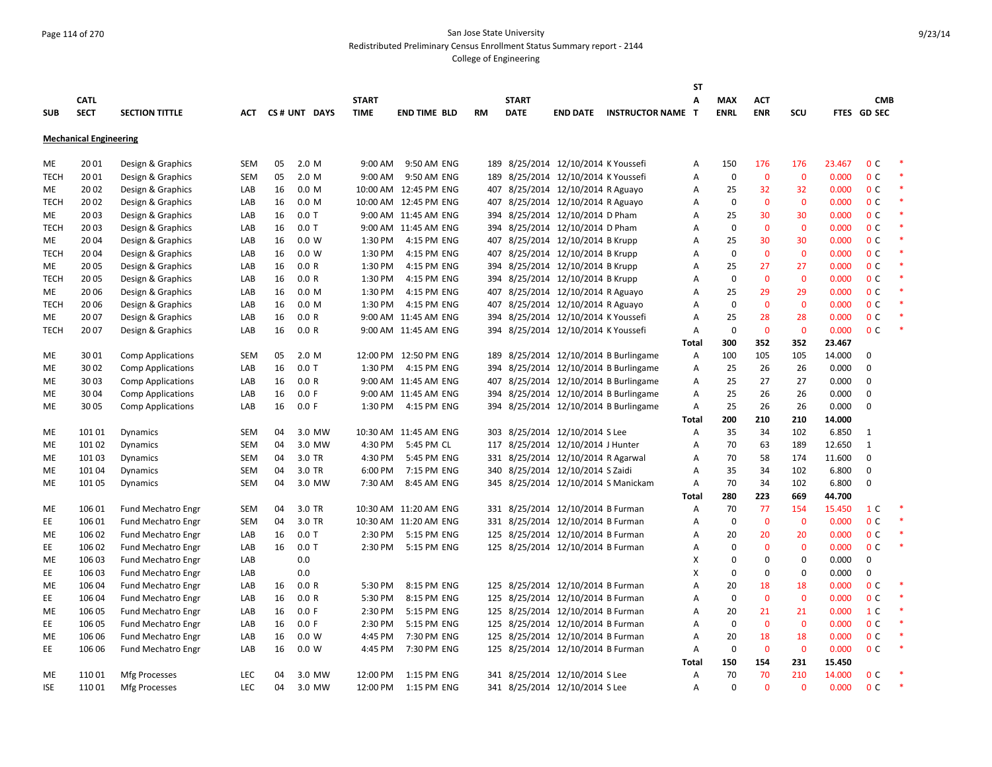## Page 114 of 270 San Jose State University Redistributed Preliminary Census Enrollment Status Summary report - 2144

|             |                               |                           |            |    |                  |              |                       |           |              |                                     |                                       | SΤ    |             |              |                |                 |                |        |
|-------------|-------------------------------|---------------------------|------------|----|------------------|--------------|-----------------------|-----------|--------------|-------------------------------------|---------------------------------------|-------|-------------|--------------|----------------|-----------------|----------------|--------|
|             | <b>CATL</b>                   |                           |            |    |                  | <b>START</b> |                       |           | <b>START</b> |                                     |                                       | A     | <b>MAX</b>  | <b>ACT</b>   |                |                 | <b>CMB</b>     |        |
| <b>SUB</b>  | <b>SECT</b>                   | <b>SECTION TITTLE</b>     | ACT        |    | CS# UNT DAYS     | <b>TIME</b>  | <b>END TIME BLD</b>   | <b>RM</b> | <b>DATE</b>  |                                     | <b>END DATE INSTRUCTOR NAME T</b>     |       | <b>ENRL</b> | <b>ENR</b>   | SCU            |                 | FTES GD SEC    |        |
|             |                               |                           |            |    |                  |              |                       |           |              |                                     |                                       |       |             |              |                |                 |                |        |
|             | <b>Mechanical Engineering</b> |                           |            |    |                  |              |                       |           |              |                                     |                                       |       |             |              |                |                 |                |        |
| ME          | 2001                          | Design & Graphics         | <b>SEM</b> | 05 | 2.0 M            | 9:00 AM      | 9:50 AM ENG           |           |              | 189 8/25/2014 12/10/2014 K Youssefi |                                       | Α     | 150         | 176          | 176            | 23.467          | 0 <sup>C</sup> |        |
| <b>TECH</b> | 2001                          | Design & Graphics         | <b>SEM</b> | 05 | 2.0 M            | $9:00$ AM    | 9:50 AM ENG           |           |              | 189 8/25/2014 12/10/2014 K Youssefi |                                       | Α     | $\mathbf 0$ | $\mathbf{0}$ | $\mathbf{0}$   | 0.000           | 0 <sup>C</sup> | $\ast$ |
| ME          | 2002                          | Design & Graphics         | LAB        | 16 | 0.0 <sub>M</sub> |              | 10:00 AM 12:45 PM ENG |           |              | 407 8/25/2014 12/10/2014 R Aguayo   |                                       | Α     | 25          | 32           | 32             | 0.000           | 0 <sup>C</sup> | $\ast$ |
| <b>TECH</b> | 2002                          | Design & Graphics         | LAB        | 16 | 0.0 M            |              | 10:00 AM 12:45 PM ENG |           |              | 407 8/25/2014 12/10/2014 R Aguayo   |                                       | Α     | $\mathbf 0$ | $\mathbf{0}$ | $\Omega$       | 0.000           | 0 <sup>C</sup> | $\ast$ |
| ME          | 2003                          | Design & Graphics         | LAB        | 16 | $0.0$ T          |              | 9:00 AM 11:45 AM ENG  |           |              | 394 8/25/2014 12/10/2014 D Pham     |                                       | Α     | 25          | 30           | 30             | 0.000           | 0 <sup>C</sup> |        |
| <b>TECH</b> | 2003                          | Design & Graphics         | LAB        | 16 | $0.0$ T          |              | 9:00 AM 11:45 AM ENG  |           |              | 394 8/25/2014 12/10/2014 D Pham     |                                       | Α     | $\mathbf 0$ | $\mathbf{0}$ | $\overline{0}$ | 0.000           | 0 <sup>C</sup> |        |
| ME          | 2004                          | Design & Graphics         | LAB        | 16 | 0.0 W            | 1:30 PM      | 4:15 PM ENG           |           |              | 407 8/25/2014 12/10/2014 B Krupp    |                                       | A     | 25          | 30           | 30             | 0.000           | 0 <sup>C</sup> |        |
| <b>TECH</b> | 2004                          | Design & Graphics         | LAB        | 16 | 0.0 W            | 1:30 PM      | 4:15 PM ENG           |           |              | 407 8/25/2014 12/10/2014 B Krupp    |                                       | A     | $\mathbf 0$ | $\mathbf{0}$ | $\mathbf 0$    | 0.000           | 0 <sup>C</sup> | $\ast$ |
| ME          | 2005                          | Design & Graphics         | LAB        | 16 | 0.0 R            | 1:30 PM      | 4:15 PM ENG           |           |              | 394 8/25/2014 12/10/2014 B Krupp    |                                       | A     | 25          | 27           | 27             | 0.000           | 0 <sup>C</sup> | ×      |
| <b>TECH</b> | 2005                          | Design & Graphics         | LAB        | 16 | 0.0 R            | 1:30 PM      | 4:15 PM ENG           |           |              | 394 8/25/2014 12/10/2014 B Krupp    |                                       | A     | $\mathbf 0$ | $\mathbf{0}$ | $\mathbf{0}$   | 0.000           | 0 <sup>C</sup> |        |
| <b>ME</b>   | 2006                          | Design & Graphics         | LAB        | 16 | 0.0 M            | 1:30 PM      | 4:15 PM ENG           |           |              | 407 8/25/2014 12/10/2014 R Aguayo   |                                       | A     | 25          | 29           | 29             | 0.000           | 0 <sup>C</sup> |        |
| <b>TECH</b> | 2006                          | Design & Graphics         | LAB        | 16 | 0.0 M            | 1:30 PM      | 4:15 PM ENG           |           |              | 407 8/25/2014 12/10/2014 R Aguayo   |                                       | Α     | $\mathbf 0$ | $\mathbf 0$  | $\mathbf 0$    | 0.000           | 0 <sup>C</sup> |        |
| ME          | 2007                          | Design & Graphics         | LAB        | 16 | 0.0 R            |              | 9:00 AM 11:45 AM ENG  |           |              | 394 8/25/2014 12/10/2014 K Youssefi |                                       | Α     | 25          | 28           | 28             | 0.000           | 0 <sup>C</sup> |        |
|             | 2007                          |                           |            |    |                  |              |                       |           |              |                                     |                                       |       | $\Omega$    | $\mathbf{0}$ | $\mathbf 0$    |                 | 0 <sup>C</sup> |        |
| <b>TECH</b> |                               | Design & Graphics         | LAB        | 16 | 0.0 R            |              | 9:00 AM 11:45 AM ENG  |           |              | 394 8/25/2014 12/10/2014 K Youssefi |                                       | Α     | 300         | 352          |                | 0.000<br>23.467 |                |        |
|             |                               |                           |            |    |                  |              |                       |           |              |                                     | 189 8/25/2014 12/10/2014 B Burlingame | Total |             | 105          | 352            | 14.000          | 0              |        |
| ME          | 3001                          | <b>Comp Applications</b>  | <b>SEM</b> | 05 | 2.0 M            | 1:30 PM      | 12:00 PM 12:50 PM ENG |           |              |                                     |                                       | Α     | 100         | 26           | 105            |                 | $\mathbf 0$    |        |
| <b>ME</b>   | 3002                          | <b>Comp Applications</b>  | LAB        | 16 | $0.0$ T          |              | 4:15 PM ENG           |           |              |                                     | 394 8/25/2014 12/10/2014 B Burlingame | Α     | 25          |              | 26             | 0.000           |                |        |
| ME          | 3003                          | <b>Comp Applications</b>  | LAB        | 16 | 0.0 R            |              | 9:00 AM 11:45 AM ENG  |           |              |                                     | 407 8/25/2014 12/10/2014 B Burlingame | Α     | 25          | 27           | 27             | 0.000           | $\mathbf 0$    |        |
| ME          | 3004                          | <b>Comp Applications</b>  | LAB        | 16 | 0.0 F            |              | 9:00 AM 11:45 AM ENG  |           |              |                                     | 394 8/25/2014 12/10/2014 B Burlingame | Α     | 25          | 26           | 26             | 0.000           | $\mathbf 0$    |        |
| ME          | 3005                          | <b>Comp Applications</b>  | LAB        | 16 | 0.0 F            | 1:30 PM      | 4:15 PM ENG           |           |              |                                     | 394 8/25/2014 12/10/2014 B Burlingame | Α     | 25          | 26           | 26             | 0.000           | $\mathbf 0$    |        |
|             |                               |                           |            |    |                  |              |                       |           |              |                                     |                                       | Total | 200         | 210          | 210            | 14.000          |                |        |
| ME          | 101 01                        | Dynamics                  | <b>SEM</b> | 04 | 3.0 MW           |              | 10:30 AM 11:45 AM ENG |           |              | 303 8/25/2014 12/10/2014 S Lee      |                                       | Α     | 35          | 34           | 102            | 6.850           | 1              |        |
| ME          | 101 02                        | <b>Dynamics</b>           | <b>SEM</b> | 04 | 3.0 MW           | 4:30 PM      | 5:45 PM CL            |           |              | 117 8/25/2014 12/10/2014 J Hunter   |                                       | A     | 70          | 63           | 189            | 12.650          | $\mathbf{1}$   |        |
| <b>ME</b>   | 101 03                        | <b>Dynamics</b>           | <b>SEM</b> | 04 | 3.0 TR           | 4:30 PM      | 5:45 PM ENG           |           |              | 331 8/25/2014 12/10/2014 R Agarwal  |                                       | A     | 70          | 58           | 174            | 11.600          | $\Omega$       |        |
| ME          | 101 04                        | <b>Dynamics</b>           | <b>SEM</b> | 04 | 3.0 TR           | 6:00 PM      | 7:15 PM ENG           |           |              | 340 8/25/2014 12/10/2014 S Zaidi    |                                       | Α     | 35          | 34           | 102            | 6.800           | 0              |        |
| ME          | 101 05                        | Dynamics                  | <b>SEM</b> | 04 | 3.0 MW           | 7:30 AM      | 8:45 AM ENG           |           |              | 345 8/25/2014 12/10/2014 S Manickam |                                       | Α     | 70          | 34           | 102            | 6.800           | $\mathbf 0$    |        |
|             |                               |                           |            |    |                  |              |                       |           |              |                                     |                                       | Total | 280         | 223          | 669            | 44.700          |                |        |
| ME          | 106 01                        | <b>Fund Mechatro Engr</b> | <b>SEM</b> | 04 | 3.0 TR           |              | 10:30 AM 11:20 AM ENG |           |              | 331 8/25/2014 12/10/2014 B Furman   |                                       | Α     | 70          | 77           | 154            | 15.450          | 1 <sup>C</sup> |        |
| EE          | 106 01                        | <b>Fund Mechatro Engr</b> | <b>SEM</b> | 04 | 3.0 TR           |              | 10:30 AM 11:20 AM ENG |           |              | 331 8/25/2014 12/10/2014 B Furman   |                                       | A     | $\mathbf 0$ | $\mathbf{0}$ | $\mathbf 0$    | 0.000           | 0 <sup>C</sup> |        |
| ME          | 106 02                        | Fund Mechatro Engr        | LAB        | 16 | $0.0$ T          | 2:30 PM      | 5:15 PM ENG           |           |              | 125 8/25/2014 12/10/2014 B Furman   |                                       | A     | 20          | 20           | 20             | 0.000           | 0 <sup>C</sup> |        |
| EE          | 106 02                        | <b>Fund Mechatro Engr</b> | LAB        | 16 | $0.0$ T          | 2:30 PM      | 5:15 PM ENG           |           |              | 125 8/25/2014 12/10/2014 B Furman   |                                       | Α     | $\mathbf 0$ | $\mathbf{0}$ | $\Omega$       | 0.000           | 0 <sup>C</sup> | $\ast$ |
| ME          | 106 03                        | Fund Mechatro Engr        | LAB        |    | 0.0              |              |                       |           |              |                                     |                                       | X     | $\Omega$    | 0            | $\mathbf 0$    | 0.000           | $\mathbf 0$    |        |
| EE          | 106 03                        | <b>Fund Mechatro Engr</b> | LAB        |    | 0.0              |              |                       |           |              |                                     |                                       | Х     | 0           | 0            | $\mathbf 0$    | 0.000           | $\mathbf 0$    |        |
| ME          | 106 04                        | <b>Fund Mechatro Engr</b> | LAB        | 16 | 0.0 R            | 5:30 PM      | 8:15 PM ENG           |           |              | 125 8/25/2014 12/10/2014 B Furman   |                                       | Α     | 20          | 18           | 18             | 0.000           | 0 <sup>C</sup> |        |
| EE          | 106 04                        | <b>Fund Mechatro Engr</b> | LAB        | 16 | 0.0 R            | 5:30 PM      | 8:15 PM ENG           |           |              | 125 8/25/2014 12/10/2014 B Furman   |                                       | Α     | $\mathbf 0$ | $\mathbf 0$  | $\mathbf 0$    | 0.000           | 0 <sup>C</sup> | $\ast$ |
| ME          | 106 05                        | <b>Fund Mechatro Engr</b> | LAB        | 16 | 0.0 F            | 2:30 PM      | 5:15 PM ENG           |           |              | 125 8/25/2014 12/10/2014 B Furman   |                                       | A     | 20          | 21           | 21             | 0.000           | 1 <sup>C</sup> |        |
| EE          | 106 05                        | <b>Fund Mechatro Engr</b> | LAB        | 16 | 0.0 F            | 2:30 PM      | 5:15 PM ENG           |           |              | 125 8/25/2014 12/10/2014 B Furman   |                                       | A     | $\mathbf 0$ | $\mathbf{0}$ | $\mathbf 0$    | 0.000           | 0 <sup>C</sup> |        |
| ME          | 106 06                        | Fund Mechatro Engr        | LAB        | 16 | 0.0 W            | 4:45 PM      | 7:30 PM ENG           |           |              | 125 8/25/2014 12/10/2014 B Furman   |                                       | A     | 20          | 18           | 18             | 0.000           | 0 <sup>C</sup> |        |
| EE          | 106 06                        | <b>Fund Mechatro Engr</b> | LAB        | 16 | 0.0 W            | 4:45 PM      | 7:30 PM ENG           |           |              | 125 8/25/2014 12/10/2014 B Furman   |                                       | Α     | 0           | $\mathbf 0$  | $\mathbf 0$    | 0.000           | 0 <sup>C</sup> | $\ast$ |
|             |                               |                           |            |    |                  |              |                       |           |              |                                     |                                       | Total | 150         | 154          | 231            | 15.450          |                |        |
| ME          | 11001                         | <b>Mfg Processes</b>      | <b>LEC</b> | 04 | 3.0 MW           | 12:00 PM     | 1:15 PM ENG           |           |              | 341 8/25/2014 12/10/2014 S Lee      |                                       | Α     | 70          | 70           | 210            | 14.000          | 0 <sup>C</sup> |        |
| <b>ISE</b>  | 11001                         | <b>Mfg Processes</b>      | <b>LEC</b> | 04 | 3.0 MW           | 12:00 PM     | 1:15 PM ENG           |           |              | 341 8/25/2014 12/10/2014 S Lee      |                                       | A     | $\Omega$    | $\Omega$     | $\Omega$       | 0.000           | 0 <sup>C</sup> | $\ast$ |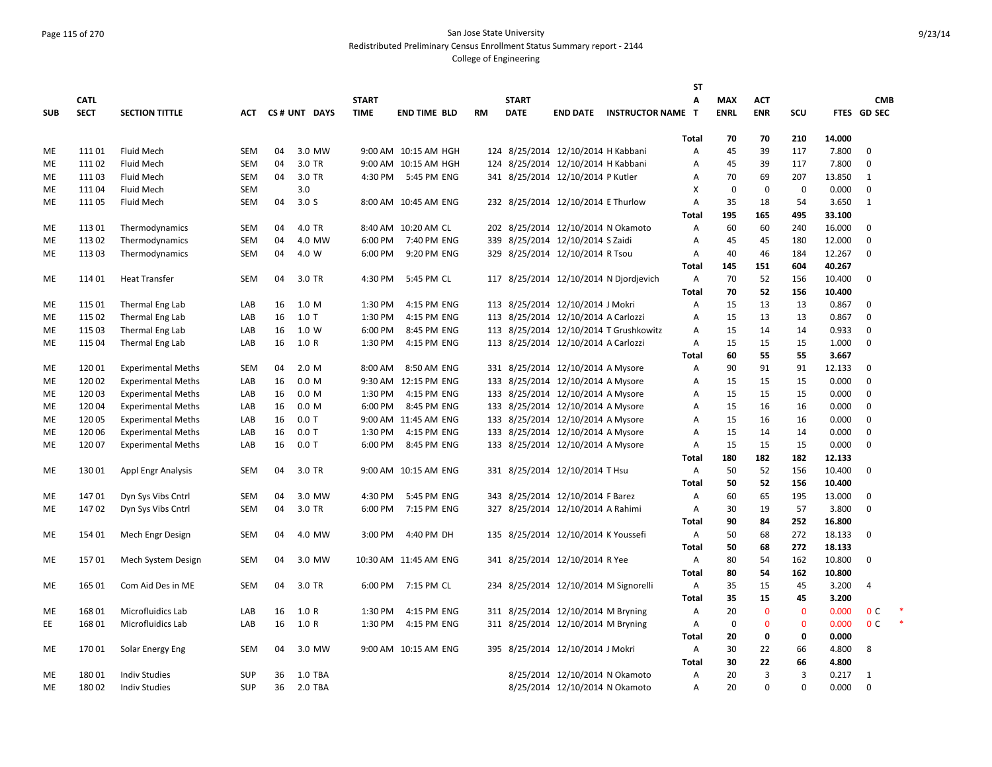#### Page 115 of 270 San Jose State University Redistributed Preliminary Census Enrollment Status Summary report - 2144

|            |             |                           |            |    |                  |              |                       |           |              |                                       |                                        | <b>ST</b>      |             |              |             |        |                |  |
|------------|-------------|---------------------------|------------|----|------------------|--------------|-----------------------|-----------|--------------|---------------------------------------|----------------------------------------|----------------|-------------|--------------|-------------|--------|----------------|--|
|            | <b>CATL</b> |                           |            |    |                  | <b>START</b> |                       |           | <b>START</b> |                                       |                                        | A              | <b>MAX</b>  | <b>ACT</b>   |             |        | <b>CMB</b>     |  |
| <b>SUB</b> | <b>SECT</b> | <b>SECTION TITTLE</b>     | ACT        |    | CS# UNT DAYS     | <b>TIME</b>  | <b>END TIME BLD</b>   | <b>RM</b> | <b>DATE</b>  |                                       | <b>END DATE INSTRUCTOR NAME T</b>      |                | <b>ENRL</b> | <b>ENR</b>   | SCU         |        | FTES GD SEC    |  |
|            |             |                           |            |    |                  |              |                       |           |              |                                       |                                        |                |             |              |             |        |                |  |
|            |             |                           |            |    |                  |              |                       |           |              |                                       |                                        | Total          | 70          | 70           | 210         | 14.000 |                |  |
| ME         | 11101       | <b>Fluid Mech</b>         | <b>SEM</b> | 04 | 3.0 MW           |              | 9:00 AM 10:15 AM HGH  |           |              | 124 8/25/2014 12/10/2014 H Kabbani    |                                        | Α              | 45          | 39           | 117         | 7.800  | $\Omega$       |  |
| МE         | 11102       | Fluid Mech                | <b>SEM</b> | 04 | 3.0 TR           |              | 9:00 AM 10:15 AM HGH  |           |              | 124 8/25/2014 12/10/2014 H Kabbani    |                                        | Α              | 45          | 39           | 117         | 7.800  | $\mathbf 0$    |  |
| МE         | 11103       | Fluid Mech                | <b>SEM</b> | 04 | 3.0 TR           | 4:30 PM      | 5:45 PM ENG           |           |              | 341 8/25/2014 12/10/2014 P Kutler     |                                        | Α              | 70          | 69           | 207         | 13.850 | 1              |  |
| МE         | 11104       | Fluid Mech                | <b>SEM</b> |    | 3.0              |              |                       |           |              |                                       |                                        | X              | $\mathbf 0$ | $\mathbf 0$  | 0           | 0.000  | $\mathbf 0$    |  |
| ME         | 11105       | Fluid Mech                | <b>SEM</b> | 04 | 3.0 <sub>S</sub> |              | 8:00 AM 10:45 AM ENG  |           |              | 232 8/25/2014 12/10/2014 E Thurlow    |                                        | A              | 35          | 18           | 54          | 3.650  | 1              |  |
|            |             |                           |            |    |                  |              |                       |           |              |                                       |                                        | <b>Total</b>   | 195         | 165          | 495         | 33.100 |                |  |
| МE         | 11301       | Thermodynamics            | <b>SEM</b> | 04 | 4.0 TR           |              | 8:40 AM 10:20 AM CL   |           |              | 202 8/25/2014 12/10/2014 N Okamoto    |                                        | Α              | 60          | 60           | 240         | 16.000 | $\mathbf 0$    |  |
| ME         | 11302       | Thermodynamics            | <b>SEM</b> | 04 | 4.0 MW           | 6:00 PM      | 7:40 PM ENG           |           |              | 339 8/25/2014 12/10/2014 S Zaidi      |                                        | A              | 45          | 45           | 180         | 12.000 | $\mathbf 0$    |  |
| МE         | 113 03      | Thermodynamics            | <b>SEM</b> | 04 | 4.0 W            | 6:00 PM      | 9:20 PM ENG           |           |              | 329 8/25/2014 12/10/2014 R Tsou       |                                        | Α              | 40          | 46           | 184         | 12.267 | $\pmb{0}$      |  |
|            |             |                           |            |    |                  |              |                       |           |              |                                       |                                        | <b>Total</b>   | 145         | 151          | 604         | 40.267 |                |  |
| ME         | 11401       | <b>Heat Transfer</b>      | <b>SEM</b> | 04 | 3.0 TR           | 4:30 PM      | 5:45 PM CL            |           |              |                                       | 117 8/25/2014 12/10/2014 N Djordjevich | Α              | 70          | 52           | 156         | 10.400 | $\Omega$       |  |
|            |             |                           |            |    |                  |              |                       |           |              |                                       |                                        | <b>Total</b>   | 70          | 52           | 156         | 10.400 |                |  |
| МE         | 115 01      | Thermal Eng Lab           | LAB        | 16 | 1.0 M            | 1:30 PM      | 4:15 PM ENG           |           |              | 113 8/25/2014 12/10/2014 J Mokri      |                                        | Α              | 15          | 13           | 13          | 0.867  | $\mathbf 0$    |  |
| ME         | 115 02      | Thermal Eng Lab           | LAB        | 16 | $1.0$ T          | 1:30 PM      | 4:15 PM ENG           |           |              | 113 8/25/2014 12/10/2014 A Carlozzi   |                                        | $\overline{A}$ | 15          | 13           | 13          | 0.867  | $\mathbf 0$    |  |
| МE         | 115 03      | Thermal Eng Lab           | LAB        | 16 | 1.0 W            | 6:00 PM      | 8:45 PM ENG           |           |              |                                       | 113 8/25/2014 12/10/2014 T Grushkowitz | A              | 15          | 14           | 14          | 0.933  | $\mathbf 0$    |  |
| ME         | 115 04      | Thermal Eng Lab           | LAB        | 16 | 1.0 R            | 1:30 PM      | 4:15 PM ENG           |           |              | 113 8/25/2014 12/10/2014 A Carlozzi   |                                        | Α              | 15          | 15           | 15          | 1.000  | $\mathbf 0$    |  |
|            |             |                           |            |    |                  |              |                       |           |              |                                       |                                        | <b>Total</b>   | 60          | 55           | 55          | 3.667  |                |  |
| ME         | 12001       | <b>Experimental Meths</b> | <b>SEM</b> | 04 | 2.0 M            | 8:00 AM      | 8:50 AM ENG           |           |              | 331 8/25/2014 12/10/2014 A Mysore     |                                        | Α              | 90          | 91           | 91          | 12.133 | $\mathbf 0$    |  |
| ME         | 12002       | <b>Experimental Meths</b> | LAB        | 16 | 0.0 <sub>M</sub> |              | 9:30 AM 12:15 PM ENG  |           |              | 133 8/25/2014 12/10/2014 A Mysore     |                                        | Α              | 15          | 15           | 15          | 0.000  | $\mathbf 0$    |  |
| ME         | 12003       | <b>Experimental Meths</b> | LAB        | 16 | 0.0 M            | 1:30 PM      | 4:15 PM ENG           |           |              | 133 8/25/2014 12/10/2014 A Mysore     |                                        | Α              | 15          | 15           | 15          | 0.000  | $\mathbf 0$    |  |
| ME         | 12004       | <b>Experimental Meths</b> | LAB        | 16 | 0.0 M            | 6:00 PM      | 8:45 PM ENG           |           |              | 133 8/25/2014 12/10/2014 A Mysore     |                                        | Α              | 15          | 16           | 16          | 0.000  | $\pmb{0}$      |  |
| МE         | 12005       | <b>Experimental Meths</b> | LAB        | 16 | $0.0$ T          |              | 9:00 AM 11:45 AM ENG  |           |              | 133 8/25/2014 12/10/2014 A Mysore     |                                        | A              | 15          | 16           | 16          | 0.000  | $\mathbf 0$    |  |
| ME         | 12006       | <b>Experimental Meths</b> | LAB        | 16 | $0.0$ T          | 1:30 PM      | 4:15 PM ENG           |           |              | 133 8/25/2014 12/10/2014 A Mysore     |                                        | A              | 15          | 14           | 14          | 0.000  | $\mathbf 0$    |  |
| ME         | 12007       | <b>Experimental Meths</b> | LAB        | 16 | $0.0$ T          | 6:00 PM      | 8:45 PM ENG           |           |              | 133 8/25/2014 12/10/2014 A Mysore     |                                        | Α              | 15          | 15           | 15          | 0.000  | $\Omega$       |  |
|            |             |                           |            |    |                  |              |                       |           |              |                                       |                                        | <b>Total</b>   | 180         | 182          | 182         | 12.133 |                |  |
| ME         | 13001       | <b>Appl Engr Analysis</b> | <b>SEM</b> | 04 | 3.0 TR           |              | 9:00 AM 10:15 AM ENG  |           |              | 331 8/25/2014 12/10/2014 T Hsu        |                                        | Α              | 50          | 52           | 156         | 10.400 | $\mathbf 0$    |  |
|            |             |                           |            |    |                  |              |                       |           |              |                                       |                                        | <b>Total</b>   | 50          | 52           | 156         | 10.400 |                |  |
| ME         | 14701       | Dyn Sys Vibs Cntrl        | <b>SEM</b> | 04 | 3.0 MW           | 4:30 PM      | 5:45 PM ENG           |           |              | 343 8/25/2014 12/10/2014 F Barez      |                                        | Α              | 60          | 65           | 195         | 13.000 | 0              |  |
| ME         | 14702       | Dyn Sys Vibs Cntrl        | <b>SEM</b> | 04 | 3.0 TR           | 6:00 PM      | 7:15 PM ENG           |           |              | 327 8/25/2014 12/10/2014 A Rahimi     |                                        | Α              | 30          | 19           | 57          | 3.800  | $\Omega$       |  |
|            |             |                           |            |    |                  |              |                       |           |              |                                       |                                        | <b>Total</b>   | 90          | 84           | 252         | 16.800 |                |  |
| ME         | 154 01      | Mech Engr Design          | <b>SEM</b> | 04 | 4.0 MW           | 3:00 PM      | 4:40 PM DH            |           |              | 135 8/25/2014 12/10/2014 K Youssefi   |                                        | Α              | 50          | 68           | 272         | 18.133 | $\mathbf 0$    |  |
|            |             |                           |            |    |                  |              |                       |           |              |                                       |                                        | Total          | 50          | 68           | 272         | 18.133 |                |  |
| ME         | 15701       | Mech System Design        | <b>SEM</b> | 04 | 3.0 MW           |              | 10:30 AM 11:45 AM ENG |           |              | 341 8/25/2014 12/10/2014 R Yee        |                                        | A              | 80          | 54           | 162         | 10.800 | $\Omega$       |  |
|            |             |                           |            |    |                  |              |                       |           |              |                                       |                                        | <b>Total</b>   | 80          | 54           | 162         | 10.800 |                |  |
| ME         | 16501       | Com Aid Des in ME         | <b>SEM</b> | 04 | 3.0 TR           | 6:00 PM      | 7:15 PM CL            |           |              | 234 8/25/2014 12/10/2014 M Signorelli |                                        | Α              | 35          | 15           | 45          | 3.200  | $\overline{4}$ |  |
|            |             |                           |            |    |                  |              |                       |           |              |                                       |                                        | <b>Total</b>   | 35          | 15           | 45          | 3.200  |                |  |
| МE         | 16801       | Microfluidics Lab         | LAB        | 16 | 1.0R             | 1:30 PM      | 4:15 PM ENG           |           |              | 311 8/25/2014 12/10/2014 M Bryning    |                                        | Α              | 20          | $\mathbf{0}$ | 0           | 0.000  | 0 <sup>c</sup> |  |
| EE         | 16801       | Microfluidics Lab         | LAB        | 16 | 1.0 R            | 1:30 PM      | 4:15 PM ENG           |           |              | 311 8/25/2014 12/10/2014 M Bryning    |                                        | Α              | 0           | $\mathbf 0$  | $\bf{0}$    | 0.000  | 0 <sup>c</sup> |  |
|            |             |                           |            |    |                  |              |                       |           |              |                                       |                                        | <b>Total</b>   | 20          | 0            | 0           | 0.000  |                |  |
| ME         | 17001       | Solar Energy Eng          | <b>SEM</b> | 04 | 3.0 MW           |              | 9:00 AM 10:15 AM ENG  |           |              | 395 8/25/2014 12/10/2014 J Mokri      |                                        | A              | 30          | 22           | 66          | 4.800  | 8              |  |
|            |             |                           |            |    |                  |              |                       |           |              |                                       |                                        | Total          | 30          | 22           | 66          | 4.800  |                |  |
| ME         | 18001       | <b>Indiv Studies</b>      | <b>SUP</b> | 36 | <b>1.0 TBA</b>   |              |                       |           |              | 8/25/2014 12/10/2014 N Okamoto        |                                        | $\overline{A}$ | 20          | 3            | 3           | 0.217  | 1              |  |
| ME         | 18002       | <b>Indiv Studies</b>      | <b>SUP</b> | 36 | 2.0 TBA          |              |                       |           |              | 8/25/2014 12/10/2014 N Okamoto        |                                        | $\overline{A}$ | 20          | $\Omega$     | $\mathbf 0$ | 0.000  | $\Omega$       |  |
|            |             |                           |            |    |                  |              |                       |           |              |                                       |                                        |                |             |              |             |        |                |  |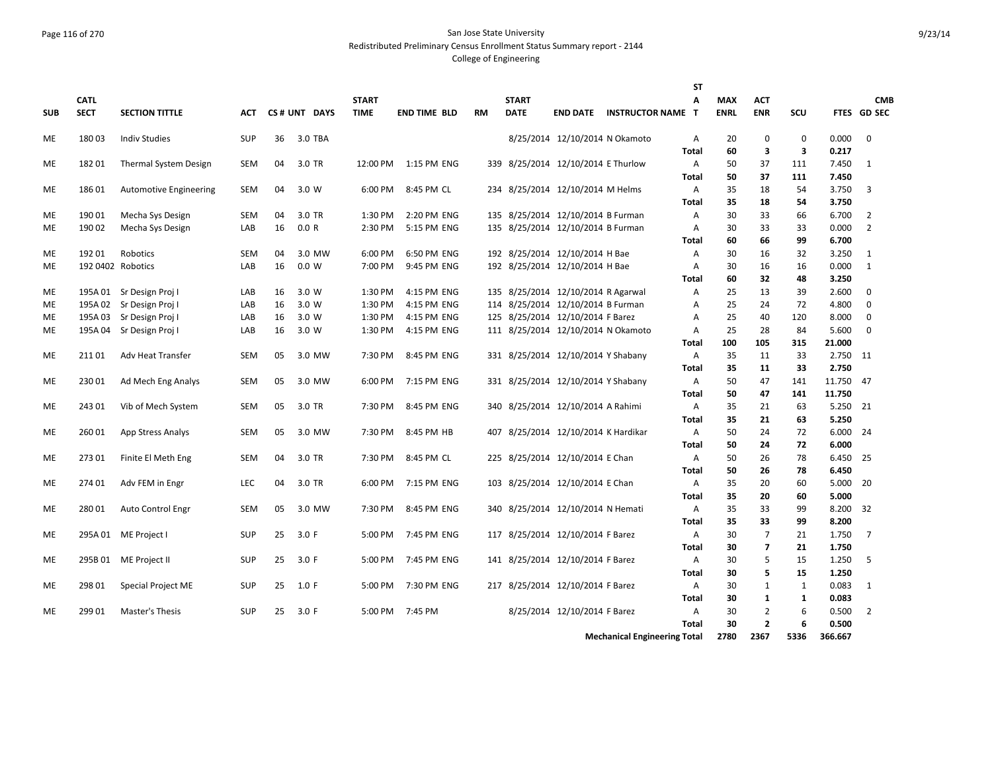#### Page 116 of 270 San Jose State University Redistributed Preliminary Census Enrollment Status Summary report - 2144

|            |                   |                               |            |    |              |              |                     |           |              |                                     |                                     | <b>ST</b>      |             |                   |             |                 |                |
|------------|-------------------|-------------------------------|------------|----|--------------|--------------|---------------------|-----------|--------------|-------------------------------------|-------------------------------------|----------------|-------------|-------------------|-------------|-----------------|----------------|
|            | <b>CATL</b>       |                               |            |    |              | <b>START</b> |                     |           | <b>START</b> |                                     |                                     | A              | <b>MAX</b>  | <b>ACT</b>        |             |                 | <b>CMB</b>     |
| <b>SUB</b> | <b>SECT</b>       | <b>SECTION TITTLE</b>         | <b>ACT</b> |    | CS# UNT DAYS | <b>TIME</b>  | <b>END TIME BLD</b> | <b>RM</b> | <b>DATE</b>  |                                     | <b>END DATE INSTRUCTOR NAME T</b>   |                | <b>ENRL</b> | <b>ENR</b>        | SCU         |                 | FTES GD SEC    |
| ME         | 18003             | <b>Indiv Studies</b>          | <b>SUP</b> | 36 | 3.0 TBA      |              |                     |           |              | 8/25/2014 12/10/2014 N Okamoto      |                                     | A              | 20          | 0                 | $\mathbf 0$ | 0.000           | $\mathbf 0$    |
|            |                   |                               |            |    |              |              |                     |           |              |                                     |                                     | <b>Total</b>   | 60          | 3                 | 3           | 0.217           |                |
| ME         | 18201             | <b>Thermal System Design</b>  | <b>SEM</b> | 04 | 3.0 TR       | 12:00 PM     | 1:15 PM ENG         |           |              | 339 8/25/2014 12/10/2014 E Thurlow  |                                     | $\overline{A}$ | 50          | 37                | 111         | 7.450           | 1              |
|            |                   |                               |            |    |              |              |                     |           |              |                                     |                                     | Total          | 50          | 37                | 111         | 7.450           |                |
| ME         | 18601             | <b>Automotive Engineering</b> | <b>SEM</b> | 04 | 3.0 W        | 6:00 PM      | 8:45 PM CL          |           |              | 234 8/25/2014 12/10/2014 M Helms    |                                     | Α              | 35          | 18                | 54          | 3.750           | 3              |
|            |                   |                               |            |    |              |              |                     |           |              |                                     |                                     | Total          | 35          | 18                | 54          | 3.750           |                |
| ME         | 190 01            | Mecha Sys Design              | SEM        | 04 | 3.0 TR       | 1:30 PM      | 2:20 PM ENG         |           |              | 135 8/25/2014 12/10/2014 B Furman   |                                     | Α              | 30          | 33                | 66          | 6.700           | $\overline{2}$ |
| <b>ME</b>  | 190 02            | Mecha Sys Design              | LAB        | 16 | 0.0 R        | 2:30 PM      | 5:15 PM ENG         |           |              | 135 8/25/2014 12/10/2014 B Furman   |                                     | $\overline{A}$ | 30          | 33                | 33          | 0.000           | $\overline{2}$ |
|            |                   |                               |            |    |              |              |                     |           |              |                                     |                                     | Total          | 60          | 66                | 99          | 6.700           |                |
| <b>ME</b>  | 19201             | Robotics                      | <b>SEM</b> | 04 | 3.0 MW       | 6:00 PM      | 6:50 PM ENG         |           |              | 192 8/25/2014 12/10/2014 H Bae      |                                     | A              | 30          | 16                | 32          | 3.250           | 1              |
| ME         | 192 0402 Robotics |                               | LAB        | 16 | 0.0 W        | 7:00 PM      | 9:45 PM ENG         |           |              | 192 8/25/2014 12/10/2014 H Bae      |                                     | Α              | 30          | 16                | 16          | 0.000           | 1              |
|            |                   |                               |            |    |              |              |                     |           |              |                                     |                                     | <b>Total</b>   | 60          | 32                | 48          | 3.250           |                |
| ME         |                   | 195A 01 Sr Design Proj I      | LAB        | 16 | 3.0 W        | 1:30 PM      | 4:15 PM ENG         |           |              | 135 8/25/2014 12/10/2014 R Agarwal  |                                     | A              | 25          | 13                | 39          | 2.600           | $\Omega$       |
| ME         | 195A 02           | Sr Design Proj I              | LAB        | 16 | 3.0 W        | 1:30 PM      | 4:15 PM ENG         |           |              | 114 8/25/2014 12/10/2014 B Furman   |                                     | Α              | 25          | 24                | 72          | 4.800           | $\mathbf 0$    |
| ME         | 195A 03           | Sr Design Proj I              | LAB        | 16 | 3.0 W        | 1:30 PM      | 4:15 PM ENG         |           |              | 125 8/25/2014 12/10/2014 F Barez    |                                     | A              | 25          | 40                | 120         | 8.000           | $\mathbf 0$    |
| ME         | 195A 04           | Sr Design Proj I              | LAB        | 16 | 3.0 W        | 1:30 PM      | 4:15 PM ENG         |           |              | 111 8/25/2014 12/10/2014 N Okamoto  |                                     | A<br>Total     | 25<br>100   | 28<br>105         | 84<br>315   | 5.600<br>21.000 | $\mathbf 0$    |
| ME         | 21101             | Adv Heat Transfer             | <b>SEM</b> | 05 | 3.0 MW       | 7:30 PM      | 8:45 PM ENG         |           |              | 331 8/25/2014 12/10/2014 Y Shabany  |                                     | A              | 35          | 11                | 33          | 2.750 11        |                |
|            |                   |                               |            |    |              |              |                     |           |              |                                     |                                     | Total          | 35          | 11                | 33          | 2.750           |                |
| ME         | 23001             | Ad Mech Eng Analys            | <b>SEM</b> | 05 | 3.0 MW       | 6:00 PM      | 7:15 PM ENG         |           |              | 331 8/25/2014 12/10/2014 Y Shabany  |                                     | A              | 50          | 47                | 141         | 11.750          | - 47           |
|            |                   |                               |            |    |              |              |                     |           |              |                                     |                                     | Total          | 50          | 47                | 141         | 11.750          |                |
| МE         | 24301             | Vib of Mech System            | SEM        | 05 | 3.0 TR       | 7:30 PM      | 8:45 PM ENG         |           |              | 340 8/25/2014 12/10/2014 A Rahimi   |                                     | A              | 35          | 21                | 63          | 5.250 21        |                |
|            |                   |                               |            |    |              |              |                     |           |              |                                     |                                     | Total          | 35          | 21                | 63          | 5.250           |                |
| ME         | 26001             | App Stress Analys             | <b>SEM</b> | 05 | 3.0 MW       | 7:30 PM      | 8:45 PM HB          |           |              | 407 8/25/2014 12/10/2014 K Hardikar |                                     | A              | 50          | 24                | 72          | 6.000           | -24            |
|            |                   |                               |            |    |              |              |                     |           |              |                                     |                                     | Total          | 50          | 24                | 72          | 6.000           |                |
| ME         | 273 01            | Finite El Meth Eng            | <b>SEM</b> | 04 | 3.0 TR       | 7:30 PM      | 8:45 PM CL          |           |              | 225 8/25/2014 12/10/2014 E Chan     |                                     | Α              | 50          | 26                | 78          | 6.450 25        |                |
|            |                   |                               |            |    |              |              |                     |           |              |                                     |                                     | Total          | 50          | 26                | 78          | 6.450           |                |
| ME         | 274 01            | Adv FEM in Engr               | LEC        | 04 | 3.0 TR       | 6:00 PM      | 7:15 PM ENG         |           |              | 103 8/25/2014 12/10/2014 E Chan     |                                     | A              | 35          | 20                | 60          | 5.000           | - 20           |
|            |                   |                               |            |    |              |              |                     |           |              |                                     |                                     | Total          | 35          | 20                | 60          | 5.000           |                |
| <b>ME</b>  | 280 01            | Auto Control Engr             | <b>SEM</b> | 05 | 3.0 MW       | 7:30 PM      | 8:45 PM ENG         |           |              | 340 8/25/2014 12/10/2014 N Hemati   |                                     | A              | 35          | 33                | 99          | 8.200           | 32             |
|            |                   |                               |            |    |              |              |                     |           |              |                                     |                                     | Total          | 35          | 33                | 99          | 8.200           |                |
| ME         |                   | 295A 01 ME Project I          | <b>SUP</b> | 25 | 3.0 F        | 5:00 PM      | 7:45 PM ENG         |           |              | 117 8/25/2014 12/10/2014 F Barez    |                                     | A              | 30          | $\overline{7}$    | 21          | 1.750           | 7              |
|            |                   |                               |            |    |              |              |                     |           |              |                                     |                                     | Total          | 30          | 7                 | 21          | 1.750           |                |
| ME         | 295B 01           | ME Project II                 | <b>SUP</b> | 25 | 3.0 F        | 5:00 PM      | 7:45 PM ENG         | 141       |              | 8/25/2014 12/10/2014 F Barez        |                                     | A              | 30          | 5                 | 15          | 1.250           | 5              |
|            |                   |                               |            |    |              |              |                     |           |              |                                     |                                     | Total          | 30          | 5                 | 15          | 1.250           |                |
| ME         | 298 01            | <b>Special Project ME</b>     | <b>SUP</b> | 25 | 1.0 F        | 5:00 PM      | 7:30 PM ENG         |           |              | 217 8/25/2014 12/10/2014 F Barez    |                                     | A<br>Total     | 30<br>30    | 1<br>$\mathbf{1}$ | 1<br>1      | 0.083<br>0.083  | 1              |
| ME         | 299 01            | <b>Master's Thesis</b>        | <b>SUP</b> | 25 | 3.0 F        | 5:00 PM      | 7:45 PM             |           |              | 8/25/2014 12/10/2014 F Barez        |                                     | Α              | 30          | $\overline{2}$    | 6           | 0.500           | $\overline{2}$ |
|            |                   |                               |            |    |              |              |                     |           |              |                                     |                                     | <b>Total</b>   | 30          | $\overline{2}$    | 6           | 0.500           |                |
|            |                   |                               |            |    |              |              |                     |           |              |                                     | <b>Mechanical Engineering Total</b> |                | 2780        | 2367              | 5336        | 366.667         |                |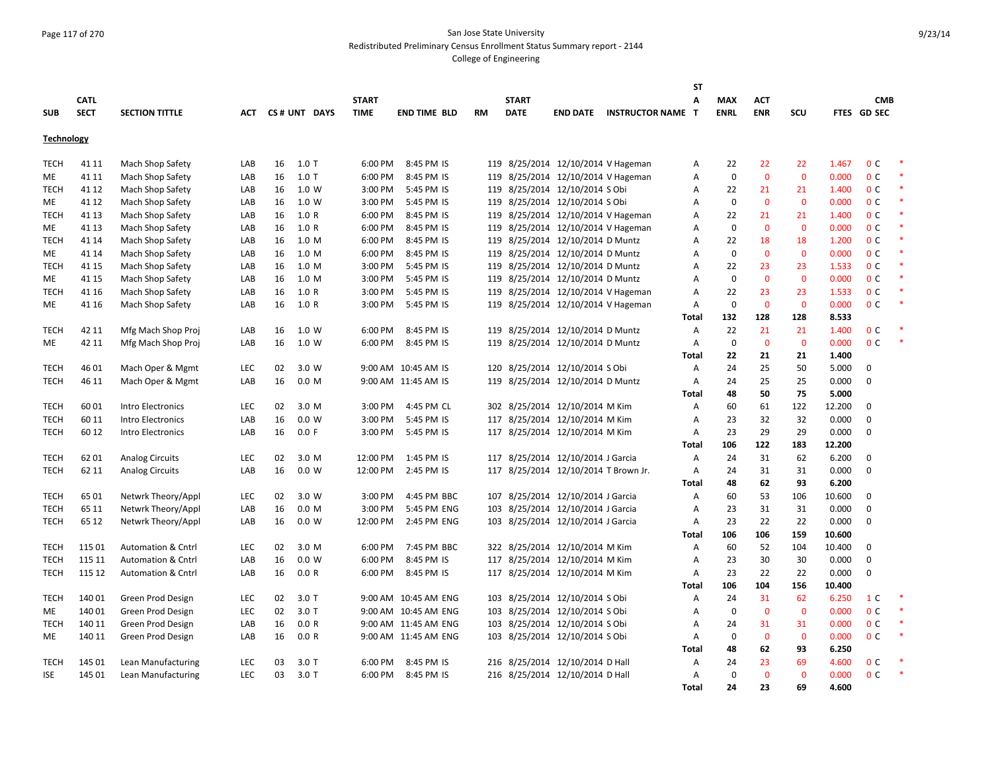## Page 117 of 270 San Jose State University Redistributed Preliminary Census Enrollment Status Summary report - 2144

|                   |             |                               |            |    |              |              |                      |           |              |                                      |                          | <b>ST</b>    |                 |                   |                   |        |                |        |
|-------------------|-------------|-------------------------------|------------|----|--------------|--------------|----------------------|-----------|--------------|--------------------------------------|--------------------------|--------------|-----------------|-------------------|-------------------|--------|----------------|--------|
|                   | <b>CATL</b> |                               |            |    |              | <b>START</b> |                      |           | <b>START</b> |                                      |                          | Α            | <b>MAX</b>      | <b>ACT</b>        |                   |        | <b>CMB</b>     |        |
| <b>SUB</b>        | <b>SECT</b> | <b>SECTION TITTLE</b>         | <b>ACT</b> |    | CS# UNT DAYS | <b>TIME</b>  | <b>END TIME BLD</b>  | <b>RM</b> | <b>DATE</b>  | <b>END DATE</b>                      | <b>INSTRUCTOR NAME T</b> |              | <b>ENRL</b>     | <b>ENR</b>        | scu               |        | FTES GD SEC    |        |
| <b>Technology</b> |             |                               |            |    |              |              |                      |           |              |                                      |                          |              |                 |                   |                   |        |                |        |
|                   |             |                               |            |    |              | 6:00 PM      | 8:45 PM IS           |           |              |                                      |                          |              |                 |                   |                   | 1.467  | 0 <sup>C</sup> |        |
| TECH              | 41 11       | Mach Shop Safety              | LAB        | 16 | $1.0$ T      |              |                      |           |              | 119 8/25/2014 12/10/2014 V Hageman   |                          | Α            | 22<br>$\pmb{0}$ | 22<br>$\mathbf 0$ | 22<br>$\mathbf 0$ | 0.000  | 0 <sup>c</sup> | $\ast$ |
| ME                | 41 11       | Mach Shop Safety              | LAB        | 16 | $1.0$ T      | 6:00 PM      | 8:45 PM IS           |           |              | 119 8/25/2014 12/10/2014 V Hageman   |                          | А            |                 |                   |                   |        |                | $\ast$ |
| TECH              | 41 12       | Mach Shop Safety              | LAB        | 16 | 1.0 W        | 3:00 PM      | 5:45 PM IS           |           |              | 119 8/25/2014 12/10/2014 S Obi       |                          | Α            | 22              | 21                | 21                | 1.400  | 0 <sup>C</sup> | $\ast$ |
| ME                | 41 12       | Mach Shop Safety              | LAB        | 16 | 1.0 W        | 3:00 PM      | 5:45 PM IS           |           |              | 119 8/25/2014 12/10/2014 S Obi       |                          | А            | $\mathbf 0$     | $\mathbf 0$       | $\mathbf{0}$      | 0.000  | 0 <sup>C</sup> |        |
| <b>TECH</b>       | 41 13       | Mach Shop Safety              | LAB        | 16 | 1.0 R        | 6:00 PM      | 8:45 PM IS           |           |              | 119 8/25/2014 12/10/2014 V Hageman   |                          | А            | 22              | 21                | 21                | 1.400  | 0 <sup>C</sup> |        |
| ME                | 41 13       | Mach Shop Safety              | LAB        | 16 | 1.0 R        | 6:00 PM      | 8:45 PM IS           |           |              | 119 8/25/2014 12/10/2014 V Hageman   |                          | А            | $\mathbf 0$     | $\mathbf{0}$      | $\mathbf{0}$      | 0.000  | 0 <sup>C</sup> |        |
| <b>TECH</b>       | 41 14       | Mach Shop Safety              | LAB        | 16 | 1.0 M        | 6:00 PM      | 8:45 PM IS           |           |              | 119 8/25/2014 12/10/2014 D Muntz     |                          | Α            | 22              | 18                | 18                | 1.200  | 0 <sup>C</sup> |        |
| ME                | 41 14       | Mach Shop Safety              | LAB        | 16 | 1.0 M        | 6:00 PM      | 8:45 PM IS           |           |              | 119 8/25/2014 12/10/2014 D Muntz     |                          | Α            | $\Omega$        | $\mathbf{0}$      | $\mathbf{0}$      | 0.000  | 0 <sup>c</sup> |        |
| <b>TECH</b>       | 41 15       | Mach Shop Safety              | LAB        | 16 | 1.0 M        | 3:00 PM      | 5:45 PM IS           |           |              | 119 8/25/2014 12/10/2014 D Muntz     |                          | Α            | 22              | 23                | 23                | 1.533  | 0 <sup>c</sup> | $\ast$ |
| ME                | 41 15       | Mach Shop Safety              | LAB        | 16 | 1.0 M        | 3:00 PM      | 5:45 PM IS           |           |              | 119 8/25/2014 12/10/2014 D Muntz     |                          | Α            | $\mathbf 0$     | $\mathbf 0$       | $\mathbf 0$       | 0.000  | 0 <sup>c</sup> | $\ast$ |
| TECH              | 41 16       | Mach Shop Safety              | LAB        | 16 | 1.0 R        | 3:00 PM      | 5:45 PM IS           |           |              | 119 8/25/2014 12/10/2014 V Hageman   |                          | Α            | 22              | 23                | 23                | 1.533  | 0 <sup>C</sup> | $\ast$ |
| ME                | 41 16       | Mach Shop Safety              | LAB        | 16 | 1.0 R        | 3:00 PM      | 5:45 PM IS           |           |              | 119 8/25/2014 12/10/2014 V Hageman   |                          | Α            | $\mathbf 0$     | $\mathbf 0$       | $\mathbf 0$       | 0.000  | 0 <sup>C</sup> | $\ast$ |
|                   |             |                               |            |    |              |              |                      |           |              |                                      |                          | <b>Total</b> | 132             | 128               | 128               | 8.533  |                |        |
| <b>TECH</b>       | 42 11       | Mfg Mach Shop Proj            | LAB        | 16 | 1.0 W        | 6:00 PM      | 8:45 PM IS           |           |              | 119 8/25/2014 12/10/2014 D Muntz     |                          | Α            | 22              | 21                | 21                | 1.400  | 0 <sup>C</sup> |        |
| ME                | 42 11       | Mfg Mach Shop Proj            | LAB        | 16 | 1.0 W        | 6:00 PM      | 8:45 PM IS           |           |              | 119 8/25/2014 12/10/2014 D Muntz     |                          | Α            | $\mathbf 0$     | $\mathbf{0}$      | $\mathbf{0}$      | 0.000  | 0 <sup>C</sup> |        |
|                   |             |                               |            |    |              |              |                      |           |              |                                      |                          | <b>Total</b> | 22              | 21                | 21                | 1.400  |                |        |
| <b>TECH</b>       | 4601        | Mach Oper & Mgmt              | LEC        | 02 | 3.0 W        |              | 9:00 AM 10:45 AM IS  |           |              | 120 8/25/2014 12/10/2014 S Obi       |                          | Α            | 24              | 25                | 50                | 5.000  | $\mathbf 0$    |        |
| <b>TECH</b>       | 46 11       | Mach Oper & Mgmt              | LAB        | 16 | 0.0 M        |              | 9:00 AM 11:45 AM IS  |           |              | 119 8/25/2014 12/10/2014 D Muntz     |                          | Α            | 24              | 25                | 25                | 0.000  | $\mathbf 0$    |        |
|                   |             |                               |            |    |              |              |                      |           |              |                                      |                          | Total        | 48              | 50                | 75                | 5.000  |                |        |
| <b>TECH</b>       | 6001        | Intro Electronics             | LEC        | 02 | 3.0 M        | 3:00 PM      | 4:45 PM CL           |           |              | 302 8/25/2014 12/10/2014 M Kim       |                          | Α            | 60              | 61                | 122               | 12.200 | 0              |        |
| <b>TECH</b>       | 60 11       | Intro Electronics             | LAB        | 16 | 0.0 W        | 3:00 PM      | 5:45 PM IS           |           |              | 117 8/25/2014 12/10/2014 M Kim       |                          | Α            | 23              | 32                | 32                | 0.000  | $\mathbf 0$    |        |
| <b>TECH</b>       | 60 12       | Intro Electronics             | LAB        | 16 | 0.0 F        | 3:00 PM      | 5:45 PM IS           |           |              | 117 8/25/2014 12/10/2014 M Kim       |                          | Α            | 23              | 29                | 29                | 0.000  | $\mathbf 0$    |        |
|                   |             |                               |            |    |              |              |                      |           |              |                                      |                          | <b>Total</b> | 106             | 122               | 183               | 12.200 |                |        |
| <b>TECH</b>       | 6201        | <b>Analog Circuits</b>        | LEC        | 02 | 3.0 M        | 12:00 PM     | 1:45 PM IS           |           |              | 117 8/25/2014 12/10/2014 J Garcia    |                          | Α            | 24              | 31                | 62                | 6.200  | $\mathbf 0$    |        |
| <b>TECH</b>       | 62 11       | <b>Analog Circuits</b>        | LAB        | 16 | 0.0 W        | 12:00 PM     | 2:45 PM IS           |           |              | 117 8/25/2014 12/10/2014 T Brown Jr. |                          | Α            | 24              | 31                | 31                | 0.000  | $\mathbf 0$    |        |
|                   |             |                               |            |    |              |              |                      |           |              |                                      |                          | Total        | 48              | 62                | 93                | 6.200  |                |        |
|                   | 6501        |                               | <b>LEC</b> |    |              | 3:00 PM      | 4:45 PM BBC          |           |              |                                      |                          |              |                 | 53                |                   |        | $\mathbf 0$    |        |
| <b>TECH</b>       |             | Netwrk Theory/Appl            |            | 02 | 3.0 W        |              |                      |           |              | 107 8/25/2014 12/10/2014 J Garcia    |                          | Α            | 60              |                   | 106               | 10.600 | $\mathbf 0$    |        |
| <b>TECH</b>       | 65 11       | Netwrk Theory/Appl            | LAB        | 16 | 0.0 M        | 3:00 PM      | 5:45 PM ENG          |           |              | 103 8/25/2014 12/10/2014 J Garcia    |                          | Α            | 23              | 31                | 31                | 0.000  |                |        |
| TECH              | 65 12       | Netwrk Theory/Appl            | LAB        | 16 | 0.0 W        | 12:00 PM     | 2:45 PM ENG          |           |              | 103 8/25/2014 12/10/2014 J Garcia    |                          | Α            | 23              | 22                | 22                | 0.000  | $\mathbf 0$    |        |
|                   |             |                               |            |    |              |              |                      |           |              |                                      |                          | Total        | 106             | 106               | 159               | 10.600 |                |        |
| <b>TECH</b>       | 115 01      | <b>Automation &amp; Cntrl</b> | <b>LEC</b> | 02 | 3.0 M        | 6:00 PM      | 7:45 PM BBC          |           |              | 322 8/25/2014 12/10/2014 M Kim       |                          | Α            | 60              | 52                | 104               | 10.400 | 0              |        |
| <b>TECH</b>       | 115 11      | <b>Automation &amp; Cntrl</b> | LAB        | 16 | 0.0 W        | 6:00 PM      | 8:45 PM IS           |           |              | 117 8/25/2014 12/10/2014 M Kim       |                          | Α            | 23              | 30                | 30                | 0.000  | $\mathbf 0$    |        |
| <b>TECH</b>       | 115 12      | <b>Automation &amp; Cntrl</b> | LAB        | 16 | 0.0 R        | 6:00 PM      | 8:45 PM IS           |           |              | 117 8/25/2014 12/10/2014 M Kim       |                          | Α            | 23              | 22                | 22                | 0.000  | $\mathbf 0$    |        |
|                   |             |                               |            |    |              |              |                      |           |              |                                      |                          | Total        | 106             | 104               | 156               | 10.400 |                |        |
| <b>TECH</b>       | 14001       | Green Prod Design             | LEC        | 02 | $3.0$ T      |              | 9:00 AM 10:45 AM ENG |           |              | 103 8/25/2014 12/10/2014 S Obi       |                          | Α            | 24              | 31                | 62                | 6.250  | 1 <sup>C</sup> |        |
| ME                | 140 01      | Green Prod Design             | <b>LEC</b> | 02 | $3.0$ T      |              | 9:00 AM 10:45 AM ENG |           |              | 103 8/25/2014 12/10/2014 S Obi       |                          | Α            | $\mathbf 0$     | $\mathbf 0$       | $\mathbf 0$       | 0.000  | 0 <sup>C</sup> |        |
| <b>TECH</b>       | 140 11      | Green Prod Design             | LAB        | 16 | 0.0 R        |              | 9:00 AM 11:45 AM ENG |           |              | 103 8/25/2014 12/10/2014 S Obi       |                          | Α            | 24              | 31                | 31                | 0.000  | 0 <sup>C</sup> |        |
| ME                | 140 11      | Green Prod Design             | LAB        | 16 | 0.0 R        |              | 9:00 AM 11:45 AM ENG |           |              | 103 8/25/2014 12/10/2014 S Obi       |                          | Α            | 0               | $\mathbf 0$       | 0                 | 0.000  | 0 <sup>C</sup> |        |
|                   |             |                               |            |    |              |              |                      |           |              |                                      |                          | Total        | 48              | 62                | 93                | 6.250  |                |        |
| TECH              | 145 01      | Lean Manufacturing            | LEC        | 03 | 3.0T         | 6:00 PM      | 8:45 PM IS           |           |              | 216 8/25/2014 12/10/2014 D Hall      |                          | Α            | 24              | 23                | 69                | 4.600  | 0 <sup>C</sup> |        |
| <b>ISE</b>        | 145 01      | Lean Manufacturing            | <b>LEC</b> | 03 | 3.0T         | 6:00 PM      | 8:45 PM IS           |           |              | 216 8/25/2014 12/10/2014 D Hall      |                          | Α            | $\mathbf 0$     | $\mathbf{0}$      | $\Omega$          | 0.000  | 0 <sup>C</sup> | $\ast$ |
|                   |             |                               |            |    |              |              |                      |           |              |                                      |                          | Total        | 24              | 23                | 69                | 4.600  |                |        |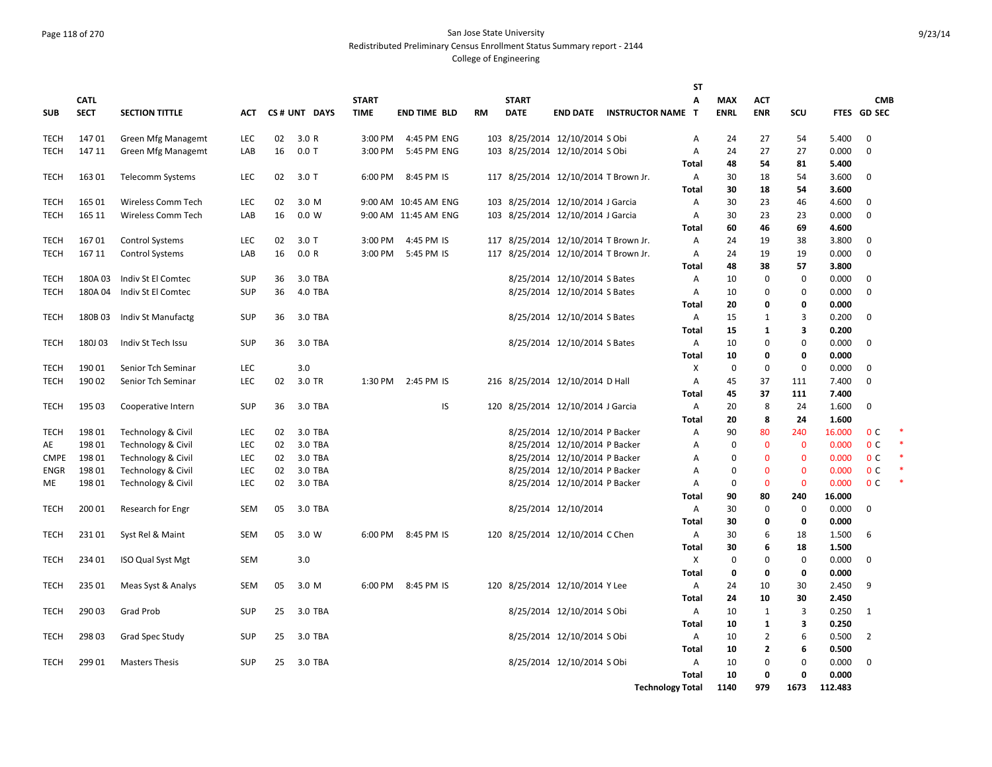## Page 118 of 270 San Jose State University Redistributed Preliminary Census Enrollment Status Summary report - 2144

|             |             |                          |            |          |              |              |                      |     |              |                                                              |                                   | ST             |             |                |             |                 |                |   |
|-------------|-------------|--------------------------|------------|----------|--------------|--------------|----------------------|-----|--------------|--------------------------------------------------------------|-----------------------------------|----------------|-------------|----------------|-------------|-----------------|----------------|---|
|             | <b>CATL</b> |                          |            |          |              | <b>START</b> |                      |     | <b>START</b> |                                                              |                                   | Α              | <b>MAX</b>  | <b>ACT</b>     |             |                 | <b>CMB</b>     |   |
| <b>SUB</b>  | <b>SECT</b> | <b>SECTION TITTLE</b>    | ACT        |          | CS# UNT DAYS | <b>TIME</b>  | <b>END TIME BLD</b>  | RM  | <b>DATE</b>  |                                                              | <b>END DATE INSTRUCTOR NAME T</b> |                | <b>ENRL</b> | <b>ENR</b>     | SCU         |                 | FTES GD SEC    |   |
| <b>TECH</b> | 14701       | Green Mfg Managemt       | <b>LEC</b> | 02       | 3.0R         | 3:00 PM      | 4:45 PM ENG          |     |              | 103 8/25/2014 12/10/2014 S Obi                               |                                   | A              | 24          | 27             | 54          | 5.400           | $\mathbf 0$    |   |
| <b>TECH</b> | 147 11      | Green Mfg Managemt       | LAB        | 16       | $0.0$ T      | 3:00 PM      | 5:45 PM ENG          |     |              | 103 8/25/2014 12/10/2014 S Obi                               |                                   | Α              | 24          | 27             | 27          | 0.000           | $\mathbf 0$    |   |
|             |             |                          |            |          |              |              |                      |     |              |                                                              |                                   | <b>Total</b>   | 48          | 54             | 81          | 5.400           |                |   |
| TECH        | 16301       | Telecomm Systems         | <b>LEC</b> | 02       | $3.0$ T      | 6:00 PM      | 8:45 PM IS           |     |              | 117 8/25/2014 12/10/2014 T Brown Jr.                         |                                   | A              | 30          | 18             | 54          | 3.600           | $\mathbf{0}$   |   |
|             |             |                          |            |          |              |              |                      |     |              |                                                              |                                   | Total          | 30          | 18             | 54          | 3.600           |                |   |
| TECH        | 165 01      | Wireless Comm Tech       | LEC        | 02       | 3.0 M        |              | 9:00 AM 10:45 AM ENG |     |              | 103 8/25/2014 12/10/2014 J Garcia                            |                                   | Α              | 30          | 23             | 46          | 4.600           | 0              |   |
| <b>TECH</b> | 165 11      | Wireless Comm Tech       | LAB        | 16       | 0.0 W        |              | 9:00 AM 11:45 AM ENG |     |              | 103 8/25/2014 12/10/2014 J Garcia                            |                                   | Α              | 30          | 23             | 23          | 0.000           | $\mathbf 0$    |   |
|             |             |                          |            |          |              |              |                      |     |              |                                                              |                                   | Total          | 60          | 46             | 69          | 4.600           |                |   |
| <b>TECH</b> | 16701       | <b>Control Systems</b>   | <b>LEC</b> | 02       | $3.0$ T      | 3:00 PM      | 4:45 PM IS           |     |              | 117 8/25/2014 12/10/2014 T Brown Jr.                         |                                   | Α              | 24          | 19             | 38          | 3.800           | $\Omega$       |   |
| <b>TECH</b> | 167 11      | <b>Control Systems</b>   | LAB        | 16       | 0.0 R        |              | 3:00 PM 5:45 PM IS   |     |              | 117 8/25/2014 12/10/2014 T Brown Jr.                         |                                   | Α              | 24          | 19             | 19          | 0.000           | $\mathbf 0$    |   |
| TECH        | 180A03      | Indiv St El Comtec       | <b>SUP</b> |          | 3.0 TBA      |              |                      |     |              |                                                              |                                   | Total          | 48<br>10    | 38<br>0        | 57<br>0     | 3.800<br>0.000  | $\mathbf 0$    |   |
| <b>TECH</b> | 180A04      | Indiv St El Comtec       | <b>SUP</b> | 36<br>36 | 4.0 TBA      |              |                      |     |              | 8/25/2014 12/10/2014 S Bates<br>8/25/2014 12/10/2014 S Bates |                                   | A<br>Α         | 10          | 0              | 0           | 0.000           | $\mathbf 0$    |   |
|             |             |                          |            |          |              |              |                      |     |              |                                                              |                                   | <b>Total</b>   | 20          | 0              | 0           | 0.000           |                |   |
| <b>TECH</b> | 180B03      | Indiv St Manufactg       | <b>SUP</b> | 36       | 3.0 TBA      |              |                      |     |              | 8/25/2014 12/10/2014 S Bates                                 |                                   | A              | 15          | 1              | 3           | 0.200           | $\mathbf 0$    |   |
|             |             |                          |            |          |              |              |                      |     |              |                                                              |                                   | Total          | 15          | 1              | 3           | 0.200           |                |   |
| TECH        | 180J03      | Indiv St Tech Issu       | <b>SUP</b> | 36       | 3.0 TBA      |              |                      |     |              | 8/25/2014 12/10/2014 S Bates                                 |                                   | Α              | 10          | 0              | 0           | 0.000           | $\mathbf{0}$   |   |
|             |             |                          |            |          |              |              |                      |     |              |                                                              |                                   | Total          | 10          | 0              | 0           | 0.000           |                |   |
| TECH        | 190 01      | Senior Tch Seminar       | LEC        |          | 3.0          |              |                      |     |              |                                                              |                                   | X              | 0           | 0              | $\mathbf 0$ | 0.000           | 0              |   |
| <b>TECH</b> | 190 02      | Senior Tch Seminar       | <b>LEC</b> | 02       | 3.0 TR       |              | 1:30 PM 2:45 PM IS   |     |              | 216 8/25/2014 12/10/2014 D Hall                              |                                   | A              | 45          | 37             | 111         | 7.400           | $\mathbf 0$    |   |
|             |             |                          |            |          |              |              |                      |     |              |                                                              |                                   | Total          | 45          | 37             | 111         | 7.400           |                |   |
| <b>TECH</b> | 195 03      | Cooperative Intern       | <b>SUP</b> | 36       | 3.0 TBA      |              | IS                   | 120 |              | 8/25/2014 12/10/2014 J Garcia                                |                                   | Α              | 20          | 8              | 24          | 1.600           | 0              |   |
|             |             |                          |            |          |              |              |                      |     |              |                                                              |                                   | <b>Total</b>   | 20          | 8              | 24          | 1.600           |                |   |
| <b>TECH</b> | 198 01      | Technology & Civil       | <b>LEC</b> | 02       | 3.0 TBA      |              |                      |     |              | 8/25/2014 12/10/2014 P Backer                                |                                   | $\overline{A}$ | 90          | 80             | 240         | 16.000          | 0 <sup>c</sup> |   |
| AE          | 19801       | Technology & Civil       | <b>LEC</b> | 02       | 3.0 TBA      |              |                      |     |              | 8/25/2014 12/10/2014 P Backer                                |                                   | $\overline{A}$ | 0           | $\mathbf{0}$   | $\bf{0}$    | 0.000           | 0 <sup>C</sup> |   |
| <b>CMPE</b> | 198 01      | Technology & Civil       | LEC        | 02       | 3.0 TBA      |              |                      |     |              | 8/25/2014 12/10/2014 P Backer                                |                                   | Α              | 0           | $\mathbf{0}$   | $\mathbf 0$ | 0.000           | 0 <sup>C</sup> | * |
| ENGR        | 198 01      | Technology & Civil       | <b>LEC</b> | 02       | 3.0 TBA      |              |                      |     |              | 8/25/2014 12/10/2014 P Backer                                |                                   | Α              | 0           | $\mathbf{0}$   | $\mathbf 0$ | 0.000           | 0 <sup>C</sup> | * |
| ME          | 198 01      | Technology & Civil       | <b>LEC</b> | 02       | 3.0 TBA      |              |                      |     |              | 8/25/2014 12/10/2014 P Backer                                |                                   | A              | $\mathbf 0$ | $\mathbf{0}$   | $\mathbf 0$ | 0.000           | 0 <sup>C</sup> |   |
|             | 200 01      |                          | <b>SEM</b> | 05       | 3.0 TBA      |              |                      |     |              |                                                              |                                   | Total          | 90<br>30    | 80<br>0        | 240<br>0    | 16.000<br>0.000 | $\mathbf 0$    |   |
| <b>TECH</b> |             | Research for Engr        |            |          |              |              |                      |     |              | 8/25/2014 12/10/2014                                         |                                   | Α<br>Total     | 30          | $\mathbf 0$    | 0           | 0.000           |                |   |
| TECH        | 23101       | Syst Rel & Maint         | SEM        | 05       | 3.0 W        | 6:00 PM      | 8:45 PM IS           |     |              | 120 8/25/2014 12/10/2014 C Chen                              |                                   | A              | 30          | 6              | 18          | 1.500           | 6              |   |
|             |             |                          |            |          |              |              |                      |     |              |                                                              |                                   | Total          | 30          | 6              | 18          | 1.500           |                |   |
| <b>TECH</b> | 234 01      | <b>ISO Qual Syst Mgt</b> | <b>SEM</b> |          | 3.0          |              |                      |     |              |                                                              |                                   | X              | 0           | 0              | 0           | 0.000           | $\mathbf{0}$   |   |
|             |             |                          |            |          |              |              |                      |     |              |                                                              |                                   | <b>Total</b>   | 0           | $\mathbf 0$    | 0           | 0.000           |                |   |
| <b>TECH</b> | 235 01      | Meas Syst & Analys       | <b>SEM</b> | 05       | 3.0 M        | 6:00 PM      | 8:45 PM IS           |     |              | 120 8/25/2014 12/10/2014 Y Lee                               |                                   | Α              | 24          | 10             | 30          | 2.450           | 9              |   |
|             |             |                          |            |          |              |              |                      |     |              |                                                              |                                   | Total          | 24          | 10             | 30          | 2.450           |                |   |
| TECH        | 290 03      | <b>Grad Prob</b>         | <b>SUP</b> | 25       | 3.0 TBA      |              |                      |     |              | 8/25/2014 12/10/2014 S Obi                                   |                                   | Α              | 10          | 1              | 3           | 0.250           | 1              |   |
|             |             |                          |            |          |              |              |                      |     |              |                                                              |                                   | Total          | 10          | 1              | 3           | 0.250           |                |   |
| <b>TECH</b> | 298 03      | Grad Spec Study          | <b>SUP</b> | 25       | 3.0 TBA      |              |                      |     |              | 8/25/2014 12/10/2014 S Obi                                   |                                   | $\overline{A}$ | 10          | $\overline{2}$ | 6           | 0.500           | $\overline{2}$ |   |
|             |             |                          |            |          |              |              |                      |     |              |                                                              |                                   | Total          | 10          | $\mathbf{2}$   | 6           | 0.500           |                |   |
| TECH        | 299 01      | <b>Masters Thesis</b>    | <b>SUP</b> | 25       | 3.0 TBA      |              |                      |     |              | 8/25/2014 12/10/2014 S Obi                                   |                                   | A              | 10          | $\mathbf 0$    | 0           | 0.000           | $\mathbf 0$    |   |
|             |             |                          |            |          |              |              |                      |     |              |                                                              |                                   | <b>Total</b>   | 10          | 0              | 0           | 0.000           |                |   |
|             |             |                          |            |          |              |              |                      |     |              |                                                              | <b>Technology Total</b>           |                | 1140        | 979            | 1673        | 112.483         |                |   |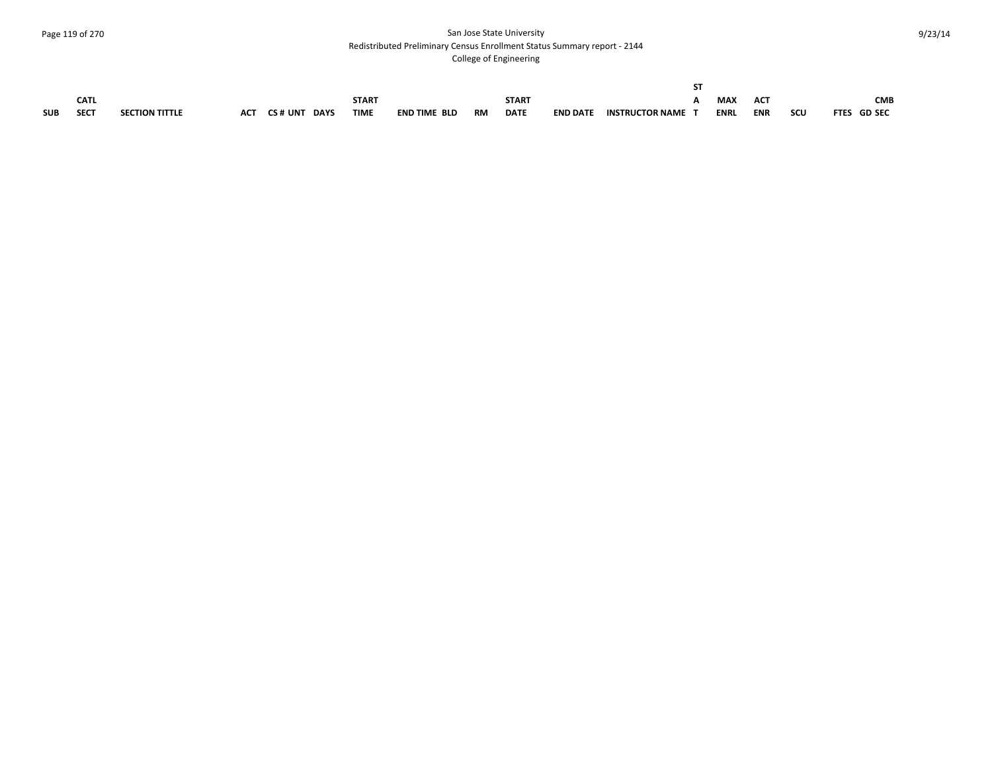#### Page 119 of 270 San Jose State University Redistributed Preliminary Census Enrollment Status Summary report - 2144

|            |             |                       |            |         |             |              |                     |           |              |                 | c.                     |             |            |     |             |
|------------|-------------|-----------------------|------------|---------|-------------|--------------|---------------------|-----------|--------------|-----------------|------------------------|-------------|------------|-----|-------------|
|            | <b>CATL</b> |                       |            |         |             | <b>START</b> |                     |           | <b>START</b> |                 |                        | <b>MAY</b>  | <b>ACT</b> |     | <b>CMB</b>  |
| <b>SUB</b> | <b>SECT</b> | <b>SECTION TITTLE</b> | <b>ACT</b> | CS# UNT | <b>DAYS</b> | <b>TIME</b>  | <b>END TIME BLD</b> | <b>RM</b> | <b>DATE</b>  | <b>END DATE</b> | <b>INSTRUCTOR NAME</b> | <b>ENRL</b> | <b>ENR</b> | scu | FTES GD SEC |